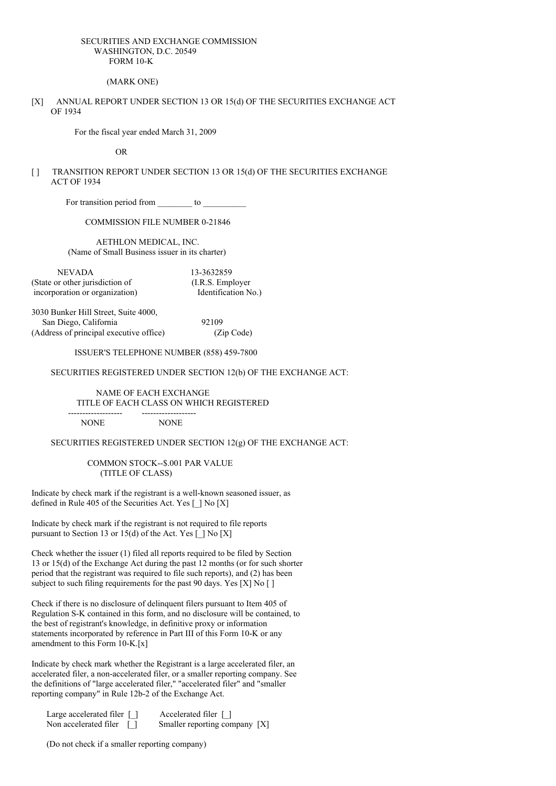### SECURITIES AND EXCHANGE COMMISSION WASHINGTON, D.C. 20549 FORM 10-K

(MARK ONE)

[X] ANNUAL REPORT UNDER SECTION 13 OR 15(d) OF THE SECURITIES EXCHANGE ACT OF 1934

For the fiscal year ended March 31, 2009

OR

[ ] TRANSITION REPORT UNDER SECTION 13 OR 15(d) OF THE SECURITIES EXCHANGE ACT OF 1934

For transition period from to

COMMISSION FILE NUMBER 0-21846

AETHLON MEDICAL, INC. (Name of Small Business issuer in its charter)

NEVADA 13-3632859 (State or other jurisdiction of (I.R.S. Employer incorporation or organization) Identification No.)

3030 Bunker Hill Street, Suite 4000, San Diego, California 92109 (Address of principal executive office) (Zip Code)

ISSUER'S TELEPHONE NUMBER (858) 459-7800

### SECURITIES REGISTERED UNDER SECTION 12(b) OF THE EXCHANGE ACT:

NAME OF EACH EXCHANGE TITLE OF EACH CLASS ON WHICH REGISTERED ------------------- -------------------

NONE NONE

SECURITIES REGISTERED UNDER SECTION 12(g) OF THE EXCHANGE ACT:

COMMON STOCK--\$.001 PAR VALUE (TITLE OF CLASS)

Indicate by check mark if the registrant is a well-known seasoned issuer, as defined in Rule 405 of the Securities Act. Yes [ ] No [X]

Indicate by check mark if the registrant is not required to file reports pursuant to Section 13 or 15(d) of the Act. Yes  $\lceil \cdot \rceil$  No  $\lceil X \rceil$ 

Check whether the issuer (1) filed all reports required to be filed by Section 13 or 15(d) of the Exchange Act during the past 12 months (or for such shorter period that the registrant was required to file such reports), and (2) has been subject to such filing requirements for the past 90 days. Yes  $[X]$  No  $[ ]$ 

Check if there is no disclosure of delinquent filers pursuant to Item 405 of Regulation S-K contained in this form, and no disclosure will be contained, to the best of registrant's knowledge, in definitive proxy or information statements incorporated by reference in Part III of this Form 10-K or any amendment to this Form 10-K.[x]

Indicate by check mark whether the Registrant is a large accelerated filer, an accelerated filer, a non-accelerated filer, or a smaller reporting company. See the definitions of "large accelerated filer," "accelerated filer" and "smaller reporting company" in Rule 12b-2 of the Exchange Act.

Large accelerated filer [ ] Accelerated filer [ ] Non accelerated filer [ ] Smaller reporting company [X]

(Do not check if a smaller reporting company)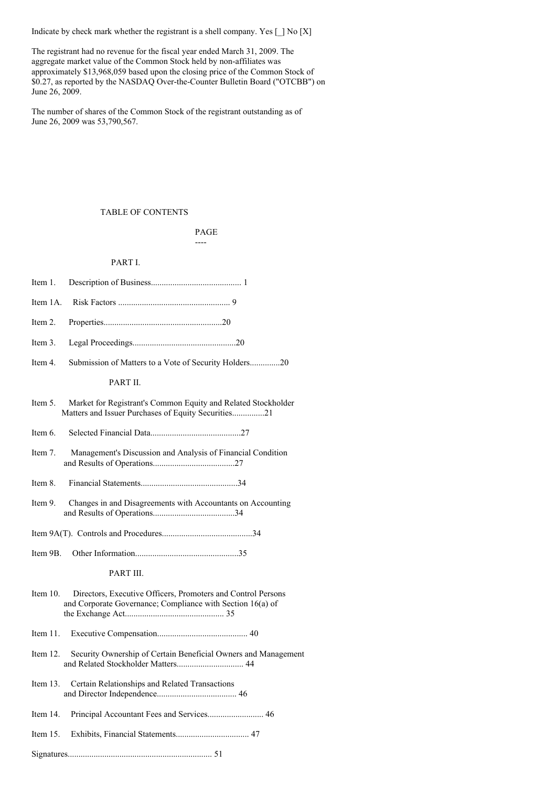Indicate by check mark whether the registrant is a shell company. Yes  $\Box$  No [X]

The registrant had no revenue for the fiscal year ended March 31, 2009. The aggregate market value of the Common Stock held by non-affiliates was approximately \$13,968,059 based upon the closing price of the Common Stock of \$0.27, as reported by the NASDAQ Over-the-Counter Bulletin Board ("OTCBB") on June 26, 2009.

The number of shares of the Common Stock of the registrant outstanding as of June 26, 2009 was 53,790,567.

## TABLE OF CONTENTS

PAGE ----

### PART I.

| Item 1.                                                                                                                                   |
|-------------------------------------------------------------------------------------------------------------------------------------------|
| Item 1A.                                                                                                                                  |
| Item 2.                                                                                                                                   |
| Item 3.                                                                                                                                   |
| Submission of Matters to a Vote of Security Holders20<br>Item 4.                                                                          |
| PART II.                                                                                                                                  |
| Item 5.<br>Market for Registrant's Common Equity and Related Stockholder<br>Matters and Issuer Purchases of Equity Securities21           |
| Item 6.                                                                                                                                   |
| Item 7.<br>Management's Discussion and Analysis of Financial Condition                                                                    |
| Item 8.                                                                                                                                   |
| Item 9.<br>Changes in and Disagreements with Accountants on Accounting                                                                    |
|                                                                                                                                           |
| Item 9B.                                                                                                                                  |
| PART III.                                                                                                                                 |
| Item $10$ .<br>Directors, Executive Officers, Promoters and Control Persons<br>and Corporate Governance; Compliance with Section 16(a) of |
| Item $11$ .                                                                                                                               |
| Item $12$ .<br>Security Ownership of Certain Beneficial Owners and Management                                                             |
| Certain Relationships and Related Transactions<br>Item $13.$                                                                              |
| Principal Accountant Fees and Services 46<br>Item 14.                                                                                     |
| Item $15$ .                                                                                                                               |
|                                                                                                                                           |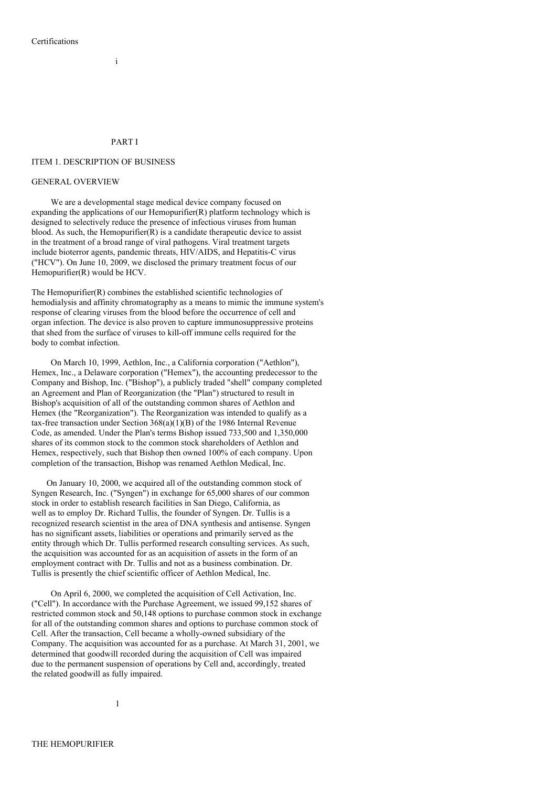## PART I

i

### ITEM 1. DESCRIPTION OF BUSINESS

### GENERAL OVERVIEW

We are a developmental stage medical device company focused on expanding the applications of our Hemopurifier(R) platform technology which is designed to selectively reduce the presence of infectious viruses from human blood. As such, the Hemopurifier(R) is a candidate therapeutic device to assist in the treatment of a broad range of viral pathogens. Viral treatment targets include bioterror agents, pandemic threats, HIV/AIDS, and Hepatitis-C virus ("HCV"). On June 10, 2009, we disclosed the primary treatment focus of our Hemopurifier(R) would be HCV.

The Hemopurifier(R) combines the established scientific technologies of hemodialysis and affinity chromatography as a means to mimic the immune system's response of clearing viruses from the blood before the occurrence of cell and organ infection. The device is also proven to capture immunosuppressive proteins that shed from the surface of viruses to kill-off immune cells required for the body to combat infection.

On March 10, 1999, Aethlon, Inc., a California corporation ("Aethlon"), Hemex, Inc., a Delaware corporation ("Hemex"), the accounting predecessor to the Company and Bishop, Inc. ("Bishop"), a publicly traded "shell" company completed an Agreement and Plan of Reorganization (the "Plan") structured to result in Bishop's acquisition of all of the outstanding common shares of Aethlon and Hemex (the "Reorganization"). The Reorganization was intended to qualify as a tax-free transaction under Section 368(a)(1)(B) of the 1986 Internal Revenue Code, as amended. Under the Plan's terms Bishop issued 733,500 and 1,350,000 shares of its common stock to the common stock shareholders of Aethlon and Hemex, respectively, such that Bishop then owned 100% of each company. Upon completion of the transaction, Bishop was renamed Aethlon Medical, Inc.

On January 10, 2000, we acquired all of the outstanding common stock of Syngen Research, Inc. ("Syngen") in exchange for 65,000 shares of our common stock in order to establish research facilities in San Diego, California, as well as to employ Dr. Richard Tullis, the founder of Syngen. Dr. Tullis is a recognized research scientist in the area of DNA synthesis and antisense. Syngen has no significant assets, liabilities or operations and primarily served as the entity through which Dr. Tullis performed research consulting services. As such, the acquisition was accounted for as an acquisition of assets in the form of an employment contract with Dr. Tullis and not as a business combination. Dr. Tullis is presently the chief scientific officer of Aethlon Medical, Inc.

On April 6, 2000, we completed the acquisition of Cell Activation, Inc. ("Cell"). In accordance with the Purchase Agreement, we issued 99,152 shares of restricted common stock and 50,148 options to purchase common stock in exchange for all of the outstanding common shares and options to purchase common stock of Cell. After the transaction, Cell became a wholly-owned subsidiary of the Company. The acquisition was accounted for as a purchase. At March 31, 2001, we determined that goodwill recorded during the acquisition of Cell was impaired due to the permanent suspension of operations by Cell and, accordingly, treated the related goodwill as fully impaired.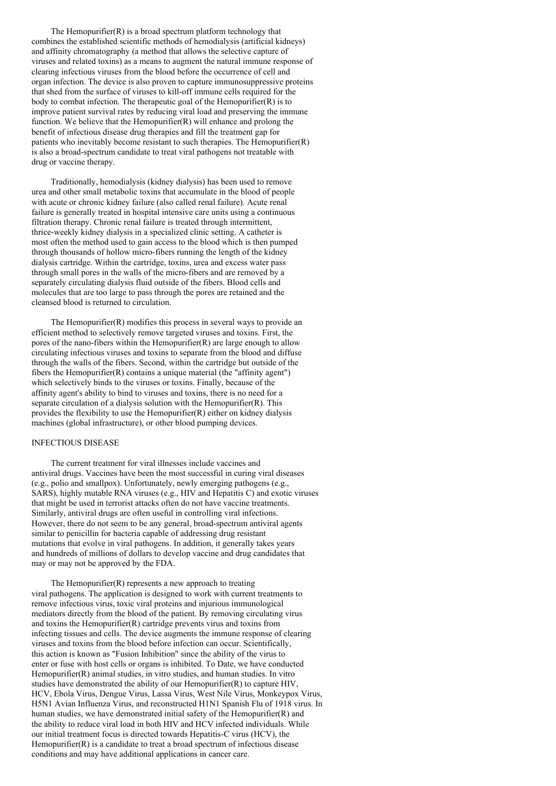The Hemopurifier $(R)$  is a broad spectrum platform technology that combines the established scientific methods of hemodialysis (artificial kidneys) and affinity chromatography (a method that allows the selective capture of viruses and related toxins) as a means to augment the natural immune response of clearing infectious viruses from the blood before the occurrence of cell and organ infection. The device is also proven to capture immunosuppressive proteins that shed from the surface of viruses to kill-off immune cells required for the body to combat infection. The therapeutic goal of the Hemopurifier(R) is to improve patient survival rates by reducing viral load and preserving the immune function. We believe that the Hemopurifier(R) will enhance and prolong the benefit of infectious disease drug therapies and fill the treatment gap for patients who inevitably become resistant to such therapies. The Hemopurifier(R) is also a broad-spectrum candidate to treat viral pathogens not treatable with drug or vaccine therapy.

Traditionally, hemodialysis (kidney dialysis) has been used to remove urea and other small metabolic toxins that accumulate in the blood of people with acute or chronic kidney failure (also called renal failure). Acute renal failure is generally treated in hospital intensive care units using a continuous filtration therapy. Chronic renal failure is treated through intermittent, thrice-weekly kidney dialysis in a specialized clinic setting. A catheter is most often the method used to gain access to the blood which is then pumped through thousands of hollow micro-fibers running the length of the kidney dialysis cartridge. Within the cartridge, toxins, urea and excess water pass through small pores in the walls of the micro-fibers and are removed by a separately circulating dialysis fluid outside of the fibers. Blood cells and molecules that are too large to pass through the pores are retained and the cleansed blood is returned to circulation.

The Hemopurifier(R) modifies this process in several ways to provide an efficient method to selectively remove targeted viruses and toxins. First, the pores of the nano-fibers within the Hemopurifier(R) are large enough to allow circulating infectious viruses and toxins to separate from the blood and diffuse through the walls of the fibers. Second, within the cartridge but outside of the fibers the Hemopurifier(R) contains a unique material (the "affinity agent") which selectively binds to the viruses or toxins. Finally, because of the affinity agent's ability to bind to viruses and toxins, there is no need for a separate circulation of a dialysis solution with the Hemopurifier(R). This provides the flexibility to use the Hemopurifier(R) either on kidney dialysis machines (global infrastructure), or other blood pumping devices.

### INFECTIOUS DISEASE

The current treatment for viral illnesses include vaccines and antiviral drugs. Vaccines have been the most successful in curing viral diseases (e.g., polio and smallpox). Unfortunately, newly emerging pathogens (e.g., SARS), highly mutable RNA viruses (e.g., HIV and Hepatitis C) and exotic viruses that might be used in terrorist attacks often do not have vaccine treatments. Similarly, antiviral drugs are often useful in controlling viral infections. However, there do not seem to be any general, broad-spectrum antiviral agents similar to penicillin for bacteria capable of addressing drug resistant mutations that evolve in viral pathogens. In addition, it generally takes years and hundreds of millions of dollars to develop vaccine and drug candidates that may or may not be approved by the FDA.

The Hemopurifier(R) represents a new approach to treating viral pathogens. The application is designed to work with current treatments to remove infectious virus, toxic viral proteins and injurious immunological mediators directly from the blood of the patient. By removing circulating virus and toxins the Hemopurifier(R) cartridge prevents virus and toxins from infecting tissues and cells. The device augments the immune response of clearing viruses and toxins from the blood before infection can occur. Scientifically, this action is known as "Fusion Inhibition" since the ability of the virus to enter or fuse with host cells or organs is inhibited. To Date, we have conducted Hemopurifier(R) animal studies, in vitro studies, and human studies. In vitro studies have demonstrated the ability of our Hemopurifier(R) to capture HIV, HCV, Ebola Virus, Dengue Virus, Lassa Virus, West Nile Virus, Monkeypox Virus, H5N1 Avian Influenza Virus, and reconstructed H1N1 Spanish Flu of 1918 virus. In human studies, we have demonstrated initial safety of the Hemopurifier(R) and the ability to reduce viral load in both HIV and HCV infected individuals. While our initial treatment focus is directed towards Hepatitis-C virus (HCV), the Hemopurifier(R) is a candidate to treat a broad spectrum of infectious disease conditions and may have additional applications in cancer care.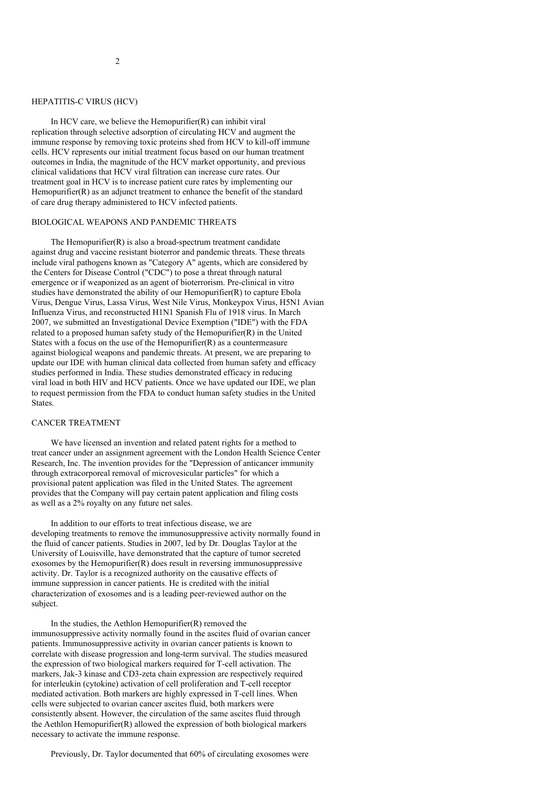### HEPATITIS-C VIRUS (HCV)

In HCV care, we believe the Hemopurifier(R) can inhibit viral replication through selective adsorption of circulating HCV and augment the immune response by removing toxic proteins shed from HCV to kill-off immune cells. HCV represents our initial treatment focus based on our human treatment outcomes in India, the magnitude of the HCV market opportunity, and previous clinical validations that HCV viral filtration can increase cure rates. Our treatment goal in HCV is to increase patient cure rates by implementing our Hemopurifier(R) as an adjunct treatment to enhance the benefit of the standard of care drug therapy administered to HCV infected patients.

#### BIOLOGICAL WEAPONS AND PANDEMIC THREATS

The Hemopurifier(R) is also a broad-spectrum treatment candidate against drug and vaccine resistant bioterror and pandemic threats. These threats include viral pathogens known as "Category A" agents, which are considered by the Centers for Disease Control ("CDC") to pose a threat through natural emergence or if weaponized as an agent of bioterrorism. Pre-clinical in vitro studies have demonstrated the ability of our Hemopurifier(R) to capture Ebola Virus, Dengue Virus, Lassa Virus, West Nile Virus, Monkeypox Virus, H5N1 Avian Influenza Virus, and reconstructed H1N1 Spanish Flu of 1918 virus. In March 2007, we submitted an Investigational Device Exemption ("IDE") with the FDA related to a proposed human safety study of the Hemopurifier(R) in the United States with a focus on the use of the Hemopurifier $(R)$  as a countermeasure against biological weapons and pandemic threats. At present, we are preparing to update our IDE with human clinical data collected from human safety and efficacy studies performed in India. These studies demonstrated efficacy in reducing viral load in both HIV and HCV patients. Once we have updated our IDE, we plan to request permission from the FDA to conduct human safety studies in the United States.

## CANCER TREATMENT

We have licensed an invention and related patent rights for a method to treat cancer under an assignment agreement with the London Health Science Center Research, Inc. The invention provides for the "Depression of anticancer immunity through extracorporeal removal of microvesicular particles" for which a provisional patent application was filed in the United States. The agreement provides that the Company will pay certain patent application and filing costs as well as a 2% royalty on any future net sales.

In addition to our efforts to treat infectious disease, we are developing treatments to remove the immunosuppressive activity normally found in the fluid of cancer patients. Studies in 2007, led by Dr. Douglas Taylor at the University of Louisville, have demonstrated that the capture of tumor secreted exosomes by the Hemopurifier(R) does result in reversing immunosuppressive activity. Dr. Taylor is a recognized authority on the causative effects of immune suppression in cancer patients. He is credited with the initial characterization of exosomes and is a leading peer-reviewed author on the subject.

In the studies, the Aethlon Hemopurifier(R) removed the immunosuppressive activity normally found in the ascites fluid of ovarian cancer patients. Immunosuppressive activity in ovarian cancer patients is known to correlate with disease progression and long-term survival. The studies measured the expression of two biological markers required for T-cell activation. The markers, Jak-3 kinase and CD3-zeta chain expression are respectively required for interleukin (cytokine) activation of cell proliferation and T-cell receptor mediated activation. Both markers are highly expressed in T-cell lines. When cells were subjected to ovarian cancer ascites fluid, both markers were consistently absent. However, the circulation of the same ascites fluid through the Aethlon Hemopurifier(R) allowed the expression of both biological markers necessary to activate the immune response.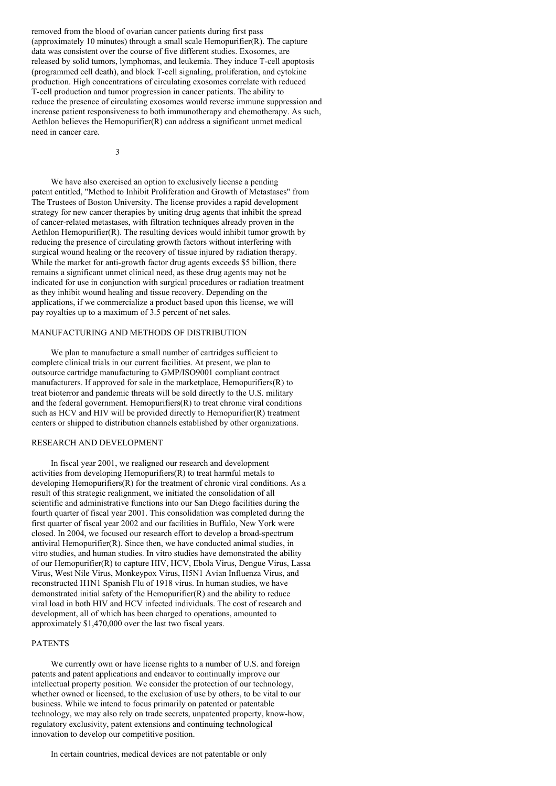removed from the blood of ovarian cancer patients during first pass (approximately 10 minutes) through a small scale Hemopurifier(R). The capture data was consistent over the course of five different studies. Exosomes, are released by solid tumors, lymphomas, and leukemia. They induce T-cell apoptosis (programmed cell death), and block T-cell signaling, proliferation, and cytokine production. High concentrations of circulating exosomes correlate with reduced T-cell production and tumor progression in cancer patients. The ability to reduce the presence of circulating exosomes would reverse immune suppression and increase patient responsiveness to both immunotherapy and chemotherapy. As such, Aethlon believes the Hemopurifier(R) can address a significant unmet medical need in cancer care.

3

We have also exercised an option to exclusively license a pending patent entitled, "Method to Inhibit Proliferation and Growth of Metastases" from The Trustees of Boston University. The license provides a rapid development strategy for new cancer therapies by uniting drug agents that inhibit the spread of cancer-related metastases, with filtration techniques already proven in the Aethlon Hemopurifier(R). The resulting devices would inhibit tumor growth by reducing the presence of circulating growth factors without interfering with surgical wound healing or the recovery of tissue injured by radiation therapy. While the market for anti-growth factor drug agents exceeds \$5 billion, there remains a significant unmet clinical need, as these drug agents may not be indicated for use in conjunction with surgical procedures or radiation treatment as they inhibit wound healing and tissue recovery. Depending on the applications, if we commercialize a product based upon this license, we will pay royalties up to a maximum of 3.5 percent of net sales.

# MANUFACTURING AND METHODS OF DISTRIBUTION

We plan to manufacture a small number of cartridges sufficient to complete clinical trials in our current facilities. At present, we plan to outsource cartridge manufacturing to GMP/ISO9001 compliant contract manufacturers. If approved for sale in the marketplace, Hemopurifiers(R) to treat bioterror and pandemic threats will be sold directly to the U.S. military and the federal government. Hemopurifiers(R) to treat chronic viral conditions such as HCV and HIV will be provided directly to Hemopurifier(R) treatment centers or shipped to distribution channels established by other organizations.

### RESEARCH AND DEVELOPMENT

In fiscal year 2001, we realigned our research and development activities from developing Hemopurifiers(R) to treat harmful metals to developing Hemopurifiers(R) for the treatment of chronic viral conditions. As a result of this strategic realignment, we initiated the consolidation of all scientific and administrative functions into our San Diego facilities during the fourth quarter of fiscal year 2001. This consolidation was completed during the first quarter of fiscal year 2002 and our facilities in Buffalo, New York were closed. In 2004, we focused our research effort to develop a broad-spectrum antiviral Hemopurifier(R). Since then, we have conducted animal studies, in vitro studies, and human studies. In vitro studies have demonstrated the ability of our Hemopurifier(R) to capture HIV, HCV, Ebola Virus, Dengue Virus, Lassa Virus, West Nile Virus, Monkeypox Virus, H5N1 Avian Influenza Virus, and reconstructed H1N1 Spanish Flu of 1918 virus. In human studies, we have demonstrated initial safety of the Hemopurifier(R) and the ability to reduce viral load in both HIV and HCV infected individuals. The cost of research and development, all of which has been charged to operations, amounted to approximately \$1,470,000 over the last two fiscal years.

### PATENTS

We currently own or have license rights to a number of U.S. and foreign patents and patent applications and endeavor to continually improve our intellectual property position. We consider the protection of our technology, whether owned or licensed, to the exclusion of use by others, to be vital to our business. While we intend to focus primarily on patented or patentable technology, we may also rely on trade secrets, unpatented property, know-how, regulatory exclusivity, patent extensions and continuing technological innovation to develop our competitive position.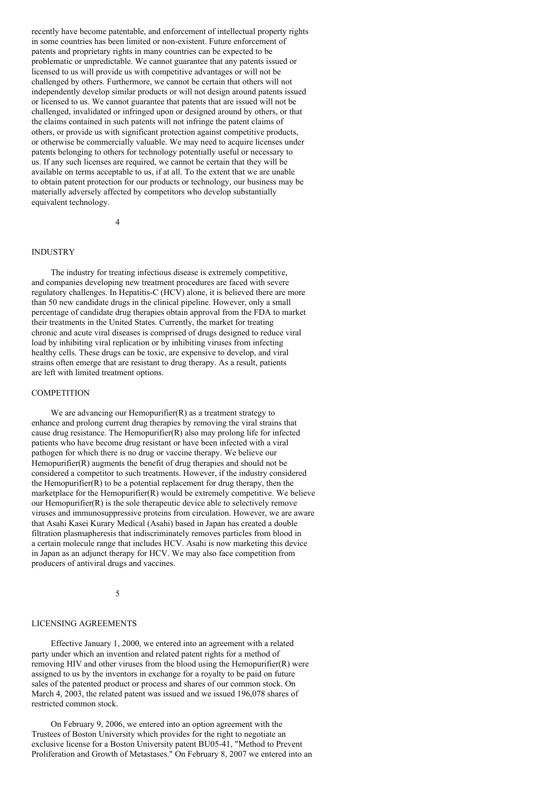recently have become patentable, and enforcement of intellectual property rights in some countries has been limited or non-existent. Future enforcement of patents and proprietary rights in many countries can be expected to be problematic or unpredictable. We cannot guarantee that any patents issued or licensed to us will provide us with competitive advantages or will not be challenged by others. Furthermore, we cannot be certain that others will not independently develop similar products or will not design around patents issued or licensed to us. We cannot guarantee that patents that are issued will not be challenged, invalidated or infringed upon or designed around by others, or that the claims contained in such patents will not infringe the patent claims of others, or provide us with significant protection against competitive products, or otherwise be commercially valuable. We may need to acquire licenses under patents belonging to others for technology potentially useful or necessary to us. If any such licenses are required, we cannot be certain that they will be available on terms acceptable to us, if at all. To the extent that we are unable to obtain patent protection for our products or technology, our business may be materially adversely affected by competitors who develop substantially equivalent technology.

4

# INDUSTRY

The industry for treating infectious disease is extremely competitive, and companies developing new treatment procedures are faced with severe regulatory challenges. In Hepatitis-C (HCV) alone, it is believed there are more than 50 new candidate drugs in the clinical pipeline. However, only a small percentage of candidate drug therapies obtain approval from the FDA to market their treatments in the United States. Currently, the market for treating chronic and acute viral diseases is comprised of drugs designed to reduce viral load by inhibiting viral replication or by inhibiting viruses from infecting healthy cells. These drugs can be toxic, are expensive to develop, and viral strains often emerge that are resistant to drug therapy. As a result, patients are left with limited treatment options.

#### **COMPETITION**

We are advancing our Hemopurifier $(R)$  as a treatment strategy to enhance and prolong current drug therapies by removing the viral strains that cause drug resistance. The Hemopurifier(R) also may prolong life for infected patients who have become drug resistant or have been infected with a viral pathogen for which there is no drug or vaccine therapy. We believe our Hemopurifier(R) augments the benefit of drug therapies and should not be considered a competitor to such treatments. However, if the industry considered the Hemopurifier(R) to be a potential replacement for drug therapy, then the marketplace for the Hemopurifier(R) would be extremely competitive. We believe our Hemopurifier(R) is the sole therapeutic device able to selectively remove viruses and immunosuppressive proteins from circulation. However, we are aware that Asahi Kasei Kurary Medical (Asahi) based in Japan has created a double filtration plasmapheresis that indiscriminately removes particles from blood in a certain molecule range that includes HCV. Asahi is now marketing this device in Japan as an adjunct therapy for HCV. We may also face competition from producers of antiviral drugs and vaccines.

5

#### LICENSING AGREEMENTS

Effective January 1, 2000, we entered into an agreement with a related party under which an invention and related patent rights for a method of removing HIV and other viruses from the blood using the Hemopurifier(R) were assigned to us by the inventors in exchange for a royalty to be paid on future sales of the patented product or process and shares of our common stock. On March 4, 2003, the related patent was issued and we issued 196,078 shares of restricted common stock.

On February 9, 2006, we entered into an option agreement with the Trustees of Boston University which provides for the right to negotiate an exclusive license for a Boston University patent BU05-41, "Method to Prevent Proliferation and Growth of Metastases." On February 8, 2007 we entered into an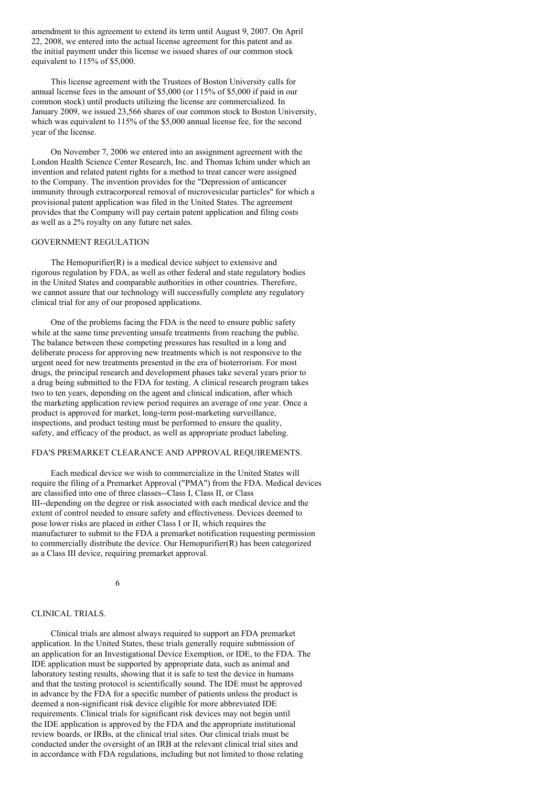amendment to this agreement to extend its term until August 9, 2007. On April 22, 2008, we entered into the actual license agreement for this patent and as the initial payment under this license we issued shares of our common stock equivalent to 115% of \$5,000.

This license agreement with the Trustees of Boston University calls for annual license fees in the amount of \$5,000 (or 115% of \$5,000 if paid in our common stock) until products utilizing the license are commercialized. In January 2009, we issued 23,566 shares of our common stock to Boston University, which was equivalent to 115% of the \$5,000 annual license fee, for the second year of the license.

On November 7, 2006 we entered into an assignment agreement with the London Health Science Center Research, Inc. and Thomas Ichim under which an invention and related patent rights for a method to treat cancer were assigned to the Company. The invention provides for the "Depression of anticancer immunity through extracorporeal removal of microvesicular particles" for which a provisional patent application was filed in the United States. The agreement provides that the Company will pay certain patent application and filing costs as well as a 2% royalty on any future net sales.

## GOVERNMENT REGULATION

The Hemopurifier(R) is a medical device subject to extensive and rigorous regulation by FDA, as well as other federal and state regulatory bodies in the United States and comparable authorities in other countries. Therefore, we cannot assure that our technology will successfully complete any regulatory clinical trial for any of our proposed applications.

One of the problems facing the FDA is the need to ensure public safety while at the same time preventing unsafe treatments from reaching the public. The balance between these competing pressures has resulted in a long and deliberate process for approving new treatments which is not responsive to the urgent need for new treatments presented in the era of bioterrorism. For most drugs, the principal research and development phases take several years prior to a drug being submitted to the FDA for testing. A clinical research program takes two to ten years, depending on the agent and clinical indication, after which the marketing application review period requires an average of one year. Once a product is approved for market, long-term post-marketing surveillance, inspections, and product testing must be performed to ensure the quality, safety, and efficacy of the product, as well as appropriate product labeling.

#### FDA'S PREMARKET CLEARANCE AND APPROVAL REQUIREMENTS.

Each medical device we wish to commercialize in the United States will require the filing of a Premarket Approval ("PMA") from the FDA. Medical devices are classified into one of three classes--Class I, Class II, or Class III--depending on the degree or risk associated with each medical device and the extent of control needed to ensure safety and effectiveness. Devices deemed to pose lower risks are placed in either Class I or II, which requires the manufacturer to submit to the FDA a premarket notification requesting permission to commercially distribute the device. Our Hemopurifier(R) has been categorized as a Class III device, requiring premarket approval.

6

### CLINICAL TRIALS.

Clinical trials are almost always required to support an FDA premarket application. In the United States, these trials generally require submission of an application for an Investigational Device Exemption, or IDE, to the FDA. The IDE application must be supported by appropriate data, such as animal and laboratory testing results, showing that it is safe to test the device in humans and that the testing protocol is scientifically sound. The IDE must be approved in advance by the FDA for a specific number of patients unless the product is deemed a non-significant risk device eligible for more abbreviated IDE requirements. Clinical trials for significant risk devices may not begin until the IDE application is approved by the FDA and the appropriate institutional review boards, or IRBs, at the clinical trial sites. Our clinical trials must be conducted under the oversight of an IRB at the relevant clinical trial sites and in accordance with FDA regulations, including but not limited to those relating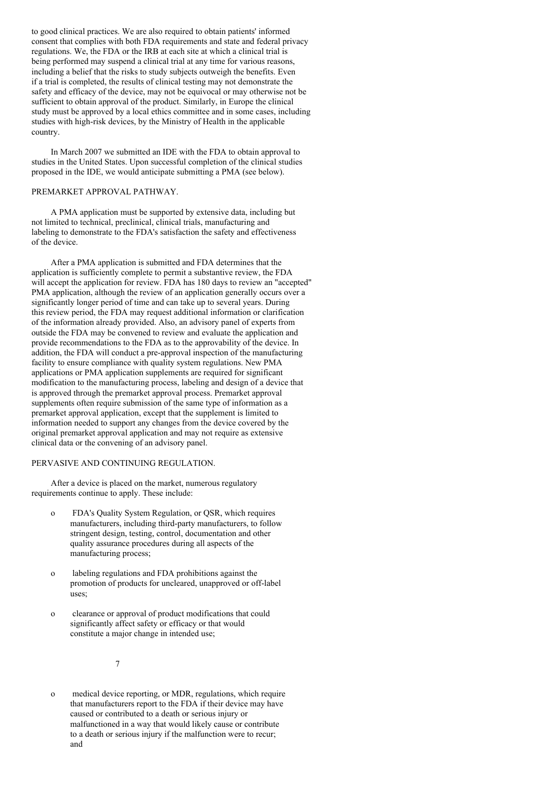to good clinical practices. We are also required to obtain patients' informed consent that complies with both FDA requirements and state and federal privacy regulations. We, the FDA or the IRB at each site at which a clinical trial is being performed may suspend a clinical trial at any time for various reasons, including a belief that the risks to study subjects outweigh the benefits. Even if a trial is completed, the results of clinical testing may not demonstrate the safety and efficacy of the device, may not be equivocal or may otherwise not be sufficient to obtain approval of the product. Similarly, in Europe the clinical study must be approved by a local ethics committee and in some cases, including studies with high-risk devices, by the Ministry of Health in the applicable country.

In March 2007 we submitted an IDE with the FDA to obtain approval to studies in the United States. Upon successful completion of the clinical studies proposed in the IDE, we would anticipate submitting a PMA (see below).

## PREMARKET APPROVAL PATHWAY.

A PMA application must be supported by extensive data, including but not limited to technical, preclinical, clinical trials, manufacturing and labeling to demonstrate to the FDA's satisfaction the safety and effectiveness of the device.

After a PMA application is submitted and FDA determines that the application is sufficiently complete to permit a substantive review, the FDA will accept the application for review. FDA has 180 days to review an "accepted" PMA application, although the review of an application generally occurs over a significantly longer period of time and can take up to several years. During this review period, the FDA may request additional information or clarification of the information already provided. Also, an advisory panel of experts from outside the FDA may be convened to review and evaluate the application and provide recommendations to the FDA as to the approvability of the device. In addition, the FDA will conduct a pre-approval inspection of the manufacturing facility to ensure compliance with quality system regulations. New PMA applications or PMA application supplements are required for significant modification to the manufacturing process, labeling and design of a device that is approved through the premarket approval process. Premarket approval supplements often require submission of the same type of information as a premarket approval application, except that the supplement is limited to information needed to support any changes from the device covered by the original premarket approval application and may not require as extensive clinical data or the convening of an advisory panel.

### PERVASIVE AND CONTINUING REGULATION.

After a device is placed on the market, numerous regulatory requirements continue to apply. These include:

- o FDA's Quality System Regulation, or QSR, which requires manufacturers, including third-party manufacturers, to follow stringent design, testing, control, documentation and other quality assurance procedures during all aspects of the manufacturing process;
- o labeling regulations and FDA prohibitions against the promotion of products for uncleared, unapproved or off-label uses;
- o clearance or approval of product modifications that could significantly affect safety or efficacy or that would constitute a major change in intended use;

7

o medical device reporting, or MDR, regulations, which require that manufacturers report to the FDA if their device may have caused or contributed to a death or serious injury or malfunctioned in a way that would likely cause or contribute to a death or serious injury if the malfunction were to recur; and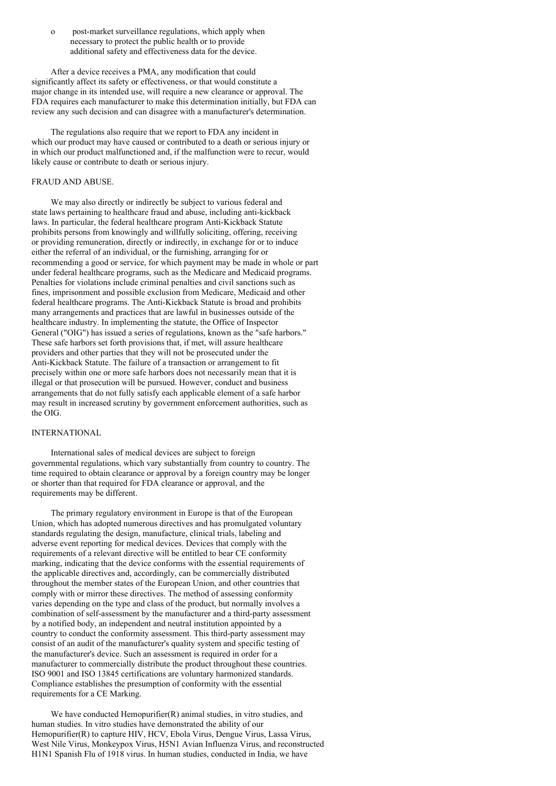o post-market surveillance regulations, which apply when necessary to protect the public health or to provide additional safety and effectiveness data for the device.

After a device receives a PMA, any modification that could significantly affect its safety or effectiveness, or that would constitute a major change in its intended use, will require a new clearance or approval. The FDA requires each manufacturer to make this determination initially, but FDA can review any such decision and can disagree with a manufacturer's determination.

The regulations also require that we report to FDA any incident in which our product may have caused or contributed to a death or serious injury or in which our product malfunctioned and, if the malfunction were to recur, would likely cause or contribute to death or serious injury.

# FRAUD AND ABUSE.

We may also directly or indirectly be subject to various federal and state laws pertaining to healthcare fraud and abuse, including anti-kickback laws. In particular, the federal healthcare program Anti-Kickback Statute prohibits persons from knowingly and willfully soliciting, offering, receiving or providing remuneration, directly or indirectly, in exchange for or to induce either the referral of an individual, or the furnishing, arranging for or recommending a good or service, for which payment may be made in whole or part under federal healthcare programs, such as the Medicare and Medicaid programs. Penalties for violations include criminal penalties and civil sanctions such as fines, imprisonment and possible exclusion from Medicare, Medicaid and other federal healthcare programs. The Anti-Kickback Statute is broad and prohibits many arrangements and practices that are lawful in businesses outside of the healthcare industry. In implementing the statute, the Office of Inspector General ("OIG") has issued a series of regulations, known as the "safe harbors." These safe harbors set forth provisions that, if met, will assure healthcare providers and other parties that they will not be prosecuted under the Anti-Kickback Statute. The failure of a transaction or arrangement to fit precisely within one or more safe harbors does not necessarily mean that it is illegal or that prosecution will be pursued. However, conduct and business arrangements that do not fully satisfy each applicable element of a safe harbor may result in increased scrutiny by government enforcement authorities, such as the OIG.

## INTERNATIONAL

International sales of medical devices are subject to foreign governmental regulations, which vary substantially from country to country. The time required to obtain clearance or approval by a foreign country may be longer or shorter than that required for FDA clearance or approval, and the requirements may be different.

The primary regulatory environment in Europe is that of the European Union, which has adopted numerous directives and has promulgated voluntary standards regulating the design, manufacture, clinical trials, labeling and adverse event reporting for medical devices. Devices that comply with the requirements of a relevant directive will be entitled to bear CE conformity marking, indicating that the device conforms with the essential requirements of the applicable directives and, accordingly, can be commercially distributed throughout the member states of the European Union, and other countries that comply with or mirror these directives. The method of assessing conformity varies depending on the type and class of the product, but normally involves a combination of self-assessment by the manufacturer and a third-party assessment by a notified body, an independent and neutral institution appointed by a country to conduct the conformity assessment. This third-party assessment may consist of an audit of the manufacturer's quality system and specific testing of the manufacturer's device. Such an assessment is required in order for a manufacturer to commercially distribute the product throughout these countries. ISO 9001 and ISO 13845 certifications are voluntary harmonized standards. Compliance establishes the presumption of conformity with the essential requirements for a CE Marking.

We have conducted Hemopurifier(R) animal studies, in vitro studies, and human studies. In vitro studies have demonstrated the ability of our Hemopurifier(R) to capture HIV, HCV, Ebola Virus, Dengue Virus, Lassa Virus, West Nile Virus, Monkeypox Virus, H5N1 Avian Influenza Virus, and reconstructed H1N1 Spanish Flu of 1918 virus. In human studies, conducted in India, we have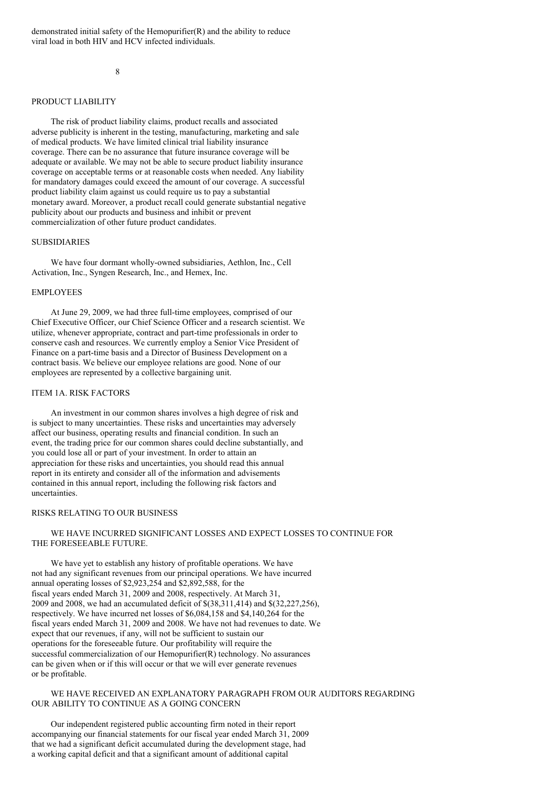#### 8

#### PRODUCT LIABILITY

The risk of product liability claims, product recalls and associated adverse publicity is inherent in the testing, manufacturing, marketing and sale of medical products. We have limited clinical trial liability insurance coverage. There can be no assurance that future insurance coverage will be adequate or available. We may not be able to secure product liability insurance coverage on acceptable terms or at reasonable costs when needed. Any liability for mandatory damages could exceed the amount of our coverage. A successful product liability claim against us could require us to pay a substantial monetary award. Moreover, a product recall could generate substantial negative publicity about our products and business and inhibit or prevent commercialization of other future product candidates.

## **SUBSIDIARIES**

We have four dormant wholly-owned subsidiaries, Aethlon, Inc., Cell Activation, Inc., Syngen Research, Inc., and Hemex, Inc.

### EMPLOYEES

At June 29, 2009, we had three full-time employees, comprised of our Chief Executive Officer, our Chief Science Officer and a research scientist. We utilize, whenever appropriate, contract and part-time professionals in order to conserve cash and resources. We currently employ a Senior Vice President of Finance on a part-time basis and a Director of Business Development on a contract basis. We believe our employee relations are good. None of our employees are represented by a collective bargaining unit.

### ITEM 1A. RISK FACTORS

An investment in our common shares involves a high degree of risk and is subject to many uncertainties. These risks and uncertainties may adversely affect our business, operating results and financial condition. In such an event, the trading price for our common shares could decline substantially, and you could lose all or part of your investment. In order to attain an appreciation for these risks and uncertainties, you should read this annual report in its entirety and consider all of the information and advisements contained in this annual report, including the following risk factors and uncertainties.

#### RISKS RELATING TO OUR BUSINESS

## WE HAVE INCURRED SIGNIFICANT LOSSES AND EXPECT LOSSES TO CONTINUE FOR THE FORESEEABLE FUTURE.

We have yet to establish any history of profitable operations. We have not had any significant revenues from our principal operations. We have incurred annual operating losses of \$2,923,254 and \$2,892,588, for the fiscal years ended March 31, 2009 and 2008, respectively. At March 31, 2009 and 2008, we had an accumulated deficit of \$(38,311,414) and \$(32,227,256), respectively. We have incurred net losses of \$6,084,158 and \$4,140,264 for the fiscal years ended March 31, 2009 and 2008. We have not had revenues to date. We expect that our revenues, if any, will not be sufficient to sustain our operations for the foreseeable future. Our profitability will require the successful commercialization of our Hemopurifier(R) technology. No assurances can be given when or if this will occur or that we will ever generate revenues or be profitable.

## WE HAVE RECEIVED AN EXPLANATORY PARAGRAPH FROM OUR AUDITORS REGARDING OUR ABILITY TO CONTINUE AS A GOING CONCERN

Our independent registered public accounting firm noted in their report accompanying our financial statements for our fiscal year ended March 31, 2009 that we had a significant deficit accumulated during the development stage, had a working capital deficit and that a significant amount of additional capital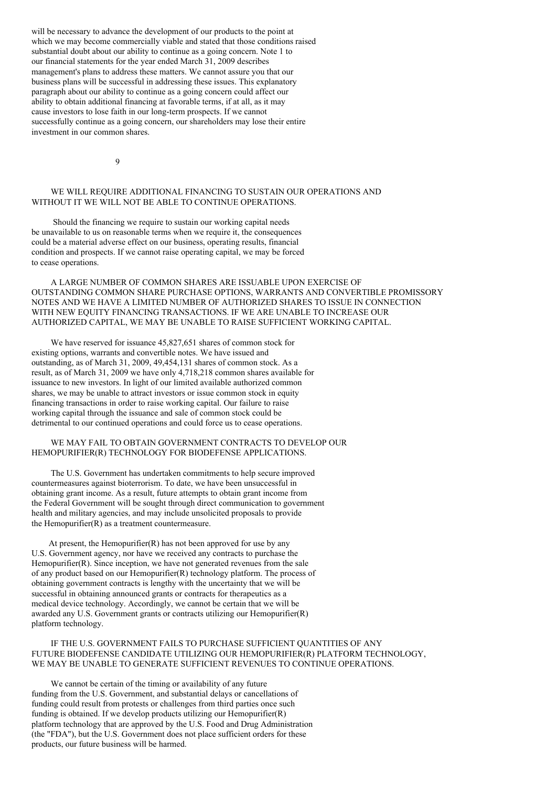will be necessary to advance the development of our products to the point at which we may become commercially viable and stated that those conditions raised substantial doubt about our ability to continue as a going concern. Note 1 to our financial statements for the year ended March 31, 2009 describes management's plans to address these matters. We cannot assure you that our business plans will be successful in addressing these issues. This explanatory paragraph about our ability to continue as a going concern could affect our ability to obtain additional financing at favorable terms, if at all, as it may cause investors to lose faith in our long-term prospects. If we cannot successfully continue as a going concern, our shareholders may lose their entire investment in our common shares.

 $\alpha$ 

# WE WILL REQUIRE ADDITIONAL FINANCING TO SUSTAIN OUR OPERATIONS AND WITHOUT IT WE WILL NOT BE ABLE TO CONTINUE OPERATIONS.

Should the financing we require to sustain our working capital needs be unavailable to us on reasonable terms when we require it, the consequences could be a material adverse effect on our business, operating results, financial condition and prospects. If we cannot raise operating capital, we may be forced to cease operations.

A LARGE NUMBER OF COMMON SHARES ARE ISSUABLE UPON EXERCISE OF OUTSTANDING COMMON SHARE PURCHASE OPTIONS, WARRANTS AND CONVERTIBLE PROMISSORY NOTES AND WE HAVE A LIMITED NUMBER OF AUTHORIZED SHARES TO ISSUE IN CONNECTION WITH NEW EQUITY FINANCING TRANSACTIONS. IF WE ARE UNABLE TO INCREASE OUR AUTHORIZED CAPITAL, WE MAY BE UNABLE TO RAISE SUFFICIENT WORKING CAPITAL.

We have reserved for issuance 45,827,651 shares of common stock for existing options, warrants and convertible notes. We have issued and outstanding, as of March 31, 2009, 49,454,131 shares of common stock. As a result, as of March 31, 2009 we have only 4,718,218 common shares available for issuance to new investors. In light of our limited available authorized common shares, we may be unable to attract investors or issue common stock in equity financing transactions in order to raise working capital. Our failure to raise working capital through the issuance and sale of common stock could be detrimental to our continued operations and could force us to cease operations.

### WE MAY FAIL TO OBTAIN GOVERNMENT CONTRACTS TO DEVELOP OUR HEMOPURIFIER(R) TECHNOLOGY FOR BIODEFENSE APPLICATIONS.

The U.S. Government has undertaken commitments to help secure improved countermeasures against bioterrorism. To date, we have been unsuccessful in obtaining grant income. As a result, future attempts to obtain grant income from the Federal Government will be sought through direct communication to government health and military agencies, and may include unsolicited proposals to provide the Hemopurifier(R) as a treatment countermeasure.

At present, the Hemopurifier $(R)$  has not been approved for use by any U.S. Government agency, nor have we received any contracts to purchase the Hemopurifier(R). Since inception, we have not generated revenues from the sale of any product based on our Hemopurifier(R) technology platform. The process of obtaining government contracts is lengthy with the uncertainty that we will be successful in obtaining announced grants or contracts for therapeutics as a medical device technology. Accordingly, we cannot be certain that we will be awarded any U.S. Government grants or contracts utilizing our Hemopurifier(R) platform technology.

## IF THE U.S. GOVERNMENT FAILS TO PURCHASE SUFFICIENT QUANTITIES OF ANY FUTURE BIODEFENSE CANDIDATE UTILIZING OUR HEMOPURIFIER(R) PLATFORM TECHNOLOGY, WE MAY BE UNABLE TO GENERATE SUFFICIENT REVENUES TO CONTINUE OPERATIONS.

We cannot be certain of the timing or availability of any future funding from the U.S. Government, and substantial delays or cancellations of funding could result from protests or challenges from third parties once such funding is obtained. If we develop products utilizing our Hemopurifier(R) platform technology that are approved by the U.S. Food and Drug Administration (the "FDA"), but the U.S. Government does not place sufficient orders for these products, our future business will be harmed.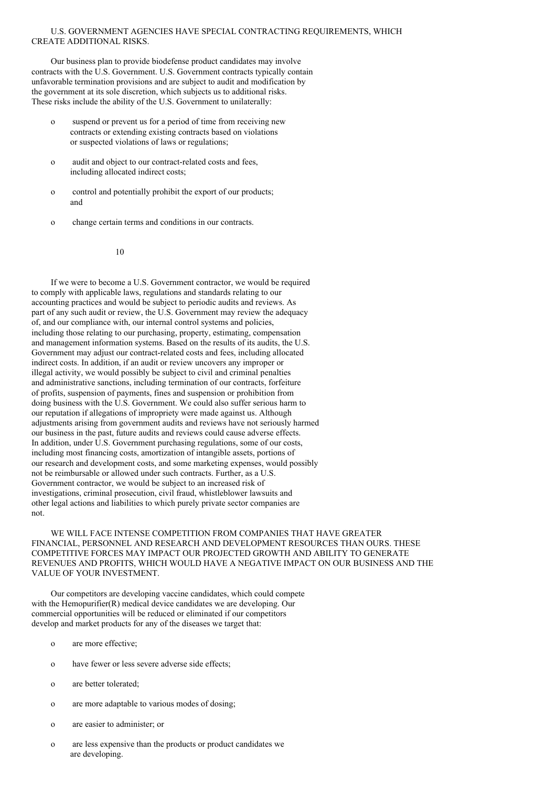## U.S. GOVERNMENT AGENCIES HAVE SPECIAL CONTRACTING REQUIREMENTS, WHICH CREATE ADDITIONAL RISKS.

Our business plan to provide biodefense product candidates may involve contracts with the U.S. Government. U.S. Government contracts typically contain unfavorable termination provisions and are subject to audit and modification by the government at its sole discretion, which subjects us to additional risks. These risks include the ability of the U.S. Government to unilaterally:

- o suspend or prevent us for a period of time from receiving new contracts or extending existing contracts based on violations or suspected violations of laws or regulations;
- o audit and object to our contract-related costs and fees, including allocated indirect costs;
- o control and potentially prohibit the export of our products; and
- o change certain terms and conditions in our contracts.

10

If we were to become a U.S. Government contractor, we would be required to comply with applicable laws, regulations and standards relating to our accounting practices and would be subject to periodic audits and reviews. As part of any such audit or review, the U.S. Government may review the adequacy of, and our compliance with, our internal control systems and policies, including those relating to our purchasing, property, estimating, compensation and management information systems. Based on the results of its audits, the U.S. Government may adjust our contract-related costs and fees, including allocated indirect costs. In addition, if an audit or review uncovers any improper or illegal activity, we would possibly be subject to civil and criminal penalties and administrative sanctions, including termination of our contracts, forfeiture of profits, suspension of payments, fines and suspension or prohibition from doing business with the U.S. Government. We could also suffer serious harm to our reputation if allegations of impropriety were made against us. Although adjustments arising from government audits and reviews have not seriously harmed our business in the past, future audits and reviews could cause adverse effects. In addition, under U.S. Government purchasing regulations, some of our costs, including most financing costs, amortization of intangible assets, portions of our research and development costs, and some marketing expenses, would possibly not be reimbursable or allowed under such contracts. Further, as a U.S. Government contractor, we would be subject to an increased risk of investigations, criminal prosecution, civil fraud, whistleblower lawsuits and other legal actions and liabilities to which purely private sector companies are not.

WE WILL FACE INTENSE COMPETITION FROM COMPANIES THAT HAVE GREATER FINANCIAL, PERSONNEL AND RESEARCH AND DEVELOPMENT RESOURCES THAN OURS. THESE COMPETITIVE FORCES MAY IMPACT OUR PROJECTED GROWTH AND ABILITY TO GENERATE REVENUES AND PROFITS, WHICH WOULD HAVE A NEGATIVE IMPACT ON OUR BUSINESS AND THE VALUE OF YOUR INVESTMENT.

Our competitors are developing vaccine candidates, which could compete with the Hemopurifier(R) medical device candidates we are developing. Our commercial opportunities will be reduced or eliminated if our competitors develop and market products for any of the diseases we target that:

- o are more effective;
- o have fewer or less severe adverse side effects;
- o are better tolerated;
- o are more adaptable to various modes of dosing;
- o are easier to administer; or
- o are less expensive than the products or product candidates we are developing.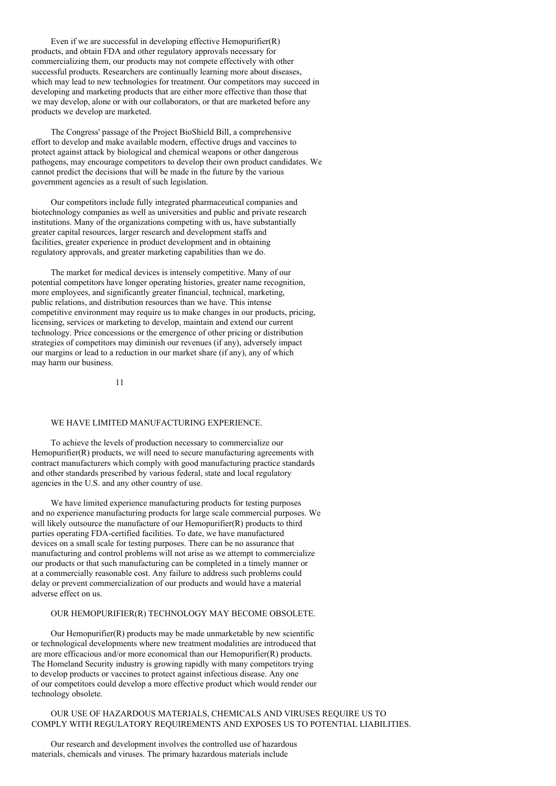Even if we are successful in developing effective Hemopurifier(R) products, and obtain FDA and other regulatory approvals necessary for commercializing them, our products may not compete effectively with other successful products. Researchers are continually learning more about diseases, which may lead to new technologies for treatment. Our competitors may succeed in developing and marketing products that are either more effective than those that we may develop, alone or with our collaborators, or that are marketed before any products we develop are marketed.

The Congress' passage of the Project BioShield Bill, a comprehensive effort to develop and make available modern, effective drugs and vaccines to protect against attack by biological and chemical weapons or other dangerous pathogens, may encourage competitors to develop their own product candidates. We cannot predict the decisions that will be made in the future by the various government agencies as a result of such legislation.

Our competitors include fully integrated pharmaceutical companies and biotechnology companies as well as universities and public and private research institutions. Many of the organizations competing with us, have substantially greater capital resources, larger research and development staffs and facilities, greater experience in product development and in obtaining regulatory approvals, and greater marketing capabilities than we do.

The market for medical devices is intensely competitive. Many of our potential competitors have longer operating histories, greater name recognition, more employees, and significantly greater financial, technical, marketing, public relations, and distribution resources than we have. This intense competitive environment may require us to make changes in our products, pricing, licensing, services or marketing to develop, maintain and extend our current technology. Price concessions or the emergence of other pricing or distribution strategies of competitors may diminish our revenues (if any), adversely impact our margins or lead to a reduction in our market share (if any), any of which may harm our business.

11

### WE HAVE LIMITED MANUFACTURING EXPERIENCE.

To achieve the levels of production necessary to commercialize our Hemopurifier(R) products, we will need to secure manufacturing agreements with contract manufacturers which comply with good manufacturing practice standards and other standards prescribed by various federal, state and local regulatory agencies in the U.S. and any other country of use.

We have limited experience manufacturing products for testing purposes and no experience manufacturing products for large scale commercial purposes. We will likely outsource the manufacture of our Hemopurifier(R) products to third parties operating FDA-certified facilities. To date, we have manufactured devices on a small scale for testing purposes. There can be no assurance that manufacturing and control problems will not arise as we attempt to commercialize our products or that such manufacturing can be completed in a timely manner or at a commercially reasonable cost. Any failure to address such problems could delay or prevent commercialization of our products and would have a material adverse effect on us.

### OUR HEMOPURIFIER(R) TECHNOLOGY MAY BECOME OBSOLETE.

Our Hemopurifier(R) products may be made unmarketable by new scientific or technological developments where new treatment modalities are introduced that are more efficacious and/or more economical than our Hemopurifier(R) products. The Homeland Security industry is growing rapidly with many competitors trying to develop products or vaccines to protect against infectious disease. Any one of our competitors could develop a more effective product which would render our technology obsolete.

OUR USE OF HAZARDOUS MATERIALS, CHEMICALS AND VIRUSES REQUIRE US TO COMPLY WITH REGULATORY REQUIREMENTS AND EXPOSES US TO POTENTIAL LIABILITIES.

Our research and development involves the controlled use of hazardous materials, chemicals and viruses. The primary hazardous materials include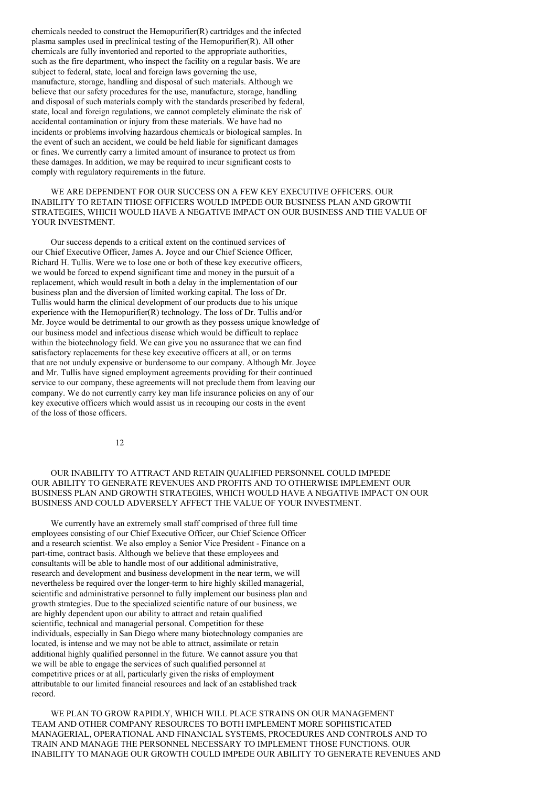chemicals needed to construct the Hemopurifier(R) cartridges and the infected plasma samples used in preclinical testing of the Hemopurifier(R). All other chemicals are fully inventoried and reported to the appropriate authorities, such as the fire department, who inspect the facility on a regular basis. We are subject to federal, state, local and foreign laws governing the use, manufacture, storage, handling and disposal of such materials. Although we believe that our safety procedures for the use, manufacture, storage, handling and disposal of such materials comply with the standards prescribed by federal, state, local and foreign regulations, we cannot completely eliminate the risk of accidental contamination or injury from these materials. We have had no incidents or problems involving hazardous chemicals or biological samples. In the event of such an accident, we could be held liable for significant damages or fines. We currently carry a limited amount of insurance to protect us from these damages. In addition, we may be required to incur significant costs to comply with regulatory requirements in the future.

WE ARE DEPENDENT FOR OUR SUCCESS ON A FEW KEY EXECUTIVE OFFICERS. OUR INABILITY TO RETAIN THOSE OFFICERS WOULD IMPEDE OUR BUSINESS PLAN AND GROWTH STRATEGIES, WHICH WOULD HAVE A NEGATIVE IMPACT ON OUR BUSINESS AND THE VALUE OF YOUR INVESTMENT.

Our success depends to a critical extent on the continued services of our Chief Executive Officer, James A. Joyce and our Chief Science Officer, Richard H. Tullis. Were we to lose one or both of these key executive officers, we would be forced to expend significant time and money in the pursuit of a replacement, which would result in both a delay in the implementation of our business plan and the diversion of limited working capital. The loss of Dr. Tullis would harm the clinical development of our products due to his unique experience with the Hemopurifier(R) technology. The loss of Dr. Tullis and/or Mr. Joyce would be detrimental to our growth as they possess unique knowledge of our business model and infectious disease which would be difficult to replace within the biotechnology field. We can give you no assurance that we can find satisfactory replacements for these key executive officers at all, or on terms that are not unduly expensive or burdensome to our company. Although Mr. Joyce and Mr. Tullis have signed employment agreements providing for their continued service to our company, these agreements will not preclude them from leaving our company. We do not currently carry key man life insurance policies on any of our key executive officers which would assist us in recouping our costs in the event of the loss of those officers.

12

## OUR INABILITY TO ATTRACT AND RETAIN QUALIFIED PERSONNEL COULD IMPEDE OUR ABILITY TO GENERATE REVENUES AND PROFITS AND TO OTHERWISE IMPLEMENT OUR BUSINESS PLAN AND GROWTH STRATEGIES, WHICH WOULD HAVE A NEGATIVE IMPACT ON OUR BUSINESS AND COULD ADVERSELY AFFECT THE VALUE OF YOUR INVESTMENT.

We currently have an extremely small staff comprised of three full time employees consisting of our Chief Executive Officer, our Chief Science Officer and a research scientist. We also employ a Senior Vice President - Finance on a part-time, contract basis. Although we believe that these employees and consultants will be able to handle most of our additional administrative, research and development and business development in the near term, we will nevertheless be required over the longer-term to hire highly skilled managerial, scientific and administrative personnel to fully implement our business plan and growth strategies. Due to the specialized scientific nature of our business, we are highly dependent upon our ability to attract and retain qualified scientific, technical and managerial personal. Competition for these individuals, especially in San Diego where many biotechnology companies are located, is intense and we may not be able to attract, assimilate or retain additional highly qualified personnel in the future. We cannot assure you that we will be able to engage the services of such qualified personnel at competitive prices or at all, particularly given the risks of employment attributable to our limited financial resources and lack of an established track record.

WE PLAN TO GROW RAPIDLY, WHICH WILL PLACE STRAINS ON OUR MANAGEMENT TEAM AND OTHER COMPANY RESOURCES TO BOTH IMPLEMENT MORE SOPHISTICATED MANAGERIAL, OPERATIONAL AND FINANCIAL SYSTEMS, PROCEDURES AND CONTROLS AND TO TRAIN AND MANAGE THE PERSONNEL NECESSARY TO IMPLEMENT THOSE FUNCTIONS. OUR INABILITY TO MANAGE OUR GROWTH COULD IMPEDE OUR ABILITY TO GENERATE REVENUES AND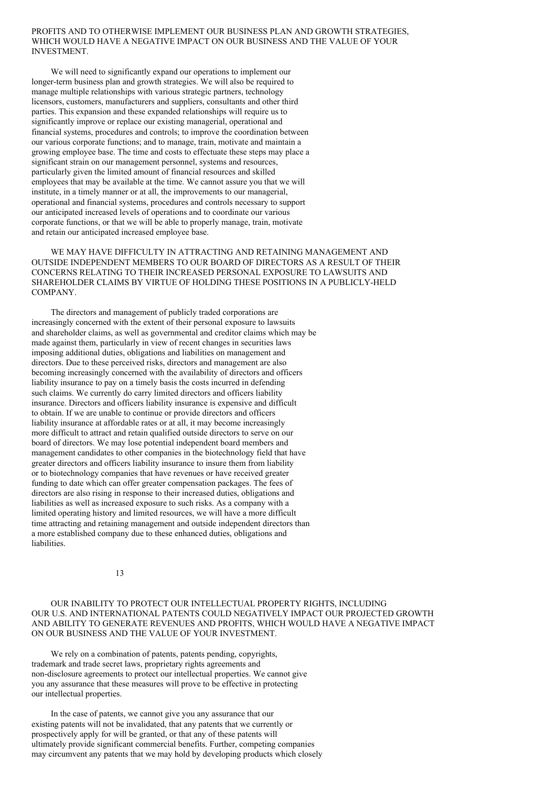### PROFITS AND TO OTHERWISE IMPLEMENT OUR BUSINESS PLAN AND GROWTH STRATEGIES, WHICH WOULD HAVE A NEGATIVE IMPACT ON OUR BUSINESS AND THE VALUE OF YOUR INVESTMENT.

We will need to significantly expand our operations to implement our longer-term business plan and growth strategies. We will also be required to manage multiple relationships with various strategic partners, technology licensors, customers, manufacturers and suppliers, consultants and other third parties. This expansion and these expanded relationships will require us to significantly improve or replace our existing managerial, operational and financial systems, procedures and controls; to improve the coordination between our various corporate functions; and to manage, train, motivate and maintain a growing employee base. The time and costs to effectuate these steps may place a significant strain on our management personnel, systems and resources, particularly given the limited amount of financial resources and skilled employees that may be available at the time. We cannot assure you that we will institute, in a timely manner or at all, the improvements to our managerial, operational and financial systems, procedures and controls necessary to support our anticipated increased levels of operations and to coordinate our various corporate functions, or that we will be able to properly manage, train, motivate and retain our anticipated increased employee base.

WE MAY HAVE DIFFICULTY IN ATTRACTING AND RETAINING MANAGEMENT AND OUTSIDE INDEPENDENT MEMBERS TO OUR BOARD OF DIRECTORS AS A RESULT OF THEIR CONCERNS RELATING TO THEIR INCREASED PERSONAL EXPOSURE TO LAWSUITS AND SHAREHOLDER CLAIMS BY VIRTUE OF HOLDING THESE POSITIONS IN A PUBLICLY-HELD COMPANY.

The directors and management of publicly traded corporations are increasingly concerned with the extent of their personal exposure to lawsuits and shareholder claims, as well as governmental and creditor claims which may be made against them, particularly in view of recent changes in securities laws imposing additional duties, obligations and liabilities on management and directors. Due to these perceived risks, directors and management are also becoming increasingly concerned with the availability of directors and officers liability insurance to pay on a timely basis the costs incurred in defending such claims. We currently do carry limited directors and officers liability insurance. Directors and officers liability insurance is expensive and difficult to obtain. If we are unable to continue or provide directors and officers liability insurance at affordable rates or at all, it may become increasingly more difficult to attract and retain qualified outside directors to serve on our board of directors. We may lose potential independent board members and management candidates to other companies in the biotechnology field that have greater directors and officers liability insurance to insure them from liability or to biotechnology companies that have revenues or have received greater funding to date which can offer greater compensation packages. The fees of directors are also rising in response to their increased duties, obligations and liabilities as well as increased exposure to such risks. As a company with a limited operating history and limited resources, we will have a more difficult time attracting and retaining management and outside independent directors than a more established company due to these enhanced duties, obligations and liabilities.

13

OUR INABILITY TO PROTECT OUR INTELLECTUAL PROPERTY RIGHTS, INCLUDING OUR U.S. AND INTERNATIONAL PATENTS COULD NEGATIVELY IMPACT OUR PROJECTED GROWTH AND ABILITY TO GENERATE REVENUES AND PROFITS, WHICH WOULD HAVE A NEGATIVE IMPACT ON OUR BUSINESS AND THE VALUE OF YOUR INVESTMENT.

We rely on a combination of patents, patents pending, copyrights, trademark and trade secret laws, proprietary rights agreements and non-disclosure agreements to protect our intellectual properties. We cannot give you any assurance that these measures will prove to be effective in protecting our intellectual properties.

In the case of patents, we cannot give you any assurance that our existing patents will not be invalidated, that any patents that we currently or prospectively apply for will be granted, or that any of these patents will ultimately provide significant commercial benefits. Further, competing companies may circumvent any patents that we may hold by developing products which closely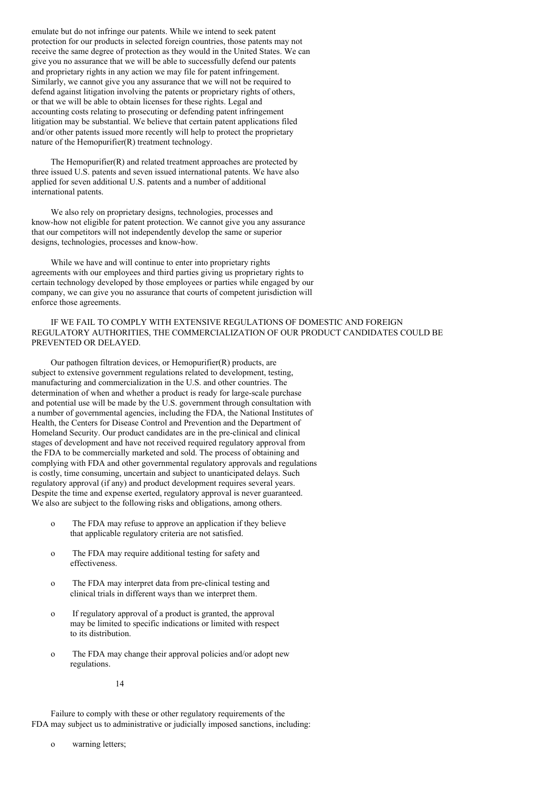emulate but do not infringe our patents. While we intend to seek patent protection for our products in selected foreign countries, those patents may not receive the same degree of protection as they would in the United States. We can give you no assurance that we will be able to successfully defend our patents and proprietary rights in any action we may file for patent infringement. Similarly, we cannot give you any assurance that we will not be required to defend against litigation involving the patents or proprietary rights of others, or that we will be able to obtain licenses for these rights. Legal and accounting costs relating to prosecuting or defending patent infringement litigation may be substantial. We believe that certain patent applications filed and/or other patents issued more recently will help to protect the proprietary nature of the Hemopurifier(R) treatment technology.

The Hemopurifier(R) and related treatment approaches are protected by three issued U.S. patents and seven issued international patents. We have also applied for seven additional U.S. patents and a number of additional international patents.

We also rely on proprietary designs, technologies, processes and know-how not eligible for patent protection. We cannot give you any assurance that our competitors will not independently develop the same or superior designs, technologies, processes and know-how.

While we have and will continue to enter into proprietary rights agreements with our employees and third parties giving us proprietary rights to certain technology developed by those employees or parties while engaged by our company, we can give you no assurance that courts of competent jurisdiction will enforce those agreements.

## IF WE FAIL TO COMPLY WITH EXTENSIVE REGULATIONS OF DOMESTIC AND FOREIGN REGULATORY AUTHORITIES, THE COMMERCIALIZATION OF OUR PRODUCT CANDIDATES COULD BE PREVENTED OR DELAYED.

Our pathogen filtration devices, or Hemopurifier(R) products, are subject to extensive government regulations related to development, testing, manufacturing and commercialization in the U.S. and other countries. The determination of when and whether a product is ready for large-scale purchase and potential use will be made by the U.S. government through consultation with a number of governmental agencies, including the FDA, the National Institutes of Health, the Centers for Disease Control and Prevention and the Department of Homeland Security. Our product candidates are in the pre-clinical and clinical stages of development and have not received required regulatory approval from the FDA to be commercially marketed and sold. The process of obtaining and complying with FDA and other governmental regulatory approvals and regulations is costly, time consuming, uncertain and subject to unanticipated delays. Such regulatory approval (if any) and product development requires several years. Despite the time and expense exerted, regulatory approval is never guaranteed. We also are subject to the following risks and obligations, among others.

- o The FDA may refuse to approve an application if they believe that applicable regulatory criteria are not satisfied.
- o The FDA may require additional testing for safety and effectiveness.
- o The FDA may interpret data from pre-clinical testing and clinical trials in different ways than we interpret them.
- o If regulatory approval of a product is granted, the approval may be limited to specific indications or limited with respect to its distribution.
- o The FDA may change their approval policies and/or adopt new regulations.

14

Failure to comply with these or other regulatory requirements of the FDA may subject us to administrative or judicially imposed sanctions, including:

o warning letters;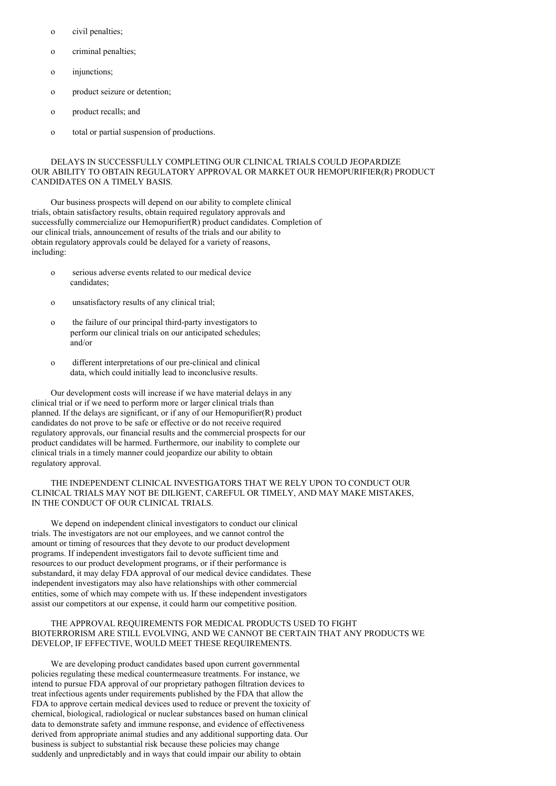- o civil penalties;
- o criminal penalties;
- o injunctions;
- o product seizure or detention;
- o product recalls; and
- o total or partial suspension of productions.

## DELAYS IN SUCCESSFULLY COMPLETING OUR CLINICAL TRIALS COULD JEOPARDIZE OUR ABILITY TO OBTAIN REGULATORY APPROVAL OR MARKET OUR HEMOPURIFIER(R) PRODUCT CANDIDATES ON A TIMELY BASIS.

Our business prospects will depend on our ability to complete clinical trials, obtain satisfactory results, obtain required regulatory approvals and successfully commercialize our Hemopurifier(R) product candidates. Completion of our clinical trials, announcement of results of the trials and our ability to obtain regulatory approvals could be delayed for a variety of reasons, including:

- o serious adverse events related to our medical device candidates;
- o unsatisfactory results of any clinical trial;
- o the failure of our principal third-party investigators to perform our clinical trials on our anticipated schedules; and/or
- o different interpretations of our pre-clinical and clinical data, which could initially lead to inconclusive results.

Our development costs will increase if we have material delays in any clinical trial or if we need to perform more or larger clinical trials than planned. If the delays are significant, or if any of our Hemopurifier(R) product candidates do not prove to be safe or effective or do not receive required regulatory approvals, our financial results and the commercial prospects for our product candidates will be harmed. Furthermore, our inability to complete our clinical trials in a timely manner could jeopardize our ability to obtain regulatory approval.

## THE INDEPENDENT CLINICAL INVESTIGATORS THAT WE RELY UPON TO CONDUCT OUR CLINICAL TRIALS MAY NOT BE DILIGENT, CAREFUL OR TIMELY, AND MAY MAKE MISTAKES, IN THE CONDUCT OF OUR CLINICAL TRIALS.

We depend on independent clinical investigators to conduct our clinical trials. The investigators are not our employees, and we cannot control the amount or timing of resources that they devote to our product development programs. If independent investigators fail to devote sufficient time and resources to our product development programs, or if their performance is substandard, it may delay FDA approval of our medical device candidates. These independent investigators may also have relationships with other commercial entities, some of which may compete with us. If these independent investigators assist our competitors at our expense, it could harm our competitive position.

## THE APPROVAL REQUIREMENTS FOR MEDICAL PRODUCTS USED TO FIGHT BIOTERRORISM ARE STILL EVOLVING, AND WE CANNOT BE CERTAIN THAT ANY PRODUCTS WE DEVELOP, IF EFFECTIVE, WOULD MEET THESE REQUIREMENTS.

We are developing product candidates based upon current governmental policies regulating these medical countermeasure treatments. For instance, we intend to pursue FDA approval of our proprietary pathogen filtration devices to treat infectious agents under requirements published by the FDA that allow the FDA to approve certain medical devices used to reduce or prevent the toxicity of chemical, biological, radiological or nuclear substances based on human clinical data to demonstrate safety and immune response, and evidence of effectiveness derived from appropriate animal studies and any additional supporting data. Our business is subject to substantial risk because these policies may change suddenly and unpredictably and in ways that could impair our ability to obtain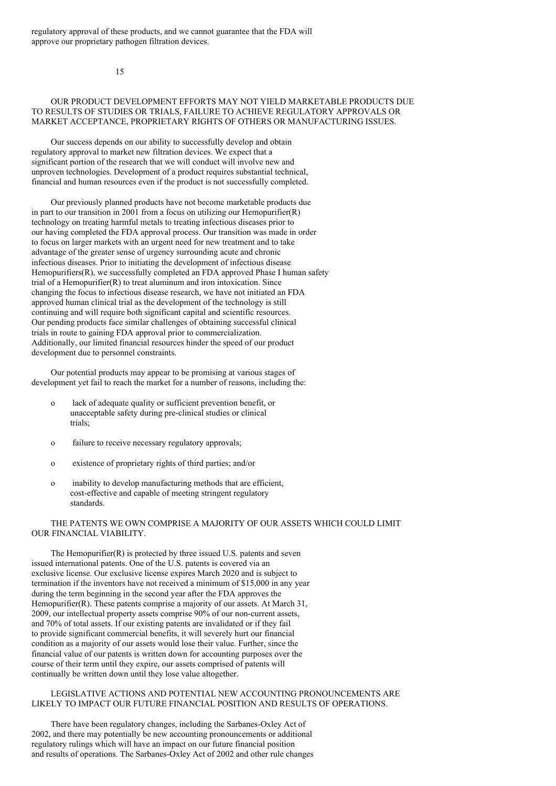regulatory approval of these products, and we cannot guarantee that the FDA will approve our proprietary pathogen filtration devices.

15

## OUR PRODUCT DEVELOPMENT EFFORTS MAY NOT YIELD MARKETABLE PRODUCTS DUE TO RESULTS OF STUDIES OR TRIALS, FAILURE TO ACHIEVE REGULATORY APPROVALS OR MARKET ACCEPTANCE, PROPRIETARY RIGHTS OF OTHERS OR MANUFACTURING ISSUES.

Our success depends on our ability to successfully develop and obtain regulatory approval to market new filtration devices. We expect that a significant portion of the research that we will conduct will involve new and unproven technologies. Development of a product requires substantial technical, financial and human resources even if the product is not successfully completed.

Our previously planned products have not become marketable products due in part to our transition in 2001 from a focus on utilizing our Hemopurifier $(R)$ technology on treating harmful metals to treating infectious diseases prior to our having completed the FDA approval process. Our transition was made in order to focus on larger markets with an urgent need for new treatment and to take advantage of the greater sense of urgency surrounding acute and chronic infectious diseases. Prior to initiating the development of infectious disease Hemopurifiers(R), we successfully completed an FDA approved Phase I human safety trial of a Hemopurifier(R) to treat aluminum and iron intoxication. Since changing the focus to infectious disease research, we have not initiated an FDA approved human clinical trial as the development of the technology is still continuing and will require both significant capital and scientific resources. Our pending products face similar challenges of obtaining successful clinical trials in route to gaining FDA approval prior to commercialization. Additionally, our limited financial resources hinder the speed of our product development due to personnel constraints.

Our potential products may appear to be promising at various stages of development yet fail to reach the market for a number of reasons, including the:

- o lack of adequate quality or sufficient prevention benefit, or unacceptable safety during pre-clinical studies or clinical trials;
- o failure to receive necessary regulatory approvals;
- o existence of proprietary rights of third parties; and/or
- o inability to develop manufacturing methods that are efficient, cost-effective and capable of meeting stringent regulatory standards.

## THE PATENTS WE OWN COMPRISE A MAJORITY OF OUR ASSETS WHICH COULD LIMIT OUR FINANCIAL VIABILITY.

The Hemopurifier(R) is protected by three issued U.S. patents and seven issued international patents. One of the U.S. patents is covered via an exclusive license. Our exclusive license expires March 2020 and is subject to termination if the inventors have not received a minimum of \$15,000 in any year during the term beginning in the second year after the FDA approves the Hemopurifier(R). These patents comprise a majority of our assets. At March 31, 2009, our intellectual property assets comprise 90% of our non-current assets, and 70% of total assets. If our existing patents are invalidated or if they fail to provide significant commercial benefits, it will severely hurt our financial condition as a majority of our assets would lose their value. Further, since the financial value of our patents is written down for accounting purposes over the course of their term until they expire, our assets comprised of patents will continually be written down until they lose value altogether.

## LEGISLATIVE ACTIONS AND POTENTIAL NEW ACCOUNTING PRONOUNCEMENTS ARE LIKELY TO IMPACT OUR FUTURE FINANCIAL POSITION AND RESULTS OF OPERATIONS.

There have been regulatory changes, including the Sarbanes-Oxley Act of 2002, and there may potentially be new accounting pronouncements or additional regulatory rulings which will have an impact on our future financial position and results of operations. The Sarbanes-Oxley Act of 2002 and other rule changes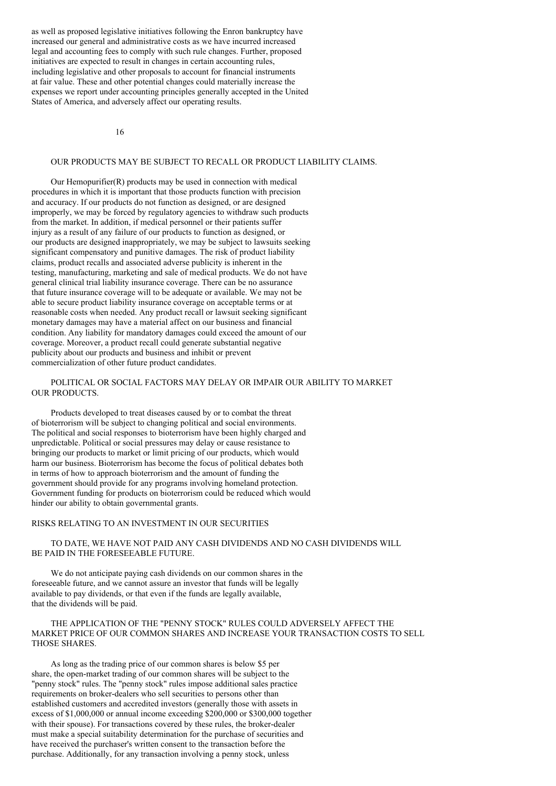as well as proposed legislative initiatives following the Enron bankruptcy have increased our general and administrative costs as we have incurred increased legal and accounting fees to comply with such rule changes. Further, proposed initiatives are expected to result in changes in certain accounting rules, including legislative and other proposals to account for financial instruments at fair value. These and other potential changes could materially increase the expenses we report under accounting principles generally accepted in the United States of America, and adversely affect our operating results.

16

## OUR PRODUCTS MAY BE SUBJECT TO RECALL OR PRODUCT LIABILITY CLAIMS.

Our Hemopurifier(R) products may be used in connection with medical procedures in which it is important that those products function with precision and accuracy. If our products do not function as designed, or are designed improperly, we may be forced by regulatory agencies to withdraw such products from the market. In addition, if medical personnel or their patients suffer injury as a result of any failure of our products to function as designed, or our products are designed inappropriately, we may be subject to lawsuits seeking significant compensatory and punitive damages. The risk of product liability claims, product recalls and associated adverse publicity is inherent in the testing, manufacturing, marketing and sale of medical products. We do not have general clinical trial liability insurance coverage. There can be no assurance that future insurance coverage will to be adequate or available. We may not be able to secure product liability insurance coverage on acceptable terms or at reasonable costs when needed. Any product recall or lawsuit seeking significant monetary damages may have a material affect on our business and financial condition. Any liability for mandatory damages could exceed the amount of our coverage. Moreover, a product recall could generate substantial negative publicity about our products and business and inhibit or prevent commercialization of other future product candidates.

## POLITICAL OR SOCIAL FACTORS MAY DELAY OR IMPAIR OUR ABILITY TO MARKET OUR PRODUCTS.

Products developed to treat diseases caused by or to combat the threat of bioterrorism will be subject to changing political and social environments. The political and social responses to bioterrorism have been highly charged and unpredictable. Political or social pressures may delay or cause resistance to bringing our products to market or limit pricing of our products, which would harm our business. Bioterrorism has become the focus of political debates both in terms of how to approach bioterrorism and the amount of funding the government should provide for any programs involving homeland protection. Government funding for products on bioterrorism could be reduced which would hinder our ability to obtain governmental grants.

#### RISKS RELATING TO AN INVESTMENT IN OUR SECURITIES

TO DATE, WE HAVE NOT PAID ANY CASH DIVIDENDS AND NO CASH DIVIDENDS WILL BE PAID IN THE FORESEEABLE FUTURE.

We do not anticipate paying cash dividends on our common shares in the foreseeable future, and we cannot assure an investor that funds will be legally available to pay dividends, or that even if the funds are legally available, that the dividends will be paid.

## THE APPLICATION OF THE "PENNY STOCK" RULES COULD ADVERSELY AFFECT THE MARKET PRICE OF OUR COMMON SHARES AND INCREASE YOUR TRANSACTION COSTS TO SELL THOSE SHARES.

As long as the trading price of our common shares is below \$5 per share, the open-market trading of our common shares will be subject to the "penny stock" rules. The "penny stock" rules impose additional sales practice requirements on broker-dealers who sell securities to persons other than established customers and accredited investors (generally those with assets in excess of \$1,000,000 or annual income exceeding \$200,000 or \$300,000 together with their spouse). For transactions covered by these rules, the broker-dealer must make a special suitability determination for the purchase of securities and have received the purchaser's written consent to the transaction before the purchase. Additionally, for any transaction involving a penny stock, unless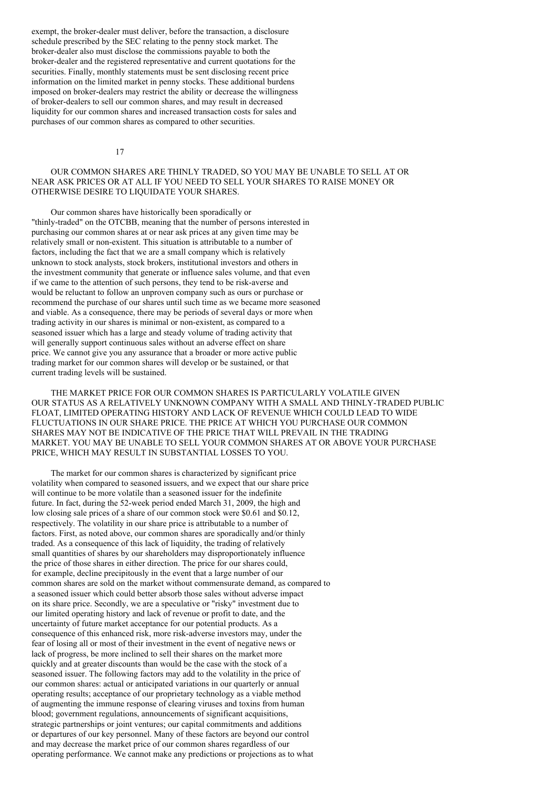exempt, the broker-dealer must deliver, before the transaction, a disclosure schedule prescribed by the SEC relating to the penny stock market. The broker-dealer also must disclose the commissions payable to both the broker-dealer and the registered representative and current quotations for the securities. Finally, monthly statements must be sent disclosing recent price information on the limited market in penny stocks. These additional burdens imposed on broker-dealers may restrict the ability or decrease the willingness of broker-dealers to sell our common shares, and may result in decreased liquidity for our common shares and increased transaction costs for sales and purchases of our common shares as compared to other securities.

17

## OUR COMMON SHARES ARE THINLY TRADED, SO YOU MAY BE UNABLE TO SELL AT OR NEAR ASK PRICES OR AT ALL IF YOU NEED TO SELL YOUR SHARES TO RAISE MONEY OR OTHERWISE DESIRE TO LIQUIDATE YOUR SHARES.

Our common shares have historically been sporadically or "thinly-traded" on the OTCBB, meaning that the number of persons interested in purchasing our common shares at or near ask prices at any given time may be relatively small or non-existent. This situation is attributable to a number of factors, including the fact that we are a small company which is relatively unknown to stock analysts, stock brokers, institutional investors and others in the investment community that generate or influence sales volume, and that even if we came to the attention of such persons, they tend to be risk-averse and would be reluctant to follow an unproven company such as ours or purchase or recommend the purchase of our shares until such time as we became more seasoned and viable. As a consequence, there may be periods of several days or more when trading activity in our shares is minimal or non-existent, as compared to a seasoned issuer which has a large and steady volume of trading activity that will generally support continuous sales without an adverse effect on share price. We cannot give you any assurance that a broader or more active public trading market for our common shares will develop or be sustained, or that current trading levels will be sustained.

THE MARKET PRICE FOR OUR COMMON SHARES IS PARTICULARLY VOLATILE GIVEN OUR STATUS AS A RELATIVELY UNKNOWN COMPANY WITH A SMALL AND THINLY-TRADED PUBLIC FLOAT, LIMITED OPERATING HISTORY AND LACK OF REVENUE WHICH COULD LEAD TO WIDE FLUCTUATIONS IN OUR SHARE PRICE. THE PRICE AT WHICH YOU PURCHASE OUR COMMON SHARES MAY NOT BE INDICATIVE OF THE PRICE THAT WILL PREVAIL IN THE TRADING MARKET. YOU MAY BE UNABLE TO SELL YOUR COMMON SHARES AT OR ABOVE YOUR PURCHASE PRICE, WHICH MAY RESULT IN SUBSTANTIAL LOSSES TO YOU.

The market for our common shares is characterized by significant price volatility when compared to seasoned issuers, and we expect that our share price will continue to be more volatile than a seasoned issuer for the indefinite future. In fact, during the 52-week period ended March 31, 2009, the high and low closing sale prices of a share of our common stock were \$0.61 and \$0.12, respectively. The volatility in our share price is attributable to a number of factors. First, as noted above, our common shares are sporadically and/or thinly traded. As a consequence of this lack of liquidity, the trading of relatively small quantities of shares by our shareholders may disproportionately influence the price of those shares in either direction. The price for our shares could, for example, decline precipitously in the event that a large number of our common shares are sold on the market without commensurate demand, as compared to a seasoned issuer which could better absorb those sales without adverse impact on its share price. Secondly, we are a speculative or "risky" investment due to our limited operating history and lack of revenue or profit to date, and the uncertainty of future market acceptance for our potential products. As a consequence of this enhanced risk, more risk-adverse investors may, under the fear of losing all or most of their investment in the event of negative news or lack of progress, be more inclined to sell their shares on the market more quickly and at greater discounts than would be the case with the stock of a seasoned issuer. The following factors may add to the volatility in the price of our common shares: actual or anticipated variations in our quarterly or annual operating results; acceptance of our proprietary technology as a viable method of augmenting the immune response of clearing viruses and toxins from human blood; government regulations, announcements of significant acquisitions, strategic partnerships or joint ventures; our capital commitments and additions or departures of our key personnel. Many of these factors are beyond our control and may decrease the market price of our common shares regardless of our operating performance. We cannot make any predictions or projections as to what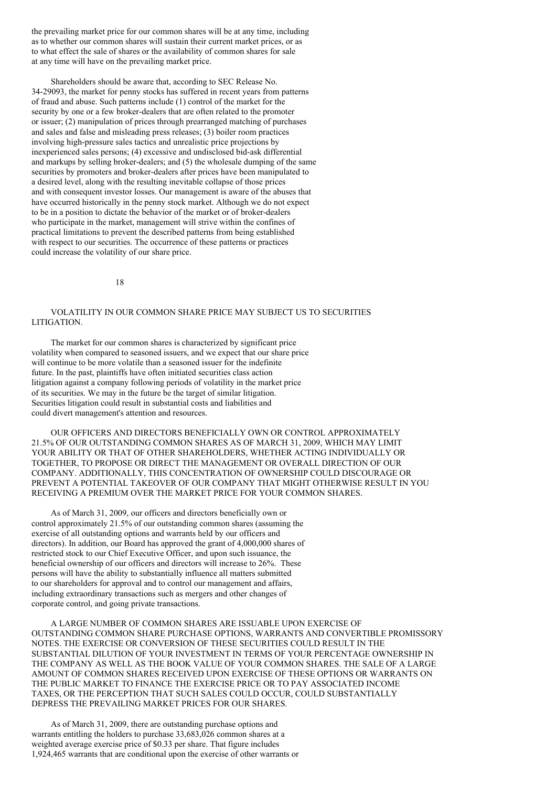the prevailing market price for our common shares will be at any time, including as to whether our common shares will sustain their current market prices, or as to what effect the sale of shares or the availability of common shares for sale at any time will have on the prevailing market price.

Shareholders should be aware that, according to SEC Release No. 34-29093, the market for penny stocks has suffered in recent years from patterns of fraud and abuse. Such patterns include (1) control of the market for the security by one or a few broker-dealers that are often related to the promoter or issuer; (2) manipulation of prices through prearranged matching of purchases and sales and false and misleading press releases; (3) boiler room practices involving high-pressure sales tactics and unrealistic price projections by inexperienced sales persons; (4) excessive and undisclosed bid-ask differential and markups by selling broker-dealers; and (5) the wholesale dumping of the same securities by promoters and broker-dealers after prices have been manipulated to a desired level, along with the resulting inevitable collapse of those prices and with consequent investor losses. Our management is aware of the abuses that have occurred historically in the penny stock market. Although we do not expect to be in a position to dictate the behavior of the market or of broker-dealers who participate in the market, management will strive within the confines of practical limitations to prevent the described patterns from being established with respect to our securities. The occurrence of these patterns or practices could increase the volatility of our share price.

18

## VOLATILITY IN OUR COMMON SHARE PRICE MAY SUBJECT US TO SECURITIES LITIGATION.

The market for our common shares is characterized by significant price volatility when compared to seasoned issuers, and we expect that our share price will continue to be more volatile than a seasoned issuer for the indefinite future. In the past, plaintiffs have often initiated securities class action litigation against a company following periods of volatility in the market price of its securities. We may in the future be the target of similar litigation. Securities litigation could result in substantial costs and liabilities and could divert management's attention and resources.

OUR OFFICERS AND DIRECTORS BENEFICIALLY OWN OR CONTROL APPROXIMATELY 21.5% OF OUR OUTSTANDING COMMON SHARES AS OF MARCH 31, 2009, WHICH MAY LIMIT YOUR ABILITY OR THAT OF OTHER SHAREHOLDERS, WHETHER ACTING INDIVIDUALLY OR TOGETHER, TO PROPOSE OR DIRECT THE MANAGEMENT OR OVERALL DIRECTION OF OUR COMPANY. ADDITIONALLY, THIS CONCENTRATION OF OWNERSHIP COULD DISCOURAGE OR PREVENT A POTENTIAL TAKEOVER OF OUR COMPANY THAT MIGHT OTHERWISE RESULT IN YOU RECEIVING A PREMIUM OVER THE MARKET PRICE FOR YOUR COMMON SHARES.

As of March 31, 2009, our officers and directors beneficially own or control approximately 21.5% of our outstanding common shares (assuming the exercise of all outstanding options and warrants held by our officers and directors). In addition, our Board has approved the grant of 4,000,000 shares of restricted stock to our Chief Executive Officer, and upon such issuance, the beneficial ownership of our officers and directors will increase to 26%. These persons will have the ability to substantially influence all matters submitted to our shareholders for approval and to control our management and affairs, including extraordinary transactions such as mergers and other changes of corporate control, and going private transactions.

A LARGE NUMBER OF COMMON SHARES ARE ISSUABLE UPON EXERCISE OF OUTSTANDING COMMON SHARE PURCHASE OPTIONS, WARRANTS AND CONVERTIBLE PROMISSORY NOTES. THE EXERCISE OR CONVERSION OF THESE SECURITIES COULD RESULT IN THE SUBSTANTIAL DILUTION OF YOUR INVESTMENT IN TERMS OF YOUR PERCENTAGE OWNERSHIP IN THE COMPANY AS WELL AS THE BOOK VALUE OF YOUR COMMON SHARES. THE SALE OF A LARGE AMOUNT OF COMMON SHARES RECEIVED UPON EXERCISE OF THESE OPTIONS OR WARRANTS ON THE PUBLIC MARKET TO FINANCE THE EXERCISE PRICE OR TO PAY ASSOCIATED INCOME TAXES, OR THE PERCEPTION THAT SUCH SALES COULD OCCUR, COULD SUBSTANTIALLY DEPRESS THE PREVAILING MARKET PRICES FOR OUR SHARES.

As of March 31, 2009, there are outstanding purchase options and warrants entitling the holders to purchase 33,683,026 common shares at a weighted average exercise price of \$0.33 per share. That figure includes 1,924,465 warrants that are conditional upon the exercise of other warrants or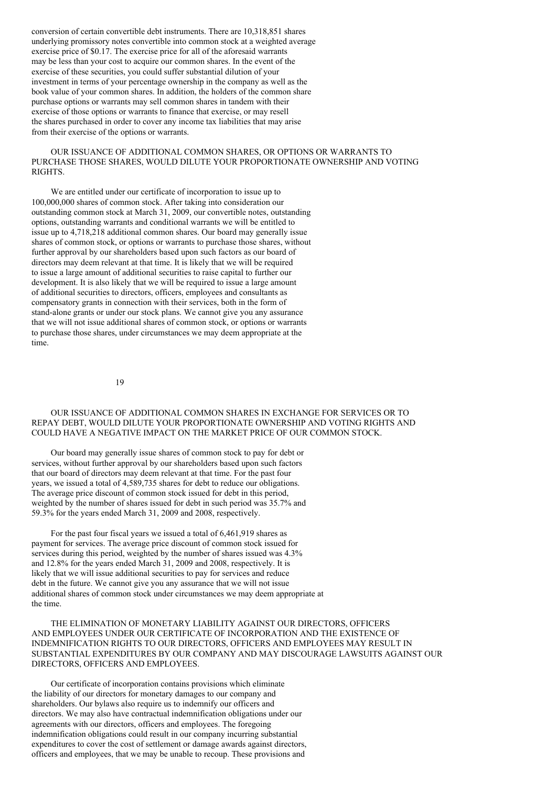conversion of certain convertible debt instruments. There are 10,318,851 shares underlying promissory notes convertible into common stock at a weighted average exercise price of \$0.17. The exercise price for all of the aforesaid warrants may be less than your cost to acquire our common shares. In the event of the exercise of these securities, you could suffer substantial dilution of your investment in terms of your percentage ownership in the company as well as the book value of your common shares. In addition, the holders of the common share purchase options or warrants may sell common shares in tandem with their exercise of those options or warrants to finance that exercise, or may resell the shares purchased in order to cover any income tax liabilities that may arise from their exercise of the options or warrants.

## OUR ISSUANCE OF ADDITIONAL COMMON SHARES, OR OPTIONS OR WARRANTS TO PURCHASE THOSE SHARES, WOULD DILUTE YOUR PROPORTIONATE OWNERSHIP AND VOTING RIGHTS.

We are entitled under our certificate of incorporation to issue up to 100,000,000 shares of common stock. After taking into consideration our outstanding common stock at March 31, 2009, our convertible notes, outstanding options, outstanding warrants and conditional warrants we will be entitled to issue up to 4,718,218 additional common shares. Our board may generally issue shares of common stock, or options or warrants to purchase those shares, without further approval by our shareholders based upon such factors as our board of directors may deem relevant at that time. It is likely that we will be required to issue a large amount of additional securities to raise capital to further our development. It is also likely that we will be required to issue a large amount of additional securities to directors, officers, employees and consultants as compensatory grants in connection with their services, both in the form of stand-alone grants or under our stock plans. We cannot give you any assurance that we will not issue additional shares of common stock, or options or warrants to purchase those shares, under circumstances we may deem appropriate at the time.

19

## OUR ISSUANCE OF ADDITIONAL COMMON SHARES IN EXCHANGE FOR SERVICES OR TO REPAY DEBT, WOULD DILUTE YOUR PROPORTIONATE OWNERSHIP AND VOTING RIGHTS AND COULD HAVE A NEGATIVE IMPACT ON THE MARKET PRICE OF OUR COMMON STOCK.

Our board may generally issue shares of common stock to pay for debt or services, without further approval by our shareholders based upon such factors that our board of directors may deem relevant at that time. For the past four years, we issued a total of 4,589,735 shares for debt to reduce our obligations. The average price discount of common stock issued for debt in this period, weighted by the number of shares issued for debt in such period was 35.7% and 59.3% for the years ended March 31, 2009 and 2008, respectively.

For the past four fiscal years we issued a total of 6,461,919 shares as payment for services. The average price discount of common stock issued for services during this period, weighted by the number of shares issued was 4.3% and 12.8% for the years ended March 31, 2009 and 2008, respectively. It is likely that we will issue additional securities to pay for services and reduce debt in the future. We cannot give you any assurance that we will not issue additional shares of common stock under circumstances we may deem appropriate at the time.

THE ELIMINATION OF MONETARY LIABILITY AGAINST OUR DIRECTORS, OFFICERS AND EMPLOYEES UNDER OUR CERTIFICATE OF INCORPORATION AND THE EXISTENCE OF INDEMNIFICATION RIGHTS TO OUR DIRECTORS, OFFICERS AND EMPLOYEES MAY RESULT IN SUBSTANTIAL EXPENDITURES BY OUR COMPANY AND MAY DISCOURAGE LAWSUITS AGAINST OUR DIRECTORS, OFFICERS AND EMPLOYEES.

Our certificate of incorporation contains provisions which eliminate the liability of our directors for monetary damages to our company and shareholders. Our bylaws also require us to indemnify our officers and directors. We may also have contractual indemnification obligations under our agreements with our directors, officers and employees. The foregoing indemnification obligations could result in our company incurring substantial expenditures to cover the cost of settlement or damage awards against directors, officers and employees, that we may be unable to recoup. These provisions and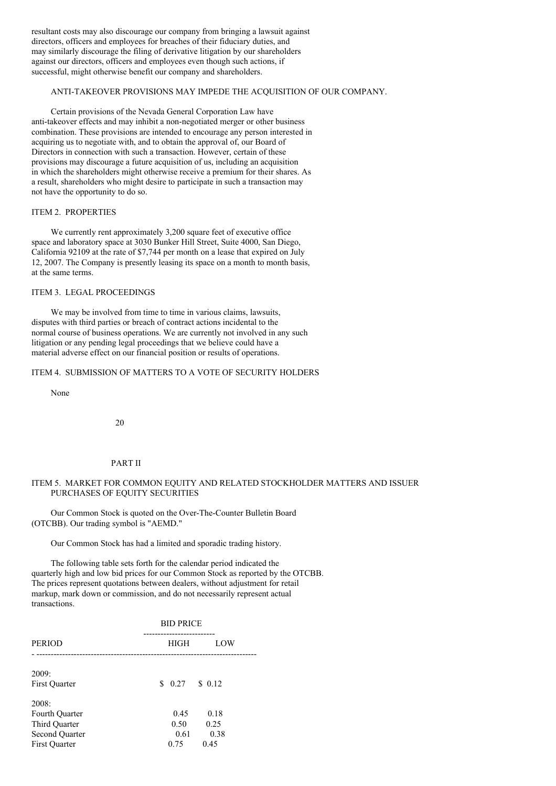resultant costs may also discourage our company from bringing a lawsuit against directors, officers and employees for breaches of their fiduciary duties, and may similarly discourage the filing of derivative litigation by our shareholders against our directors, officers and employees even though such actions, if successful, might otherwise benefit our company and shareholders.

### ANTI-TAKEOVER PROVISIONS MAY IMPEDE THE ACQUISITION OF OUR COMPANY.

Certain provisions of the Nevada General Corporation Law have anti-takeover effects and may inhibit a non-negotiated merger or other business combination. These provisions are intended to encourage any person interested in acquiring us to negotiate with, and to obtain the approval of, our Board of Directors in connection with such a transaction. However, certain of these provisions may discourage a future acquisition of us, including an acquisition in which the shareholders might otherwise receive a premium for their shares. As a result, shareholders who might desire to participate in such a transaction may not have the opportunity to do so.

### ITEM 2. PROPERTIES

We currently rent approximately 3,200 square feet of executive office space and laboratory space at 3030 Bunker Hill Street, Suite 4000, San Diego, California 92109 at the rate of \$7,744 per month on a lease that expired on July 12, 2007. The Company is presently leasing its space on a month to month basis, at the same terms.

# ITEM 3. LEGAL PROCEEDINGS

We may be involved from time to time in various claims, lawsuits, disputes with third parties or breach of contract actions incidental to the normal course of business operations. We are currently not involved in any such litigation or any pending legal proceedings that we believe could have a material adverse effect on our financial position or results of operations.

## ITEM 4. SUBMISSION OF MATTERS TO A VOTE OF SECURITY HOLDERS

None

20

### PART II

# ITEM 5. MARKET FOR COMMON EQUITY AND RELATED STOCKHOLDER MATTERS AND ISSUER PURCHASES OF EQUITY SECURITIES

Our Common Stock is quoted on the Over-The-Counter Bulletin Board (OTCBB). Our trading symbol is "AEMD."

Our Common Stock has had a limited and sporadic trading history.

The following table sets forth for the calendar period indicated the quarterly high and low bid prices for our Common Stock as reported by the OTCBB. The prices represent quotations between dealers, without adjustment for retail markup, mark down or commission, and do not necessarily represent actual transactions.

|                                                                                           | <b>BID PRICE</b>             |                              |  |
|-------------------------------------------------------------------------------------------|------------------------------|------------------------------|--|
| <b>PERIOD</b>                                                                             | HIGH                         | LOW                          |  |
| 2009:<br><b>First Quarter</b>                                                             | $$0.27 \t$0.12$              |                              |  |
| 2008:<br>Fourth Quarter<br>Third Quarter<br><b>Second Quarter</b><br><b>First Quarter</b> | 0.45<br>0.50<br>0.61<br>0.75 | 0.18<br>0.25<br>0.38<br>0.45 |  |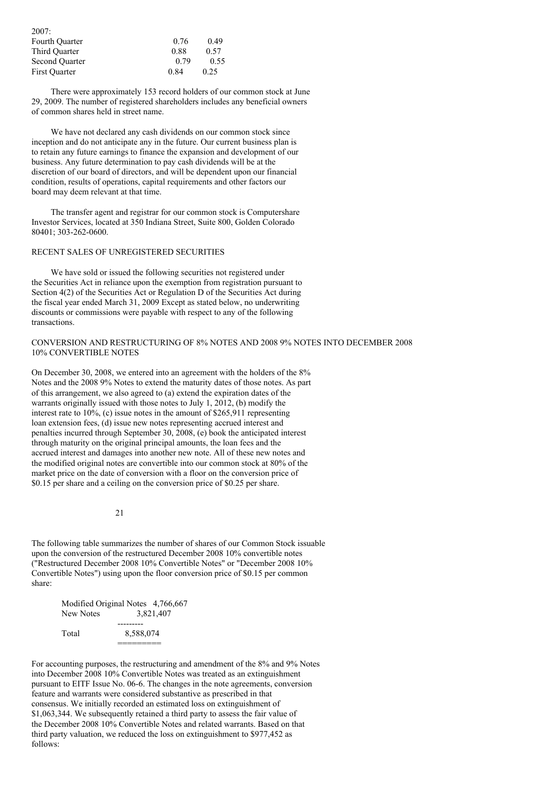| 2007:                 |      |      |
|-----------------------|------|------|
| <b>Fourth Quarter</b> | 0.76 | 0.49 |
| Third Ouarter         | 0.88 | 0.57 |
| <b>Second Quarter</b> | 0.79 | 0.55 |
| <b>First Quarter</b>  | 0.84 | 0.25 |

There were approximately 153 record holders of our common stock at June 29, 2009. The number of registered shareholders includes any beneficial owners of common shares held in street name.

We have not declared any cash dividends on our common stock since inception and do not anticipate any in the future. Our current business plan is to retain any future earnings to finance the expansion and development of our business. Any future determination to pay cash dividends will be at the discretion of our board of directors, and will be dependent upon our financial condition, results of operations, capital requirements and other factors our board may deem relevant at that time.

The transfer agent and registrar for our common stock is Computershare Investor Services, located at 350 Indiana Street, Suite 800, Golden Colorado 80401; 303-262-0600.

# RECENT SALES OF UNREGISTERED SECURITIES

We have sold or issued the following securities not registered under the Securities Act in reliance upon the exemption from registration pursuant to Section 4(2) of the Securities Act or Regulation D of the Securities Act during the fiscal year ended March 31, 2009 Except as stated below, no underwriting discounts or commissions were payable with respect to any of the following transactions.

## CONVERSION AND RESTRUCTURING OF 8% NOTES AND 2008 9% NOTES INTO DECEMBER 2008 10% CONVERTIBLE NOTES

On December 30, 2008, we entered into an agreement with the holders of the 8% Notes and the 2008 9% Notes to extend the maturity dates of those notes. As part of this arrangement, we also agreed to (a) extend the expiration dates of the warrants originally issued with those notes to July 1, 2012, (b) modify the interest rate to 10%, (c) issue notes in the amount of \$265,911 representing loan extension fees, (d) issue new notes representing accrued interest and penalties incurred through September 30, 2008, (e) book the anticipated interest through maturity on the original principal amounts, the loan fees and the accrued interest and damages into another new note. All of these new notes and the modified original notes are convertible into our common stock at 80% of the market price on the date of conversion with a floor on the conversion price of \$0.15 per share and a ceiling on the conversion price of \$0.25 per share.

#### $21$

The following table summarizes the number of shares of our Common Stock issuable upon the conversion of the restructured December 2008 10% convertible notes ("Restructured December 2008 10% Convertible Notes" or "December 2008 10% Convertible Notes") using upon the floor conversion price of \$0.15 per common share:

> Modified Original Notes 4,766,667 New Notes 3,821,407 --------- Total 8,588,074 =========

For accounting purposes, the restructuring and amendment of the 8% and 9% Notes into December 2008 10% Convertible Notes was treated as an extinguishment pursuant to EITF Issue No. 06-6. The changes in the note agreements, conversion feature and warrants were considered substantive as prescribed in that consensus. We initially recorded an estimated loss on extinguishment of \$1,063,344. We subsequently retained a third party to assess the fair value of the December 2008 10% Convertible Notes and related warrants. Based on that third party valuation, we reduced the loss on extinguishment to \$977,452 as follows: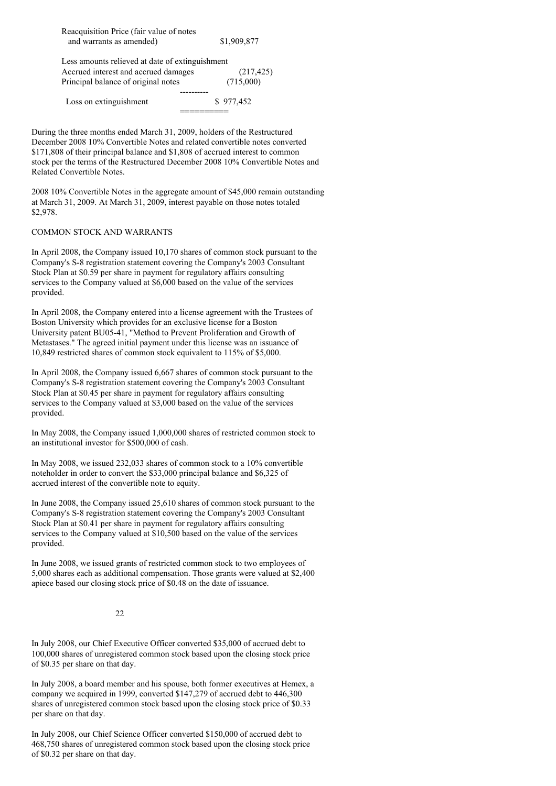| Reacquisition Price (fair value of notes        |             |
|-------------------------------------------------|-------------|
| and warrants as amended)                        | \$1,909,877 |
| Less amounts relieved at date of extinguishment |             |
| Accrued interest and accrued damages            | (217, 425)  |
| Principal balance of original notes             | (715,000)   |
|                                                 |             |
| Loss on extinguishment                          | \$977,452   |
|                                                 |             |

During the three months ended March 31, 2009, holders of the Restructured December 2008 10% Convertible Notes and related convertible notes converted \$171,808 of their principal balance and \$1,808 of accrued interest to common stock per the terms of the Restructured December 2008 10% Convertible Notes and Related Convertible Notes.

2008 10% Convertible Notes in the aggregate amount of \$45,000 remain outstanding at March 31, 2009. At March 31, 2009, interest payable on those notes totaled \$2,978.

## COMMON STOCK AND WARRANTS

In April 2008, the Company issued 10,170 shares of common stock pursuant to the Company's S-8 registration statement covering the Company's 2003 Consultant Stock Plan at \$0.59 per share in payment for regulatory affairs consulting services to the Company valued at \$6,000 based on the value of the services provided.

In April 2008, the Company entered into a license agreement with the Trustees of Boston University which provides for an exclusive license for a Boston University patent BU05-41, "Method to Prevent Proliferation and Growth of Metastases." The agreed initial payment under this license was an issuance of 10,849 restricted shares of common stock equivalent to 115% of \$5,000.

In April 2008, the Company issued 6,667 shares of common stock pursuant to the Company's S-8 registration statement covering the Company's 2003 Consultant Stock Plan at \$0.45 per share in payment for regulatory affairs consulting services to the Company valued at \$3,000 based on the value of the services provided.

In May 2008, the Company issued 1,000,000 shares of restricted common stock to an institutional investor for \$500,000 of cash.

In May 2008, we issued 232,033 shares of common stock to a 10% convertible noteholder in order to convert the \$33,000 principal balance and \$6,325 of accrued interest of the convertible note to equity.

In June 2008, the Company issued 25,610 shares of common stock pursuant to the Company's S-8 registration statement covering the Company's 2003 Consultant Stock Plan at \$0.41 per share in payment for regulatory affairs consulting services to the Company valued at \$10,500 based on the value of the services provided.

In June 2008, we issued grants of restricted common stock to two employees of 5,000 shares each as additional compensation. Those grants were valued at \$2,400 apiece based our closing stock price of \$0.48 on the date of issuance.

## 22

In July 2008, our Chief Executive Officer converted \$35,000 of accrued debt to 100,000 shares of unregistered common stock based upon the closing stock price of \$0.35 per share on that day.

In July 2008, a board member and his spouse, both former executives at Hemex, a company we acquired in 1999, converted \$147,279 of accrued debt to 446,300 shares of unregistered common stock based upon the closing stock price of \$0.33 per share on that day.

In July 2008, our Chief Science Officer converted \$150,000 of accrued debt to 468,750 shares of unregistered common stock based upon the closing stock price of \$0.32 per share on that day.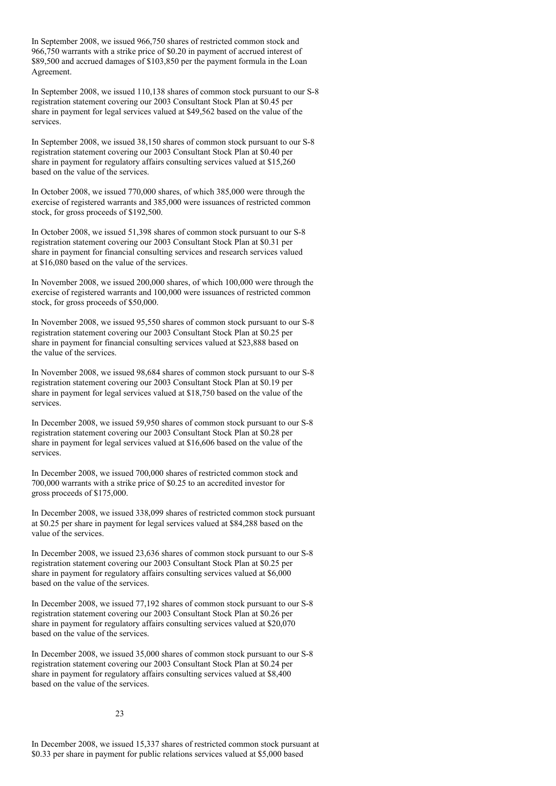In September 2008, we issued 966,750 shares of restricted common stock and 966,750 warrants with a strike price of \$0.20 in payment of accrued interest of \$89,500 and accrued damages of \$103,850 per the payment formula in the Loan Agreement.

In September 2008, we issued 110,138 shares of common stock pursuant to our S-8 registration statement covering our 2003 Consultant Stock Plan at \$0.45 per share in payment for legal services valued at \$49,562 based on the value of the services.

In September 2008, we issued 38,150 shares of common stock pursuant to our S-8 registration statement covering our 2003 Consultant Stock Plan at \$0.40 per share in payment for regulatory affairs consulting services valued at \$15,260 based on the value of the services.

In October 2008, we issued 770,000 shares, of which 385,000 were through the exercise of registered warrants and 385,000 were issuances of restricted common stock, for gross proceeds of \$192,500.

In October 2008, we issued 51,398 shares of common stock pursuant to our S-8 registration statement covering our 2003 Consultant Stock Plan at \$0.31 per share in payment for financial consulting services and research services valued at \$16,080 based on the value of the services.

In November 2008, we issued 200,000 shares, of which 100,000 were through the exercise of registered warrants and 100,000 were issuances of restricted common stock, for gross proceeds of \$50,000.

In November 2008, we issued 95,550 shares of common stock pursuant to our S-8 registration statement covering our 2003 Consultant Stock Plan at \$0.25 per share in payment for financial consulting services valued at \$23,888 based on the value of the services.

In November 2008, we issued 98,684 shares of common stock pursuant to our S-8 registration statement covering our 2003 Consultant Stock Plan at \$0.19 per share in payment for legal services valued at \$18,750 based on the value of the services.

In December 2008, we issued 59,950 shares of common stock pursuant to our S-8 registration statement covering our 2003 Consultant Stock Plan at \$0.28 per share in payment for legal services valued at \$16,606 based on the value of the services.

In December 2008, we issued 700,000 shares of restricted common stock and 700,000 warrants with a strike price of \$0.25 to an accredited investor for gross proceeds of \$175,000.

In December 2008, we issued 338,099 shares of restricted common stock pursuant at \$0.25 per share in payment for legal services valued at \$84,288 based on the value of the services.

In December 2008, we issued 23,636 shares of common stock pursuant to our S-8 registration statement covering our 2003 Consultant Stock Plan at \$0.25 per share in payment for regulatory affairs consulting services valued at \$6,000 based on the value of the services.

In December 2008, we issued 77,192 shares of common stock pursuant to our S-8 registration statement covering our 2003 Consultant Stock Plan at \$0.26 per share in payment for regulatory affairs consulting services valued at \$20,070 based on the value of the services.

In December 2008, we issued 35,000 shares of common stock pursuant to our S-8 registration statement covering our 2003 Consultant Stock Plan at \$0.24 per share in payment for regulatory affairs consulting services valued at \$8,400 based on the value of the services.

In December 2008, we issued 15,337 shares of restricted common stock pursuant at \$0.33 per share in payment for public relations services valued at \$5,000 based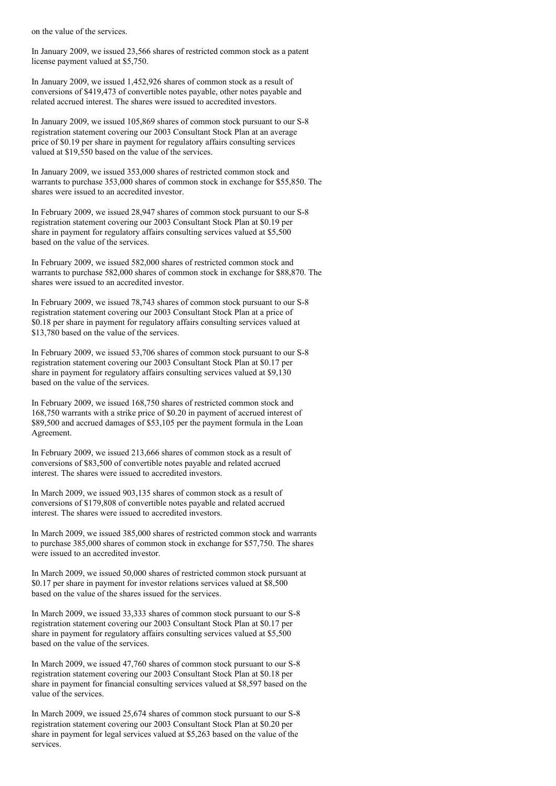on the value of the services.

In January 2009, we issued 23,566 shares of restricted common stock as a patent license payment valued at \$5,750.

In January 2009, we issued 1,452,926 shares of common stock as a result of conversions of \$419,473 of convertible notes payable, other notes payable and related accrued interest. The shares were issued to accredited investors.

In January 2009, we issued 105,869 shares of common stock pursuant to our S-8 registration statement covering our 2003 Consultant Stock Plan at an average price of \$0.19 per share in payment for regulatory affairs consulting services valued at \$19,550 based on the value of the services.

In January 2009, we issued 353,000 shares of restricted common stock and warrants to purchase 353,000 shares of common stock in exchange for \$55,850. The shares were issued to an accredited investor.

In February 2009, we issued 28,947 shares of common stock pursuant to our S-8 registration statement covering our 2003 Consultant Stock Plan at \$0.19 per share in payment for regulatory affairs consulting services valued at \$5,500 based on the value of the services.

In February 2009, we issued 582,000 shares of restricted common stock and warrants to purchase 582,000 shares of common stock in exchange for \$88,870. The shares were issued to an accredited investor.

In February 2009, we issued 78,743 shares of common stock pursuant to our S-8 registration statement covering our 2003 Consultant Stock Plan at a price of \$0.18 per share in payment for regulatory affairs consulting services valued at \$13,780 based on the value of the services.

In February 2009, we issued 53,706 shares of common stock pursuant to our S-8 registration statement covering our 2003 Consultant Stock Plan at \$0.17 per share in payment for regulatory affairs consulting services valued at \$9,130 based on the value of the services.

In February 2009, we issued 168,750 shares of restricted common stock and 168,750 warrants with a strike price of \$0.20 in payment of accrued interest of \$89,500 and accrued damages of \$53,105 per the payment formula in the Loan Agreement.

In February 2009, we issued 213,666 shares of common stock as a result of conversions of \$83,500 of convertible notes payable and related accrued interest. The shares were issued to accredited investors.

In March 2009, we issued 903,135 shares of common stock as a result of conversions of \$179,808 of convertible notes payable and related accrued interest. The shares were issued to accredited investors.

In March 2009, we issued 385,000 shares of restricted common stock and warrants to purchase 385,000 shares of common stock in exchange for \$57,750. The shares were issued to an accredited investor.

In March 2009, we issued 50,000 shares of restricted common stock pursuant at \$0.17 per share in payment for investor relations services valued at \$8,500 based on the value of the shares issued for the services.

In March 2009, we issued 33,333 shares of common stock pursuant to our S-8 registration statement covering our 2003 Consultant Stock Plan at \$0.17 per share in payment for regulatory affairs consulting services valued at \$5,500 based on the value of the services.

In March 2009, we issued 47,760 shares of common stock pursuant to our S-8 registration statement covering our 2003 Consultant Stock Plan at \$0.18 per share in payment for financial consulting services valued at \$8,597 based on the value of the services.

In March 2009, we issued 25,674 shares of common stock pursuant to our S-8 registration statement covering our 2003 Consultant Stock Plan at \$0.20 per share in payment for legal services valued at \$5,263 based on the value of the services.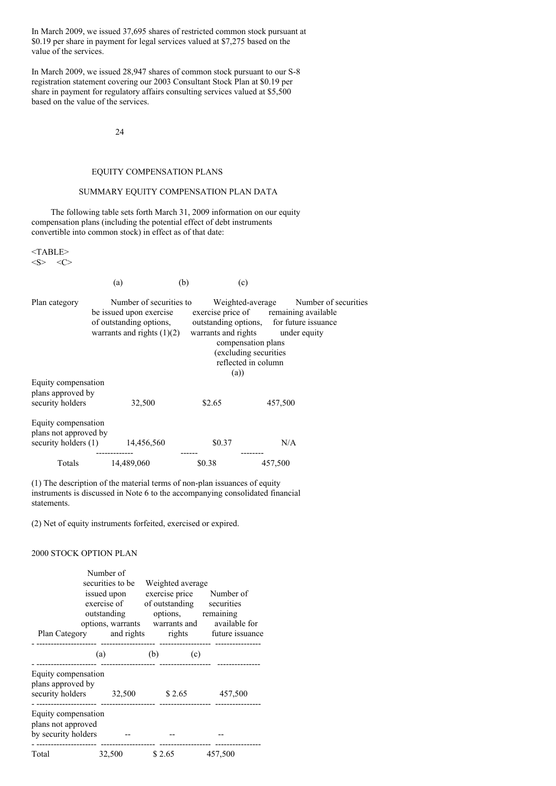In March 2009, we issued 37,695 shares of restricted common stock pursuant at \$0.19 per share in payment for legal services valued at \$7,275 based on the value of the services.

In March 2009, we issued 28,947 shares of common stock pursuant to our S-8 registration statement covering our 2003 Consultant Stock Plan at \$0.19 per share in payment for regulatory affairs consulting services valued at \$5,500 based on the value of the services.

24

### EQUITY COMPENSATION PLANS

## SUMMARY EQUITY COMPENSATION PLAN DATA

The following table sets forth March 31, 2009 information on our equity compensation plans (including the potential effect of debt instruments convertible into common stock) in effect as of that date:

<TABLE>  $\langle S \rangle$   $\langle C \rangle$ 

(a)  $(b)$  (c) Plan category Number of securities to Weighted-average Number of securities be issued upon exercise exercise price of remaining available be issued upon exercise exercise price of remaining available of outstanding options, outstanding options, for future issuance warrants and rights  $(1)(2)$  warrants and rights under equity compensation plans (excluding securities reflected in column (a)) Equity compensation plans approved by security holders 32,500 \$2.65 457,500 Equity compensation plans not approved by security holders (1) 14,456,560 \$0.37 N/A ------------- ------ -------- Totals 14,489,060 \$0.38 457,500

(1) The description of the material terms of non-plan issuances of equity instruments is discussed in Note 6 to the accompanying consolidated financial statements.

(2) Net of equity instruments forfeited, exercised or expired.

### 2000 STOCK OPTION PLAN

|                                                                     | Number of<br>securities to be<br>issued upon<br>exercise of<br>outstanding | Weighted average<br>exercise price Number of<br>of outstanding securities<br>options, remaining | options, warrants warrants and available for    |
|---------------------------------------------------------------------|----------------------------------------------------------------------------|-------------------------------------------------------------------------------------------------|-------------------------------------------------|
|                                                                     |                                                                            |                                                                                                 | Plan Category and rights rights future issuance |
|                                                                     | (a)                                                                        | (b)<br>(c)                                                                                      |                                                 |
| Equity compensation<br>plans approved by<br>security holders 32,500 |                                                                            | \$2.65                                                                                          | 457,500                                         |
| Equity compensation<br>plans not approved<br>by security holders    |                                                                            |                                                                                                 |                                                 |
| Total                                                               | 32,500                                                                     | \$2.65                                                                                          | 457,500                                         |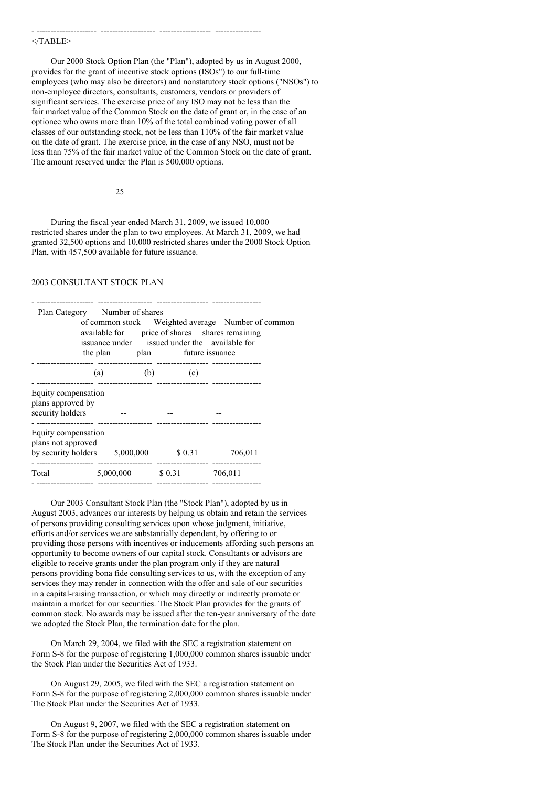#### $<$ /TABLE>

Our 2000 Stock Option Plan (the "Plan"), adopted by us in August 2000, provides for the grant of incentive stock options (ISOs") to our full-time employees (who may also be directors) and nonstatutory stock options ("NSOs") to non-employee directors, consultants, customers, vendors or providers of significant services. The exercise price of any ISO may not be less than the fair market value of the Common Stock on the date of grant or, in the case of an optionee who owns more than 10% of the total combined voting power of all classes of our outstanding stock, not be less than 110% of the fair market value on the date of grant. The exercise price, in the case of any NSO, must not be less than 75% of the fair market value of the Common Stock on the date of grant. The amount reserved under the Plan is 500,000 options.

- --------------------- ------------------- ------------------ ----------------

25

During the fiscal year ended March 31, 2009, we issued 10,000 restricted shares under the plan to two employees. At March 31, 2009, we had granted 32,500 options and 10,000 restricted shares under the 2000 Stock Option Plan, with 457,500 available for future issuance.

### 2003 CONSULTANT STOCK PLAN

|                                                                              | Plan Category Number of shares<br>the plan |                                           | plan future issuance | of common stock Weighted average Number of common<br>available for price of shares shares remaining<br>issuance under issued under the available for |  |
|------------------------------------------------------------------------------|--------------------------------------------|-------------------------------------------|----------------------|------------------------------------------------------------------------------------------------------------------------------------------------------|--|
|                                                                              | (a)                                        | ------------------- --------------<br>(b) | (c)                  |                                                                                                                                                      |  |
| Equity compensation<br>plans approved by<br>security holders                 |                                            |                                           |                      |                                                                                                                                                      |  |
| Equity compensation<br>plans not approved<br>by security holders $5,000,000$ |                                            |                                           | \$ 0.31              | 706,011                                                                                                                                              |  |
| Total                                                                        |                                            |                                           | $5,000,000$ \$ 0.31  | 706,011                                                                                                                                              |  |

- -------------------- ------------------- ------------------ -----------------

Our 2003 Consultant Stock Plan (the "Stock Plan"), adopted by us in August 2003, advances our interests by helping us obtain and retain the services of persons providing consulting services upon whose judgment, initiative, efforts and/or services we are substantially dependent, by offering to or providing those persons with incentives or inducements affording such persons an opportunity to become owners of our capital stock. Consultants or advisors are eligible to receive grants under the plan program only if they are natural persons providing bona fide consulting services to us, with the exception of any services they may render in connection with the offer and sale of our securities in a capital-raising transaction, or which may directly or indirectly promote or maintain a market for our securities. The Stock Plan provides for the grants of common stock. No awards may be issued after the ten-year anniversary of the date we adopted the Stock Plan, the termination date for the plan.

On March 29, 2004, we filed with the SEC a registration statement on Form S-8 for the purpose of registering 1,000,000 common shares issuable under the Stock Plan under the Securities Act of 1933.

On August 29, 2005, we filed with the SEC a registration statement on Form S-8 for the purpose of registering 2,000,000 common shares issuable under The Stock Plan under the Securities Act of 1933.

On August 9, 2007, we filed with the SEC a registration statement on Form S-8 for the purpose of registering 2,000,000 common shares issuable under The Stock Plan under the Securities Act of 1933.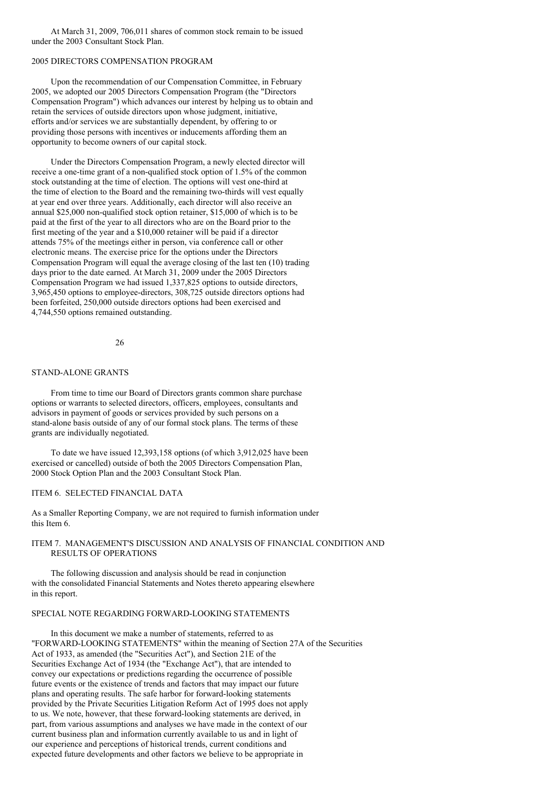At March 31, 2009, 706,011 shares of common stock remain to be issued under the 2003 Consultant Stock Plan.

# 2005 DIRECTORS COMPENSATION PROGRAM

Upon the recommendation of our Compensation Committee, in February 2005, we adopted our 2005 Directors Compensation Program (the "Directors Compensation Program") which advances our interest by helping us to obtain and retain the services of outside directors upon whose judgment, initiative, efforts and/or services we are substantially dependent, by offering to or providing those persons with incentives or inducements affording them an opportunity to become owners of our capital stock.

Under the Directors Compensation Program, a newly elected director will receive a one-time grant of a non-qualified stock option of 1.5% of the common stock outstanding at the time of election. The options will vest one-third at the time of election to the Board and the remaining two-thirds will vest equally at year end over three years. Additionally, each director will also receive an annual \$25,000 non-qualified stock option retainer, \$15,000 of which is to be paid at the first of the year to all directors who are on the Board prior to the first meeting of the year and a \$10,000 retainer will be paid if a director attends 75% of the meetings either in person, via conference call or other electronic means. The exercise price for the options under the Directors Compensation Program will equal the average closing of the last ten (10) trading days prior to the date earned. At March 31, 2009 under the 2005 Directors Compensation Program we had issued 1,337,825 options to outside directors, 3,965,450 options to employee-directors, 308,725 outside directors options had been forfeited, 250,000 outside directors options had been exercised and 4,744,550 options remained outstanding.

### 26

## STAND-ALONE GRANTS

From time to time our Board of Directors grants common share purchase options or warrants to selected directors, officers, employees, consultants and advisors in payment of goods or services provided by such persons on a stand-alone basis outside of any of our formal stock plans. The terms of these grants are individually negotiated.

To date we have issued 12,393,158 options (of which 3,912,025 have been exercised or cancelled) outside of both the 2005 Directors Compensation Plan, 2000 Stock Option Plan and the 2003 Consultant Stock Plan.

### ITEM 6. SELECTED FINANCIAL DATA

As a Smaller Reporting Company, we are not required to furnish information under this Item 6.

## ITEM 7. MANAGEMENT'S DISCUSSION AND ANALYSIS OF FINANCIAL CONDITION AND RESULTS OF OPERATIONS

The following discussion and analysis should be read in conjunction with the consolidated Financial Statements and Notes thereto appearing elsewhere in this report.

### SPECIAL NOTE REGARDING FORWARD-LOOKING STATEMENTS

In this document we make a number of statements, referred to as "FORWARD-LOOKING STATEMENTS" within the meaning of Section 27A of the Securities Act of 1933, as amended (the "Securities Act"), and Section 21E of the Securities Exchange Act of 1934 (the "Exchange Act"), that are intended to convey our expectations or predictions regarding the occurrence of possible future events or the existence of trends and factors that may impact our future plans and operating results. The safe harbor for forward-looking statements provided by the Private Securities Litigation Reform Act of 1995 does not apply to us. We note, however, that these forward-looking statements are derived, in part, from various assumptions and analyses we have made in the context of our current business plan and information currently available to us and in light of our experience and perceptions of historical trends, current conditions and expected future developments and other factors we believe to be appropriate in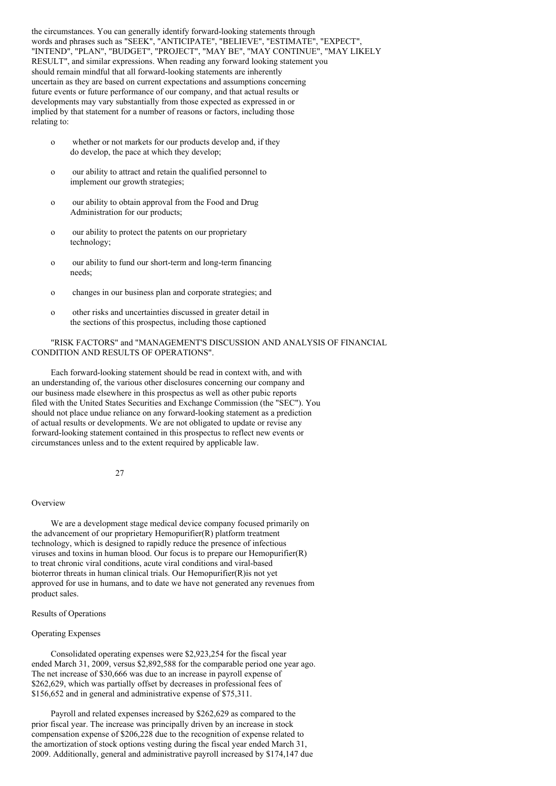the circumstances. You can generally identify forward-looking statements through words and phrases such as "SEEK", "ANTICIPATE", "BELIEVE", "ESTIMATE", "EXPECT", "INTEND", "PLAN", "BUDGET", "PROJECT", "MAY BE", "MAY CONTINUE", "MAY LIKELY RESULT", and similar expressions. When reading any forward looking statement you should remain mindful that all forward-looking statements are inherently uncertain as they are based on current expectations and assumptions concerning future events or future performance of our company, and that actual results or developments may vary substantially from those expected as expressed in or implied by that statement for a number of reasons or factors, including those relating to:

- o whether or not markets for our products develop and, if they do develop, the pace at which they develop;
- o our ability to attract and retain the qualified personnel to implement our growth strategies;
- o our ability to obtain approval from the Food and Drug Administration for our products;
- o our ability to protect the patents on our proprietary technology;
- o our ability to fund our short-term and long-term financing needs;
- o changes in our business plan and corporate strategies; and
- o other risks and uncertainties discussed in greater detail in the sections of this prospectus, including those captioned

## "RISK FACTORS" and "MANAGEMENT'S DISCUSSION AND ANALYSIS OF FINANCIAL CONDITION AND RESULTS OF OPERATIONS".

Each forward-looking statement should be read in context with, and with an understanding of, the various other disclosures concerning our company and our business made elsewhere in this prospectus as well as other pubic reports filed with the United States Securities and Exchange Commission (the "SEC"). You should not place undue reliance on any forward-looking statement as a prediction of actual results or developments. We are not obligated to update or revise any forward-looking statement contained in this prospectus to reflect new events or circumstances unless and to the extent required by applicable law.

#### 27

#### **Overview**

We are a development stage medical device company focused primarily on the advancement of our proprietary Hemopurifier(R) platform treatment technology, which is designed to rapidly reduce the presence of infectious viruses and toxins in human blood. Our focus is to prepare our Hemopurifier(R) to treat chronic viral conditions, acute viral conditions and viral-based bioterror threats in human clinical trials. Our Hemopurifier(R)is not yet approved for use in humans, and to date we have not generated any revenues from product sales.

#### Results of Operations

### Operating Expenses

Consolidated operating expenses were \$2,923,254 for the fiscal year ended March 31, 2009, versus \$2,892,588 for the comparable period one year ago. The net increase of \$30,666 was due to an increase in payroll expense of \$262,629, which was partially offset by decreases in professional fees of \$156,652 and in general and administrative expense of \$75,311.

Payroll and related expenses increased by \$262,629 as compared to the prior fiscal year. The increase was principally driven by an increase in stock compensation expense of \$206,228 due to the recognition of expense related to the amortization of stock options vesting during the fiscal year ended March 31, 2009. Additionally, general and administrative payroll increased by \$174,147 due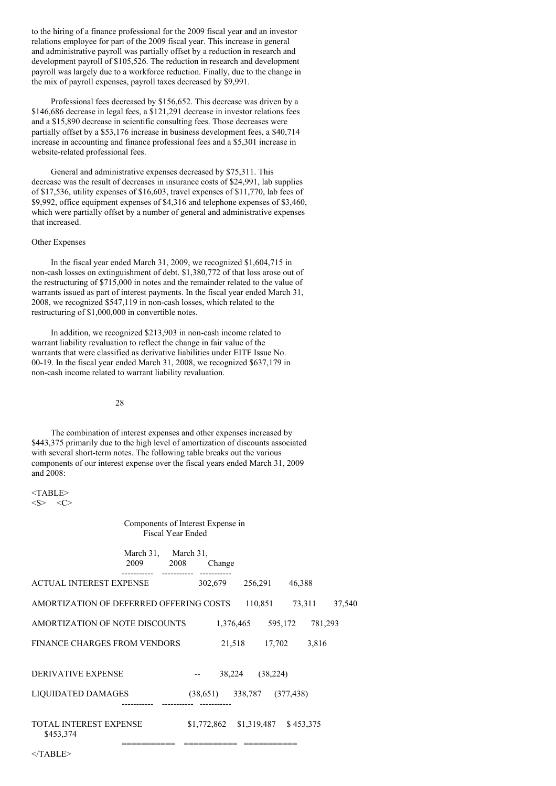to the hiring of a finance professional for the 2009 fiscal year and an investor relations employee for part of the 2009 fiscal year. This increase in general and administrative payroll was partially offset by a reduction in research and development payroll of \$105,526. The reduction in research and development payroll was largely due to a workforce reduction. Finally, due to the change in the mix of payroll expenses, payroll taxes decreased by \$9,991.

Professional fees decreased by \$156,652. This decrease was driven by a \$146,686 decrease in legal fees, a \$121,291 decrease in investor relations fees and a \$15,890 decrease in scientific consulting fees. Those decreases were partially offset by a \$53,176 increase in business development fees, a \$40,714 increase in accounting and finance professional fees and a \$5,301 increase in website-related professional fees.

General and administrative expenses decreased by \$75,311. This decrease was the result of decreases in insurance costs of \$24,991, lab supplies of \$17,536, utility expenses of \$16,603, travel expenses of \$11,770, lab fees of \$9,992, office equipment expenses of \$4,316 and telephone expenses of \$3,460, which were partially offset by a number of general and administrative expenses that increased.

## Other Expenses

In the fiscal year ended March 31, 2009, we recognized \$1,604,715 in non-cash losses on extinguishment of debt. \$1,380,772 of that loss arose out of the restructuring of \$715,000 in notes and the remainder related to the value of warrants issued as part of interest payments. In the fiscal year ended March 31, 2008, we recognized \$547,119 in non-cash losses, which related to the restructuring of \$1,000,000 in convertible notes.

In addition, we recognized \$213,903 in non-cash income related to warrant liability revaluation to reflect the change in fair value of the warrants that were classified as derivative liabilities under EITF Issue No. 00-19. In the fiscal year ended March 31, 2008, we recognized \$637,179 in non-cash income related to warrant liability revaluation.

#### 28

The combination of interest expenses and other expenses increased by \$443,375 primarily due to the high level of amortization of discounts associated with several short-term notes. The following table breaks out the various components of our interest expense over the fiscal years ended March 31, 2009 and 2008:

<TABLE>  $\langle S \rangle$   $\langle C \rangle$ 

## Components of Interest Expense in Fiscal Year Ended

|                                            | March 31,<br>2009 | March 31,<br>2008 |          | Change    |                           |           |            |         |  |
|--------------------------------------------|-------------------|-------------------|----------|-----------|---------------------------|-----------|------------|---------|--|
| <b>ACTUAL INTEREST EXPENSE</b>             |                   |                   | 302,679  |           | 256,291                   |           | 46,388     |         |  |
| AMORTIZATION OF DEFERRED OFFERING COSTS    |                   |                   |          |           | 110,851                   |           | 73.311     | 37,540  |  |
| AMORTIZATION OF NOTE DISCOUNTS             |                   |                   |          | 1,376,465 |                           | 595,172   |            | 781,293 |  |
| <b>FINANCE CHARGES FROM VENDORS</b>        |                   |                   |          | 21,518    |                           | 17,702    |            | 3,816   |  |
| <b>DERIVATIVE EXPENSE</b>                  |                   |                   | --       | 38,224    |                           | (38, 224) |            |         |  |
| LIQUIDATED DAMAGES                         |                   |                   | (38,651) |           | 338,787                   |           | (377, 438) |         |  |
| <b>TOTAL INTEREST EXPENSE</b><br>\$453,374 |                   |                   |          |           | $$1,772,862$ $$1,319,487$ |           | \$453,375  |         |  |

=========== =========== ===========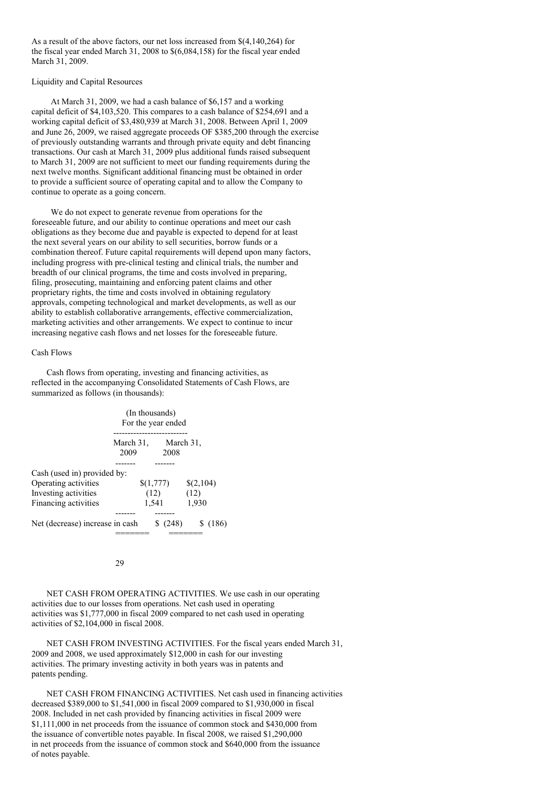As a result of the above factors, our net loss increased from \$(4,140,264) for the fiscal year ended March 31, 2008 to \$(6,084,158) for the fiscal year ended March 31, 2009.

### Liquidity and Capital Resources

At March 31, 2009, we had a cash balance of \$6,157 and a working capital deficit of \$4,103,520. This compares to a cash balance of \$254,691 and a working capital deficit of \$3,480,939 at March 31, 2008. Between April 1, 2009 and June 26, 2009, we raised aggregate proceeds OF \$385,200 through the exercise of previously outstanding warrants and through private equity and debt financing transactions. Our cash at March 31, 2009 plus additional funds raised subsequent to March 31, 2009 are not sufficient to meet our funding requirements during the next twelve months. Significant additional financing must be obtained in order to provide a sufficient source of operating capital and to allow the Company to continue to operate as a going concern.

We do not expect to generate revenue from operations for the foreseeable future, and our ability to continue operations and meet our cash obligations as they become due and payable is expected to depend for at least the next several years on our ability to sell securities, borrow funds or a combination thereof. Future capital requirements will depend upon many factors, including progress with pre-clinical testing and clinical trials, the number and breadth of our clinical programs, the time and costs involved in preparing, filing, prosecuting, maintaining and enforcing patent claims and other proprietary rights, the time and costs involved in obtaining regulatory approvals, competing technological and market developments, as well as our ability to establish collaborative arrangements, effective commercialization, marketing activities and other arrangements. We expect to continue to incur increasing negative cash flows and net losses for the foreseeable future.

## Cash Flows

Cash flows from operating, investing and financing activities, as reflected in the accompanying Consolidated Statements of Cash Flows, are summarized as follows (in thousands):

|                                                                                                     |                   | (In thousands)<br>For the year ended |                            |
|-----------------------------------------------------------------------------------------------------|-------------------|--------------------------------------|----------------------------|
|                                                                                                     | March 31,<br>2009 | 2008                                 | March 31,                  |
| Cash (used in) provided by:<br>Operating activities<br>Investing activities<br>Financing activities |                   | \$(1,777)<br>(12)<br>1,541           | \$(2,104)<br>(12)<br>1,930 |
| Net (decrease) increase in cash                                                                     |                   | (248)                                | \$(186)                    |

29

NET CASH FROM OPERATING ACTIVITIES. We use cash in our operating activities due to our losses from operations. Net cash used in operating activities was \$1,777,000 in fiscal 2009 compared to net cash used in operating activities of \$2,104,000 in fiscal 2008.

NET CASH FROM INVESTING ACTIVITIES. For the fiscal years ended March 31, 2009 and 2008, we used approximately \$12,000 in cash for our investing activities. The primary investing activity in both years was in patents and patents pending.

NET CASH FROM FINANCING ACTIVITIES. Net cash used in financing activities decreased \$389,000 to \$1,541,000 in fiscal 2009 compared to \$1,930,000 in fiscal 2008. Included in net cash provided by financing activities in fiscal 2009 were \$1,111,000 in net proceeds from the issuance of common stock and \$430,000 from the issuance of convertible notes payable. In fiscal 2008, we raised \$1,290,000 in net proceeds from the issuance of common stock and \$640,000 from the issuance of notes payable.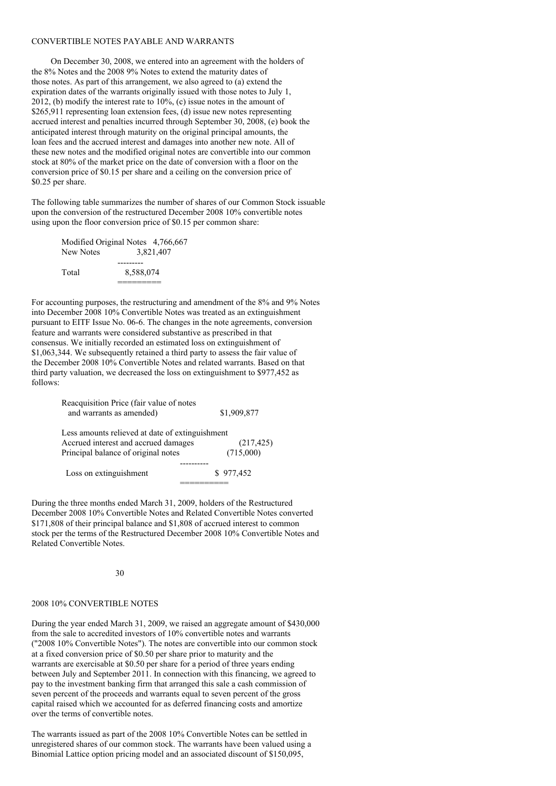#### CONVERTIBLE NOTES PAYABLE AND WARRANTS

On December 30, 2008, we entered into an agreement with the holders of the 8% Notes and the 2008 9% Notes to extend the maturity dates of those notes. As part of this arrangement, we also agreed to (a) extend the expiration dates of the warrants originally issued with those notes to July 1, 2012, (b) modify the interest rate to  $10\%$ , (c) issue notes in the amount of \$265,911 representing loan extension fees, (d) issue new notes representing accrued interest and penalties incurred through September 30, 2008, (e) book the anticipated interest through maturity on the original principal amounts, the loan fees and the accrued interest and damages into another new note. All of these new notes and the modified original notes are convertible into our common stock at 80% of the market price on the date of conversion with a floor on the conversion price of \$0.15 per share and a ceiling on the conversion price of \$0.25 per share.

The following table summarizes the number of shares of our Common Stock issuable upon the conversion of the restructured December 2008 10% convertible notes using upon the floor conversion price of \$0.15 per common share:

| Modified Original Notes 4,766,667 |           |           |
|-----------------------------------|-----------|-----------|
| New Notes                         |           | 3.821.407 |
|                                   |           |           |
| Total                             | 8.588.074 |           |
|                                   |           |           |

For accounting purposes, the restructuring and amendment of the 8% and 9% Notes into December 2008 10% Convertible Notes was treated as an extinguishment pursuant to EITF Issue No. 06-6. The changes in the note agreements, conversion feature and warrants were considered substantive as prescribed in that consensus. We initially recorded an estimated loss on extinguishment of \$1,063,344. We subsequently retained a third party to assess the fair value of the December 2008 10% Convertible Notes and related warrants. Based on that third party valuation, we decreased the loss on extinguishment to \$977,452 as follows:

| Reacquisition Price (fair value of notes        |             |
|-------------------------------------------------|-------------|
| and warrants as amended)                        | \$1,909,877 |
| Less amounts relieved at date of extinguishment |             |
| Accrued interest and accrued damages            | (217, 425)  |
| Principal balance of original notes             | (715,000)   |
|                                                 |             |
| Loss on extinguishment                          | \$977,452   |
|                                                 |             |

During the three months ended March 31, 2009, holders of the Restructured December 2008 10% Convertible Notes and Related Convertible Notes converted \$171,808 of their principal balance and \$1,808 of accrued interest to common stock per the terms of the Restructured December 2008 10% Convertible Notes and Related Convertible Notes.

### 30

#### 2008 10% CONVERTIBLE NOTES

During the year ended March 31, 2009, we raised an aggregate amount of \$430,000 from the sale to accredited investors of 10% convertible notes and warrants ("2008 10% Convertible Notes"). The notes are convertible into our common stock at a fixed conversion price of \$0.50 per share prior to maturity and the warrants are exercisable at \$0.50 per share for a period of three years ending between July and September 2011. In connection with this financing, we agreed to pay to the investment banking firm that arranged this sale a cash commission of seven percent of the proceeds and warrants equal to seven percent of the gross capital raised which we accounted for as deferred financing costs and amortize over the terms of convertible notes.

The warrants issued as part of the 2008 10% Convertible Notes can be settled in unregistered shares of our common stock. The warrants have been valued using a Binomial Lattice option pricing model and an associated discount of \$150,095,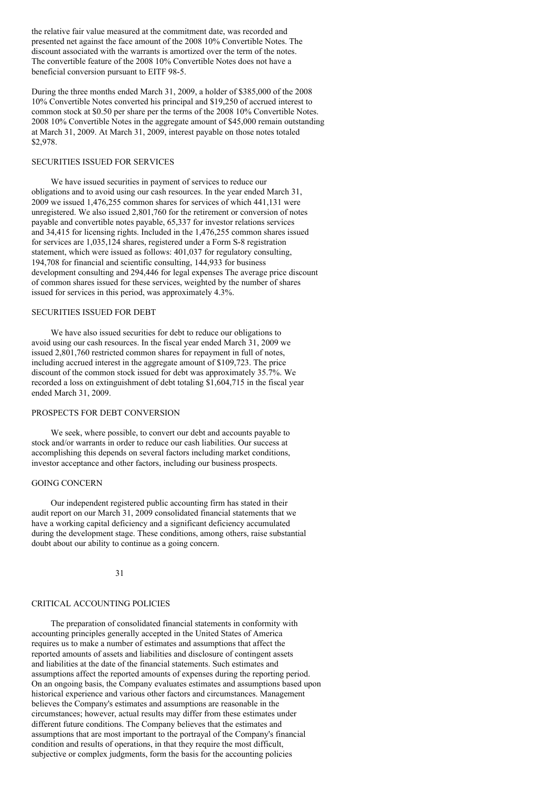the relative fair value measured at the commitment date, was recorded and presented net against the face amount of the 2008 10% Convertible Notes. The discount associated with the warrants is amortized over the term of the notes. The convertible feature of the 2008 10% Convertible Notes does not have a beneficial conversion pursuant to EITF 98-5.

During the three months ended March 31, 2009, a holder of \$385,000 of the 2008 10% Convertible Notes converted his principal and \$19,250 of accrued interest to common stock at \$0.50 per share per the terms of the 2008 10% Convertible Notes. 2008 10% Convertible Notes in the aggregate amount of \$45,000 remain outstanding at March 31, 2009. At March 31, 2009, interest payable on those notes totaled \$2,978.

### SECURITIES ISSUED FOR SERVICES

We have issued securities in payment of services to reduce our obligations and to avoid using our cash resources. In the year ended March 31, 2009 we issued 1,476,255 common shares for services of which 441,131 were unregistered. We also issued 2,801,760 for the retirement or conversion of notes payable and convertible notes payable, 65,337 for investor relations services and 34,415 for licensing rights. Included in the 1,476,255 common shares issued for services are 1,035,124 shares, registered under a Form S-8 registration statement, which were issued as follows: 401,037 for regulatory consulting, 194,708 for financial and scientific consulting, 144,933 for business development consulting and 294,446 for legal expenses The average price discount of common shares issued for these services, weighted by the number of shares issued for services in this period, was approximately 4.3%.

## SECURITIES ISSUED FOR DEBT

We have also issued securities for debt to reduce our obligations to avoid using our cash resources. In the fiscal year ended March 31, 2009 we issued 2,801,760 restricted common shares for repayment in full of notes, including accrued interest in the aggregate amount of \$109,723. The price discount of the common stock issued for debt was approximately 35.7%. We recorded a loss on extinguishment of debt totaling \$1,604,715 in the fiscal year ended March 31, 2009.

## PROSPECTS FOR DEBT CONVERSION

We seek, where possible, to convert our debt and accounts payable to stock and/or warrants in order to reduce our cash liabilities. Our success at accomplishing this depends on several factors including market conditions, investor acceptance and other factors, including our business prospects.

### GOING CONCERN

Our independent registered public accounting firm has stated in their audit report on our March 31, 2009 consolidated financial statements that we have a working capital deficiency and a significant deficiency accumulated during the development stage. These conditions, among others, raise substantial doubt about our ability to continue as a going concern.

### 31

### CRITICAL ACCOUNTING POLICIES

The preparation of consolidated financial statements in conformity with accounting principles generally accepted in the United States of America requires us to make a number of estimates and assumptions that affect the reported amounts of assets and liabilities and disclosure of contingent assets and liabilities at the date of the financial statements. Such estimates and assumptions affect the reported amounts of expenses during the reporting period. On an ongoing basis, the Company evaluates estimates and assumptions based upon historical experience and various other factors and circumstances. Management believes the Company's estimates and assumptions are reasonable in the circumstances; however, actual results may differ from these estimates under different future conditions. The Company believes that the estimates and assumptions that are most important to the portrayal of the Company's financial condition and results of operations, in that they require the most difficult, subjective or complex judgments, form the basis for the accounting policies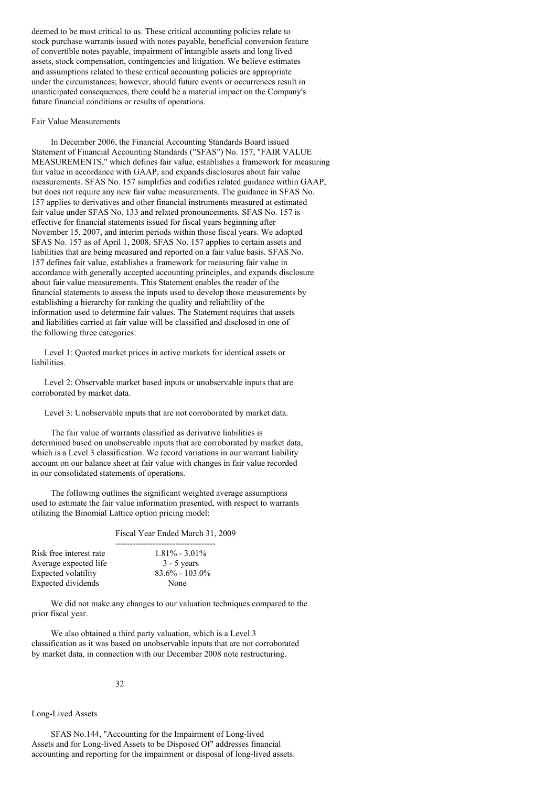deemed to be most critical to us. These critical accounting policies relate to stock purchase warrants issued with notes payable, beneficial conversion feature of convertible notes payable, impairment of intangible assets and long lived assets, stock compensation, contingencies and litigation. We believe estimates and assumptions related to these critical accounting policies are appropriate under the circumstances; however, should future events or occurrences result in unanticipated consequences, there could be a material impact on the Company's future financial conditions or results of operations.

#### Fair Value Measurements

In December 2006, the Financial Accounting Standards Board issued Statement of Financial Accounting Standards ("SFAS") No. 157, "FAIR VALUE MEASUREMENTS," which defines fair value, establishes a framework for measuring fair value in accordance with GAAP, and expands disclosures about fair value measurements. SFAS No. 157 simplifies and codifies related guidance within GAAP, but does not require any new fair value measurements. The guidance in SFAS No. 157 applies to derivatives and other financial instruments measured at estimated fair value under SFAS No. 133 and related pronouncements. SFAS No. 157 is effective for financial statements issued for fiscal years beginning after November 15, 2007, and interim periods within those fiscal years. We adopted SFAS No. 157 as of April 1, 2008. SFAS No. 157 applies to certain assets and liabilities that are being measured and reported on a fair value basis. SFAS No. 157 defines fair value, establishes a framework for measuring fair value in accordance with generally accepted accounting principles, and expands disclosure about fair value measurements. This Statement enables the reader of the financial statements to assess the inputs used to develop those measurements by establishing a hierarchy for ranking the quality and reliability of the information used to determine fair values. The Statement requires that assets and liabilities carried at fair value will be classified and disclosed in one of the following three categories:

Level 1: Quoted market prices in active markets for identical assets or liabilities.

Level 2: Observable market based inputs or unobservable inputs that are corroborated by market data.

Level 3: Unobservable inputs that are not corroborated by market data.

The fair value of warrants classified as derivative liabilities is determined based on unobservable inputs that are corroborated by market data, which is a Level 3 classification. We record variations in our warrant liability account on our balance sheet at fair value with changes in fair value recorded in our consolidated statements of operations.

The following outlines the significant weighted average assumptions used to estimate the fair value information presented, with respect to warrants utilizing the Binomial Lattice option pricing model:

-----------------------------------

#### Fiscal Year Ended March 31, 2009

| $1.81\% - 3.01\%$  |
|--------------------|
| $3 - 5$ years      |
| $83.6\% - 103.0\%$ |
| None               |
|                    |

We did not make any changes to our valuation techniques compared to the prior fiscal year.

We also obtained a third party valuation, which is a Level 3 classification as it was based on unobservable inputs that are not corroborated by market data, in connection with our December 2008 note restructuring.

#### 32

#### Long-Lived Assets

SFAS No.144, "Accounting for the Impairment of Long-lived Assets and for Long-lived Assets to be Disposed Of" addresses financial accounting and reporting for the impairment or disposal of long-lived assets.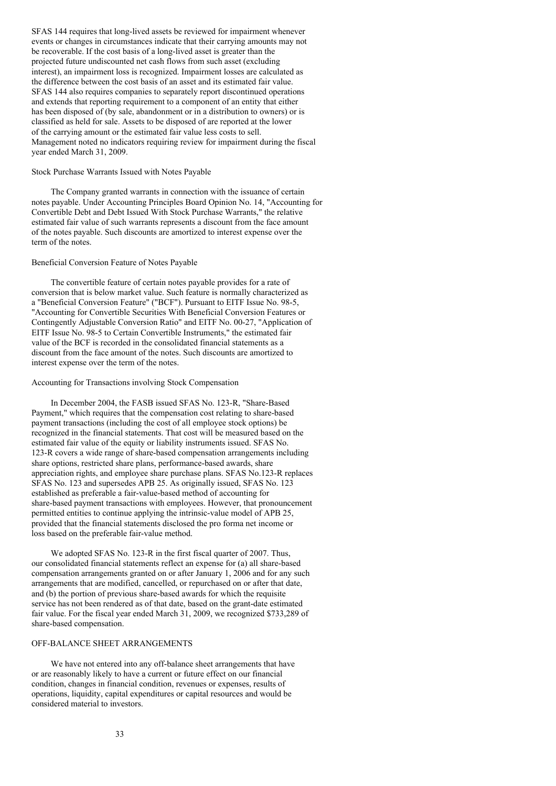SFAS 144 requires that long-lived assets be reviewed for impairment whenever events or changes in circumstances indicate that their carrying amounts may not be recoverable. If the cost basis of a long-lived asset is greater than the projected future undiscounted net cash flows from such asset (excluding interest), an impairment loss is recognized. Impairment losses are calculated as the difference between the cost basis of an asset and its estimated fair value. SFAS 144 also requires companies to separately report discontinued operations and extends that reporting requirement to a component of an entity that either has been disposed of (by sale, abandonment or in a distribution to owners) or is classified as held for sale. Assets to be disposed of are reported at the lower of the carrying amount or the estimated fair value less costs to sell. Management noted no indicators requiring review for impairment during the fiscal year ended March 31, 2009.

### Stock Purchase Warrants Issued with Notes Payable

The Company granted warrants in connection with the issuance of certain notes payable. Under Accounting Principles Board Opinion No. 14, "Accounting for Convertible Debt and Debt Issued With Stock Purchase Warrants," the relative estimated fair value of such warrants represents a discount from the face amount of the notes payable. Such discounts are amortized to interest expense over the term of the notes.

### Beneficial Conversion Feature of Notes Payable

The convertible feature of certain notes payable provides for a rate of conversion that is below market value. Such feature is normally characterized as a "Beneficial Conversion Feature" ("BCF"). Pursuant to EITF Issue No. 98-5, "Accounting for Convertible Securities With Beneficial Conversion Features or Contingently Adjustable Conversion Ratio" and EITF No. 00-27, "Application of EITF Issue No. 98-5 to Certain Convertible Instruments," the estimated fair value of the BCF is recorded in the consolidated financial statements as a discount from the face amount of the notes. Such discounts are amortized to interest expense over the term of the notes.

# Accounting for Transactions involving Stock Compensation

In December 2004, the FASB issued SFAS No. 123-R, "Share-Based Payment," which requires that the compensation cost relating to share-based payment transactions (including the cost of all employee stock options) be recognized in the financial statements. That cost will be measured based on the estimated fair value of the equity or liability instruments issued. SFAS No. 123-R covers a wide range of share-based compensation arrangements including share options, restricted share plans, performance-based awards, share appreciation rights, and employee share purchase plans. SFAS No.123-R replaces SFAS No. 123 and supersedes APB 25. As originally issued, SFAS No. 123 established as preferable a fair-value-based method of accounting for share-based payment transactions with employees. However, that pronouncement permitted entities to continue applying the intrinsic-value model of APB 25, provided that the financial statements disclosed the pro forma net income or loss based on the preferable fair-value method.

We adopted SFAS No. 123-R in the first fiscal quarter of 2007. Thus, our consolidated financial statements reflect an expense for (a) all share-based compensation arrangements granted on or after January 1, 2006 and for any such arrangements that are modified, cancelled, or repurchased on or after that date, and (b) the portion of previous share-based awards for which the requisite service has not been rendered as of that date, based on the grant-date estimated fair value. For the fiscal year ended March 31, 2009, we recognized \$733,289 of share-based compensation.

## OFF-BALANCE SHEET ARRANGEMENTS

We have not entered into any off-balance sheet arrangements that have or are reasonably likely to have a current or future effect on our financial condition, changes in financial condition, revenues or expenses, results of operations, liquidity, capital expenditures or capital resources and would be considered material to investors.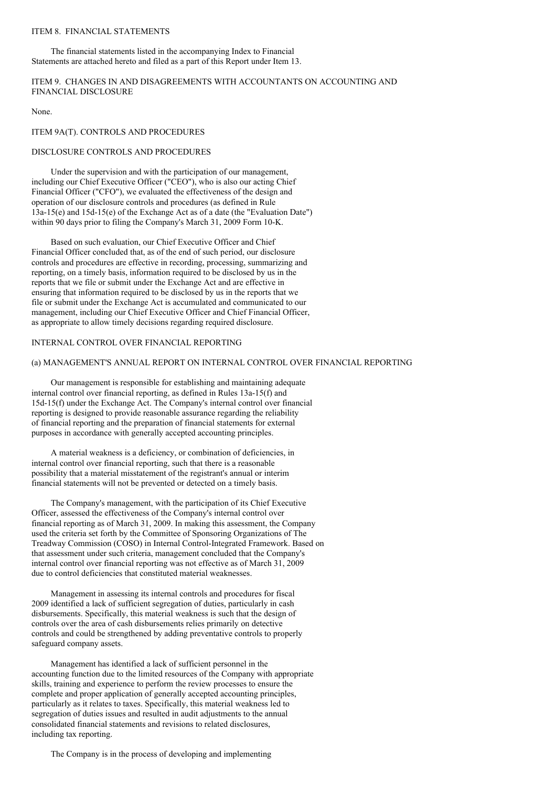# ITEM 8. FINANCIAL STATEMENTS

The financial statements listed in the accompanying Index to Financial Statements are attached hereto and filed as a part of this Report under Item 13.

# ITEM 9. CHANGES IN AND DISAGREEMENTS WITH ACCOUNTANTS ON ACCOUNTING AND FINANCIAL DISCLOSURE

None.

### ITEM 9A(T). CONTROLS AND PROCEDURES

## DISCLOSURE CONTROLS AND PROCEDURES

Under the supervision and with the participation of our management, including our Chief Executive Officer ("CEO"), who is also our acting Chief Financial Officer ("CFO"), we evaluated the effectiveness of the design and operation of our disclosure controls and procedures (as defined in Rule 13a-15(e) and 15d-15(e) of the Exchange Act as of a date (the "Evaluation Date") within 90 days prior to filing the Company's March 31, 2009 Form 10-K.

Based on such evaluation, our Chief Executive Officer and Chief Financial Officer concluded that, as of the end of such period, our disclosure controls and procedures are effective in recording, processing, summarizing and reporting, on a timely basis, information required to be disclosed by us in the reports that we file or submit under the Exchange Act and are effective in ensuring that information required to be disclosed by us in the reports that we file or submit under the Exchange Act is accumulated and communicated to our management, including our Chief Executive Officer and Chief Financial Officer, as appropriate to allow timely decisions regarding required disclosure.

# INTERNAL CONTROL OVER FINANCIAL REPORTING

## (a) MANAGEMENT'S ANNUAL REPORT ON INTERNAL CONTROL OVER FINANCIAL REPORTING

Our management is responsible for establishing and maintaining adequate internal control over financial reporting, as defined in Rules 13a-15(f) and 15d-15(f) under the Exchange Act. The Company's internal control over financial reporting is designed to provide reasonable assurance regarding the reliability of financial reporting and the preparation of financial statements for external purposes in accordance with generally accepted accounting principles.

A material weakness is a deficiency, or combination of deficiencies, in internal control over financial reporting, such that there is a reasonable possibility that a material misstatement of the registrant's annual or interim financial statements will not be prevented or detected on a timely basis.

The Company's management, with the participation of its Chief Executive Officer, assessed the effectiveness of the Company's internal control over financial reporting as of March 31, 2009. In making this assessment, the Company used the criteria set forth by the Committee of Sponsoring Organizations of The Treadway Commission (COSO) in Internal Control-Integrated Framework. Based on that assessment under such criteria, management concluded that the Company's internal control over financial reporting was not effective as of March 31, 2009 due to control deficiencies that constituted material weaknesses.

Management in assessing its internal controls and procedures for fiscal 2009 identified a lack of sufficient segregation of duties, particularly in cash disbursements. Specifically, this material weakness is such that the design of controls over the area of cash disbursements relies primarily on detective controls and could be strengthened by adding preventative controls to properly safeguard company assets.

Management has identified a lack of sufficient personnel in the accounting function due to the limited resources of the Company with appropriate skills, training and experience to perform the review processes to ensure the complete and proper application of generally accepted accounting principles, particularly as it relates to taxes. Specifically, this material weakness led to segregation of duties issues and resulted in audit adjustments to the annual consolidated financial statements and revisions to related disclosures, including tax reporting.

The Company is in the process of developing and implementing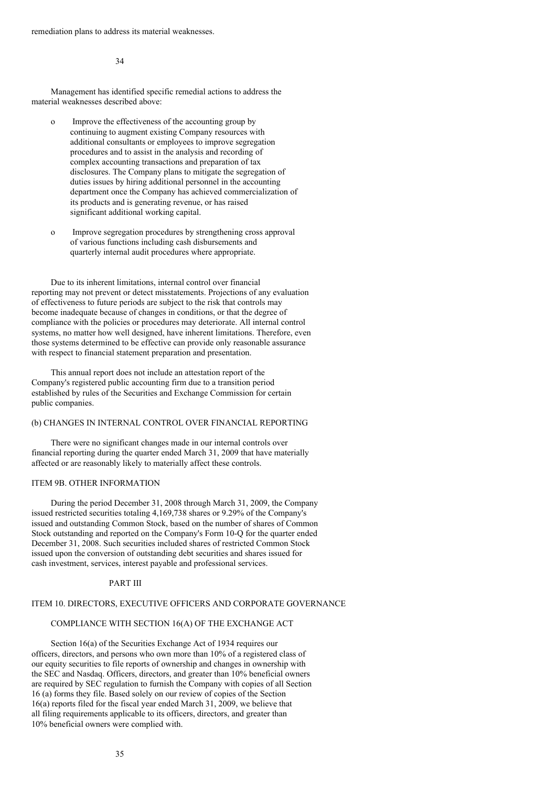remediation plans to address its material weaknesses.

34

Management has identified specific remedial actions to address the material weaknesses described above:

- o Improve the effectiveness of the accounting group by continuing to augment existing Company resources with additional consultants or employees to improve segregation procedures and to assist in the analysis and recording of complex accounting transactions and preparation of tax disclosures. The Company plans to mitigate the segregation of duties issues by hiring additional personnel in the accounting department once the Company has achieved commercialization of its products and is generating revenue, or has raised significant additional working capital.
- o Improve segregation procedures by strengthening cross approval of various functions including cash disbursements and quarterly internal audit procedures where appropriate.

Due to its inherent limitations, internal control over financial reporting may not prevent or detect misstatements. Projections of any evaluation of effectiveness to future periods are subject to the risk that controls may become inadequate because of changes in conditions, or that the degree of compliance with the policies or procedures may deteriorate. All internal control systems, no matter how well designed, have inherent limitations. Therefore, even those systems determined to be effective can provide only reasonable assurance with respect to financial statement preparation and presentation.

This annual report does not include an attestation report of the Company's registered public accounting firm due to a transition period established by rules of the Securities and Exchange Commission for certain public companies.

# (b) CHANGES IN INTERNAL CONTROL OVER FINANCIAL REPORTING

There were no significant changes made in our internal controls over financial reporting during the quarter ended March 31, 2009 that have materially affected or are reasonably likely to materially affect these controls.

## ITEM 9B. OTHER INFORMATION

During the period December 31, 2008 through March 31, 2009, the Company issued restricted securities totaling 4,169,738 shares or 9.29% of the Company's issued and outstanding Common Stock, based on the number of shares of Common Stock outstanding and reported on the Company's Form 10-Q for the quarter ended December 31, 2008. Such securities included shares of restricted Common Stock issued upon the conversion of outstanding debt securities and shares issued for cash investment, services, interest payable and professional services.

### PART III

# ITEM 10. DIRECTORS, EXECUTIVE OFFICERS AND CORPORATE GOVERNANCE

# COMPLIANCE WITH SECTION 16(A) OF THE EXCHANGE ACT

Section 16(a) of the Securities Exchange Act of 1934 requires our officers, directors, and persons who own more than 10% of a registered class of our equity securities to file reports of ownership and changes in ownership with the SEC and Nasdaq. Officers, directors, and greater than 10% beneficial owners are required by SEC regulation to furnish the Company with copies of all Section 16 (a) forms they file. Based solely on our review of copies of the Section 16(a) reports filed for the fiscal year ended March 31, 2009, we believe that all filing requirements applicable to its officers, directors, and greater than 10% beneficial owners were complied with.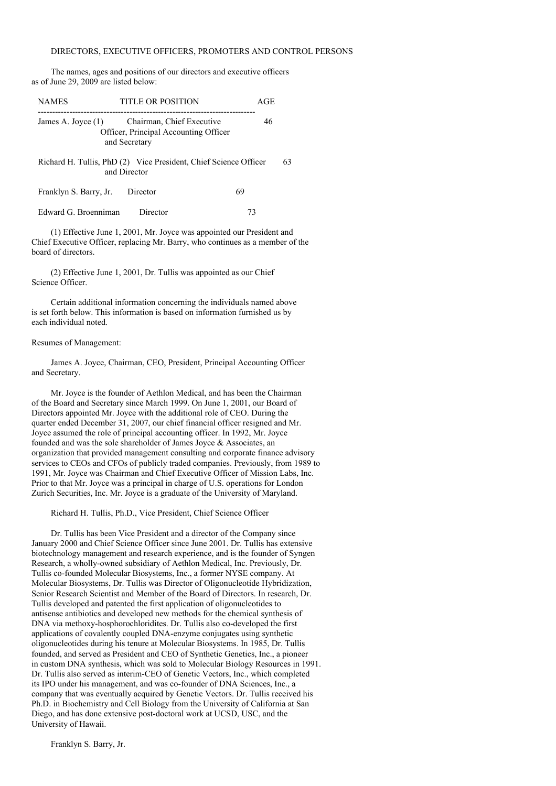## DIRECTORS, EXECUTIVE OFFICERS, PROMOTERS AND CONTROL PERSONS

The names, ages and positions of our directors and executive officers as of June 29, 2009 are listed below:

| <b>NAMES</b>           | TITLE OR POSITION                                                                   |    |    |  |  |  |
|------------------------|-------------------------------------------------------------------------------------|----|----|--|--|--|
| James A. Joyce $(1)$   | Chairman, Chief Executive<br>Officer, Principal Accounting Officer<br>and Secretary | 46 |    |  |  |  |
|                        | Richard H. Tullis, PhD (2) Vice President, Chief Science Officer<br>and Director    |    | 63 |  |  |  |
| Franklyn S. Barry, Jr. | Director                                                                            | 69 |    |  |  |  |
| Edward G. Broenniman   | Director                                                                            | 73 |    |  |  |  |

(1) Effective June 1, 2001, Mr. Joyce was appointed our President and Chief Executive Officer, replacing Mr. Barry, who continues as a member of the board of directors.

(2) Effective June 1, 2001, Dr. Tullis was appointed as our Chief Science Officer.

Certain additional information concerning the individuals named above is set forth below. This information is based on information furnished us by each individual noted.

## Resumes of Management:

James A. Joyce, Chairman, CEO, President, Principal Accounting Officer and Secretary.

Mr. Joyce is the founder of Aethlon Medical, and has been the Chairman of the Board and Secretary since March 1999. On June 1, 2001, our Board of Directors appointed Mr. Joyce with the additional role of CEO. During the quarter ended December 31, 2007, our chief financial officer resigned and Mr. Joyce assumed the role of principal accounting officer. In 1992, Mr. Joyce founded and was the sole shareholder of James Joyce & Associates, an organization that provided management consulting and corporate finance advisory services to CEOs and CFOs of publicly traded companies. Previously, from 1989 to 1991, Mr. Joyce was Chairman and Chief Executive Officer of Mission Labs, Inc. Prior to that Mr. Joyce was a principal in charge of U.S. operations for London Zurich Securities, Inc. Mr. Joyce is a graduate of the University of Maryland.

Richard H. Tullis, Ph.D., Vice President, Chief Science Officer

Dr. Tullis has been Vice President and a director of the Company since January 2000 and Chief Science Officer since June 2001. Dr. Tullis has extensive biotechnology management and research experience, and is the founder of Syngen Research, a wholly-owned subsidiary of Aethlon Medical, Inc. Previously, Dr. Tullis co-founded Molecular Biosystems, Inc., a former NYSE company. At Molecular Biosystems, Dr. Tullis was Director of Oligonucleotide Hybridization, Senior Research Scientist and Member of the Board of Directors. In research, Dr. Tullis developed and patented the first application of oligonucleotides to antisense antibiotics and developed new methods for the chemical synthesis of DNA via methoxy-hosphorochloridites. Dr. Tullis also co-developed the first applications of covalently coupled DNA-enzyme conjugates using synthetic oligonucleotides during his tenure at Molecular Biosystems. In 1985, Dr. Tullis founded, and served as President and CEO of Synthetic Genetics, Inc., a pioneer in custom DNA synthesis, which was sold to Molecular Biology Resources in 1991. Dr. Tullis also served as interim-CEO of Genetic Vectors, Inc., which completed its IPO under his management, and was co-founder of DNA Sciences, Inc., a company that was eventually acquired by Genetic Vectors. Dr. Tullis received his Ph.D. in Biochemistry and Cell Biology from the University of California at San Diego, and has done extensive post-doctoral work at UCSD, USC, and the University of Hawaii.

Franklyn S. Barry, Jr.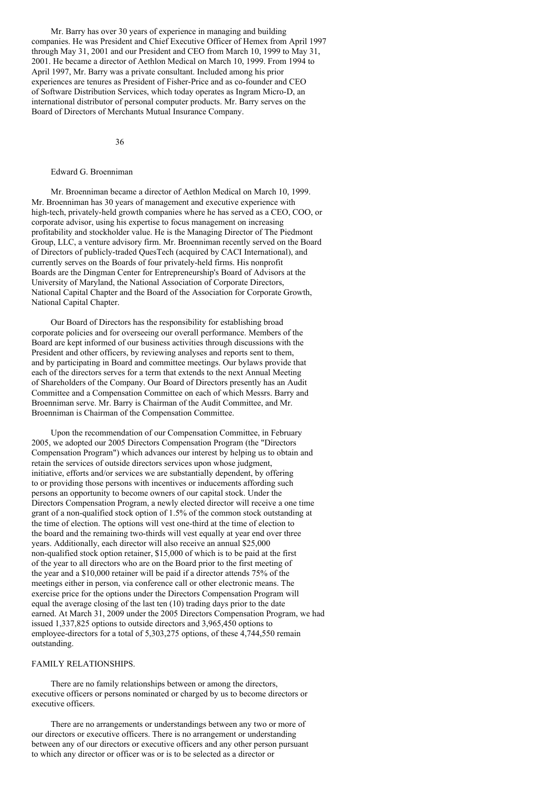Mr. Barry has over 30 years of experience in managing and building companies. He was President and Chief Executive Officer of Hemex from April 1997 through May 31, 2001 and our President and CEO from March 10, 1999 to May 31, 2001. He became a director of Aethlon Medical on March 10, 1999. From 1994 to April 1997, Mr. Barry was a private consultant. Included among his prior experiences are tenures as President of Fisher-Price and as co-founder and CEO of Software Distribution Services, which today operates as Ingram Micro-D, an international distributor of personal computer products. Mr. Barry serves on the Board of Directors of Merchants Mutual Insurance Company.

36

### Edward G. Broenniman

Mr. Broenniman became a director of Aethlon Medical on March 10, 1999. Mr. Broenniman has 30 years of management and executive experience with high-tech, privately-held growth companies where he has served as a CEO, COO, or corporate advisor, using his expertise to focus management on increasing profitability and stockholder value. He is the Managing Director of The Piedmont Group, LLC, a venture advisory firm. Mr. Broenniman recently served on the Board of Directors of publicly-traded QuesTech (acquired by CACI International), and currently serves on the Boards of four privately-held firms. His nonprofit Boards are the Dingman Center for Entrepreneurship's Board of Advisors at the University of Maryland, the National Association of Corporate Directors, National Capital Chapter and the Board of the Association for Corporate Growth, National Capital Chapter.

Our Board of Directors has the responsibility for establishing broad corporate policies and for overseeing our overall performance. Members of the Board are kept informed of our business activities through discussions with the President and other officers, by reviewing analyses and reports sent to them, and by participating in Board and committee meetings. Our bylaws provide that each of the directors serves for a term that extends to the next Annual Meeting of Shareholders of the Company. Our Board of Directors presently has an Audit Committee and a Compensation Committee on each of which Messrs. Barry and Broenniman serve. Mr. Barry is Chairman of the Audit Committee, and Mr. Broenniman is Chairman of the Compensation Committee.

Upon the recommendation of our Compensation Committee, in February 2005, we adopted our 2005 Directors Compensation Program (the "Directors Compensation Program") which advances our interest by helping us to obtain and retain the services of outside directors services upon whose judgment, initiative, efforts and/or services we are substantially dependent, by offering to or providing those persons with incentives or inducements affording such persons an opportunity to become owners of our capital stock. Under the Directors Compensation Program, a newly elected director will receive a one time grant of a non-qualified stock option of 1.5% of the common stock outstanding at the time of election. The options will vest one-third at the time of election to the board and the remaining two-thirds will vest equally at year end over three years. Additionally, each director will also receive an annual \$25,000 non-qualified stock option retainer, \$15,000 of which is to be paid at the first of the year to all directors who are on the Board prior to the first meeting of the year and a \$10,000 retainer will be paid if a director attends 75% of the meetings either in person, via conference call or other electronic means. The exercise price for the options under the Directors Compensation Program will equal the average closing of the last ten (10) trading days prior to the date earned. At March 31, 2009 under the 2005 Directors Compensation Program, we had issued 1,337,825 options to outside directors and 3,965,450 options to employee-directors for a total of 5,303,275 options, of these 4,744,550 remain outstanding.

## FAMILY RELATIONSHIPS.

There are no family relationships between or among the directors, executive officers or persons nominated or charged by us to become directors or executive officers.

There are no arrangements or understandings between any two or more of our directors or executive officers. There is no arrangement or understanding between any of our directors or executive officers and any other person pursuant to which any director or officer was or is to be selected as a director or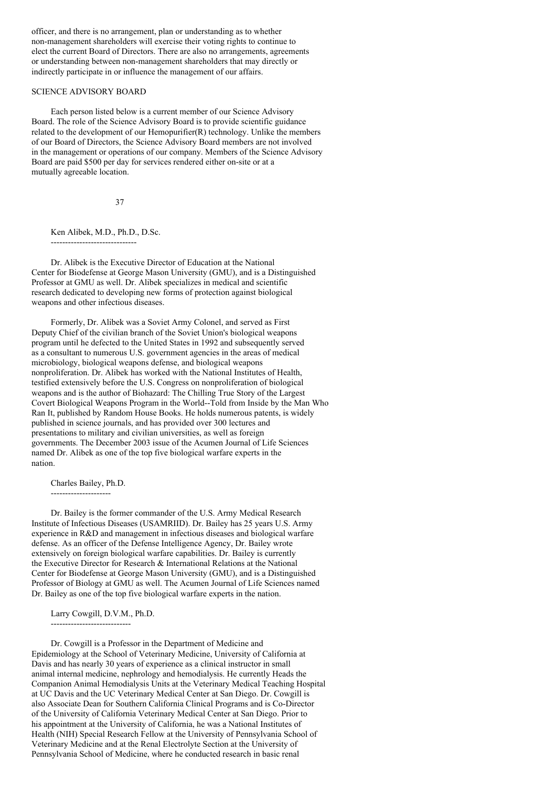officer, and there is no arrangement, plan or understanding as to whether non-management shareholders will exercise their voting rights to continue to elect the current Board of Directors. There are also no arrangements, agreements or understanding between non-management shareholders that may directly or indirectly participate in or influence the management of our affairs.

## SCIENCE ADVISORY BOARD

Each person listed below is a current member of our Science Advisory Board. The role of the Science Advisory Board is to provide scientific guidance related to the development of our Hemopurifier(R) technology. Unlike the members of our Board of Directors, the Science Advisory Board members are not involved in the management or operations of our company. Members of the Science Advisory Board are paid \$500 per day for services rendered either on-site or at a mutually agreeable location.

37

Ken Alibek, M.D., Ph.D., D.Sc.

------------------------------

Dr. Alibek is the Executive Director of Education at the National Center for Biodefense at George Mason University (GMU), and is a Distinguished Professor at GMU as well. Dr. Alibek specializes in medical and scientific research dedicated to developing new forms of protection against biological weapons and other infectious diseases.

Formerly, Dr. Alibek was a Soviet Army Colonel, and served as First Deputy Chief of the civilian branch of the Soviet Union's biological weapons program until he defected to the United States in 1992 and subsequently served as a consultant to numerous U.S. government agencies in the areas of medical microbiology, biological weapons defense, and biological weapons nonproliferation. Dr. Alibek has worked with the National Institutes of Health, testified extensively before the U.S. Congress on nonproliferation of biological weapons and is the author of Biohazard: The Chilling True Story of the Largest Covert Biological Weapons Program in the World--Told from Inside by the Man Who Ran It, published by Random House Books. He holds numerous patents, is widely published in science journals, and has provided over 300 lectures and presentations to military and civilian universities, as well as foreign governments. The December 2003 issue of the Acumen Journal of Life Sciences named Dr. Alibek as one of the top five biological warfare experts in the nation.

Charles Bailey, Ph.D.

---------------------

Dr. Bailey is the former commander of the U.S. Army Medical Research Institute of Infectious Diseases (USAMRIID). Dr. Bailey has 25 years U.S. Army experience in R&D and management in infectious diseases and biological warfare defense. As an officer of the Defense Intelligence Agency, Dr. Bailey wrote extensively on foreign biological warfare capabilities. Dr. Bailey is currently the Executive Director for Research & International Relations at the National Center for Biodefense at George Mason University (GMU), and is a Distinguished Professor of Biology at GMU as well. The Acumen Journal of Life Sciences named Dr. Bailey as one of the top five biological warfare experts in the nation.

Larry Cowgill, D.V.M., Ph.D.

----------------------------

Dr. Cowgill is a Professor in the Department of Medicine and Epidemiology at the School of Veterinary Medicine, University of California at Davis and has nearly 30 years of experience as a clinical instructor in small animal internal medicine, nephrology and hemodialysis. He currently Heads the Companion Animal Hemodialysis Units at the Veterinary Medical Teaching Hospital at UC Davis and the UC Veterinary Medical Center at San Diego. Dr. Cowgill is also Associate Dean for Southern California Clinical Programs and is Co-Director of the University of California Veterinary Medical Center at San Diego. Prior to his appointment at the University of California, he was a National Institutes of Health (NIH) Special Research Fellow at the University of Pennsylvania School of Veterinary Medicine and at the Renal Electrolyte Section at the University of Pennsylvania School of Medicine, where he conducted research in basic renal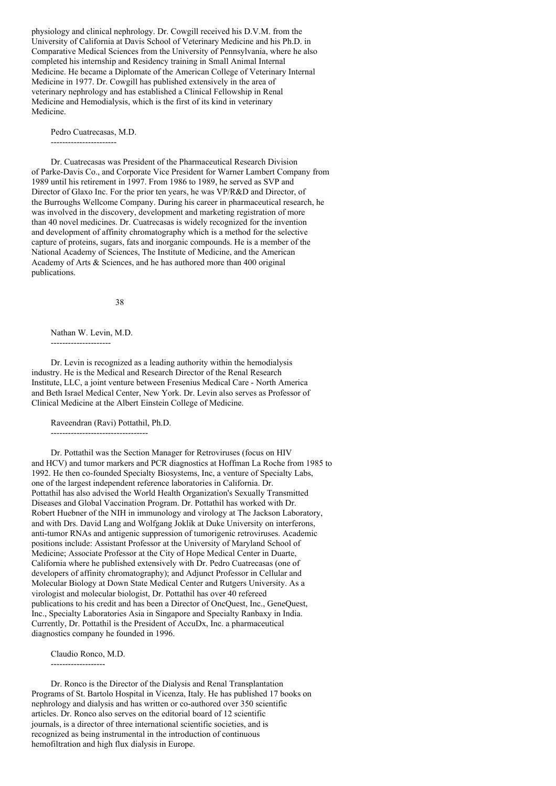physiology and clinical nephrology. Dr. Cowgill received his D.V.M. from the University of California at Davis School of Veterinary Medicine and his Ph.D. in Comparative Medical Sciences from the University of Pennsylvania, where he also completed his internship and Residency training in Small Animal Internal Medicine. He became a Diplomate of the American College of Veterinary Internal Medicine in 1977. Dr. Cowgill has published extensively in the area of veterinary nephrology and has established a Clinical Fellowship in Renal Medicine and Hemodialysis, which is the first of its kind in veterinary Medicine.

Pedro Cuatrecasas, M.D. -----------------------

Dr. Cuatrecasas was President of the Pharmaceutical Research Division of Parke-Davis Co., and Corporate Vice President for Warner Lambert Company from 1989 until his retirement in 1997. From 1986 to 1989, he served as SVP and Director of Glaxo Inc. For the prior ten years, he was VP/R&D and Director, of the Burroughs Wellcome Company. During his career in pharmaceutical research, he was involved in the discovery, development and marketing registration of more than 40 novel medicines. Dr. Cuatrecasas is widely recognized for the invention and development of affinity chromatography which is a method for the selective capture of proteins, sugars, fats and inorganic compounds. He is a member of the National Academy of Sciences, The Institute of Medicine, and the American Academy of Arts & Sciences, and he has authored more than 400 original publications.

38

Nathan W. Levin, M.D.

---------------------

Dr. Levin is recognized as a leading authority within the hemodialysis industry. He is the Medical and Research Director of the Renal Research Institute, LLC, a joint venture between Fresenius Medical Care - North America and Beth Israel Medical Center, New York. Dr. Levin also serves as Professor of Clinical Medicine at the Albert Einstein College of Medicine.

Raveendran (Ravi) Pottathil, Ph.D.

----------------------------------

Dr. Pottathil was the Section Manager for Retroviruses (focus on HIV and HCV) and tumor markers and PCR diagnostics at Hoffman La Roche from 1985 to 1992. He then co-founded Specialty Biosystems, Inc, a venture of Specialty Labs, one of the largest independent reference laboratories in California. Dr. Pottathil has also advised the World Health Organization's Sexually Transmitted Diseases and Global Vaccination Program. Dr. Pottathil has worked with Dr. Robert Huebner of the NIH in immunology and virology at The Jackson Laboratory, and with Drs. David Lang and Wolfgang Joklik at Duke University on interferons, anti-tumor RNAs and antigenic suppression of tumorigenic retroviruses. Academic positions include: Assistant Professor at the University of Maryland School of Medicine; Associate Professor at the City of Hope Medical Center in Duarte, California where he published extensively with Dr. Pedro Cuatrecasas (one of developers of affinity chromatography); and Adjunct Professor in Cellular and Molecular Biology at Down State Medical Center and Rutgers University. As a virologist and molecular biologist, Dr. Pottathil has over 40 refereed publications to his credit and has been a Director of OncQuest, Inc., GeneQuest, Inc., Specialty Laboratories Asia in Singapore and Specialty Ranbaxy in India. Currently, Dr. Pottathil is the President of AccuDx, Inc. a pharmaceutical diagnostics company he founded in 1996.

Claudio Ronco, M.D. -------------------

Dr. Ronco is the Director of the Dialysis and Renal Transplantation Programs of St. Bartolo Hospital in Vicenza, Italy. He has published 17 books on nephrology and dialysis and has written or co-authored over 350 scientific articles. Dr. Ronco also serves on the editorial board of 12 scientific journals, is a director of three international scientific societies, and is recognized as being instrumental in the introduction of continuous hemofiltration and high flux dialysis in Europe.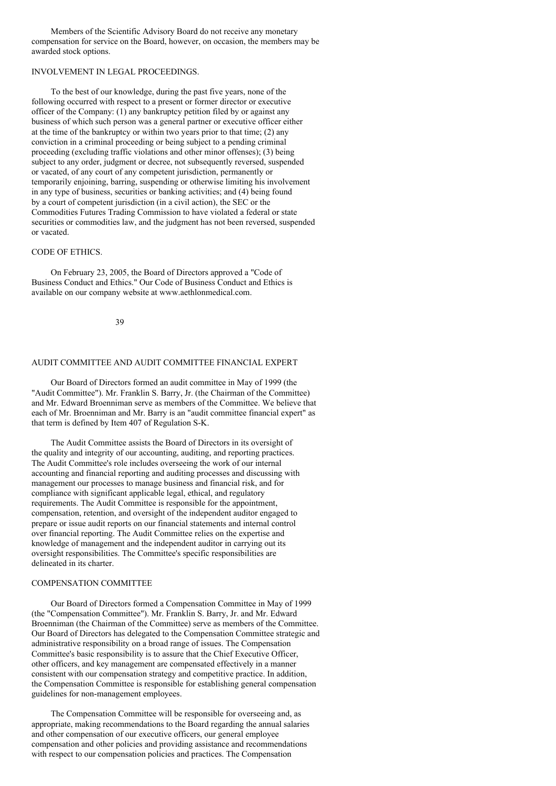Members of the Scientific Advisory Board do not receive any monetary compensation for service on the Board, however, on occasion, the members may be awarded stock options.

# INVOLVEMENT IN LEGAL PROCEEDINGS.

To the best of our knowledge, during the past five years, none of the following occurred with respect to a present or former director or executive officer of the Company: (1) any bankruptcy petition filed by or against any business of which such person was a general partner or executive officer either at the time of the bankruptcy or within two years prior to that time; (2) any conviction in a criminal proceeding or being subject to a pending criminal proceeding (excluding traffic violations and other minor offenses); (3) being subject to any order, judgment or decree, not subsequently reversed, suspended or vacated, of any court of any competent jurisdiction, permanently or temporarily enjoining, barring, suspending or otherwise limiting his involvement in any type of business, securities or banking activities; and (4) being found by a court of competent jurisdiction (in a civil action), the SEC or the Commodities Futures Trading Commission to have violated a federal or state securities or commodities law, and the judgment has not been reversed, suspended or vacated.

# CODE OF ETHICS.

On February 23, 2005, the Board of Directors approved a "Code of Business Conduct and Ethics." Our Code of Business Conduct and Ethics is available on our company website at www.aethlonmedical.com.

39

# AUDIT COMMITTEE AND AUDIT COMMITTEE FINANCIAL EXPERT

Our Board of Directors formed an audit committee in May of 1999 (the "Audit Committee"). Mr. Franklin S. Barry, Jr. (the Chairman of the Committee) and Mr. Edward Broenniman serve as members of the Committee. We believe that each of Mr. Broenniman and Mr. Barry is an "audit committee financial expert" as that term is defined by Item 407 of Regulation S-K.

The Audit Committee assists the Board of Directors in its oversight of the quality and integrity of our accounting, auditing, and reporting practices. The Audit Committee's role includes overseeing the work of our internal accounting and financial reporting and auditing processes and discussing with management our processes to manage business and financial risk, and for compliance with significant applicable legal, ethical, and regulatory requirements. The Audit Committee is responsible for the appointment, compensation, retention, and oversight of the independent auditor engaged to prepare or issue audit reports on our financial statements and internal control over financial reporting. The Audit Committee relies on the expertise and knowledge of management and the independent auditor in carrying out its oversight responsibilities. The Committee's specific responsibilities are delineated in its charter.

### COMPENSATION COMMITTEE

Our Board of Directors formed a Compensation Committee in May of 1999 (the "Compensation Committee"). Mr. Franklin S. Barry, Jr. and Mr. Edward Broenniman (the Chairman of the Committee) serve as members of the Committee. Our Board of Directors has delegated to the Compensation Committee strategic and administrative responsibility on a broad range of issues. The Compensation Committee's basic responsibility is to assure that the Chief Executive Officer, other officers, and key management are compensated effectively in a manner consistent with our compensation strategy and competitive practice. In addition, the Compensation Committee is responsible for establishing general compensation guidelines for non-management employees.

The Compensation Committee will be responsible for overseeing and, as appropriate, making recommendations to the Board regarding the annual salaries and other compensation of our executive officers, our general employee compensation and other policies and providing assistance and recommendations with respect to our compensation policies and practices. The Compensation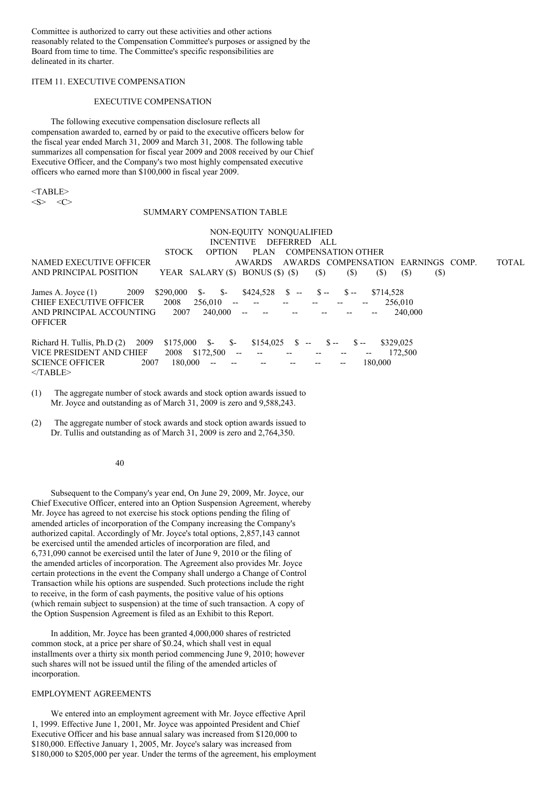Committee is authorized to carry out these activities and other actions reasonably related to the Compensation Committee's purposes or assigned by the Board from time to time. The Committee's specific responsibilities are delineated in its charter.

## ITEM 11. EXECUTIVE COMPENSATION

#### EXECUTIVE COMPENSATION

The following executive compensation disclosure reflects all compensation awarded to, earned by or paid to the executive officers below for the fiscal year ended March 31, 2009 and March 31, 2008. The following table summarizes all compensation for fiscal year 2009 and 2008 received by our Chief Executive Officer, and the Company's two most highly compensated executive officers who earned more than \$100,000 in fiscal year 2009.

 $<$ TABLE>

 $\langle S \rangle$   $\langle C \rangle$ 

## SUMMARY COMPENSATION TABLE

NON-EQUITY NONQUALIFIED INCENTIVE DEFERRED ALL STOCK OPTION PLAN COMPENSATION OTHER NAMED EXECUTIVE OFFICER AWARDS AWARDS COMPENSATION EARNINGS COMP. TOTAL AND PRINCIPAL POSITION YEAR SALARY (\$) BONUS (\$) (\$) (\$) (\$) (\$) (\$) (\$) James A. Joyce (1) 2009 \$290,000 \$- \$- \$424,528 \$ -- \$ -- \$ -- \$714,528 CHIEF EXECUTIVE OFFICER 2008 256,010 -- -- -- -- -- -- -- 256,010 AND PRINCIPAL ACCOUNTING 2007 240,000 -- -- -- -- -- -- -- 240,000 **OFFICER** Richard H. Tullis, Ph.D (2) 2009 \$175,000 \$- \$- \$154,025 \$ -- \$ -- \$ -- \$329,025 VICE PRESIDENT AND CHIEF 2008 \$172,500 -- -- -- -- -- -- -- 172,500<br>SCIENCE OFFICER 2007 180.000 -- -- -- -- -- -- -- 180.000 SCIENCE OFFICER 2007 180,000  $<$ /TABLE>

- (1) The aggregate number of stock awards and stock option awards issued to Mr. Joyce and outstanding as of March 31, 2009 is zero and 9,588,243.
- (2) The aggregate number of stock awards and stock option awards issued to Dr. Tullis and outstanding as of March 31, 2009 is zero and 2,764,350.

#### 40

Subsequent to the Company's year end, On June 29, 2009, Mr. Joyce, our Chief Executive Officer, entered into an Option Suspension Agreement, whereby Mr. Joyce has agreed to not exercise his stock options pending the filing of amended articles of incorporation of the Company increasing the Company's authorized capital. Accordingly of Mr. Joyce's total options, 2,857,143 cannot be exercised until the amended articles of incorporation are filed, and 6,731,090 cannot be exercised until the later of June 9, 2010 or the filing of the amended articles of incorporation. The Agreement also provides Mr. Joyce certain protections in the event the Company shall undergo a Change of Control Transaction while his options are suspended. Such protections include the right to receive, in the form of cash payments, the positive value of his options (which remain subject to suspension) at the time of such transaction. A copy of the Option Suspension Agreement is filed as an Exhibit to this Report.

In addition, Mr. Joyce has been granted 4,000,000 shares of restricted common stock, at a price per share of \$0.24, which shall vest in equal installments over a thirty six month period commencing June 9, 2010; however such shares will not be issued until the filing of the amended articles of incorporation.

#### EMPLOYMENT AGREEMENTS

We entered into an employment agreement with Mr. Joyce effective April 1, 1999. Effective June 1, 2001, Mr. Joyce was appointed President and Chief Executive Officer and his base annual salary was increased from \$120,000 to \$180,000. Effective January 1, 2005, Mr. Joyce's salary was increased from \$180,000 to \$205,000 per year. Under the terms of the agreement, his employment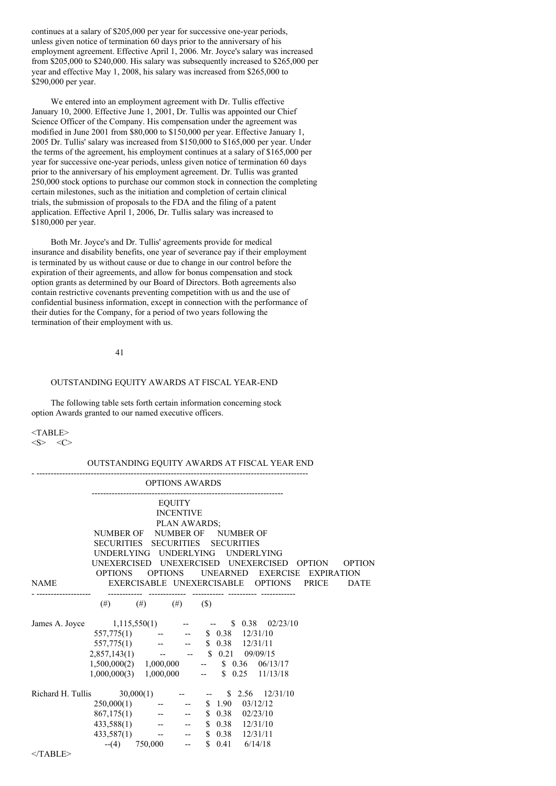continues at a salary of \$205,000 per year for successive one-year periods, unless given notice of termination 60 days prior to the anniversary of his employment agreement. Effective April 1, 2006. Mr. Joyce's salary was increased from \$205,000 to \$240,000. His salary was subsequently increased to \$265,000 per year and effective May 1, 2008, his salary was increased from \$265,000 to \$290,000 per year.

We entered into an employment agreement with Dr. Tullis effective January 10, 2000. Effective June 1, 2001, Dr. Tullis was appointed our Chief Science Officer of the Company. His compensation under the agreement was modified in June 2001 from \$80,000 to \$150,000 per year. Effective January 1, 2005 Dr. Tullis' salary was increased from \$150,000 to \$165,000 per year. Under the terms of the agreement, his employment continues at a salary of \$165,000 per year for successive one-year periods, unless given notice of termination 60 days prior to the anniversary of his employment agreement. Dr. Tullis was granted 250,000 stock options to purchase our common stock in connection the completing certain milestones, such as the initiation and completion of certain clinical trials, the submission of proposals to the FDA and the filing of a patent application. Effective April 1, 2006, Dr. Tullis salary was increased to \$180,000 per year.

Both Mr. Joyce's and Dr. Tullis' agreements provide for medical insurance and disability benefits, one year of severance pay if their employment is terminated by us without cause or due to change in our control before the expiration of their agreements, and allow for bonus compensation and stock option grants as determined by our Board of Directors. Both agreements also contain restrictive covenants preventing competition with us and the use of confidential business information, except in connection with the performance of their duties for the Company, for a period of two years following the termination of their employment with us.

# 41

# OUTSTANDING EQUITY AWARDS AT FISCAL YEAR-END

The following table sets forth certain information concerning stock option Awards granted to our named executive officers.

### <TABLE>  $\langle S \rangle$   $\langle C \rangle$

# OUTSTANDING EQUITY AWARDS AT FISCAL YEAR END

|                                                   |                                                                                                                                                                                                                                                          | <b>OPTIONS AWARDS</b>              |                   |              |                                                |               |               |
|---------------------------------------------------|----------------------------------------------------------------------------------------------------------------------------------------------------------------------------------------------------------------------------------------------------------|------------------------------------|-------------------|--------------|------------------------------------------------|---------------|---------------|
|                                                   | <b>EQUITY</b>                                                                                                                                                                                                                                            |                                    |                   |              |                                                |               |               |
|                                                   |                                                                                                                                                                                                                                                          |                                    | <b>INCENTIVE</b>  |              |                                                |               |               |
|                                                   |                                                                                                                                                                                                                                                          |                                    |                   | PLAN AWARDS; |                                                |               |               |
|                                                   | NUMBER OF NUMBER OF NUMBER OF                                                                                                                                                                                                                            |                                    |                   |              |                                                |               |               |
|                                                   | SECURITIES SECURITIES SECURITIES                                                                                                                                                                                                                         |                                    |                   |              |                                                |               |               |
|                                                   | UNDERLYING                                                                                                                                                                                                                                               |                                    | <b>UNDERLYING</b> |              | <b>UNDERLYING</b>                              |               |               |
|                                                   |                                                                                                                                                                                                                                                          |                                    |                   |              | UNEXERCISED UNEXERCISED UNEXERCISED            | <b>OPTION</b> | <b>OPTION</b> |
|                                                   | <b>OPTIONS</b>                                                                                                                                                                                                                                           | <b>OPTIONS</b>                     |                   |              | UNEARNED EXERCISE                              | EXPIRATION    |               |
|                                                   |                                                                                                                                                                                                                                                          |                                    |                   |              |                                                |               |               |
| <b>NAME</b>                                       |                                                                                                                                                                                                                                                          |                                    |                   |              | EXERCISABLE UNEXERCISABLE OPTIONS              | <b>PRICE</b>  | <b>DATE</b>   |
|                                                   |                                                                                                                                                                                                                                                          |                                    |                   |              |                                                |               |               |
|                                                   |                                                                                                                                                                                                                                                          | (#) (#) (#) (\$)                   |                   |              |                                                |               |               |
| James A. Joyce                                    |                                                                                                                                                                                                                                                          |                                    |                   |              | $1,115,550(1)$ -- - \$ 0.38 02/23/10           |               |               |
|                                                   | $\begin{array}{cccccc} 557,775(1) & & - & - & 8 & 0.38 & 12/31/10 \\ 557,775(1) & & - & - & 8 & 0.38 & 12/31/11 \\ 2,857,143(1) & & - & - & 8 & 0.21 & 09/09/15 \end{array}$                                                                             |                                    |                   |              |                                                |               |               |
|                                                   |                                                                                                                                                                                                                                                          |                                    |                   |              |                                                |               |               |
|                                                   |                                                                                                                                                                                                                                                          |                                    |                   |              |                                                |               |               |
|                                                   |                                                                                                                                                                                                                                                          |                                    |                   |              | $1,500,000(2)$ $1,000,000$ -- \$ 0.36 06/13/17 |               |               |
|                                                   |                                                                                                                                                                                                                                                          |                                    |                   |              | $1,000,000(3)$ $1,000,000$ -- \$ 0.25 11/13/18 |               |               |
|                                                   |                                                                                                                                                                                                                                                          |                                    |                   |              |                                                |               |               |
| Richard H. Tullis 30,000(1) -- - \$ 2.56 12/31/10 |                                                                                                                                                                                                                                                          |                                    |                   |              |                                                |               |               |
|                                                   |                                                                                                                                                                                                                                                          |                                    |                   |              |                                                |               |               |
|                                                   |                                                                                                                                                                                                                                                          |                                    |                   |              |                                                |               |               |
|                                                   |                                                                                                                                                                                                                                                          |                                    |                   |              |                                                |               |               |
|                                                   | $\begin{array}{cccccc} 250,000(1) & & \text{---} & & \$ & 1.90 & 03/12/12 \\ 867,175(1) & & \text{---} & & \$ & 0.38 & 02/23/10 \\ 433,588(1) & & \text{---} & & \$ & 0.38 & 12/31/10 \\ 433,587(1) & & \text{---} & & \$ & 0.38 & 12/31/11 \end{array}$ |                                    |                   |              |                                                |               |               |
|                                                   |                                                                                                                                                                                                                                                          | $-(-4)$ 750,000 -- \$ 0.41 6/14/18 |                   |              |                                                |               |               |
|                                                   |                                                                                                                                                                                                                                                          |                                    |                   |              |                                                |               |               |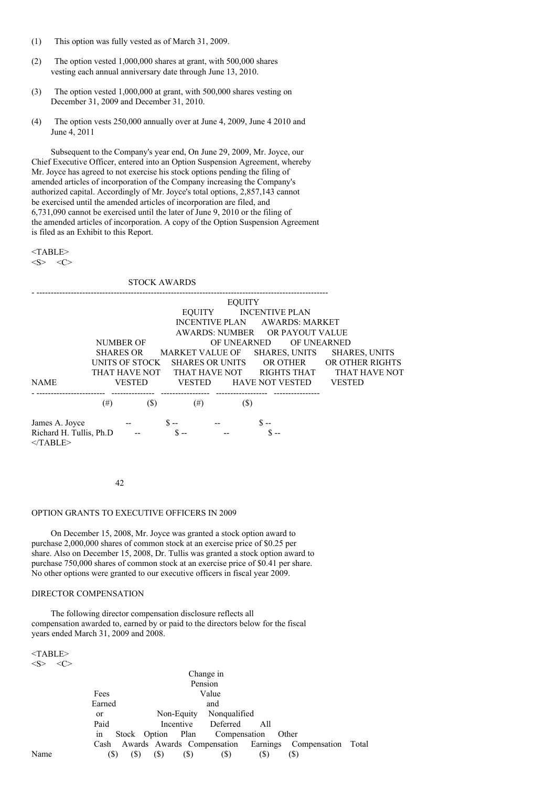- (1) This option was fully vested as of March 31, 2009.
- (2) The option vested 1,000,000 shares at grant, with 500,000 shares vesting each annual anniversary date through June 13, 2010.
- (3) The option vested 1,000,000 at grant, with 500,000 shares vesting on December 31, 2009 and December 31, 2010.
- (4) The option vests 250,000 annually over at June 4, 2009, June 4 2010 and June 4, 2011

Subsequent to the Company's year end, On June 29, 2009, Mr. Joyce, our Chief Executive Officer, entered into an Option Suspension Agreement, whereby Mr. Joyce has agreed to not exercise his stock options pending the filing of amended articles of incorporation of the Company increasing the Company's authorized capital. Accordingly of Mr. Joyce's total options, 2,857,143 cannot be exercised until the amended articles of incorporation are filed, and 6,731,090 cannot be exercised until the later of June 9, 2010 or the filing of the amended articles of incorporation. A copy of the Option Suspension Agreement is filed as an Exhibit to this Report.

 $<$ TABLE $>$  $\langle S \rangle$   $\langle C \rangle$ 

STOCK AWARDS - ------------------------------------------------------------------------------------------------------ EQUITY EQUITY INCENTIVE PLAN INCENTIVE PLAN AWARDS: MARKET AWARDS: NUMBER OR PAYOUT VALUE NUMBER OF OF UNEARNED OF UNEARNED SHARES OR MARKET VALUE OF SHARES, UNITS SHARES, UNITS UNITS OF STOCK SHARES OR UNITS OR OTHER OR OTHER RIGHTS THAT HAVE NOT THAT HAVE NOT RIGHTS THAT THAT HAVE NOT NAME VESTED VESTED HAVE NOT VESTED VESTED - ------------------------ --------------- ----------------- ------------------ ---------------- (#)  $(*)$   $(*)$   $(*)$   $(*)$   $(*)$ James A. Joyce --  $\qquad S -$  --  $\qquad S -$ Richard H. Tullis, Ph.D  $\frac{1}{2}$   $\frac{1}{2}$   $\frac{1}{2}$   $-$ </TABLE>

42

#### OPTION GRANTS TO EXECUTIVE OFFICERS IN 2009

On December 15, 2008, Mr. Joyce was granted a stock option award to purchase 2,000,000 shares of common stock at an exercise price of \$0.25 per share. Also on December 15, 2008, Dr. Tullis was granted a stock option award to purchase 750,000 shares of common stock at an exercise price of \$0.41 per share. No other options were granted to our executive officers in fiscal year 2009.

## DIRECTOR COMPENSATION

The following director compensation disclosure reflects all compensation awarded to, earned by or paid to the directors below for the fiscal years ended March 31, 2009 and 2008.

<TABLE>  $\langle S \rangle$   $\langle C \rangle$ 

|      |               |                                                             | Change in |     |     |  |
|------|---------------|-------------------------------------------------------------|-----------|-----|-----|--|
|      |               |                                                             | Pension   |     |     |  |
|      | Fees          |                                                             | Value     |     |     |  |
|      | Earned        |                                                             | and       |     |     |  |
|      | <sub>or</sub> | Non-Equity Nonqualified                                     |           |     |     |  |
|      | Paid          | Incentive Deferred                                          |           | A11 |     |  |
|      | in            | Stock Option Plan Compensation Other                        |           |     |     |  |
|      |               | Cash Awards Awards Compensation Earnings Compensation Total |           |     |     |  |
| Name | (S)<br>(S)    | (S)<br>(S)                                                  | (S)       | (S) | (S) |  |
|      |               |                                                             |           |     |     |  |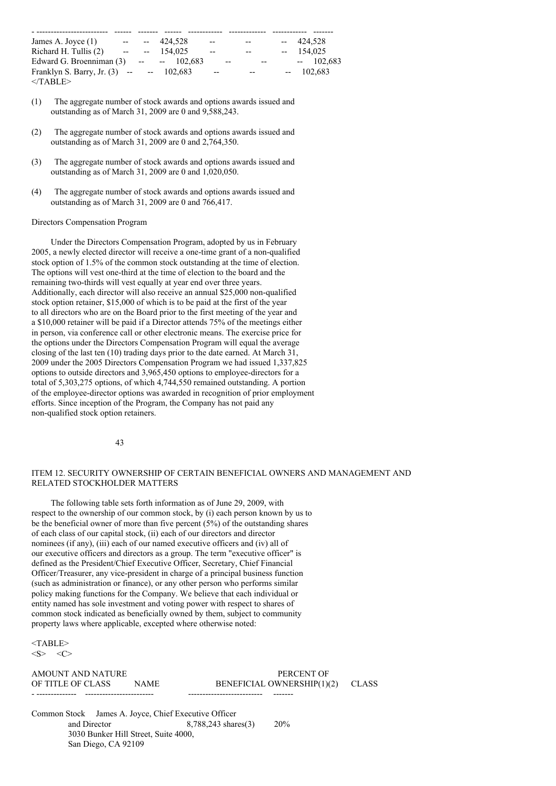| James A. Joyce $(1)$                       | $ -$ |     | $-424.528$ | $\overline{\phantom{a}}$ | $- -$                   | $-424.528$ |
|--------------------------------------------|------|-----|------------|--------------------------|-------------------------|------------|
| Richard H. Tullis (2)                      | $-$  | $-$ | 154.025    | $-$                      | $- -$                   | 154,025    |
| Edward G. Broenniman $(3)$ -- -- 102,683   |      |     |            |                          | $\overline{a}$<br>$- -$ | $-102,683$ |
| Franklyn S. Barry, Jr. $(3)$ -- -- 102,683 |      |     |            | $\overline{\phantom{a}}$ | $-$                     | $-102.683$ |
| $<$ TABLE>                                 |      |     |            |                          |                         |            |

- (1) The aggregate number of stock awards and options awards issued and outstanding as of March 31, 2009 are 0 and 9,588,243.
- (2) The aggregate number of stock awards and options awards issued and outstanding as of March 31, 2009 are 0 and 2,764,350.
- (3) The aggregate number of stock awards and options awards issued and outstanding as of March 31, 2009 are 0 and 1,020,050.
- (4) The aggregate number of stock awards and options awards issued and outstanding as of March 31, 2009 are 0 and 766,417.

## Directors Compensation Program

Under the Directors Compensation Program, adopted by us in February 2005, a newly elected director will receive a one-time grant of a non-qualified stock option of 1.5% of the common stock outstanding at the time of election. The options will vest one-third at the time of election to the board and the remaining two-thirds will vest equally at year end over three years. Additionally, each director will also receive an annual \$25,000 non-qualified stock option retainer, \$15,000 of which is to be paid at the first of the year to all directors who are on the Board prior to the first meeting of the year and a \$10,000 retainer will be paid if a Director attends 75% of the meetings either in person, via conference call or other electronic means. The exercise price for the options under the Directors Compensation Program will equal the average closing of the last ten (10) trading days prior to the date earned. At March 31, 2009 under the 2005 Directors Compensation Program we had issued 1,337,825 options to outside directors and 3,965,450 options to employee-directors for a total of 5,303,275 options, of which 4,744,550 remained outstanding. A portion of the employee-director options was awarded in recognition of prior employment efforts. Since inception of the Program, the Company has not paid any non-qualified stock option retainers.

43

# ITEM 12. SECURITY OWNERSHIP OF CERTAIN BENEFICIAL OWNERS AND MANAGEMENT AND RELATED STOCKHOLDER MATTERS

The following table sets forth information as of June 29, 2009, with respect to the ownership of our common stock, by (i) each person known by us to be the beneficial owner of more than five percent (5%) of the outstanding shares of each class of our capital stock, (ii) each of our directors and director nominees (if any), (iii) each of our named executive officers and (iv) all of our executive officers and directors as a group. The term "executive officer" is defined as the President/Chief Executive Officer, Secretary, Chief Financial Officer/Treasurer, any vice-president in charge of a principal business function (such as administration or finance), or any other person who performs similar policy making functions for the Company. We believe that each individual or entity named has sole investment and voting power with respect to shares of common stock indicated as beneficially owned by them, subject to community property laws where applicable, excepted where otherwise noted:

<TABLE>  $\langle S \rangle$   $\langle C \rangle$ 

AMOUNT AND NATURE **EXECUTE A PERCENT OF** - -------------- ------------------------ -------------------------- -------

OF TITLE OF CLASS NAME BENEFICIAL OWNERSHIP(1)(2) CLASS

Common Stock James A. Joyce, Chief Executive Officer and Director 8,788,243 shares(3) 20% 3030 Bunker Hill Street, Suite 4000, San Diego, CA 92109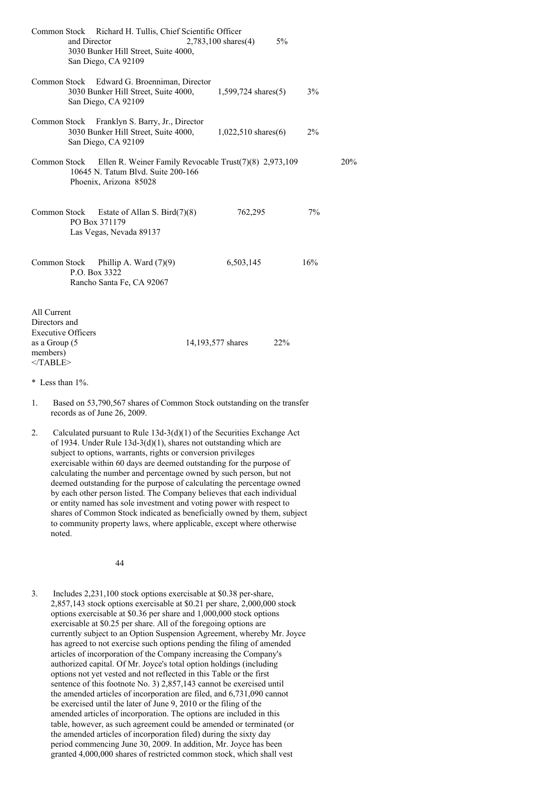|                                                                                                      | Common Stock Richard H. Tullis, Chief Scientific Officer<br>and Director<br>3030 Bunker Hill Street, Suite 4000,<br>San Diego, CA 92109 | 2,783,100 shares(4)      | 5%         |  |
|------------------------------------------------------------------------------------------------------|-----------------------------------------------------------------------------------------------------------------------------------------|--------------------------|------------|--|
| Common Stock                                                                                         | Edward G. Broenniman, Director<br>3030 Bunker Hill Street, Suite 4000,<br>San Diego, CA 92109                                           | $1,599,724$ shares $(5)$ | $3\%$      |  |
| Common Stock                                                                                         | Franklyn S. Barry, Jr., Director<br>3030 Bunker Hill Street, Suite 4000,<br>San Diego, CA 92109                                         | $1,022,510$ shares(6)    | 2%         |  |
| Common Stock                                                                                         | Ellen R. Weiner Family Revocable Trust(7)(8) 2,973,109<br>10645 N. Tatum Blvd. Suite 200-166<br>Phoenix, Arizona 85028                  |                          | 20%        |  |
| Common Stock                                                                                         | Estate of Allan S. Bird $(7)(8)$<br>PO Box 371179<br>Las Vegas, Nevada 89137                                                            | 762,295                  | 7%         |  |
| Common Stock                                                                                         | Phillip A. Ward $(7)(9)$<br>P.O. Box 3322<br>Rancho Santa Fe, CA 92067                                                                  | 6,503,145                | 16%        |  |
| All Current<br>Directors and<br><b>Executive Officers</b><br>as a Group (5<br>members)<br>$<$ TABLE> |                                                                                                                                         | 14,193,577 shares        | <b>22%</b> |  |
| * Less than $1\%$ .                                                                                  |                                                                                                                                         |                          |            |  |
| 1.                                                                                                   | Based on 53,790,567 shares of Common Stock outstanding on the transfer<br>records as of June 26, 2009.                                  |                          |            |  |
|                                                                                                      |                                                                                                                                         |                          |            |  |

2. Calculated pursuant to Rule 13d-3(d)(1) of the Securities Exchange Act of 1934. Under Rule 13d-3(d)(1), shares not outstanding which are subject to options, warrants, rights or conversion privileges exercisable within 60 days are deemed outstanding for the purpose of calculating the number and percentage owned by such person, but not deemed outstanding for the purpose of calculating the percentage owned by each other person listed. The Company believes that each individual or entity named has sole investment and voting power with respect to shares of Common Stock indicated as beneficially owned by them, subject to community property laws, where applicable, except where otherwise noted.

44

3. Includes 2,231,100 stock options exercisable at \$0.38 per-share, 2,857,143 stock options exercisable at \$0.21 per share, 2,000,000 stock options exercisable at \$0.36 per share and 1,000,000 stock options exercisable at \$0.25 per share. All of the foregoing options are currently subject to an Option Suspension Agreement, whereby Mr. Joyce has agreed to not exercise such options pending the filing of amended articles of incorporation of the Company increasing the Company's authorized capital. Of Mr. Joyce's total option holdings (including options not yet vested and not reflected in this Table or the first sentence of this footnote No. 3) 2,857,143 cannot be exercised until the amended articles of incorporation are filed, and 6,731,090 cannot be exercised until the later of June 9, 2010 or the filing of the amended articles of incorporation. The options are included in this table, however, as such agreement could be amended or terminated (or the amended articles of incorporation filed) during the sixty day period commencing June 30, 2009. In addition, Mr. Joyce has been granted 4,000,000 shares of restricted common stock, which shall vest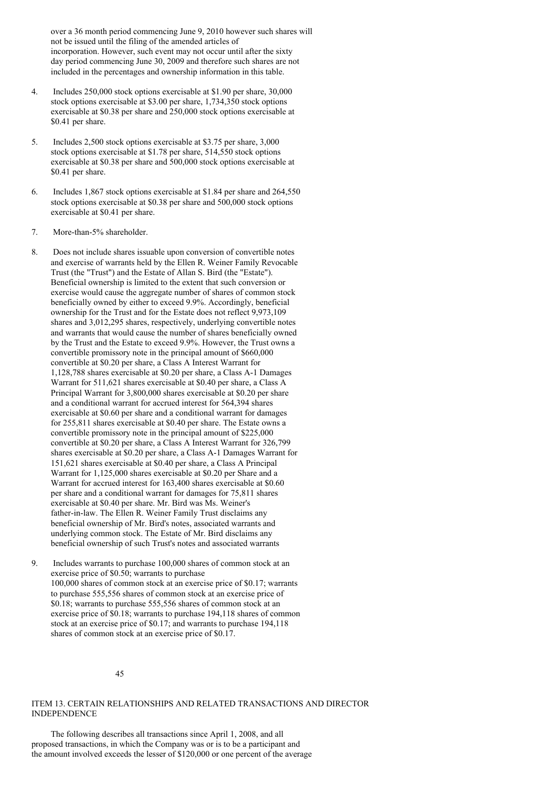over a 36 month period commencing June 9, 2010 however such shares will not be issued until the filing of the amended articles of incorporation. However, such event may not occur until after the sixty day period commencing June 30, 2009 and therefore such shares are not included in the percentages and ownership information in this table.

- 4. Includes 250,000 stock options exercisable at \$1.90 per share, 30,000 stock options exercisable at \$3.00 per share, 1,734,350 stock options exercisable at \$0.38 per share and 250,000 stock options exercisable at \$0.41 per share.
- 5. Includes 2,500 stock options exercisable at \$3.75 per share, 3,000 stock options exercisable at \$1.78 per share, 514,550 stock options exercisable at \$0.38 per share and 500,000 stock options exercisable at \$0.41 per share.
- 6. Includes 1,867 stock options exercisable at \$1.84 per share and 264,550 stock options exercisable at \$0.38 per share and 500,000 stock options exercisable at \$0.41 per share.
- 7. More-than-5% shareholder.
- 8. Does not include shares issuable upon conversion of convertible notes and exercise of warrants held by the Ellen R. Weiner Family Revocable Trust (the "Trust") and the Estate of Allan S. Bird (the "Estate"). Beneficial ownership is limited to the extent that such conversion or exercise would cause the aggregate number of shares of common stock beneficially owned by either to exceed 9.9%. Accordingly, beneficial ownership for the Trust and for the Estate does not reflect 9,973,109 shares and 3,012,295 shares, respectively, underlying convertible notes and warrants that would cause the number of shares beneficially owned by the Trust and the Estate to exceed 9.9%. However, the Trust owns a convertible promissory note in the principal amount of \$660,000 convertible at \$0.20 per share, a Class A Interest Warrant for 1,128,788 shares exercisable at \$0.20 per share, a Class A-1 Damages Warrant for 511,621 shares exercisable at \$0.40 per share, a Class A Principal Warrant for 3,800,000 shares exercisable at \$0.20 per share and a conditional warrant for accrued interest for 564,394 shares exercisable at \$0.60 per share and a conditional warrant for damages for 255,811 shares exercisable at \$0.40 per share. The Estate owns a convertible promissory note in the principal amount of \$225,000 convertible at \$0.20 per share, a Class A Interest Warrant for 326,799 shares exercisable at \$0.20 per share, a Class A-1 Damages Warrant for 151,621 shares exercisable at \$0.40 per share, a Class A Principal Warrant for 1,125,000 shares exercisable at \$0.20 per Share and a Warrant for accrued interest for 163,400 shares exercisable at \$0.60 per share and a conditional warrant for damages for 75,811 shares exercisable at \$0.40 per share. Mr. Bird was Ms. Weiner's father-in-law. The Ellen R. Weiner Family Trust disclaims any beneficial ownership of Mr. Bird's notes, associated warrants and underlying common stock. The Estate of Mr. Bird disclaims any beneficial ownership of such Trust's notes and associated warrants
- 9. Includes warrants to purchase 100,000 shares of common stock at an exercise price of \$0.50; warrants to purchase 100,000 shares of common stock at an exercise price of \$0.17; warrants to purchase 555,556 shares of common stock at an exercise price of \$0.18; warrants to purchase 555,556 shares of common stock at an exercise price of \$0.18; warrants to purchase 194,118 shares of common stock at an exercise price of \$0.17; and warrants to purchase 194,118 shares of common stock at an exercise price of \$0.17.

45

# ITEM 13. CERTAIN RELATIONSHIPS AND RELATED TRANSACTIONS AND DIRECTOR INDEPENDENCE

The following describes all transactions since April 1, 2008, and all proposed transactions, in which the Company was or is to be a participant and the amount involved exceeds the lesser of \$120,000 or one percent of the average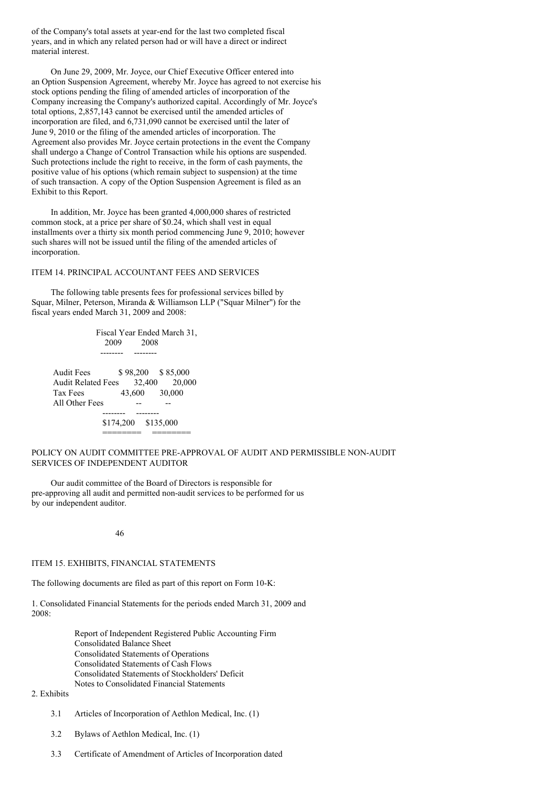of the Company's total assets at year-end for the last two completed fiscal years, and in which any related person had or will have a direct or indirect material interest.

On June 29, 2009, Mr. Joyce, our Chief Executive Officer entered into an Option Suspension Agreement, whereby Mr. Joyce has agreed to not exercise his stock options pending the filing of amended articles of incorporation of the Company increasing the Company's authorized capital. Accordingly of Mr. Joyce's total options, 2,857,143 cannot be exercised until the amended articles of incorporation are filed, and 6,731,090 cannot be exercised until the later of June 9, 2010 or the filing of the amended articles of incorporation. The Agreement also provides Mr. Joyce certain protections in the event the Company shall undergo a Change of Control Transaction while his options are suspended. Such protections include the right to receive, in the form of cash payments, the positive value of his options (which remain subject to suspension) at the time of such transaction. A copy of the Option Suspension Agreement is filed as an Exhibit to this Report.

In addition, Mr. Joyce has been granted 4,000,000 shares of restricted common stock, at a price per share of \$0.24, which shall vest in equal installments over a thirty six month period commencing June 9, 2010; however such shares will not be issued until the filing of the amended articles of incorporation.

# ITEM 14. PRINCIPAL ACCOUNTANT FEES AND SERVICES

The following table presents fees for professional services billed by Squar, Milner, Peterson, Miranda & Williamson LLP ("Squar Milner") for the fiscal years ended March 31, 2009 and 2008:

Fiscal Year Ended March 31, 2009 2008 -------- -------- Audit Fees \$98,200 \$85,000 Audit Related Fees 32,400 20,000 Tax Fees 43,600 30,000 All Other Fees ---------- -------- \$174,200 \$135,000 ======== ========

# POLICY ON AUDIT COMMITTEE PRE-APPROVAL OF AUDIT AND PERMISSIBLE NON-AUDIT SERVICES OF INDEPENDENT AUDITOR

Our audit committee of the Board of Directors is responsible for pre-approving all audit and permitted non-audit services to be performed for us by our independent auditor.

46

#### ITEM 15. EXHIBITS, FINANCIAL STATEMENTS

The following documents are filed as part of this report on Form 10-K:

1. Consolidated Financial Statements for the periods ended March 31, 2009 and 2008:

> Report of Independent Registered Public Accounting Firm Consolidated Balance Sheet Consolidated Statements of Operations Consolidated Statements of Cash Flows Consolidated Statements of Stockholders' Deficit Notes to Consolidated Financial Statements

# 2. Exhibits

- 3.1 Articles of Incorporation of Aethlon Medical, Inc. (1)
- 3.2 Bylaws of Aethlon Medical, Inc. (1)
- 3.3 Certificate of Amendment of Articles of Incorporation dated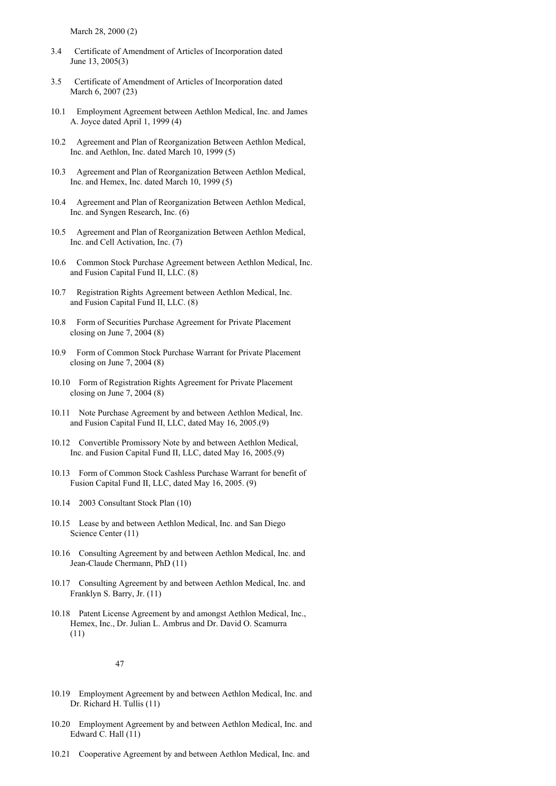March 28, 2000 (2)

- 3.4 Certificate of Amendment of Articles of Incorporation dated June 13, 2005(3)
- 3.5 Certificate of Amendment of Articles of Incorporation dated March 6, 2007 (23)
- 10.1 Employment Agreement between Aethlon Medical, Inc. and James A. Joyce dated April 1, 1999 (4)
- 10.2 Agreement and Plan of Reorganization Between Aethlon Medical, Inc. and Aethlon, Inc. dated March 10, 1999 (5)
- 10.3 Agreement and Plan of Reorganization Between Aethlon Medical, Inc. and Hemex, Inc. dated March 10, 1999 (5)
- 10.4 Agreement and Plan of Reorganization Between Aethlon Medical, Inc. and Syngen Research, Inc. (6)
- 10.5 Agreement and Plan of Reorganization Between Aethlon Medical, Inc. and Cell Activation, Inc. (7)
- 10.6 Common Stock Purchase Agreement between Aethlon Medical, Inc. and Fusion Capital Fund II, LLC. (8)
- 10.7 Registration Rights Agreement between Aethlon Medical, Inc. and Fusion Capital Fund II, LLC. (8)
- 10.8 Form of Securities Purchase Agreement for Private Placement closing on June 7, 2004 (8)
- 10.9 Form of Common Stock Purchase Warrant for Private Placement closing on June 7, 2004 (8)
- 10.10 Form of Registration Rights Agreement for Private Placement closing on June 7, 2004 (8)
- 10.11 Note Purchase Agreement by and between Aethlon Medical, Inc. and Fusion Capital Fund II, LLC, dated May 16, 2005.(9)
- 10.12 Convertible Promissory Note by and between Aethlon Medical, Inc. and Fusion Capital Fund II, LLC, dated May 16, 2005.(9)
- 10.13 Form of Common Stock Cashless Purchase Warrant for benefit of Fusion Capital Fund II, LLC, dated May 16, 2005. (9)
- 10.14 2003 Consultant Stock Plan (10)
- 10.15 Lease by and between Aethlon Medical, Inc. and San Diego Science Center (11)
- 10.16 Consulting Agreement by and between Aethlon Medical, Inc. and Jean-Claude Chermann, PhD (11)
- 10.17 Consulting Agreement by and between Aethlon Medical, Inc. and Franklyn S. Barry, Jr. (11)
- 10.18 Patent License Agreement by and amongst Aethlon Medical, Inc., Hemex, Inc., Dr. Julian L. Ambrus and Dr. David O. Scamurra (11)

## 47

- 10.19 Employment Agreement by and between Aethlon Medical, Inc. and Dr. Richard H. Tullis (11)
- 10.20 Employment Agreement by and between Aethlon Medical, Inc. and Edward C. Hall (11)
- 10.21 Cooperative Agreement by and between Aethlon Medical, Inc. and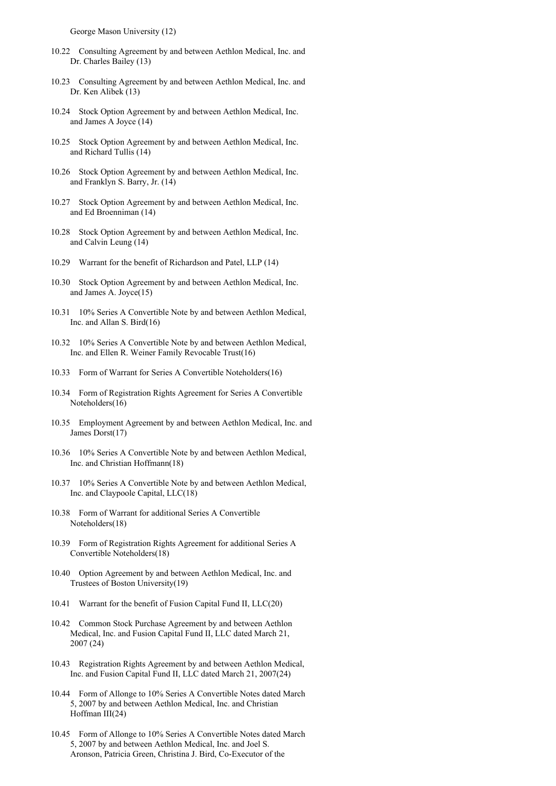George Mason University (12)

- 10.22 Consulting Agreement by and between Aethlon Medical, Inc. and Dr. Charles Bailey (13)
- 10.23 Consulting Agreement by and between Aethlon Medical, Inc. and Dr. Ken Alibek (13)
- 10.24 Stock Option Agreement by and between Aethlon Medical, Inc. and James A Joyce (14)
- 10.25 Stock Option Agreement by and between Aethlon Medical, Inc. and Richard Tullis (14)
- 10.26 Stock Option Agreement by and between Aethlon Medical, Inc. and Franklyn S. Barry, Jr. (14)
- 10.27 Stock Option Agreement by and between Aethlon Medical, Inc. and Ed Broenniman (14)
- 10.28 Stock Option Agreement by and between Aethlon Medical, Inc. and Calvin Leung (14)
- 10.29 Warrant for the benefit of Richardson and Patel, LLP (14)
- 10.30 Stock Option Agreement by and between Aethlon Medical, Inc. and James A. Joyce(15)
- 10.31 10% Series A Convertible Note by and between Aethlon Medical, Inc. and Allan S. Bird(16)
- 10.32 10% Series A Convertible Note by and between Aethlon Medical, Inc. and Ellen R. Weiner Family Revocable Trust(16)
- 10.33 Form of Warrant for Series A Convertible Noteholders(16)
- 10.34 Form of Registration Rights Agreement for Series A Convertible Noteholders(16)
- 10.35 Employment Agreement by and between Aethlon Medical, Inc. and James Dorst(17)
- 10.36 10% Series A Convertible Note by and between Aethlon Medical, Inc. and Christian Hoffmann(18)
- 10.37 10% Series A Convertible Note by and between Aethlon Medical, Inc. and Claypoole Capital, LLC(18)
- 10.38 Form of Warrant for additional Series A Convertible Noteholders(18)
- 10.39 Form of Registration Rights Agreement for additional Series A Convertible Noteholders(18)
- 10.40 Option Agreement by and between Aethlon Medical, Inc. and Trustees of Boston University(19)
- 10.41 Warrant for the benefit of Fusion Capital Fund II, LLC(20)
- 10.42 Common Stock Purchase Agreement by and between Aethlon Medical, Inc. and Fusion Capital Fund II, LLC dated March 21, 2007 (24)
- 10.43 Registration Rights Agreement by and between Aethlon Medical, Inc. and Fusion Capital Fund II, LLC dated March 21, 2007(24)
- 10.44 Form of Allonge to 10% Series A Convertible Notes dated March 5, 2007 by and between Aethlon Medical, Inc. and Christian Hoffman III(24)
- 10.45 Form of Allonge to 10% Series A Convertible Notes dated March 5, 2007 by and between Aethlon Medical, Inc. and Joel S. Aronson, Patricia Green, Christina J. Bird, Co-Executor of the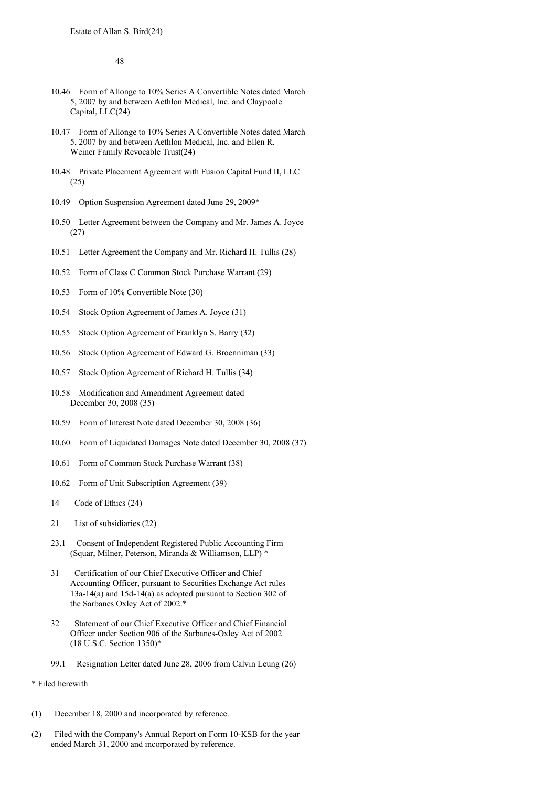48

- 10.46 Form of Allonge to 10% Series A Convertible Notes dated March 5, 2007 by and between Aethlon Medical, Inc. and Claypoole Capital, LLC(24)
- 10.47 Form of Allonge to 10% Series A Convertible Notes dated March 5, 2007 by and between Aethlon Medical, Inc. and Ellen R. Weiner Family Revocable Trust(24)
- 10.48 Private Placement Agreement with Fusion Capital Fund II, LLC (25)
- 10.49 Option Suspension Agreement dated June 29, 2009\*
- 10.50 Letter Agreement between the Company and Mr. James A. Joyce (27)
- 10.51 Letter Agreement the Company and Mr. Richard H. Tullis (28)
- 10.52 Form of Class C Common Stock Purchase Warrant (29)
- 10.53 Form of 10% Convertible Note (30)
- 10.54 Stock Option Agreement of James A. Joyce (31)
- 10.55 Stock Option Agreement of Franklyn S. Barry (32)
- 10.56 Stock Option Agreement of Edward G. Broenniman (33)
- 10.57 Stock Option Agreement of Richard H. Tullis (34)
- 10.58 Modification and Amendment Agreement dated December 30, 2008 (35)
- 10.59 Form of Interest Note dated December 30, 2008 (36)
- 10.60 Form of Liquidated Damages Note dated December 30, 2008 (37)
- 10.61 Form of Common Stock Purchase Warrant (38)
- 10.62 Form of Unit Subscription Agreement (39)
- 14 Code of Ethics (24)
- 21 List of subsidiaries (22)
- 23.1 Consent of Independent Registered Public Accounting Firm (Squar, Milner, Peterson, Miranda & Williamson, LLP) \*
- 31 Certification of our Chief Executive Officer and Chief Accounting Officer, pursuant to Securities Exchange Act rules 13a-14(a) and 15d-14(a) as adopted pursuant to Section 302 of the Sarbanes Oxley Act of 2002.\*
- 32 Statement of our Chief Executive Officer and Chief Financial Officer under Section 906 of the Sarbanes-Oxley Act of 2002 (18 U.S.C. Section 1350)\*
- 99.1 Resignation Letter dated June 28, 2006 from Calvin Leung (26)
- \* Filed herewith
- (1) December 18, 2000 and incorporated by reference.
- (2) Filed with the Company's Annual Report on Form 10-KSB for the year ended March 31, 2000 and incorporated by reference.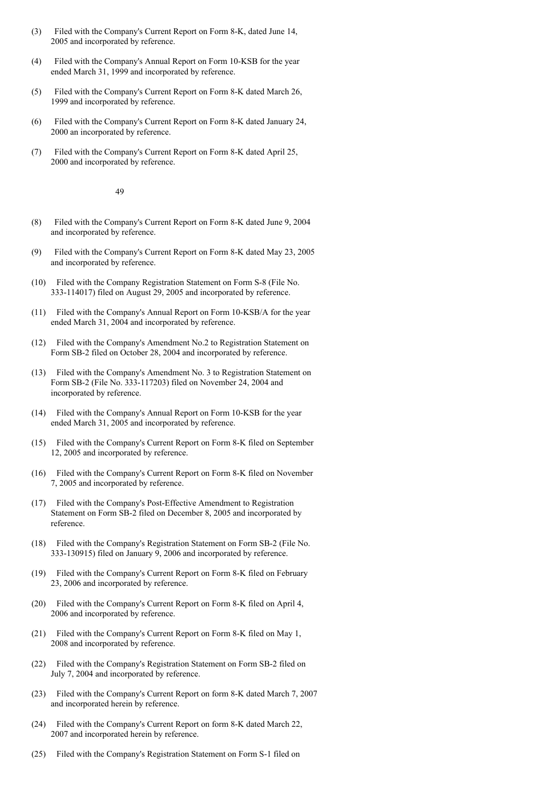- (3) Filed with the Company's Current Report on Form 8-K, dated June 14, 2005 and incorporated by reference.
- (4) Filed with the Company's Annual Report on Form 10-KSB for the year ended March 31, 1999 and incorporated by reference.
- (5) Filed with the Company's Current Report on Form 8-K dated March 26, 1999 and incorporated by reference.
- (6) Filed with the Company's Current Report on Form 8-K dated January 24, 2000 an incorporated by reference.
- (7) Filed with the Company's Current Report on Form 8-K dated April 25, 2000 and incorporated by reference.

49

- (8) Filed with the Company's Current Report on Form 8-K dated June 9, 2004 and incorporated by reference.
- (9) Filed with the Company's Current Report on Form 8-K dated May 23, 2005 and incorporated by reference.
- (10) Filed with the Company Registration Statement on Form S-8 (File No. 333-114017) filed on August 29, 2005 and incorporated by reference.
- (11) Filed with the Company's Annual Report on Form 10-KSB/A for the year ended March 31, 2004 and incorporated by reference.
- (12) Filed with the Company's Amendment No.2 to Registration Statement on Form SB-2 filed on October 28, 2004 and incorporated by reference.
- (13) Filed with the Company's Amendment No. 3 to Registration Statement on Form SB-2 (File No. 333-117203) filed on November 24, 2004 and incorporated by reference.
- (14) Filed with the Company's Annual Report on Form 10-KSB for the year ended March 31, 2005 and incorporated by reference.
- (15) Filed with the Company's Current Report on Form 8-K filed on September 12, 2005 and incorporated by reference.
- (16) Filed with the Company's Current Report on Form 8-K filed on November 7, 2005 and incorporated by reference.
- (17) Filed with the Company's Post-Effective Amendment to Registration Statement on Form SB-2 filed on December 8, 2005 and incorporated by reference.
- (18) Filed with the Company's Registration Statement on Form SB-2 (File No. 333-130915) filed on January 9, 2006 and incorporated by reference.
- (19) Filed with the Company's Current Report on Form 8-K filed on February 23, 2006 and incorporated by reference.
- (20) Filed with the Company's Current Report on Form 8-K filed on April 4, 2006 and incorporated by reference.
- (21) Filed with the Company's Current Report on Form 8-K filed on May 1, 2008 and incorporated by reference.
- (22) Filed with the Company's Registration Statement on Form SB-2 filed on July 7, 2004 and incorporated by reference.
- (23) Filed with the Company's Current Report on form 8-K dated March 7, 2007 and incorporated herein by reference.
- (24) Filed with the Company's Current Report on form 8-K dated March 22, 2007 and incorporated herein by reference.
- (25) Filed with the Company's Registration Statement on Form S-1 filed on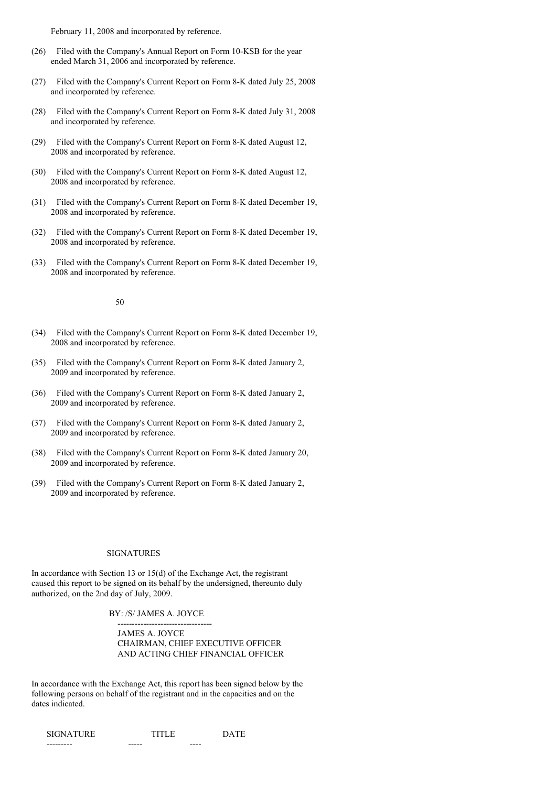February 11, 2008 and incorporated by reference.

- (26) Filed with the Company's Annual Report on Form 10-KSB for the year ended March 31, 2006 and incorporated by reference.
- (27) Filed with the Company's Current Report on Form 8-K dated July 25, 2008 and incorporated by reference.
- (28) Filed with the Company's Current Report on Form 8-K dated July 31, 2008 and incorporated by reference.
- (29) Filed with the Company's Current Report on Form 8-K dated August 12, 2008 and incorporated by reference.
- (30) Filed with the Company's Current Report on Form 8-K dated August 12, 2008 and incorporated by reference.
- (31) Filed with the Company's Current Report on Form 8-K dated December 19, 2008 and incorporated by reference.
- (32) Filed with the Company's Current Report on Form 8-K dated December 19, 2008 and incorporated by reference.
- (33) Filed with the Company's Current Report on Form 8-K dated December 19, 2008 and incorporated by reference.

#### 50

- (34) Filed with the Company's Current Report on Form 8-K dated December 19, 2008 and incorporated by reference.
- (35) Filed with the Company's Current Report on Form 8-K dated January 2, 2009 and incorporated by reference.
- (36) Filed with the Company's Current Report on Form 8-K dated January 2, 2009 and incorporated by reference.
- (37) Filed with the Company's Current Report on Form 8-K dated January 2, 2009 and incorporated by reference.
- (38) Filed with the Company's Current Report on Form 8-K dated January 20, 2009 and incorporated by reference.
- (39) Filed with the Company's Current Report on Form 8-K dated January 2, 2009 and incorporated by reference.

#### SIGNATURES

In accordance with Section 13 or 15(d) of the Exchange Act, the registrant caused this report to be signed on its behalf by the undersigned, thereunto duly authorized, on the 2nd day of July, 2009.

---------------------------------

BY: /S/ JAMES A. JOYCE

JAMES A. JOYCE CHAIRMAN, CHIEF EXECUTIVE OFFICER AND ACTING CHIEF FINANCIAL OFFICER

In accordance with the Exchange Act, this report has been signed below by the following persons on behalf of the registrant and in the capacities and on the dates indicated.

| <b>SIGNATURE</b> | TITI F |      | <b>DATE</b> |
|------------------|--------|------|-------------|
| --------         | -----  | ---- |             |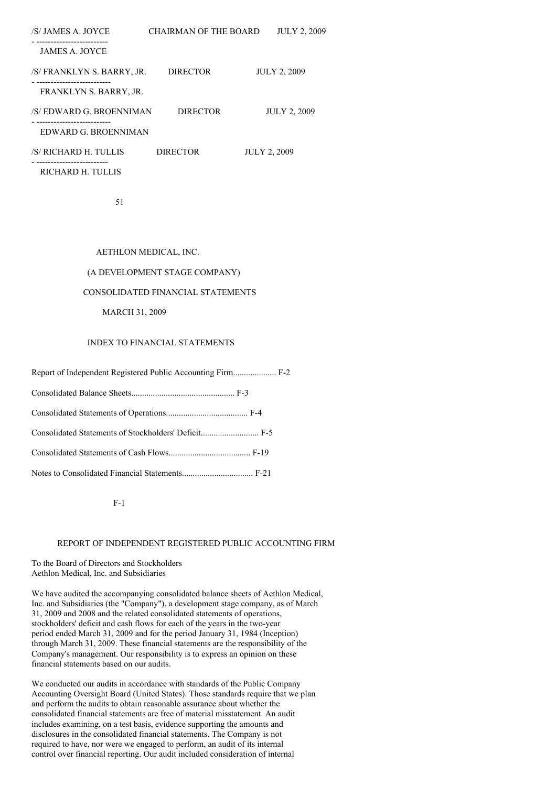| CHAIRMAN OF THE BOARD                      | <b>JULY 2, 2009</b> |
|--------------------------------------------|---------------------|
|                                            |                     |
| <b>DIRECTOR</b>                            | <b>JULY 2, 2009</b> |
|                                            |                     |
| /S/EDWARD G. BROENNIMAN<br><b>DIRECTOR</b> | <b>JULY 2, 2009</b> |
| EDWARD G. BROENNIMAN                       |                     |
| <b>DIRECTOR</b>                            | <b>JULY 2, 2009</b> |
|                                            |                     |

RICHARD H. TULLIS

51

# AETHLON MEDICAL, INC.

# (A DEVELOPMENT STAGE COMPANY)

# CONSOLIDATED FINANCIAL STATEMENTS

# MARCH 31, 2009

# INDEX TO FINANCIAL STATEMENTS

| Consolidated Statements of Stockholders' Deficit F-5 |  |
|------------------------------------------------------|--|
|                                                      |  |
|                                                      |  |

## F-1

## REPORT OF INDEPENDENT REGISTERED PUBLIC ACCOUNTING FIRM

## To the Board of Directors and Stockholders Aethlon Medical, Inc. and Subsidiaries

We have audited the accompanying consolidated balance sheets of Aethlon Medical, Inc. and Subsidiaries (the "Company"), a development stage company, as of March 31, 2009 and 2008 and the related consolidated statements of operations, stockholders' deficit and cash flows for each of the years in the two-year period ended March 31, 2009 and for the period January 31, 1984 (Inception) through March 31, 2009. These financial statements are the responsibility of the Company's management. Our responsibility is to express an opinion on these financial statements based on our audits.

We conducted our audits in accordance with standards of the Public Company Accounting Oversight Board (United States). Those standards require that we plan and perform the audits to obtain reasonable assurance about whether the consolidated financial statements are free of material misstatement. An audit includes examining, on a test basis, evidence supporting the amounts and disclosures in the consolidated financial statements. The Company is not required to have, nor were we engaged to perform, an audit of its internal control over financial reporting. Our audit included consideration of internal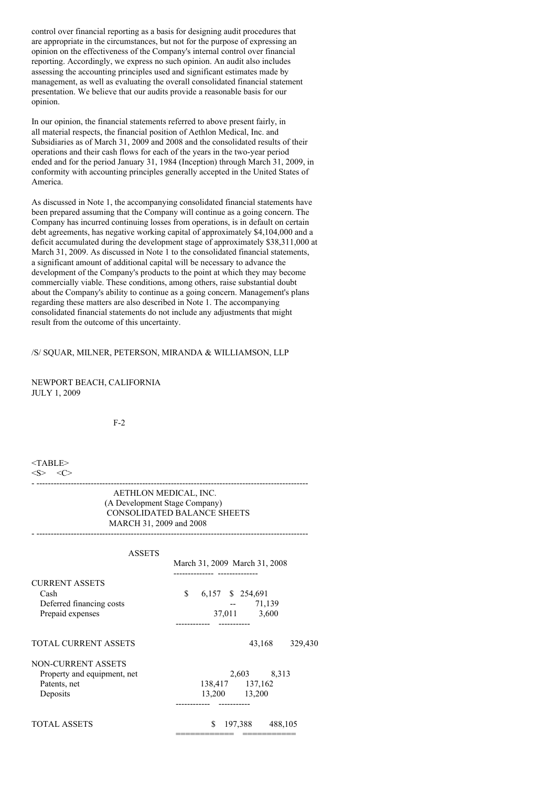control over financial reporting as a basis for designing audit procedures that are appropriate in the circumstances, but not for the purpose of expressing an opinion on the effectiveness of the Company's internal control over financial reporting. Accordingly, we express no such opinion. An audit also includes assessing the accounting principles used and significant estimates made by management, as well as evaluating the overall consolidated financial statement presentation. We believe that our audits provide a reasonable basis for our opinion.

In our opinion, the financial statements referred to above present fairly, in all material respects, the financial position of Aethlon Medical, Inc. and Subsidiaries as of March 31, 2009 and 2008 and the consolidated results of their operations and their cash flows for each of the years in the two-year period ended and for the period January 31, 1984 (Inception) through March 31, 2009, in conformity with accounting principles generally accepted in the United States of America.

As discussed in Note 1, the accompanying consolidated financial statements have been prepared assuming that the Company will continue as a going concern. The Company has incurred continuing losses from operations, is in default on certain debt agreements, has negative working capital of approximately \$4,104,000 and a deficit accumulated during the development stage of approximately \$38,311,000 at March 31, 2009. As discussed in Note 1 to the consolidated financial statements, a significant amount of additional capital will be necessary to advance the development of the Company's products to the point at which they may become commercially viable. These conditions, among others, raise substantial doubt about the Company's ability to continue as a going concern. Management's plans regarding these matters are also described in Note 1. The accompanying consolidated financial statements do not include any adjustments that might result from the outcome of this uncertainty.

## /S/ SQUAR, MILNER, PETERSON, MIRANDA & WILLIAMSON, LLP

NEWPORT BEACH, CALIFORNIA JULY 1, 2009

 $F-2$ 

# <TABLE>  $$   $<$ C>

AETHLON MEDICAL, INC. (A Development Stage Company) CONSOLIDATED BALANCE SHEETS MARCH 31, 2009 and 2008

- -----------------------------------------------------------------------------------------------

- -----------------------------------------------------------------------------------------------

| <b>ASSETS</b>                                                                 | March 31, 2009 March 31, 2008                                                          |
|-------------------------------------------------------------------------------|----------------------------------------------------------------------------------------|
| <b>CURRENT ASSETS</b><br>Cash<br>Deferred financing costs<br>Prepaid expenses | ------------- ---------------<br>\$<br>6,157<br>\$254,691<br>71,139<br>37,011<br>3,600 |
| TOTAL CURRENT ASSETS                                                          | 43,168<br>329,430                                                                      |
| NON-CURRENT ASSETS<br>Property and equipment, net<br>Patents, net<br>Deposits | 2,603<br>8,313<br>138,417 137,162<br>13,200 13,200<br>----------                       |
| TOTAL ASSETS                                                                  | \$<br>197,388<br>488,105                                                               |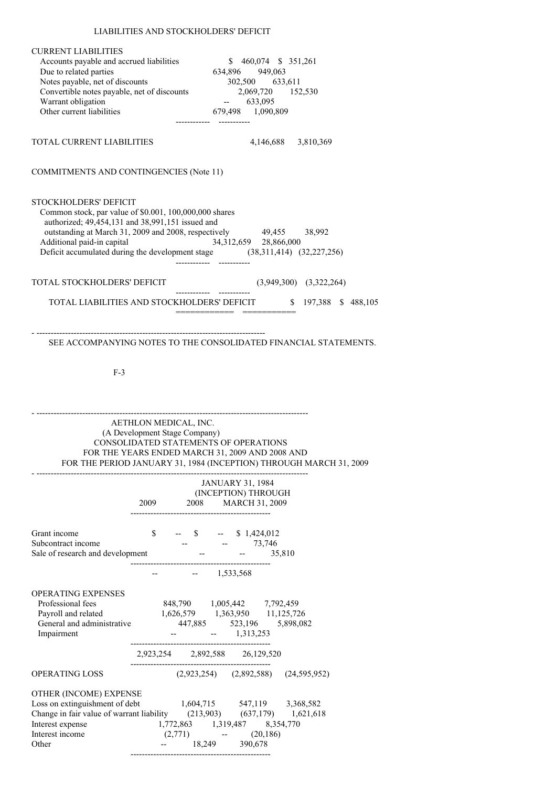# LIABILITIES AND STOCKHOLDERS' DEFICIT

| <b>CURRENT LIABILITIES</b><br>Accounts payable and accrued liabilities<br>Due to related parties<br>Notes payable, net of discounts<br>Convertible notes payable, net of discounts                                                                                                                                           |                                                                                                                                                    |                         | $$460,074$ \$ 351,261<br>634,896 949,063<br>302,500 633,611<br>2,069,720 152,530           |                                                                    |
|------------------------------------------------------------------------------------------------------------------------------------------------------------------------------------------------------------------------------------------------------------------------------------------------------------------------------|----------------------------------------------------------------------------------------------------------------------------------------------------|-------------------------|--------------------------------------------------------------------------------------------|--------------------------------------------------------------------|
| Warrant obligation<br>Other current liabilities                                                                                                                                                                                                                                                                              |                                                                                                                                                    |                         | $-633,095$                                                                                 |                                                                    |
|                                                                                                                                                                                                                                                                                                                              |                                                                                                                                                    | ----------              | 679,498 1,090,809                                                                          |                                                                    |
| TOTAL CURRENT LIABILITIES                                                                                                                                                                                                                                                                                                    |                                                                                                                                                    |                         | 4,146,688 3,810,369                                                                        |                                                                    |
| <b>COMMITMENTS AND CONTINGENCIES (Note 11)</b>                                                                                                                                                                                                                                                                               |                                                                                                                                                    |                         |                                                                                            |                                                                    |
| <b>STOCKHOLDERS' DEFICIT</b><br>Common stock, par value of \$0.001, 100,000,000 shares<br>authorized; 49,454,131 and 38,991,151 issued and<br>outstanding at March 31, 2009 and 2008, respectively 49,455 38,992<br>Additional paid-in capital<br>Deficit accumulated during the development stage (38,311,414) (32,227,256) |                                                                                                                                                    |                         | $34,312,659$ $28,866,000$                                                                  |                                                                    |
| TOTAL STOCKHOLDERS' DEFICIT                                                                                                                                                                                                                                                                                                  |                                                                                                                                                    |                         |                                                                                            | $(3,949,300)$ $(3,322,264)$                                        |
| TOTAL LIABILITIES AND STOCKHOLDERS' DEFICIT                                                                                                                                                                                                                                                                                  |                                                                                                                                                    |                         |                                                                                            | \$ 197,388 \$ 488,105                                              |
| $F-3$                                                                                                                                                                                                                                                                                                                        |                                                                                                                                                    |                         |                                                                                            |                                                                    |
|                                                                                                                                                                                                                                                                                                                              | AETHLON MEDICAL, INC.<br>(A Development Stage Company)<br>CONSOLIDATED STATEMENTS OF OPERATIONS<br>FOR THE YEARS ENDED MARCH 31, 2009 AND 2008 AND |                         | -------------------------------                                                            | FOR THE PERIOD JANUARY 31, 1984 (INCEPTION) THROUGH MARCH 31, 2009 |
|                                                                                                                                                                                                                                                                                                                              |                                                                                                                                                    | <b>JANUARY 31, 1984</b> |                                                                                            |                                                                    |
|                                                                                                                                                                                                                                                                                                                              | 2009                                                                                                                                               | 2008 MARCH 31, 2009     | (INCEPTION) THROUGH                                                                        |                                                                    |
| Grant income<br>Sale of research and development<br>35                                                                                                                                                                                                                                                                       | $\mathbb{S}$                                                                                                                                       | $-$ \$ $-$ \$ 1,424,012 | $   35,810$                                                                                |                                                                    |
|                                                                                                                                                                                                                                                                                                                              |                                                                                                                                                    | $  1,533,568$           |                                                                                            |                                                                    |
| <b>OPERATING EXPENSES</b><br>Professional fees<br>Payroll and related<br>General and administrative<br>Impairment                                                                                                                                                                                                            |                                                                                                                                                    | $  1,313,253$           | 848,790 1,005,442 7,792,459<br>1,626,579 1,363,950 11,125,726<br>447,885 523,196 5,898,082 |                                                                    |
|                                                                                                                                                                                                                                                                                                                              | 2,923,254 2,892,588 26,129,520                                                                                                                     |                         |                                                                                            |                                                                    |
| <b>OPERATING LOSS</b>                                                                                                                                                                                                                                                                                                        |                                                                                                                                                    |                         | $(2,923,254)$ $(2,892,588)$ $(24,595,952)$                                                 |                                                                    |
| OTHER (INCOME) EXPENSE<br>Loss on extinguishment of debt<br>1,604,715 547,119 3,368,582<br>Change in fair value of warrant liability (213,903) (637,179) 1,621,618<br>Interest expense<br>Interest income                                                                                                                    | 1,772,863 1,319,487 8,354,770                                                                                                                      |                         | $(2,771)$ -- $(20,186)$                                                                    |                                                                    |

Other -- 18,249 390,678

-------------------------------------------------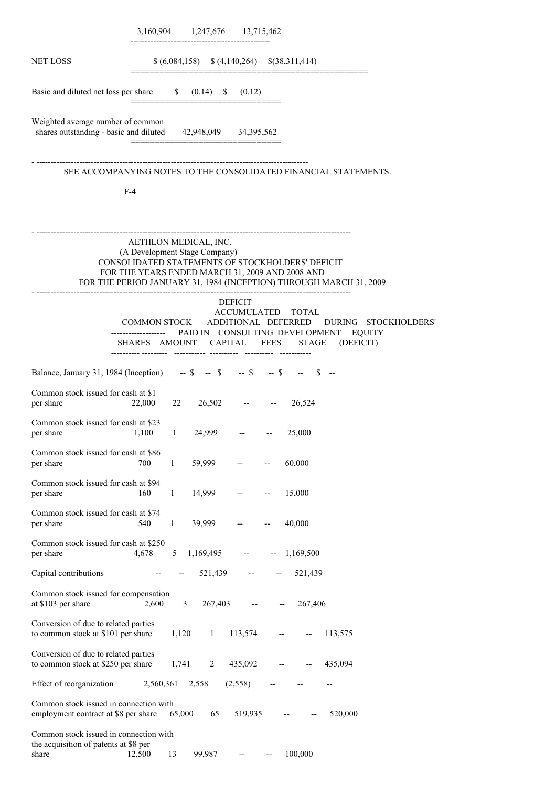|                                                                                                   |                                                        | 3,160,904 1,247,676 13,715,462                        |                |                                                                                                                                                                                                                     |
|---------------------------------------------------------------------------------------------------|--------------------------------------------------------|-------------------------------------------------------|----------------|---------------------------------------------------------------------------------------------------------------------------------------------------------------------------------------------------------------------|
| <b>NET LOSS</b>                                                                                   |                                                        | $$(6,084,158) \quad $(4,140,264) \quad $(38,311,414)$ |                |                                                                                                                                                                                                                     |
| Basic and diluted net loss per share \$ (0.14) \$ (0.12)                                          |                                                        |                                                       |                |                                                                                                                                                                                                                     |
| Weighted average number of common<br>shares outstanding - basic and diluted 42,948,049 34,395,562 |                                                        |                                                       |                |                                                                                                                                                                                                                     |
|                                                                                                   |                                                        |                                                       |                | SEE ACCOMPANYING NOTES TO THE CONSOLIDATED FINANCIAL STATEMENTS.                                                                                                                                                    |
| $F-4$                                                                                             |                                                        |                                                       |                |                                                                                                                                                                                                                     |
|                                                                                                   | AETHLON MEDICAL, INC.<br>(A Development Stage Company) |                                                       | DEFICIT        | --------------------------------------<br>CONSOLIDATED STATEMENTS OF STOCKHOLDERS' DEFICIT<br>FOR THE YEARS ENDED MARCH 31, 2009 AND 2008 AND<br>FOR THE PERIOD JANUARY 31, 1984 (INCEPTION) THROUGH MARCH 31, 2009 |
|                                                                                                   |                                                        |                                                       |                | ACCUMULATED TOTAL<br>COMMON STOCK ADDITIONAL DEFERRED DURING STOCKHOLDERS'                                                                                                                                          |
|                                                                                                   |                                                        |                                                       |                | ------------------ PAID IN CONSULTING DEVELOPMENT EQUITY<br>SHARES AMOUNT CAPITAL FEES STAGE (DEFICIT)                                                                                                              |
| Balance, January 31, 1984 (Inception) -- \$ -- \$ -- \$ -- \$ -- \$ --                            |                                                        |                                                       |                |                                                                                                                                                                                                                     |
| Common stock issued for cash at \$1<br>per share                                                  | 22,000 22                                              |                                                       | $26,502$ -- -- | 26,524                                                                                                                                                                                                              |
| Common stock issued for cash at \$23<br>per share                                                 | 1,100                                                  | $1 \quad 24,999 \quad - \quad - \quad 25,000$         |                |                                                                                                                                                                                                                     |
| Common stock issued for cash at \$86<br>per share                                                 | 700<br>$\mathbf{1}$                                    | 59,999                                                |                | 60,000                                                                                                                                                                                                              |
| Common stock issued for cash at \$94<br>per share                                                 | 160<br>$\mathbf{1}$                                    | 14,999                                                |                | 15,000                                                                                                                                                                                                              |
| Common stock issued for cash at \$74<br>per share                                                 | $\mathbf{1}$<br>540                                    | 39,999                                                |                | 40,000                                                                                                                                                                                                              |
| Common stock issued for cash at \$250<br>per share                                                | 4,678<br>5                                             | 1,169,495                                             |                | 1,169,500                                                                                                                                                                                                           |
| Capital contributions                                                                             |                                                        | 521,439                                               |                | 521,439                                                                                                                                                                                                             |
| Common stock issued for compensation<br>at \$103 per share                                        | 2,600                                                  | 3<br>267,403                                          |                | 267,406                                                                                                                                                                                                             |
| Conversion of due to related parties<br>to common stock at \$101 per share                        |                                                        | 1,120<br>1                                            | 113,574        | 113,575                                                                                                                                                                                                             |
| Conversion of due to related parties<br>to common stock at \$250 per share                        | 1,741                                                  | $\overline{2}$                                        | 435,092        | 435,094                                                                                                                                                                                                             |
| Effect of reorganization                                                                          | 2,560,361                                              | 2,558                                                 | (2,558)        |                                                                                                                                                                                                                     |
| Common stock issued in connection with<br>employment contract at \$8 per share                    |                                                        | 65,000<br>65                                          | 519,935        | 520,000                                                                                                                                                                                                             |
| Common stock issued in connection with<br>the acquisition of patents at \$8 per<br>share          | 13<br>12,500                                           | 99,987                                                | $-$            | 100,000                                                                                                                                                                                                             |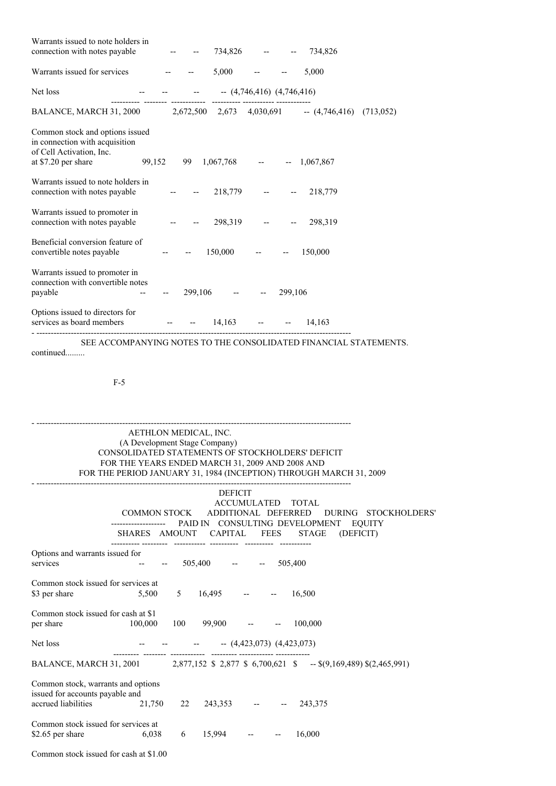| Warrants issued to note holders in<br>connection with notes payable                                                                                        |                          | 734,826 -- --                        | 734,826   |
|------------------------------------------------------------------------------------------------------------------------------------------------------------|--------------------------|--------------------------------------|-----------|
| Warrants issued for services<br>and the state of the state of the                                                                                          |                          | $5,000$ -- --                        | 5,000     |
| Net loss                                                                                                                                                   |                          | -- -- -- $(4,746,416)$ $(4,746,416)$ |           |
| BALANCE, MARCH 31, 2000 2,672,500 2,673 4,030,691 -- (4,746,416) (713,052)                                                                                 | ---------- ----------- - |                                      |           |
| Common stock and options issued<br>in connection with acquisition<br>of Cell Activation, Inc.<br>99,152 99 1,067,768 -- - 1,067,867<br>at \$7.20 per share |                          |                                      |           |
| Warrants issued to note holders in<br>connection with notes payable                                                                                        |                          | $- -218,779$ $- -218,779$            |           |
| Warrants issued to promoter in<br>connection with notes payable                                                                                            |                          | 298,319 -- --                        | 298,319   |
| Beneficial conversion feature of<br>convertible notes payable                                                                                              |                          | $150,000$ -- --                      | 150,000   |
| Warrants issued to promoter in<br>connection with convertible notes<br>payable                                                                             | $299,106$ -- --          | 299,106                              |           |
| Options issued to directors for<br>services as board members                                                                                               |                          | $-$ 14,163 $-$                       | $-14,163$ |

SEE ACCOMPANYING NOTES TO THE CONSOLIDATED FINANCIAL STATEMENTS. continued.........

F-5

# AETHLON MEDICAL, INC. (A Development Stage Company) CONSOLIDATED STATEMENTS OF STOCKHOLDERS' DEFICIT FOR THE YEARS ENDED MARCH 31, 2009 AND 2008 AND FOR THE PERIOD JANUARY 31, 1984 (INCEPTION) THROUGH MARCH 31, 2009

- --------------------------------------------------------------------------------------------------------------

- --------------------------------------------------------------------------------------------------------------

|                                                                                                     | COMMON STOCK ADDITIONAL DEFERRED | <b>DEFICIT</b>       | ACCUMULATED TOTAL              | DURING STOCKHOLDERS'<br>PAID IN CONSULTING DEVELOPMENT EQUITY                             |
|-----------------------------------------------------------------------------------------------------|----------------------------------|----------------------|--------------------------------|-------------------------------------------------------------------------------------------|
|                                                                                                     |                                  |                      |                                | SHARES AMOUNT CAPITAL FEES STAGE (DEFICIT)                                                |
| Options and warrants issued for<br>services                                                         |                                  | $505,400$ -- --      |                                | 505,400                                                                                   |
| Common stock issued for services at<br>\$3 per share                                                | $5,500$ 5 $16,495$ -- -          |                      |                                | 16,500                                                                                    |
| Common stock issued for cash at \$1<br>100,000<br>per share                                         |                                  | $100 \t 99,900 \t -$ |                                | 100,000                                                                                   |
| Net loss                                                                                            |                                  |                      | $   (4,423,073)$ $(4,423,073)$ |                                                                                           |
|                                                                                                     |                                  |                      |                                | BALANCE, MARCH 31, 2001 2,877,152 \$ 2,877 \$ 6,700,621 \$ -- \$(9,169,489) \$(2,465,991) |
| Common stock, warrants and options<br>issued for accounts payable and<br>accrued liabilities 21,750 | 22                               |                      | $243,353$ -- --                | 243,375                                                                                   |
| Common stock issued for services at<br>\$2.65 per share $6,038$                                     | 6                                | $15,994$ -- --       |                                | 16,000                                                                                    |
| Common stock issued for cash at \$1.00                                                              |                                  |                      |                                |                                                                                           |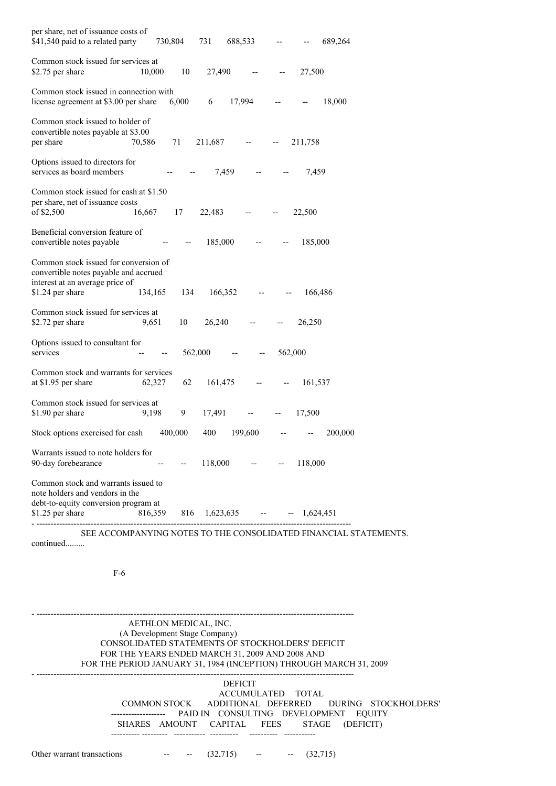| per share, net of issuance costs of<br>\$41,540 paid to a related party                                                               | 730,804                              |         | 731     | 688,533         |         |         | 689,264 |
|---------------------------------------------------------------------------------------------------------------------------------------|--------------------------------------|---------|---------|-----------------|---------|---------|---------|
| Common stock issued for services at<br>\$2.75 per share                                                                               | 10,000                               | 10      | 27,490  |                 |         | 27,500  |         |
| Common stock issued in connection with<br>license agreement at \$3.00 per share                                                       |                                      | 6,000   | 6       | 17,994          | --      |         | 18,000  |
| Common stock issued to holder of<br>convertible notes payable at \$3.00<br>per share                                                  | 70,586                               | 71      | 211,687 |                 |         | 211,758 |         |
| Options issued to directors for<br>services as board members                                                                          |                                      |         | 7,459   |                 |         | 7,459   |         |
| Common stock issued for cash at \$1.50<br>per share, net of issuance costs<br>of \$2,500                                              | 16,667                               | 17      | 22,483  |                 |         | 22,500  |         |
| Beneficial conversion feature of<br>convertible notes payable                                                                         |                                      |         | 185,000 |                 |         | 185,000 |         |
| Common stock issued for conversion of<br>convertible notes payable and accrued<br>interest at an average price of<br>\$1.24 per share | 134,165                              | 134     | 166,352 |                 |         | 166,486 |         |
| Common stock issued for services at<br>\$2.72 per share                                                                               | 9,651                                | 10      | 26,240  |                 |         | 26,250  |         |
| Options issued to consultant for<br>services                                                                                          | --                                   | 562,000 |         |                 | 562,000 |         |         |
| Common stock and warrants for services<br>at \$1.95 per share                                                                         | 62,327                               | 62      | 161,475 |                 |         | 161,537 |         |
| Common stock issued for services at<br>\$1.90 per share                                                                               | 9,198                                | 9       | 17,491  |                 |         | 17,500  |         |
| Stock options exercised for cash                                                                                                      | 400,000                              |         | 400     | 199,600         |         |         | 200,000 |
| Warrants issued to note holders for<br>90-day forebearance                                                                            |                                      |         |         | $118,000$ -- -- |         | 118,000 |         |
| Common stock and warrants issued to<br>note holders and vendors in the<br>debt-to-equity conversion program at<br>\$1.25 per share    | 816,359 816 1,623,635 -- - 1,624,451 |         |         |                 |         |         |         |
|                                                                                                                                       |                                      |         |         |                 |         |         |         |

SEE ACCOMPANYING NOTES TO THE CONSOLIDATED FINANCIAL STATEMENTS. continued.........

F-6

## AETHLON MEDICAL, INC. (A Development Stage Company) CONSOLIDATED STATEMENTS OF STOCKHOLDERS' DEFICIT FOR THE YEARS ENDED MARCH 31, 2009 AND 2008 AND FOR THE PERIOD JANUARY 31, 1984 (INCEPTION) THROUGH MARCH 31, 2009

DEFICIT ACCUMULATED TOTAL COMMON STOCK ADDITIONAL DEFERRED DURING STOCKHOLDERS' ------------------- PAID IN CONSULTING DEVELOPMENT EQUITY SHARES AMOUNT CAPITAL FEES STAGE (DEFICIT) ---------- --------- ----------- ---------- ---------- -----------

Other warrant transactions  $(32,715)$   $(32,715)$ 

- ---------------------------------------------------------------------------------------------------------------

- ---------------------------------------------------------------------------------------------------------------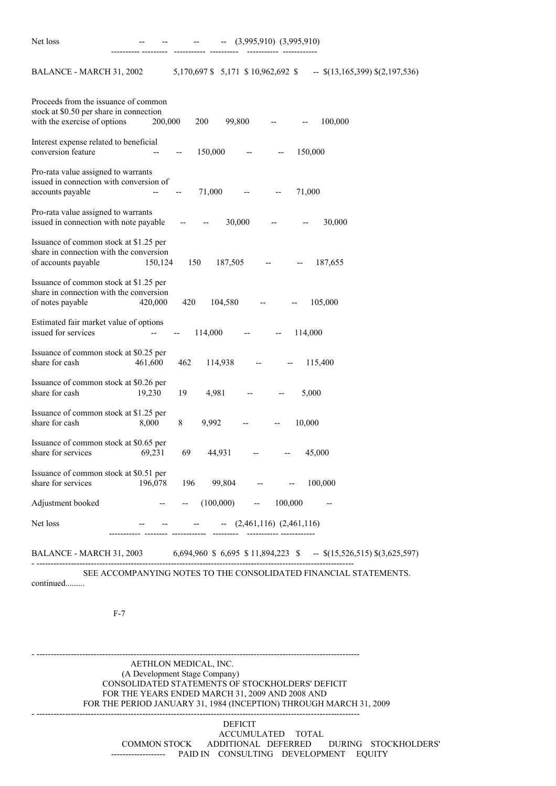Net loss -- -- -- -- (3,995,910) (3,995,910)

BALANCE - MARCH 31, 2002 5,170,697 \$ 5,171 \$ 10,962,692 \$ -- \$(13,165,399) \$(2,197,536)

---------- --------- ----------- ---------- ----------- ------------

| Proceeds from the issuance of common<br>stock at \$0.50 per share in connection<br>with the exercise of options  | 200,000<br>200           | 99,800<br>$-$                       | 100,000                          |
|------------------------------------------------------------------------------------------------------------------|--------------------------|-------------------------------------|----------------------------------|
| Interest expense related to beneficial<br>conversion feature                                                     | 150,000                  |                                     | 150,000                          |
| Pro-rata value assigned to warrants<br>issued in connection with conversion of<br>accounts payable               | 71,000<br>--             | $\hspace{0.05cm} \dashrightarrow$   | 71,000                           |
| Pro-rata value assigned to warrants<br>issued in connection with note payable                                    | $\overline{\phantom{m}}$ | 30,000                              | 30,000                           |
| Issuance of common stock at \$1.25 per<br>share in connection with the conversion<br>of accounts payable         | 150,124<br>150           | 187,505                             | 187,655                          |
| Issuance of common stock at \$1.25 per<br>share in connection with the conversion<br>of notes payable<br>420,000 | 420                      | 104,580                             | 105,000                          |
| Estimated fair market value of options<br>issued for services                                                    | 114,000                  |                                     | 114,000                          |
| Issuance of common stock at \$0.25 per<br>share for cash<br>461,600                                              | 462<br>114,938           |                                     | 115,400                          |
| Issuance of common stock at \$0.26 per<br>share for cash<br>19,230                                               | 4,981<br>19              |                                     | 5,000                            |
| Issuance of common stock at \$1.25 per<br>share for cash<br>8,000                                                | 8<br>9,992               |                                     | 10,000                           |
| Issuance of common stock at \$0.65 per<br>share for services<br>69,231                                           | 69<br>44,931             |                                     | 45,000                           |
| Issuance of common stock at \$0.51 per<br>share for services<br>196,078                                          | 196                      | 99,804<br>$-\!$                     | 100,000                          |
| Adjustment booked                                                                                                | (100,000)                | 100,000<br>$\overline{\phantom{a}}$ |                                  |
| Net loss                                                                                                         |                          | $-$ (2,461,116) (2,461,116)         |                                  |
| BALANCE - MARCH 31, 2003                                                                                         |                          | 6,694,960 \$ 6,695 \$ 11,894,223 \$ | $-$ \$(15,526,515) \$(3,625,597) |

SEE ACCOMPANYING NOTES TO THE CONSOLIDATED FINANCIAL STATEMENTS.

- -----------------------------------------------------------------------------------------------------------------

- -----------------------------------------------------------------------------------------------------------------

continued.........

- ---------------------------------------------------------------------------------------------------------------

F-7

AETHLON MEDICAL, INC. (A Development Stage Company) CONSOLIDATED STATEMENTS OF STOCKHOLDERS' DEFICIT FOR THE YEARS ENDED MARCH 31, 2009 AND 2008 AND FOR THE PERIOD JANUARY 31, 1984 (INCEPTION) THROUGH MARCH 31, 2009

DEFICIT ACCUMULATED TOTAL COMMON STOCK ADDITIONAL DEFERRED DURING STOCKHOLDERS' ------------------- PAID IN CONSULTING DEVELOPMENT EQUITY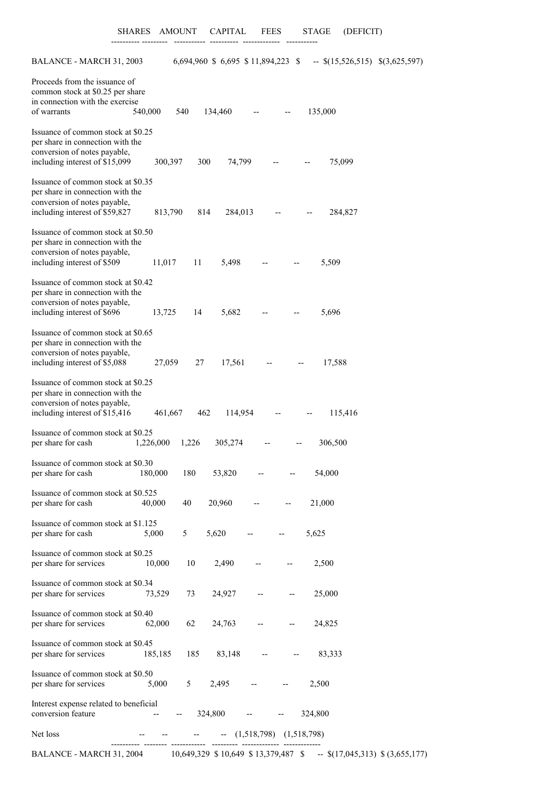---------- --------- ----------- ---------- ------------- -----------

| BALANCE - MARCH 31, 2003                                                                                                                 |           |       | 6,694,960 \$ 6,695 \$ 11,894,223 \$ |       |                                                     | $-$ \$(15,526,515) \$(3,625,597) |  |
|------------------------------------------------------------------------------------------------------------------------------------------|-----------|-------|-------------------------------------|-------|-----------------------------------------------------|----------------------------------|--|
| Proceeds from the issuance of<br>common stock at \$0.25 per share<br>in connection with the exercise<br>of warrants                      | 540,000   | 540   | 134,460                             |       |                                                     | 135,000                          |  |
| Issuance of common stock at \$0.25<br>per share in connection with the<br>conversion of notes payable,<br>including interest of \$15,099 | 300,397   | 300   | 74,799                              |       |                                                     | 75,099                           |  |
| Issuance of common stock at \$0.35<br>per share in connection with the<br>conversion of notes payable,<br>including interest of \$59,827 | 813,790   | 814   | 284,013                             |       |                                                     | 284,827                          |  |
| Issuance of common stock at \$0.50<br>per share in connection with the<br>conversion of notes payable,<br>including interest of \$509    | 11,017    | 11    | 5,498                               |       |                                                     | 5,509                            |  |
| Issuance of common stock at \$0.42<br>per share in connection with the<br>conversion of notes payable,                                   |           |       |                                     |       |                                                     |                                  |  |
| including interest of \$696                                                                                                              | 13,725    | 14    | 5,682                               |       |                                                     | 5,696                            |  |
| Issuance of common stock at \$0.65<br>per share in connection with the<br>conversion of notes payable,<br>including interest of \$5,088  | 27,059    | 27    | 17,561                              |       |                                                     | 17,588                           |  |
| Issuance of common stock at \$0.25<br>per share in connection with the<br>conversion of notes payable,<br>including interest of \$15,416 | 461,667   | 462   | 114,954                             |       |                                                     | 115,416                          |  |
| Issuance of common stock at \$0.25<br>per share for cash                                                                                 | 1,226,000 | 1,226 | 305,274                             |       |                                                     | 306,500                          |  |
| Issuance of common stock at \$0.30<br>per share for cash                                                                                 | 180,000   | 180   | 53,820                              |       |                                                     | 54,000                           |  |
| Issuance of common stock at \$0.525<br>per share for cash                                                                                | 40,000    | 40    | 20,960                              |       | $\hspace{0.05cm} -\hspace{0.05cm} -\hspace{0.05cm}$ | 21,000                           |  |
| Issuance of common stock at \$1.125<br>per share for cash                                                                                | 5,000     | 5     | 5,620                               |       |                                                     | 5,625                            |  |
| Issuance of common stock at \$0.25<br>per share for services                                                                             | 10,000    | 10    | 2,490                               |       |                                                     | 2,500                            |  |
| Issuance of common stock at \$0.34<br>per share for services                                                                             | 73,529    | 73    | 24,927                              |       |                                                     | 25,000                           |  |
| Issuance of common stock at \$0.40<br>per share for services                                                                             | 62,000    | 62    | 24,763                              |       |                                                     | 24,825                           |  |
| Issuance of common stock at \$0.45<br>per share for services                                                                             | 185,185   | 185   | 83,148                              |       |                                                     | 83,333                           |  |
| Issuance of common stock at \$0.50<br>per share for services                                                                             | 5,000     | 5     | 2,495                               |       |                                                     | 2,500                            |  |
| Interest expense related to beneficial<br>conversion feature                                                                             |           |       | 324,800                             | $-\!$ |                                                     | 324,800                          |  |
| Net loss                                                                                                                                 |           |       | $  (1,518,798)$ $(1,518,798)$       |       |                                                     |                                  |  |

BALANCE - MARCH 31, 2004 10,649,329 \$ 10,649 \$ 13,379,487 \$ -- \$(17,045,313) \$ (3,655,177)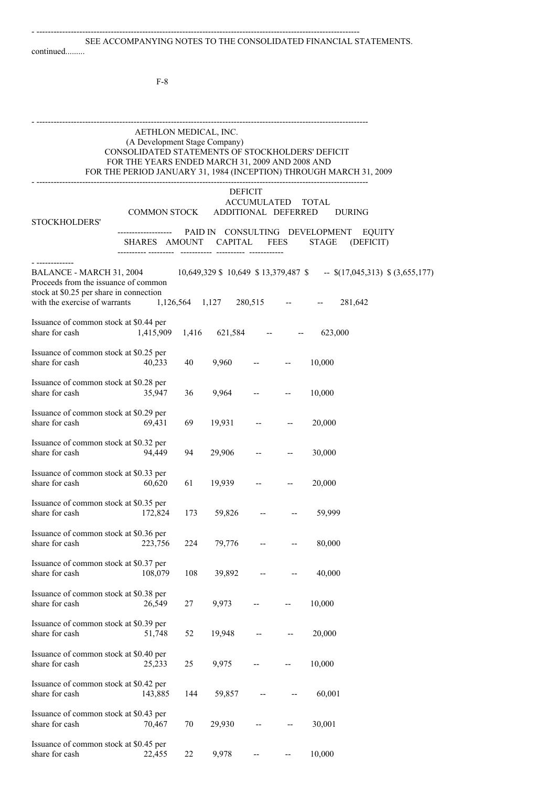- --------------------------------------------------------------------------------------------------------------------

#### continued.........

F-8

- --------------------------------------------------------------------------------------------------------------------

- -----------------------------------------------------------------------------------------------------------------

# AETHLON MEDICAL, INC. (A Development Stage Company) CONSOLIDATED STATEMENTS OF STOCKHOLDERS' DEFICIT FOR THE YEARS ENDED MARCH 31, 2009 AND 2008 AND FOR THE PERIOD JANUARY 31, 1984 (INCEPTION) THROUGH MARCH 31, 2009

# DEFICIT ACCUMULATED TOTAL<br>DDITIONAL DEFERRED DURING COMMON STOCK ADDITIONAL DEFERRED

| STOCKHOLDERS'                                                                                                                                |                   |       |                         |                          |                                                                                   |
|----------------------------------------------------------------------------------------------------------------------------------------------|-------------------|-------|-------------------------|--------------------------|-----------------------------------------------------------------------------------|
|                                                                                                                                              | <br>SHARES AMOUNT |       | <b>CAPITAL</b>          | <b>FEES</b>              | PAID IN CONSULTING DEVELOPMENT<br><b>EQUITY</b><br>STAGE<br>(DEFICIT)             |
| BALANCE - MARCH 31, 2004<br>Proceeds from the issuance of common<br>stock at \$0.25 per share in connection<br>with the exercise of warrants |                   |       | 1,126,564 1,127 280,515 |                          | 10,649,329 \$ 10,649 \$ 13,379,487 \$ -- \$(17,045,313) \$ (3,655,177)<br>281,642 |
| Issuance of common stock at \$0.44 per<br>share for cash                                                                                     | 1,415,909         | 1,416 | $621,584$ --            |                          | 623,000                                                                           |
| Issuance of common stock at \$0.25 per<br>share for cash                                                                                     | 40,233            | 40    | 9,960                   |                          | 10,000                                                                            |
| Issuance of common stock at \$0.28 per<br>share for cash                                                                                     | 35,947            | 36    | 9,964                   |                          | 10,000                                                                            |
| Issuance of common stock at \$0.29 per<br>share for cash                                                                                     | 69,431            | 69    | 19,931                  |                          | 20,000                                                                            |
| Issuance of common stock at \$0.32 per<br>share for cash                                                                                     | 94,449            | 94    | 29,906                  |                          | 30,000                                                                            |
| Issuance of common stock at \$0.33 per<br>share for cash                                                                                     | 60,620            | 61    | 19,939                  |                          | 20,000                                                                            |
| Issuance of common stock at \$0.35 per<br>share for cash                                                                                     | 172,824           | 173   | 59,826                  |                          | 59,999                                                                            |
| Issuance of common stock at \$0.36 per<br>share for cash                                                                                     | 223,756           | 224   | 79,776                  |                          | 80,000                                                                            |
| Issuance of common stock at \$0.37 per<br>share for cash                                                                                     | 108,079           | 108   | 39,892                  |                          | 40,000                                                                            |
| Issuance of common stock at \$0.38 per<br>share for cash                                                                                     | 26,549            | 27    | 9,973                   |                          | 10,000                                                                            |
| Issuance of common stock at \$0.39 per<br>share for cash                                                                                     | 51,748            | 52    | 19,948                  | $\overline{\phantom{a}}$ | 20,000                                                                            |
| Issuance of common stock at \$0.40 per<br>share for cash                                                                                     | 25,233            | 25    | 9,975                   |                          | 10,000                                                                            |
| Issuance of common stock at \$0.42 per<br>share for cash                                                                                     | 143,885           | 144   | 59,857                  |                          | 60,001                                                                            |
| Issuance of common stock at \$0.43 per<br>share for cash                                                                                     | 70,467            | 70    | 29,930                  |                          | 30,001                                                                            |

Issuance of common stock at \$0.45 per

share for cash 22,455 22 9,978 -- - 10,000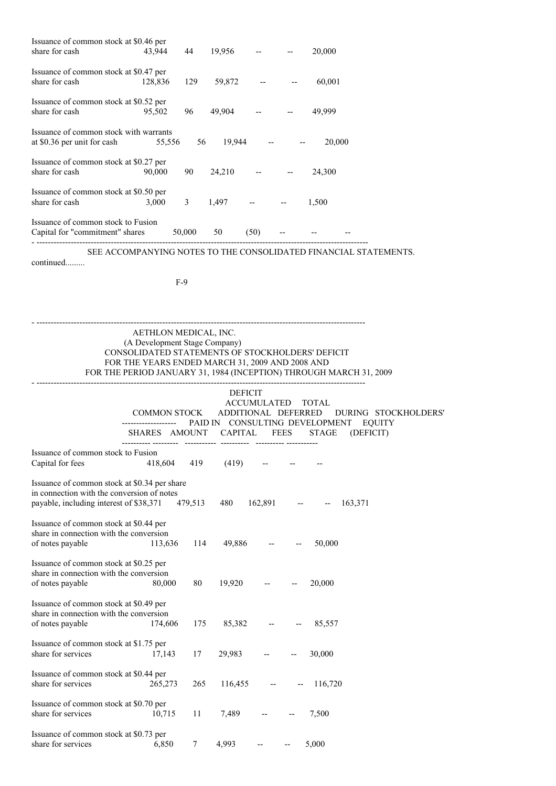| Issuance of common stock at \$0.46 per<br>share for cash                                                                              | 43,944                                                                                                                                                        | 44          | 19,956                                |                   | $\hspace{0.05cm} -\hspace{0.05cm} -\hspace{0.05cm}$ | 20,000       |                                                                            |
|---------------------------------------------------------------------------------------------------------------------------------------|---------------------------------------------------------------------------------------------------------------------------------------------------------------|-------------|---------------------------------------|-------------------|-----------------------------------------------------|--------------|----------------------------------------------------------------------------|
| Issuance of common stock at \$0.47 per<br>share for cash                                                                              | 128,836                                                                                                                                                       | 129         | 59,872                                |                   |                                                     | 60,001       |                                                                            |
| Issuance of common stock at \$0.52 per<br>share for cash                                                                              | 95,502                                                                                                                                                        |             | 96 49,904 --                          |                   |                                                     | 49,999       |                                                                            |
| Issuance of common stock with warrants<br>at \$0.36 per unit for cash                                                                 | 55,556                                                                                                                                                        |             | 56 19,944 --                          |                   |                                                     | 20,000       |                                                                            |
| Issuance of common stock at \$0.27 per<br>share for cash                                                                              | 90,000                                                                                                                                                        | 90          | $24,210$ --                           |                   |                                                     | 24,300       |                                                                            |
| Issuance of common stock at \$0.50 per<br>share for cash                                                                              | 3,000                                                                                                                                                         | $3^{\circ}$ | 1,497                                 |                   |                                                     | 1,500        |                                                                            |
| Issuance of common stock to Fusion<br>Capital for "commitment" shares                                                                 |                                                                                                                                                               | 50,000      | 50                                    | (50)              |                                                     |              |                                                                            |
| continued                                                                                                                             |                                                                                                                                                               |             |                                       |                   |                                                     |              | SEE ACCOMPANYING NOTES TO THE CONSOLIDATED FINANCIAL STATEMENTS.           |
|                                                                                                                                       |                                                                                                                                                               | $F-9$       |                                       |                   |                                                     |              |                                                                            |
|                                                                                                                                       | AETHLON MEDICAL, INC.<br>(A Development Stage Company)<br>CONSOLIDATED STATEMENTS OF STOCKHOLDERS' DEFICIT<br>FOR THE YEARS ENDED MARCH 31, 2009 AND 2008 AND |             |                                       |                   |                                                     |              | FOR THE PERIOD JANUARY 31, 1984 (INCEPTION) THROUGH MARCH 31, 2009         |
|                                                                                                                                       | COMMON STOCK<br>-----------------<br>SHARES AMOUNT CAPITAL                                                                                                    |             | <b>DEFICIT</b><br>ADDITIONAL DEFERRED | ACCUMULATED TOTAL | FEES                                                | <b>STAGE</b> | DURING STOCKHOLDERS'<br>PAID IN CONSULTING DEVELOPMENT EQUITY<br>(DEFICIT) |
| Issuance of common stock to Fusion<br>Capital for fees                                                                                | 418,604                                                                                                                                                       | 419         | (419)                                 |                   |                                                     |              |                                                                            |
| Issuance of common stock at \$0.34 per share<br>in connection with the conversion of notes<br>payable, including interest of \$38,371 |                                                                                                                                                               | 479,513     | 480                                   | 162,891           |                                                     |              | 163,371                                                                    |
| Issuance of common stock at \$0.44 per<br>share in connection with the conversion<br>of notes payable                                 | 113,636                                                                                                                                                       | 114         | 49,886                                |                   |                                                     | 50,000       |                                                                            |
| Issuance of common stock at \$0.25 per<br>share in connection with the conversion<br>of notes payable                                 | 80,000                                                                                                                                                        | 80          | 19,920                                |                   |                                                     | 20,000       |                                                                            |
| Issuance of common stock at \$0.49 per<br>share in connection with the conversion<br>of notes payable                                 | 174,606                                                                                                                                                       | 175         | 85,382                                |                   |                                                     | 85,557       |                                                                            |
| Issuance of common stock at \$1.75 per<br>share for services                                                                          | 17,143                                                                                                                                                        | 17          | 29,983                                |                   |                                                     | 30,000       |                                                                            |
| Issuance of common stock at \$0.44 per<br>share for services                                                                          | 265,273                                                                                                                                                       | 265         | 116,455                               |                   |                                                     | 116,720      |                                                                            |
| Issuance of common stock at \$0.70 per<br>share for services                                                                          | 10,715                                                                                                                                                        | 11          | 7,489                                 |                   |                                                     | 7,500        |                                                                            |
| Issuance of common stock at \$0.73 per<br>share for services                                                                          | 6,850                                                                                                                                                         | 7           | 4,993                                 |                   |                                                     | 5,000        |                                                                            |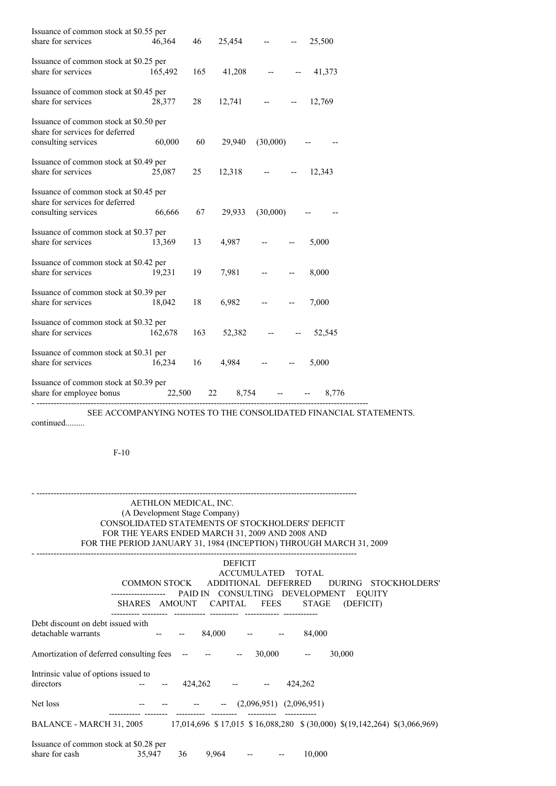| Issuance of common stock at \$0.55 per                                    |         |     |                |               |                  |
|---------------------------------------------------------------------------|---------|-----|----------------|---------------|------------------|
| share for services                                                        | 46,364  | 46  | $25,454$ -- -- |               | 25,500           |
| Issuance of common stock at \$0.25 per                                    |         |     |                |               |                  |
| share for services                                                        | 165,492 | 165 | $41,208$ -- -- |               | 41,373           |
| Issuance of common stock at \$0.45 per                                    |         |     |                |               |                  |
| share for services                                                        | 28,377  | 28  | $12,741$ -- -- |               | 12,769           |
| Issuance of common stock at \$0.50 per<br>share for services for deferred |         |     |                |               |                  |
| consulting services                                                       | 60,000  | 60  | 29,940         | (30,000)      |                  |
| Issuance of common stock at \$0.49 per                                    |         |     |                |               |                  |
| share for services                                                        | 25,087  | 25  | $12,318$ -- -- |               | 12,343           |
| Issuance of common stock at \$0.45 per<br>share for services for deferred |         |     |                |               |                  |
| consulting services                                                       | 66,666  | 67  | 29,933         | (30,000)      |                  |
| Issuance of common stock at \$0.37 per<br>share for services              | 13,369  | 13  | 4,987          |               | 5,000            |
|                                                                           |         |     |                |               |                  |
| Issuance of common stock at \$0.42 per<br>share for services              | 19,231  | 19  | 7,981          |               | 8,000            |
| Issuance of common stock at \$0.39 per                                    |         |     |                |               |                  |
| share for services                                                        | 18,042  | 18  | 6,982          |               | 7,000            |
| Issuance of common stock at \$0.32 per<br>share for services              | 162,678 | 163 |                |               | 52,382 -- 52,545 |
| Issuance of common stock at \$0.31 per<br>share for services              | 16,234  | 16  | $4,984$ -- --  |               | 5,000            |
|                                                                           |         |     |                |               |                  |
| Issuance of common stock at \$0.39 per<br>share for employee bonus        | 22,500  | 22  |                | $8,754$ -- -- | 8,776            |

SEE ACCOMPANYING NOTES TO THE CONSOLIDATED FINANCIAL STATEMENTS.

continued.........

F-10

# AETHLON MEDICAL, INC. (A Development Stage Company) CONSOLIDATED STATEMENTS OF STOCKHOLDERS' DEFICIT FOR THE YEARS ENDED MARCH 31, 2009 AND 2008 AND FOR THE PERIOD JANUARY 31, 1984 (INCEPTION) THROUGH MARCH 31, 2009

- ----------------------------------------------------------------------------------------------------------------

| <b>DEFICIT</b><br>ACCUMULATED TOTAL<br>ADDITIONAL DEFERRED<br>COMMON STOCK<br>DURING STOCKHOLDERS'                                                 |
|----------------------------------------------------------------------------------------------------------------------------------------------------|
| PAID IN CONSULTING DEVELOPMENT EQUITY<br>SHARES AMOUNT CAPITAL<br><b>FEES</b><br>STAGE<br>(DEFICIT)                                                |
| Debt discount on debt issued with<br>detachable warrants<br>$84,000$ -- --<br>84,000                                                               |
| Amortization of deferred consulting fees -- -- --<br>30,000<br>30,000<br>$\overline{\phantom{a}}$                                                  |
| Intrinsic value of options issued to<br>directors<br>424,262<br>424,262                                                                            |
| Net loss<br>$   (2,096,951)$ $(2,096,951)$                                                                                                         |
| 17,014,696 \$17,015 \$16,088,280 \$(30,000) \$(19,142,264) \$(3,066,969)<br>BALANCE - MARCH 31, 2005                                               |
| Issuance of common stock at \$0.28 per<br>share for cash<br>9,964<br>10,000<br>35,947<br>36<br>$\frac{1}{2}$ and $\frac{1}{2}$ . The $\frac{1}{2}$ |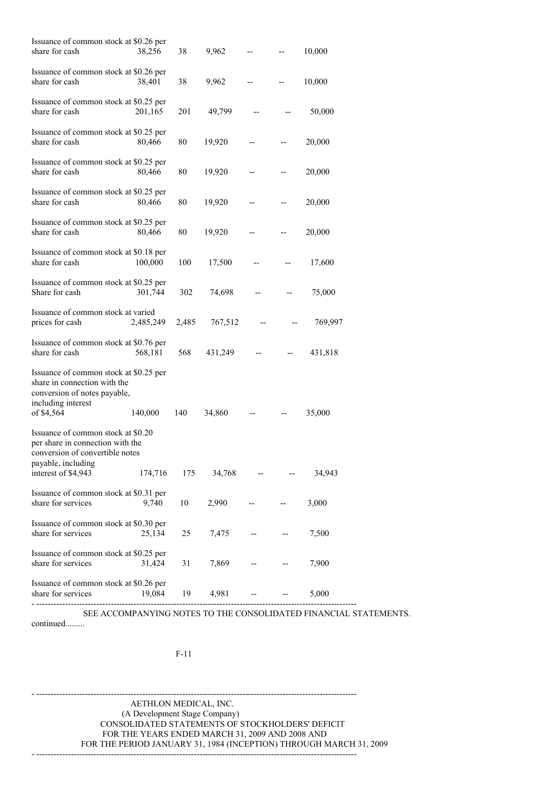| Issuance of common stock at \$0.26 per<br>share for cash                                                                     | 38,256    | 38    | 9,962   |    | 10,000  |
|------------------------------------------------------------------------------------------------------------------------------|-----------|-------|---------|----|---------|
| Issuance of common stock at \$0.26 per<br>share for cash                                                                     | 38,401    | 38    | 9,962   |    | 10,000  |
| Issuance of common stock at \$0.25 per<br>share for cash                                                                     | 201,165   | 201   | 49,799  |    | 50,000  |
| Issuance of common stock at \$0.25 per<br>share for cash                                                                     | 80,466    | 80    | 19,920  |    | 20,000  |
| Issuance of common stock at \$0.25 per<br>share for cash                                                                     | 80,466    | 80    | 19,920  |    | 20,000  |
| Issuance of common stock at \$0.25 per<br>share for cash                                                                     | 80,466    | 80    | 19,920  | -- | 20,000  |
| Issuance of common stock at \$0.25 per<br>share for cash                                                                     | 80,466    | 80    | 19,920  |    | 20,000  |
| Issuance of common stock at \$0.18 per<br>share for cash                                                                     | 100,000   | 100   | 17,500  |    | 17,600  |
| Issuance of common stock at \$0.25 per<br>Share for cash                                                                     | 301,744   | 302   | 74,698  |    | 75,000  |
| Issuance of common stock at varied<br>prices for cash                                                                        | 2,485,249 | 2,485 | 767,512 |    | 769,997 |
| Issuance of common stock at \$0.76 per<br>share for cash                                                                     | 568,181   | 568   | 431,249 |    | 431,818 |
| Issuance of common stock at \$0.25 per<br>share in connection with the<br>conversion of notes payable,<br>including interest |           |       |         |    |         |
| of \$4,564                                                                                                                   | 140,000   | 140   | 34,860  |    | 35,000  |
| Issuance of common stock at \$0.20<br>per share in connection with the<br>conversion of convertible notes                    |           |       |         |    |         |
| payable, including<br>interest of \$4,943                                                                                    | 174,716   | 175   | 34,768  |    | 34,943  |
| Issuance of common stock at \$0.31 per<br>share for services                                                                 | 9,740     | 10    | 2,990   |    | 3,000   |
| Issuance of common stock at \$0.30 per<br>share for services                                                                 | 25,134    | 25    | 7,475   |    | 7,500   |
| Issuance of common stock at \$0.25 per<br>share for services                                                                 | 31,424    | 31    | 7,869   |    | 7,900   |
| Issuance of common stock at \$0.26 per<br>share for services                                                                 | 19,084    | 19    | 4,981   |    | 5,000   |

SEE ACCOMPANYING NOTES TO THE CONSOLIDATED FINANCIAL STATEMENTS. continued.........

F-11

- ----------------------------------------------------------------------------------------------------------------

AETHLON MEDICAL, INC. (A Development Stage Company) CONSOLIDATED STATEMENTS OF STOCKHOLDERS' DEFICIT FOR THE YEARS ENDED MARCH 31, 2009 AND 2008 AND FOR THE PERIOD JANUARY 31, 1984 (INCEPTION) THROUGH MARCH 31, 2009 - ----------------------------------------------------------------------------------------------------------------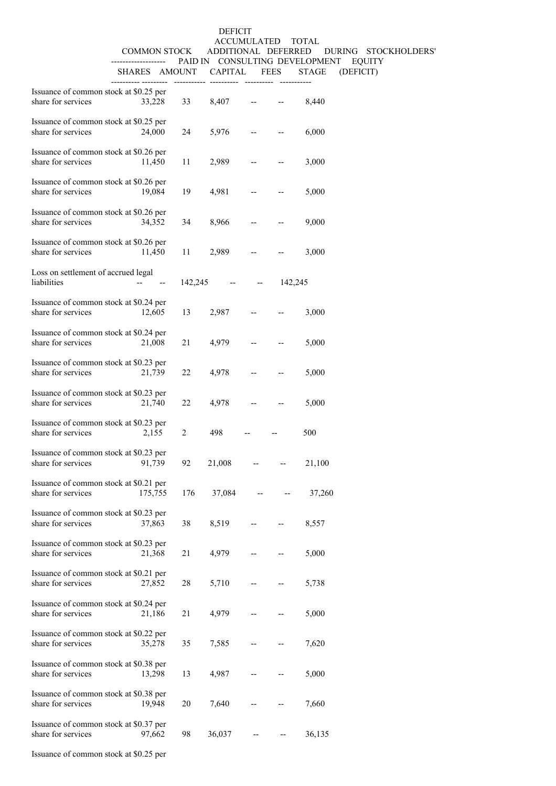# DEFICIT ACCUMULATED TOTAL COMMON STOCK ADDITIONAL DEFERRED DURING STOCKHOLDERS' ------------------- PAID IN CONSULTING DEVELOPMENT EQUITY SHARES AMOUNT CAPITAL FEES STAGE (DEFICIT)

| Issuance of common stock at \$0.25 per<br>share for services         | 33,228                                                        | 33             | 8,407                  | $\mathbb{Z}^{\mathbb{Z}^{\times}}$   |                          | 8,440  |
|----------------------------------------------------------------------|---------------------------------------------------------------|----------------|------------------------|--------------------------------------|--------------------------|--------|
| Issuance of common stock at \$0.25 per<br>share for services         | 24,000                                                        | 24             | 5,976                  | $\frac{1}{2}$ and $\frac{1}{2}$      | $\hspace{0.05cm} \ldots$ | 6,000  |
| Issuance of common stock at \$0.26 per<br>share for services         | 11,450                                                        | 11             | 2,989                  | $-$                                  | $\overline{\phantom{a}}$ | 3,000  |
| Issuance of common stock at \$0.26 per<br>share for services         | 19,084                                                        | 19             | 4,981                  | $  \,$                               | --                       | 5,000  |
| Issuance of common stock at \$0.26 per<br>share for services 34,352  |                                                               | 34             | 8,966                  | $ -$                                 |                          | 9,000  |
| Issuance of common stock at \$0.26 per<br>share for services         | 11,450                                                        | 11 \,          | 2,989                  | $\frac{1}{2}$ and $\frac{1}{2}$      | $\overline{\phantom{a}}$ | 3,000  |
| Loss on settlement of accrued legal<br>liabilities                   | $\begin{array}{ccc} -\bullet & \bullet & \bullet \end{array}$ |                | $142,245$ -- $142,245$ |                                      |                          |        |
| Issuance of common stock at \$0.24 per<br>share for services 12,605  |                                                               | 13             | 2,987                  | $\mathbb{Z}^{\mathbb{Z}^{\times}}$   |                          | 3,000  |
| Issuance of common stock at \$0.24 per<br>share for services         | 21,008                                                        | 21             | 4,979                  | $\mathbf{L} = \mathbf{L} \mathbf{R}$ |                          | 5,000  |
| Issuance of common stock at \$0.23 per<br>share for services         | 21,739                                                        | 22             | 4,978                  | $\frac{1}{2}$ and $\frac{1}{2}$      | $\overline{\phantom{a}}$ | 5,000  |
| Issuance of common stock at \$0.23 per<br>share for services         | 21,740                                                        | 22             | 4,978                  | $\sim$ $-$                           |                          | 5,000  |
| Issuance of common stock at \$0.23 per<br>share for services         | 2,155                                                         | $\overline{2}$ | 498                    | $\overline{\phantom{a}}$             |                          | 500    |
| Issuance of common stock at \$0.23 per<br>share for services         | 91,739                                                        | 92             | 21,008                 | $\sim$                               |                          | 21,100 |
| Issuance of common stock at \$0.21 per<br>share for services 175,755 |                                                               | 176            | 37,084                 |                                      |                          | 37,260 |
| Issuance of common stock at \$0.23 per<br>share for services         | 37,863                                                        | 38             | 8,519                  |                                      |                          | 8,557  |
| Issuance of common stock at \$0.23 per<br>share for services         | 21,368                                                        | 21             | 4,979                  |                                      |                          | 5,000  |
| Issuance of common stock at \$0.21 per<br>share for services         | 27,852                                                        | 28             | 5,710                  |                                      |                          | 5,738  |
| Issuance of common stock at \$0.24 per<br>share for services         | 21,186                                                        | 21             | 4,979                  |                                      |                          | 5,000  |
| Issuance of common stock at \$0.22 per<br>share for services         | 35,278                                                        | 35             | 7,585                  |                                      |                          | 7,620  |
| Issuance of common stock at \$0.38 per<br>share for services         | 13,298                                                        | 13             | 4,987                  |                                      |                          | 5,000  |
| Issuance of common stock at \$0.38 per<br>share for services         | 19,948                                                        | 20             | 7,640                  |                                      |                          | 7,660  |
| Issuance of common stock at \$0.37 per<br>share for services         | 97,662                                                        | 98             | 36,037                 |                                      |                          | 36,135 |
|                                                                      |                                                               |                |                        |                                      |                          |        |

Issuance of common stock at \$0.25 per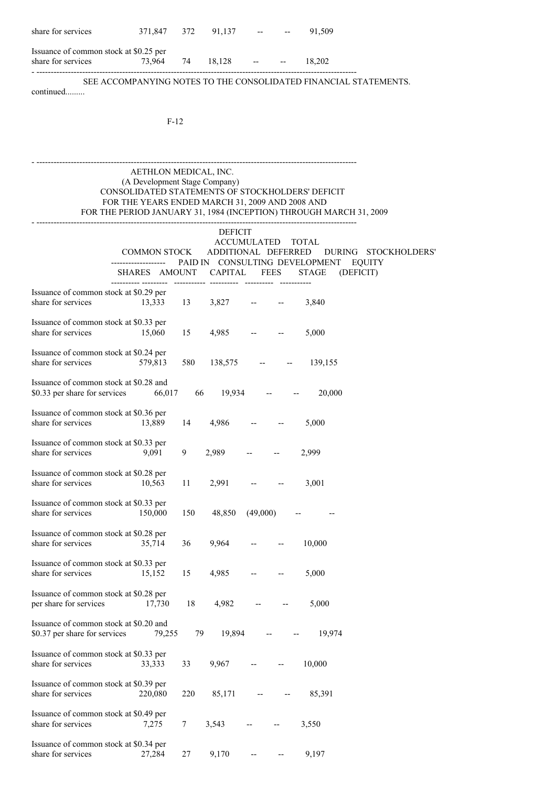| share for services                     | 371,847 372 91,137 |  | and the state of the state of the | 91.509 |
|----------------------------------------|--------------------|--|-----------------------------------|--------|
| Issuance of common stock at \$0.25 per |                    |  |                                   |        |

share for services 73,964 74 18,128 -- - 18,202 - ----------------------------------------------------------------------------------------------------------------

SEE ACCOMPANYING NOTES TO THE CONSOLIDATED FINANCIAL STATEMENTS.

continued.........

F-12

## AETHLON MEDICAL, INC. (A Development Stage Company) CONSOLIDATED STATEMENTS OF STOCKHOLDERS' DEFICIT FOR THE YEARS ENDED MARCH 31, 2009 AND 2008 AND FOR THE PERIOD JANUARY 31, 1984 (INCEPTION) THROUGH MARCH 31, 2009 - ----------------------------------------------------------------------------------------------------------------

- ----------------------------------------------------------------------------------------------------------------

|                                                                            | COMMON STOCK | <b>DEFICIT</b><br>ADDITIONAL DEFERRED | ACCUMULATED TOTAL        |                          | DURING STOCKHOLDERS'<br>PAID IN CONSULTING DEVELOPMENT<br><b>EQUITY</b> |
|----------------------------------------------------------------------------|--------------|---------------------------------------|--------------------------|--------------------------|-------------------------------------------------------------------------|
| SHARES AMOUNT CAPITAL                                                      |              |                                       |                          | FEES                     | <b>STAGE</b><br>(DEFICIT)                                               |
| Issuance of common stock at \$0.29 per<br>share for services<br>13,333     | 13           | 3,827                                 |                          |                          | 3,840                                                                   |
| Issuance of common stock at \$0.33 per<br>share for services<br>15,060     | 15           | 4,985                                 |                          |                          | 5,000                                                                   |
| Issuance of common stock at \$0.24 per<br>share for services<br>579,813    | 580          | 138,575                               |                          |                          | 139,155                                                                 |
| Issuance of common stock at \$0.28 and<br>\$0.33 per share for services    | 66,017<br>66 | 19,934                                |                          |                          | 20,000                                                                  |
| Issuance of common stock at \$0.36 per<br>share for services<br>13,889     | 14           | 4,986                                 |                          |                          | 5,000                                                                   |
| Issuance of common stock at \$0.33 per<br>share for services<br>9,091      | 9            | 2,989                                 |                          |                          | 2.999                                                                   |
| Issuance of common stock at \$0.28 per<br>share for services<br>10,563     | 11           | 2,991                                 |                          |                          | 3,001                                                                   |
| Issuance of common stock at \$0.33 per<br>share for services<br>150,000    | 150          | 48,850                                | (49,000)                 |                          |                                                                         |
| Issuance of common stock at \$0.28 per<br>share for services<br>35,714     | 36           | 9,964                                 |                          |                          | 10,000                                                                  |
| Issuance of common stock at \$0.33 per<br>share for services<br>15,152     | 15           | 4,985                                 |                          |                          | 5,000                                                                   |
| Issuance of common stock at \$0.28 per<br>per share for services<br>17,730 | 18           | 4,982                                 | $\overline{\phantom{a}}$ | $\overline{\phantom{m}}$ | 5,000                                                                   |
| Issuance of common stock at \$0.20 and<br>\$0.37 per share for services    | 79,255<br>79 | 19,894                                | $- -$                    |                          | 19,974                                                                  |
| Issuance of common stock at \$0.33 per<br>share for services<br>33,333     | 33           | 9,967                                 |                          |                          | 10,000                                                                  |
| Issuance of common stock at \$0.39 per<br>share for services<br>220,080    | 220          | 85,171                                |                          |                          | 85,391                                                                  |
| Issuance of common stock at \$0.49 per<br>share for services<br>7,275      | 7            | 3,543                                 |                          |                          | 3,550                                                                   |
| Issuance of common stock at \$0.34 per<br>share for services<br>27,284     | 27           | 9,170                                 |                          |                          | 9,197                                                                   |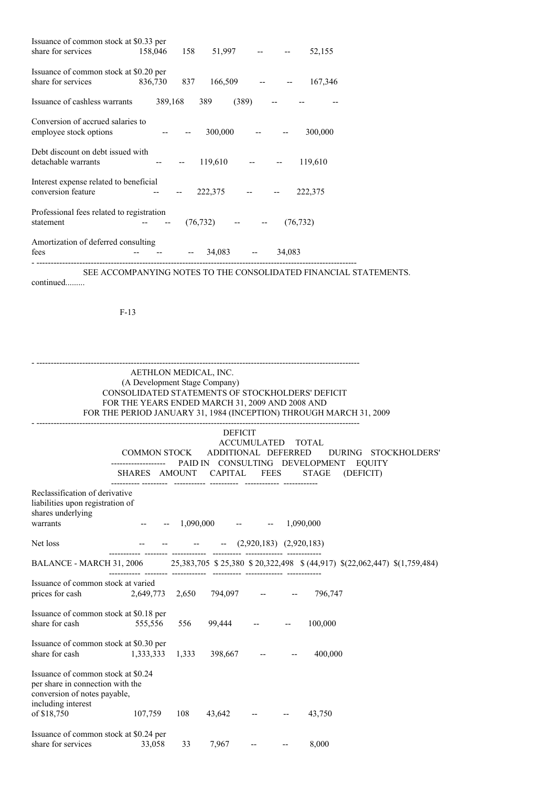| Issuance of common stock at \$0.33 per                       |               |     |                   |                         |        |           |  |
|--------------------------------------------------------------|---------------|-----|-------------------|-------------------------|--------|-----------|--|
| share for services                                           | 158,046       | 158 | $51,997$ -- --    |                         |        | 52,155    |  |
| Issuance of common stock at \$0.20 per<br>share for services | 836,730       | 837 | $166,509$ -- --   |                         |        | 167,346   |  |
| Issuance of cashless warrants                                | 389,168       |     | (389)<br>389      |                         |        |           |  |
| Conversion of accrued salaries to<br>employee stock options  |               |     | 300,000           | <b>Service Contract</b> |        | 300,000   |  |
| Debt discount on debt issued with<br>detachable warrants     | $\sim$ $\sim$ |     | $119,610$ -- -    |                         |        | 119,610   |  |
| Interest expense related to beneficial<br>conversion feature |               |     | 222,375           |                         |        | 222,375   |  |
| Professional fees related to registration<br>statement       |               |     | $(76, 732)$ -- -- |                         |        | (76, 732) |  |
| Amortization of deferred consulting<br>fees                  |               |     | 34,083            | $\sim$                  | 34,083 |           |  |

SEE ACCOMPANYING NOTES TO THE CONSOLIDATED FINANCIAL STATEMENTS. continued.........

F-13

| AETHLON MEDICAL, INC.                                                                                                                              |                             |       |                               |  |  |                                                                    |  |  |
|----------------------------------------------------------------------------------------------------------------------------------------------------|-----------------------------|-------|-------------------------------|--|--|--------------------------------------------------------------------|--|--|
| (A Development Stage Company)<br>CONSOLIDATED STATEMENTS OF STOCKHOLDERS' DEFICIT                                                                  |                             |       |                               |  |  |                                                                    |  |  |
| FOR THE YEARS ENDED MARCH 31, 2009 AND 2008 AND                                                                                                    |                             |       |                               |  |  |                                                                    |  |  |
|                                                                                                                                                    |                             |       |                               |  |  | FOR THE PERIOD JANUARY 31, 1984 (INCEPTION) THROUGH MARCH 31, 2009 |  |  |
|                                                                                                                                                    |                             |       |                               |  |  |                                                                    |  |  |
|                                                                                                                                                    |                             |       | <b>DEFICIT</b>                |  |  |                                                                    |  |  |
| ACCUMULATED TOTAL<br>COMMON STOCK ADDITIONAL DEFERRED DURING STOCKHOLDERS'<br>------------------    PAID IN    CONSULTING    DEVELOPMENT    EQUITY |                             |       |                               |  |  |                                                                    |  |  |
|                                                                                                                                                    |                             |       |                               |  |  | SHARES AMOUNT CAPITAL FEES STAGE (DEFICIT)                         |  |  |
| Reclassification of derivative<br>liabilities upon registration of<br>shares underlying<br>warrants                                                | <b>Address to the State</b> |       | $-1,090,000$ $ -1,090,000$    |  |  |                                                                    |  |  |
| Net loss                                                                                                                                           |                             |       | $  (2,920,183)$ $(2,920,183)$ |  |  |                                                                    |  |  |
| BALANCE - MARCH 31, 2006 25,383,705 \$25,380 \$20,322,498 \$ (44,917) \$(22,062,447) \$(1,759,484)                                                 |                             |       |                               |  |  |                                                                    |  |  |
| Issuance of common stock at varied                                                                                                                 |                             |       |                               |  |  |                                                                    |  |  |
| prices for cash                                                                                                                                    |                             |       | 2,649,773 2,650 794,097 -- -- |  |  | 796.747                                                            |  |  |
| Issuance of common stock at \$0.18 per<br>share for cash                                                                                           | 555,556                     | 556   | 99,444 -- --                  |  |  | 100,000                                                            |  |  |
| Issuance of common stock at \$0.30 per<br>share for cash                                                                                           | 1,333,333                   | 1,333 | $398,667$ -- --               |  |  | 400,000                                                            |  |  |
| Issuance of common stock at \$0.24<br>per share in connection with the<br>conversion of notes payable,<br>including interest                       |                             |       |                               |  |  |                                                                    |  |  |
| of \$18,750                                                                                                                                        | 107,759                     | 108   | $43,642$ -- --                |  |  | 43,750                                                             |  |  |
| Issuance of common stock at \$0.24 per<br>share for services<br>33<br><b>Allen Contracts</b>                                                       |                             |       |                               |  |  |                                                                    |  |  |
|                                                                                                                                                    | 33,058                      |       | 7,967                         |  |  | 8,000                                                              |  |  |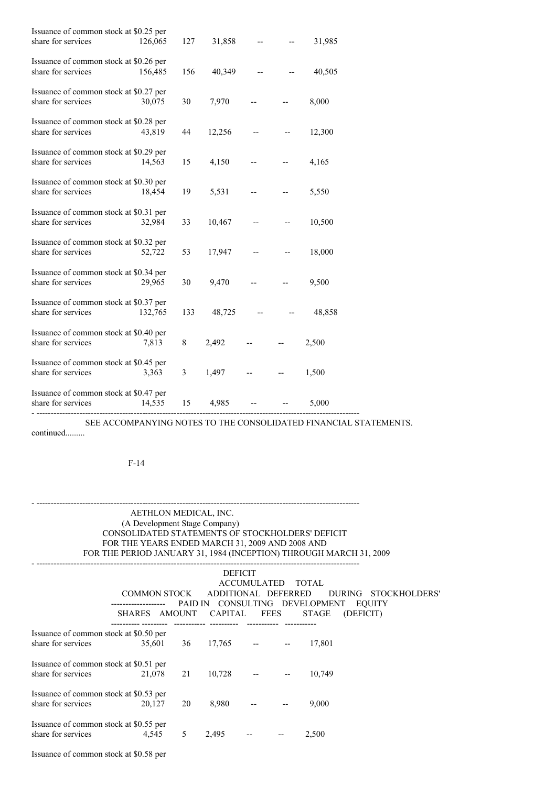| Issuance of common stock at \$0.25 per<br>share for services           | 126,065 | 127 | 31,858         |                                                                                                            | 31,985 |
|------------------------------------------------------------------------|---------|-----|----------------|------------------------------------------------------------------------------------------------------------|--------|
|                                                                        |         |     |                |                                                                                                            |        |
| Issuance of common stock at \$0.26 per<br>share for services           | 156,485 | 156 | $40,349$ -- -- |                                                                                                            | 40,505 |
| Issuance of common stock at \$0.27 per<br>share for services           | 30,075  | 30  | 7,970          |                                                                                                            | 8,000  |
| Issuance of common stock at \$0.28 per<br>share for services           | 43,819  | 44  | 12,256         | $\frac{1}{2}$ and $\frac{1}{2}$ and $\frac{1}{2}$                                                          | 12,300 |
| Issuance of common stock at \$0.29 per<br>share for services           | 14,563  | 15  | 4,150          | $\frac{1}{2} \frac{1}{2} \left( \frac{1}{2} \right) \left( \frac{1}{2} \right) \left( \frac{1}{2} \right)$ | 4,165  |
| Issuance of common stock at \$0.30 per<br>share for services           | 18,454  | 19  | 5,531          | $\omega_{\rm{max}}$ , and $\omega_{\rm{max}}$                                                              | 5,550  |
| Issuance of common stock at \$0.31 per<br>share for services           | 32,984  | 33  | 10,467         |                                                                                                            | 10,500 |
| Issuance of common stock at \$0.32 per<br>share for services           | 52,722  | 53  | 17,947         |                                                                                                            | 18,000 |
| Issuance of common stock at \$0.34 per<br>share for services           | 29,965  | 30  | 9,470          |                                                                                                            | 9,500  |
| Issuance of common stock at \$0.37 per<br>share for services           | 132,765 | 133 | $48,725$ -- -- |                                                                                                            | 48,858 |
| Issuance of common stock at \$0.40 per<br>share for services           | 7,813   | 8   | $2,492$ -- --  |                                                                                                            | 2,500  |
| Issuance of common stock at \$0.45 per<br>share for services           | 3,363   | 3   | $1,497$ -- --  |                                                                                                            | 1,500  |
| Issuance of common stock at \$0.47 per<br>share for services<br>14,535 |         | 15  | 4,985          |                                                                                                            | 5,000  |
| -----------------------------------                                    |         |     |                |                                                                                                            |        |

SEE ACCOMPANYING NOTES TO THE CONSOLIDATED FINANCIAL STATEMENTS. continued.........

F-14

# AETHLON MEDICAL, INC. (A Development Stage Company) CONSOLIDATED STATEMENTS OF STOCKHOLDERS' DEFICIT FOR THE YEARS ENDED MARCH 31, 2009 AND 2008 AND FOR THE PERIOD JANUARY 31, 1984 (INCEPTION) THROUGH MARCH 31, 2009

- -----------------------------------------------------------------------------------------------------------------

|                                                              | COMMON STOCK  |    | <b>DEFICIT</b><br>ADDITIONAL DEFERRED<br>PAID IN CONSULTING DEVELOPMENT | <b>ACCUMULATED</b>          |             | TOTAL        | DURING STOCKHOLDERS'<br><b>EQUITY</b> |  |
|--------------------------------------------------------------|---------------|----|-------------------------------------------------------------------------|-----------------------------|-------------|--------------|---------------------------------------|--|
|                                                              | SHARES AMOUNT |    | CAPITAL                                                                 |                             | <b>FEES</b> | <b>STAGE</b> | (DEFICIT)                             |  |
| Issuance of common stock at \$0.50 per<br>share for services | 35,601        | 36 | 17,765                                                                  | and the second contract and |             | 17.801       |                                       |  |
|                                                              |               |    |                                                                         |                             |             |              |                                       |  |
| Issuance of common stock at \$0.51 per                       |               |    |                                                                         |                             |             |              |                                       |  |
| share for services                                           | 21,078        | 21 | 10,728                                                                  |                             |             | 10.749       |                                       |  |
| Issuance of common stock at \$0.53 per                       |               |    |                                                                         |                             |             |              |                                       |  |
| share for services                                           | 20,127        | 20 | 8,980                                                                   |                             |             | 9.000        |                                       |  |
| Issuance of common stock at \$0.55 per                       |               |    |                                                                         |                             |             |              |                                       |  |
| share for services                                           | 4,545         | 5  | 2,495                                                                   |                             |             | 2,500        |                                       |  |

Issuance of common stock at \$0.58 per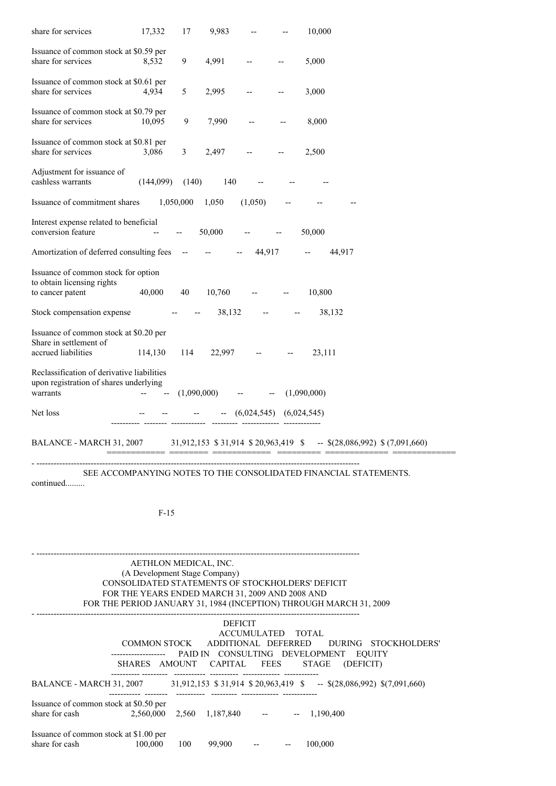| share for services                                                                               | 17,332              | 17          | 9,983                                                  |                                                 | 10,000                                                                                                                |
|--------------------------------------------------------------------------------------------------|---------------------|-------------|--------------------------------------------------------|-------------------------------------------------|-----------------------------------------------------------------------------------------------------------------------|
| Issuance of common stock at \$0.59 per<br>share for services                                     | 8,532               | 9           | 4,991                                                  |                                                 | 5,000                                                                                                                 |
| Issuance of common stock at \$0.61 per<br>share for services                                     | 4,934               | 5           | 2,995                                                  |                                                 | 3,000                                                                                                                 |
| Issuance of common stock at \$0.79 per<br>share for services                                     | 10,095              | 9           | 7,990                                                  |                                                 | 8,000                                                                                                                 |
| Issuance of common stock at \$0.81 per<br>share for services                                     | 3,086               | 3           | 2,497                                                  |                                                 | 2,500                                                                                                                 |
| Adjustment for issuance of<br>cashless warrants                                                  | (144,099)           | (140)       | 140                                                    |                                                 |                                                                                                                       |
| Issuance of commitment shares                                                                    |                     | 1,050,000   | 1,050                                                  | (1,050)                                         |                                                                                                                       |
| Interest expense related to beneficial<br>conversion feature                                     |                     |             | 50,000                                                 |                                                 | 50,000                                                                                                                |
| Amortization of deferred consulting fees                                                         |                     |             |                                                        | 44,917                                          | 44,917                                                                                                                |
| Issuance of common stock for option<br>to obtain licensing rights<br>to cancer patent            | 40,000              | 40          | 10,760                                                 |                                                 | 10,800                                                                                                                |
| Stock compensation expense                                                                       |                     |             | 38,132                                                 |                                                 | 38,132                                                                                                                |
| Issuance of common stock at \$0.20 per<br>Share in settlement of<br>accrued liabilities          | 114,130             | 114         | 22,997                                                 |                                                 | 23,111                                                                                                                |
| Reclassification of derivative liabilities<br>upon registration of shares underlying<br>warrants |                     | (1,090,000) |                                                        |                                                 | (1,090,000)                                                                                                           |
| Net loss                                                                                         |                     |             |                                                        | (6,024,545)                                     | (6,024,545)                                                                                                           |
| BALANCE - MARCH 31, 2007                                                                         |                     |             |                                                        |                                                 | $31,912,153 \text{ } $31,914 \text{ } $20,963,419 \text{ } $-$ \text{ } $(\text{28},086,992) \text{ } $(7,091,660)$}$ |
| continued                                                                                        |                     |             |                                                        |                                                 | SEE ACCOMPANYING NOTES TO THE CONSOLIDATED FINANCIAL STATEMENTS.                                                      |
|                                                                                                  | $F-15$              |             |                                                        |                                                 |                                                                                                                       |
|                                                                                                  |                     |             |                                                        |                                                 |                                                                                                                       |
|                                                                                                  |                     |             | AETHLON MEDICAL, INC.<br>(A Development Stage Company) |                                                 |                                                                                                                       |
|                                                                                                  |                     |             |                                                        | FOR THE YEARS ENDED MARCH 31, 2009 AND 2008 AND | CONSOLIDATED STATEMENTS OF STOCKHOLDERS' DEFICIT                                                                      |
|                                                                                                  |                     |             |                                                        |                                                 | FOR THE PERIOD JANUARY 31, 1984 (INCEPTION) THROUGH MARCH 31, 2009                                                    |
|                                                                                                  |                     |             |                                                        | <b>DEFICIT</b>                                  |                                                                                                                       |
|                                                                                                  | <b>COMMON STOCK</b> |             |                                                        | <b>ACCUMULATED</b><br>ADDITIONAL DEFERRED       | <b>TOTAL</b><br>DURING STOCKHOLDERS'                                                                                  |
|                                                                                                  |                     |             |                                                        | SHARES AMOUNT CAPITAL FEES                      | PAID IN CONSULTING DEVELOPMENT<br><b>EQUITY</b><br><b>STAGE</b><br>(DEFICIT)                                          |
|                                                                                                  |                     |             |                                                        |                                                 |                                                                                                                       |

---------- --------- ----------- ---------- ------------- ------------ BALANCE - MARCH 31, 2007 31,912,153 \$ 31,914 \$ 20,963,419 \$ -- \$(28,086,992) \$(7,091,660) ----------- -------- ---------- --------- ------------- ------------ Issuance of common stock at \$0.50 per share for cash 2,560,000 2,560 1,187,840 -- 1,190,400

Issuance of common stock at \$1.00 per<br>share for cash 100,000 100 99,900 -- - 100,000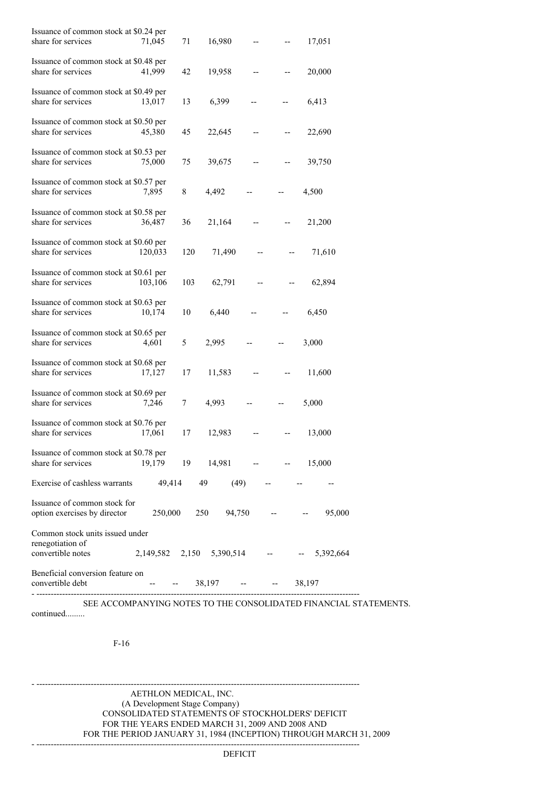| Issuance of common stock at \$0.24 per<br>share for services             | 71,045  | 71  | 16,980              |    | 17,051                                   |
|--------------------------------------------------------------------------|---------|-----|---------------------|----|------------------------------------------|
| Issuance of common stock at \$0.48 per<br>share for services             | 41,999  | 42  | 19,958              |    | 20,000                                   |
| Issuance of common stock at \$0.49 per<br>share for services             | 13,017  | 13  | 6,399               | -- | 6,413                                    |
| Issuance of common stock at \$0.50 per<br>share for services             | 45,380  | 45  | 22,645              |    | 22,690                                   |
| Issuance of common stock at \$0.53 per<br>share for services             | 75,000  | 75  | 39,675              |    | 39,750                                   |
| Issuance of common stock at \$0.57 per<br>share for services             | 7,895   | 8   | 4,492               |    | 4,500                                    |
| Issuance of common stock at \$0.58 per<br>share for services             | 36,487  | 36  | 21,164              |    | 21,200                                   |
| Issuance of common stock at \$0.60 per<br>share for services             | 120,033 | 120 | 71,490              |    | 71,610                                   |
| Issuance of common stock at \$0.61 per<br>share for services             | 103,106 | 103 | 62,791              |    | 62,894                                   |
| Issuance of common stock at \$0.63 per<br>share for services             | 10,174  | 10  | 6,440               |    | 6,450                                    |
| Issuance of common stock at \$0.65 per<br>share for services             | 4,601   | 5   | 2,995               |    | 3,000                                    |
| Issuance of common stock at \$0.68 per<br>share for services             | 17,127  | 17  | 11,583              |    | 11,600                                   |
| Issuance of common stock at \$0.69 per<br>share for services             | 7,246   | 7   | 4.993               |    | 5,000                                    |
| Issuance of common stock at \$0.76 per<br>share for services             | 17,061  | 17  | 12,983              |    | 13,000                                   |
| Issuance of common stock at \$0.78 per<br>share for services             | 19,179  |     | $19 \t14,981 \t---$ |    | 15,000                                   |
| Exercise of cashless warrants                                            | 49,414  |     | (49)<br>49          |    |                                          |
| Issuance of common stock for<br>option exercises by director             | 250,000 |     | 250<br>94,750       |    | 95,000                                   |
| Common stock units issued under<br>renegotiation of<br>convertible notes |         |     |                     |    | 2,149,582 2,150 5,390,514 -- - 5,392,664 |
| Beneficial conversion feature on<br>convertible debt                     |         |     | $-$ 38,197 -- --    |    | 38,197                                   |

SEE ACCOMPANYING NOTES TO THE CONSOLIDATED FINANCIAL STATEMENTS. continued.........

F-16

AETHLON MEDICAL, INC. (A Development Stage Company) CONSOLIDATED STATEMENTS OF STOCKHOLDERS' DEFICIT FOR THE YEARS ENDED MARCH 31, 2009 AND 2008 AND FOR THE PERIOD JANUARY 31, 1984 (INCEPTION) THROUGH MARCH 31, 2009

- -----------------------------------------------------------------------------------------------------------------

- -----------------------------------------------------------------------------------------------------------------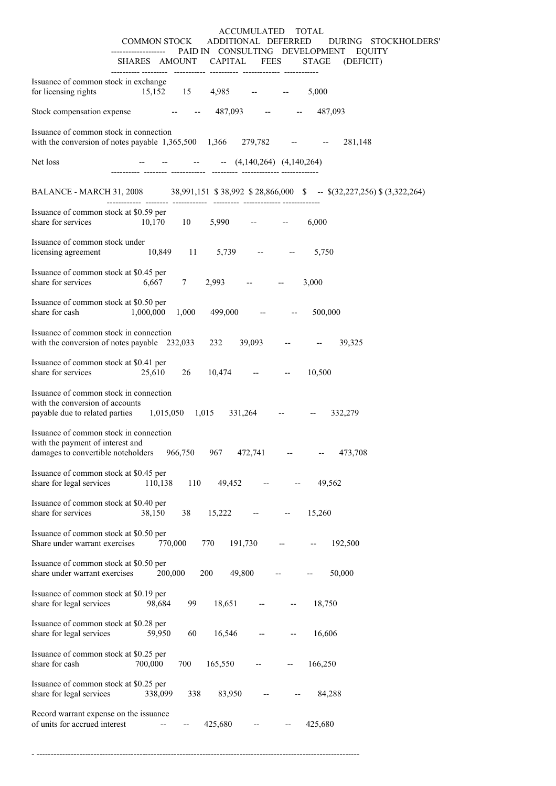|                                                                                                                                          |                               |                                      | ACCUMULATED TOTAL |                                                                                                                   |
|------------------------------------------------------------------------------------------------------------------------------------------|-------------------------------|--------------------------------------|-------------------|-------------------------------------------------------------------------------------------------------------------|
|                                                                                                                                          |                               |                                      |                   | COMMON STOCK ADDITIONAL DEFERRED DURING STOCKHOLDERS'<br>------------------ PAID IN CONSULTING DEVELOPMENT EQUITY |
|                                                                                                                                          |                               |                                      |                   | SHARES AMOUNT CAPITAL FEES STAGE (DEFICIT)                                                                        |
| Issuance of common stock in exchange<br>for licensing rights                                                                             | $15,152$ $15$ $4,985$ -- --   |                                      |                   | 5,000                                                                                                             |
| Stock compensation expense -- --                                                                                                         |                               | 487,093 -- - 487,093                 |                   |                                                                                                                   |
| Issuance of common stock in connection<br>with the conversion of notes payable 1,365,500 1,366 279,782 -- - 281,148                      |                               |                                      |                   |                                                                                                                   |
| Net loss                                                                                                                                 |                               | -- -- -- $(4,140,264)$ $(4,140,264)$ |                   |                                                                                                                   |
|                                                                                                                                          |                               |                                      |                   | BALANCE - MARCH 31, 2008 38,991,151 \$38,992 \$28,866,000 \$ -- \$(32,227,256) \$ (3,322,264)                     |
| Issuance of common stock at \$0.59 per<br>share for services                                                                             | $10,170$ 10 5,990 -- -- 6,000 |                                      |                   |                                                                                                                   |
| Issuance of common stock under<br>licensing agreement $10,849$ $11$ $5,739$ -- -                                                         |                               |                                      |                   | 5,750                                                                                                             |
| Issuance of common stock at \$0.45 per<br>share for services                                                                             | 6,667 7                       | $2,993$ -- --                        |                   | 3,000                                                                                                             |
| Issuance of common stock at \$0.50 per<br>1,000,000<br>share for cash                                                                    |                               | $1,000$ 499,000 -- --                |                   | 500,000                                                                                                           |
| Issuance of common stock in connection<br>with the conversion of notes payable 232,033 232 39,093 -- - - 39,325                          |                               |                                      |                   |                                                                                                                   |
| Issuance of common stock at \$0.41 per<br>share for services 25,610                                                                      |                               | $26 \t 10,474 \t - \t - \t -$        |                   | 10,500                                                                                                            |
| Issuance of common stock in connection<br>with the conversion of accounts<br>payable due to related parties 1,015,050 1,015 331,264 -- - |                               |                                      |                   | 332,279                                                                                                           |
| Issuance of common stock in connection<br>with the payment of interest and<br>damages to convertible noteholders                         | 966,750                       | 967<br>472,741                       |                   | 473,708                                                                                                           |
| Issuance of common stock at \$0.45 per<br>share for legal services                                                                       | 110<br>110,138                | 49,452                               |                   | 49,562                                                                                                            |
| Issuance of common stock at \$0.40 per<br>share for services                                                                             | 38,150<br>38                  | 15,222                               |                   | 15,260                                                                                                            |
| Issuance of common stock at \$0.50 per<br>Share under warrant exercises                                                                  | 770,000                       | 770<br>191,730                       |                   | 192,500                                                                                                           |
| Issuance of common stock at \$0.50 per<br>share under warrant exercises                                                                  | 200,000                       | 200<br>49,800                        |                   | 50,000                                                                                                            |
| Issuance of common stock at \$0.19 per<br>share for legal services                                                                       | 98,684<br>99                  | 18,651                               |                   | 18,750                                                                                                            |
| Issuance of common stock at \$0.28 per<br>share for legal services                                                                       | 59,950<br>60                  | 16,546                               |                   | 16,606                                                                                                            |
| Issuance of common stock at \$0.25 per<br>share for cash                                                                                 | 700,000<br>700                | 165,550                              |                   | 166,250                                                                                                           |
| Issuance of common stock at \$0.25 per<br>share for legal services                                                                       | 338,099<br>338                | 83,950                               |                   | 84,288                                                                                                            |
| Record warrant expense on the issuance<br>of units for accrued interest                                                                  |                               | 425,680                              |                   | 425,680                                                                                                           |

- -----------------------------------------------------------------------------------------------------------------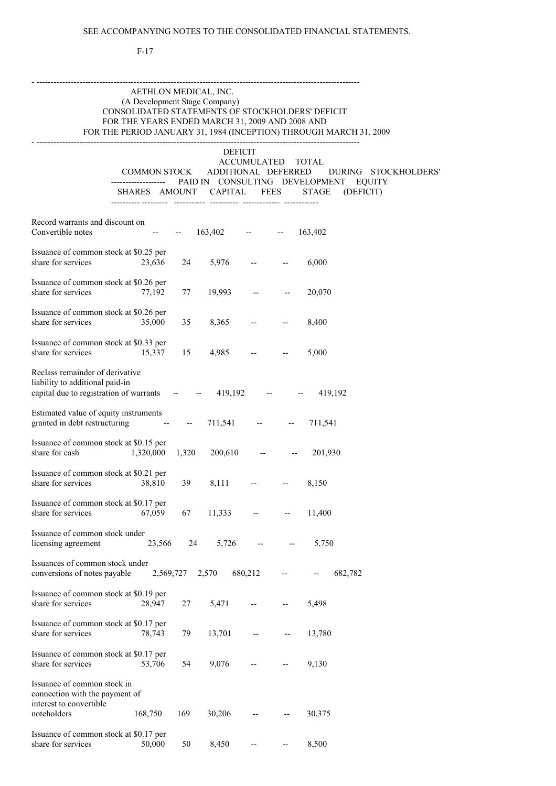## F-17

# AETHLON MEDICAL, INC. (A Development Stage Company) CONSOLIDATED STATEMENTS OF STOCKHOLDERS' DEFICIT FOR THE YEARS ENDED MARCH 31, 2009 AND 2008 AND FOR THE PERIOD JANUARY 31, 1984 (INCEPTION) THROUGH MARCH 31, 2009

- -----------------------------------------------------------------------------------------------------------------

- -----------------------------------------------------------------------------------------------------------------

# DEFICIT ACCUMULATED TOTAL COMMON STOCK ADDITIONAL DEFERRED DURING STOCKHOLDERS' ------------------- PAID IN CONSULTING DEVELOPMENT EQUITY SHARES AMOUNT CAPITAL FEES STAGE (DEFICIT)

| Record warrants and discount on<br>Convertible notes                                                                                  |                   |           | $-163,402$                 | $  163,402$                                                                                                                                                                                                                                                                                                                                                                                  |                          |                                  |
|---------------------------------------------------------------------------------------------------------------------------------------|-------------------|-----------|----------------------------|----------------------------------------------------------------------------------------------------------------------------------------------------------------------------------------------------------------------------------------------------------------------------------------------------------------------------------------------------------------------------------------------|--------------------------|----------------------------------|
| Issuance of common stock at \$0.25 per<br>share for services                                                                          | 23,636            | 24        | 5,976                      | and the state                                                                                                                                                                                                                                                                                                                                                                                |                          | 6,000                            |
| Issuance of common stock at \$0.26 per<br>share for services                                                                          | 77,192            | 77        | 19,993                     | <b>ARCHITECT</b>                                                                                                                                                                                                                                                                                                                                                                             |                          | 20,070                           |
| Issuance of common stock at \$0.26 per<br>share for services                                                                          | 35,000            | 35        | 8,365                      | $\sim$ $-$                                                                                                                                                                                                                                                                                                                                                                                   |                          | 8,400                            |
| Issuance of common stock at \$0.33 per<br>share for services                                                                          | 15,337            | 15        |                            | $4,985$ -- --                                                                                                                                                                                                                                                                                                                                                                                |                          | 5,000                            |
| Reclass remainder of derivative<br>liability to additional paid-in<br>capital due to registration of warrants $  419,192$ $  419,192$ |                   |           |                            |                                                                                                                                                                                                                                                                                                                                                                                              |                          |                                  |
| Estimated value of equity instruments<br>granted in debt restructuring - - - 711,541 - - 711,541                                      |                   |           |                            |                                                                                                                                                                                                                                                                                                                                                                                              |                          |                                  |
| Issuance of common stock at \$0.15 per<br>share for cash                                                                              | 1,320,000         |           |                            |                                                                                                                                                                                                                                                                                                                                                                                              |                          | $1,320$ $200,610$ -- - $201,930$ |
| Issuance of common stock at \$0.21 per<br>share for services                                                                          | 38,810            | 39        |                            | $8,111$ -- --                                                                                                                                                                                                                                                                                                                                                                                |                          | 8,150                            |
| Issuance of common stock at \$0.17 per<br>share for services                                                                          | 67,059            | 67        |                            | $11,333$ -- --                                                                                                                                                                                                                                                                                                                                                                               |                          | 11,400                           |
| Issuance of common stock under<br>licensing agreement                                                                                 |                   |           | 23,566 24 5,726 -- - 5,750 |                                                                                                                                                                                                                                                                                                                                                                                              |                          |                                  |
| Issuances of common stock under<br>conversions of notes payable $2,569,727$ $2,570$ $680,212$ -                                       |                   |           |                            |                                                                                                                                                                                                                                                                                                                                                                                              |                          | $-682,782$                       |
| Issuance of common stock at \$0.19 per<br>share for services                                                                          | 28,947            | 27        | 5,471                      | $\frac{1}{2} \frac{1}{2} \frac{1}{2} \frac{1}{2} \frac{1}{2} \frac{1}{2} \frac{1}{2} \frac{1}{2} \frac{1}{2} \frac{1}{2} \frac{1}{2} \frac{1}{2} \frac{1}{2} \frac{1}{2} \frac{1}{2} \frac{1}{2} \frac{1}{2} \frac{1}{2} \frac{1}{2} \frac{1}{2} \frac{1}{2} \frac{1}{2} \frac{1}{2} \frac{1}{2} \frac{1}{2} \frac{1}{2} \frac{1}{2} \frac{1}{2} \frac{1}{2} \frac{1}{2} \frac{1}{2} \frac{$ | $\overline{\phantom{a}}$ | 5,498                            |
| Issuance of common stock at \$0.17 per<br>share for services                                                                          | 78,743            | 79        | 13,701                     |                                                                                                                                                                                                                                                                                                                                                                                              |                          | 13,780                           |
| Issuance of common stock at \$0.17 per<br>share for services                                                                          | 53,706            | 54        | 9,076                      |                                                                                                                                                                                                                                                                                                                                                                                              |                          | 9,130                            |
| Issuance of common stock in<br>connection with the payment of<br>interest to convertible                                              |                   |           |                            |                                                                                                                                                                                                                                                                                                                                                                                              |                          |                                  |
| noteholders<br>Issuance of common stock at \$0.17 per<br>share for services                                                           | 168,750<br>50,000 | 169<br>50 | 30,206<br>8,450            |                                                                                                                                                                                                                                                                                                                                                                                              |                          | 30,375<br>8,500                  |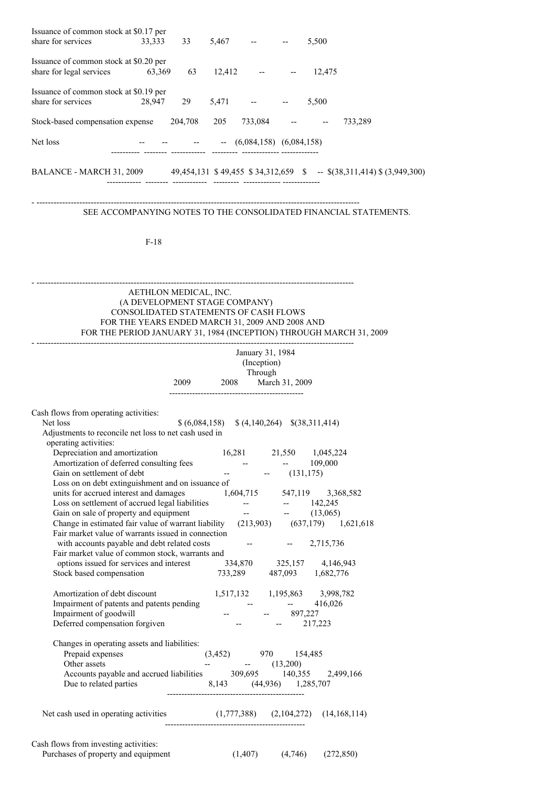| Issuance of common stock at \$0.17 per<br>share for services                                                                                                                   | 33,333                                                                                          | 33 |                           | $5,467$ -- --                                                                                                                                                            |               | 5,500                                                              |                                                                  |
|--------------------------------------------------------------------------------------------------------------------------------------------------------------------------------|-------------------------------------------------------------------------------------------------|----|---------------------------|--------------------------------------------------------------------------------------------------------------------------------------------------------------------------|---------------|--------------------------------------------------------------------|------------------------------------------------------------------|
| Issuance of common stock at \$0.20 per<br>share for legal services                                                                                                             | 63,369                                                                                          | 63 |                           | $12,412$ -                                                                                                                                                               |               | 12,475                                                             |                                                                  |
| Issuance of common stock at \$0.19 per<br>share for services                                                                                                                   | 28,947                                                                                          | 29 |                           | $5,471$ -- $5,500$                                                                                                                                                       |               |                                                                    |                                                                  |
| Stock-based compensation expense 204,708                                                                                                                                       |                                                                                                 |    |                           | $205$ $733,084$ -- --                                                                                                                                                    |               |                                                                    | 733,289                                                          |
| Net loss                                                                                                                                                                       |                                                                                                 |    |                           | $   (6,084,158)$ $(6,084,158)$                                                                                                                                           |               |                                                                    |                                                                  |
| BALANCE - MARCH 31, 2009 49,454,131 \$49,455 \$34,312,659 \$ -- \$(38,311,414) \$(3,949,300)                                                                                   |                                                                                                 |    |                           |                                                                                                                                                                          |               |                                                                    |                                                                  |
|                                                                                                                                                                                |                                                                                                 |    |                           |                                                                                                                                                                          |               |                                                                    | SEE ACCOMPANYING NOTES TO THE CONSOLIDATED FINANCIAL STATEMENTS. |
|                                                                                                                                                                                | $F-18$                                                                                          |    |                           |                                                                                                                                                                          |               |                                                                    |                                                                  |
|                                                                                                                                                                                |                                                                                                 |    |                           |                                                                                                                                                                          |               |                                                                    |                                                                  |
|                                                                                                                                                                                | AETHLON MEDICAL, INC.<br>(A DEVELOPMENT STAGE COMPANY)<br>CONSOLIDATED STATEMENTS OF CASH FLOWS |    |                           |                                                                                                                                                                          |               |                                                                    |                                                                  |
|                                                                                                                                                                                | FOR THE YEARS ENDED MARCH 31, 2009 AND 2008 AND                                                 |    |                           |                                                                                                                                                                          |               | FOR THE PERIOD JANUARY 31, 1984 (INCEPTION) THROUGH MARCH 31, 2009 |                                                                  |
|                                                                                                                                                                                |                                                                                                 |    |                           | January 31, 1984<br>(Inception)                                                                                                                                          |               |                                                                    |                                                                  |
|                                                                                                                                                                                |                                                                                                 |    |                           | Through<br>2009 2008 March 31, 2009                                                                                                                                      |               |                                                                    |                                                                  |
|                                                                                                                                                                                |                                                                                                 |    |                           |                                                                                                                                                                          |               |                                                                    |                                                                  |
| Cash flows from operating activities:<br>Net loss<br>Adjustments to reconcile net loss to net cash used in<br>operating activities:                                            |                                                                                                 |    |                           | $$(6,084,158) \$ $$(4,140,264) \$ $$(38,311,414)$                                                                                                                        |               |                                                                    |                                                                  |
| Depreciation and amortization<br>Amortization of deferred consulting fees                                                                                                      |                                                                                                 |    |                           | $\sim 10^{-10}$                                                                                                                                                          |               | 16,281 21,550 1,045,224<br>109,000                                 |                                                                  |
| Gain on settlement of debt                                                                                                                                                     |                                                                                                 |    | $\mathbb{H}^{\mathbb{H}}$ |                                                                                                                                                                          | $-$ (131,175) |                                                                    |                                                                  |
| Loss on on debt extinguishment and on issuance of<br>units for accrued interest and damages                                                                                    |                                                                                                 |    |                           |                                                                                                                                                                          |               | 1,604,715 547,119 3,368,582                                        |                                                                  |
|                                                                                                                                                                                |                                                                                                 |    |                           |                                                                                                                                                                          |               |                                                                    |                                                                  |
| Loss on settlement of accrued legal liabilities<br>Gain on sale of property and equipment<br>Change in estimated fair value of warrant liability (213,903) (637,179) 1,621,618 |                                                                                                 |    |                           |                                                                                                                                                                          |               |                                                                    |                                                                  |
| Fair market value of warrants issued in connection<br>with accounts payable and debt related costs                                                                             |                                                                                                 |    |                           |                                                                                                                                                                          |               | $-2,715,736$                                                       |                                                                  |
| Fair market value of common stock, warrants and                                                                                                                                |                                                                                                 |    |                           |                                                                                                                                                                          |               | 334,870 325,157 4,146,943                                          |                                                                  |
| options issued for services and interest<br>Stock based compensation                                                                                                           |                                                                                                 |    |                           |                                                                                                                                                                          |               | 733,289 487,093 1,682,776                                          |                                                                  |
| Amortization of debt discount                                                                                                                                                  |                                                                                                 |    |                           |                                                                                                                                                                          |               | 1,517,132 1,195,863 3,998,782                                      |                                                                  |
| Impairment of patents and patents pending<br>Impairment of goodwill<br>Impairment of goodwill<br>Deferred compensation forgiven                                                |                                                                                                 |    |                           | $\label{eq:2.1} \frac{1}{\sqrt{2\pi}}\left(\frac{1}{\sqrt{2\pi}}\right)^{1/2}\frac{1}{\sqrt{2\pi}}\left(\frac{1}{\sqrt{2\pi}}\right)^{1/2}.$<br>$-897,227$<br>$-217,223$ |               | $-416,026$                                                         |                                                                  |
| Changes in operating assets and liabilities:                                                                                                                                   |                                                                                                 |    |                           |                                                                                                                                                                          |               |                                                                    |                                                                  |
| Prepaid expenses                                                                                                                                                               |                                                                                                 |    |                           | $(3,452)$ 970 154,485                                                                                                                                                    |               |                                                                    |                                                                  |
| Other assets<br>Accounts payable and accrued liabilities 309,695 140,355 2,499,166                                                                                             |                                                                                                 |    |                           | $  (13,200)$                                                                                                                                                             |               |                                                                    |                                                                  |
| Due to related parties 8,143 (44,936) 1,285,707                                                                                                                                |                                                                                                 |    |                           |                                                                                                                                                                          |               |                                                                    |                                                                  |
| Net cash used in operating activities (1,777,388) (2,104,272) (14,168,114)                                                                                                     |                                                                                                 |    |                           |                                                                                                                                                                          |               |                                                                    |                                                                  |
| Cash flows from investing activities:<br>Purchases of property and equipment                                                                                                   |                                                                                                 |    |                           |                                                                                                                                                                          |               | $(1,407)$ $(4,746)$ $(272,850)$                                    |                                                                  |
|                                                                                                                                                                                |                                                                                                 |    |                           |                                                                                                                                                                          |               |                                                                    |                                                                  |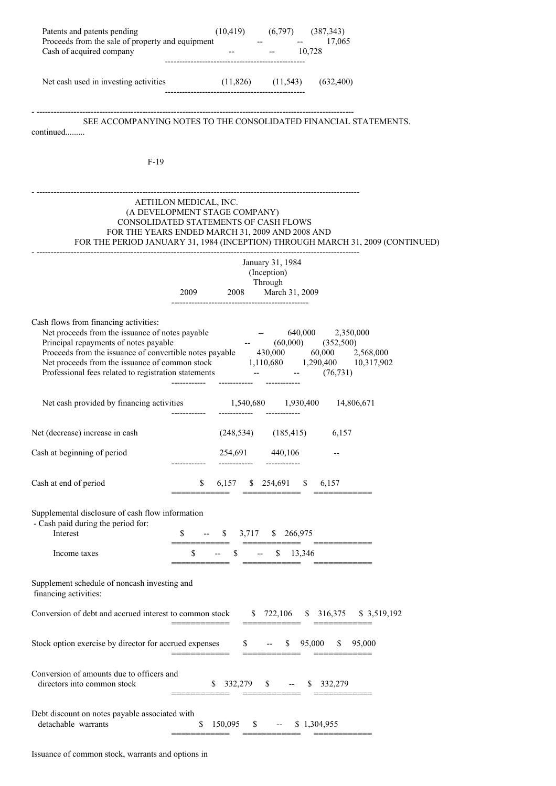| Patents and patents pending                                                                                                                                                                                                                                                                                                                                                                  | $(10,419)$ $(6,797)$ $(387,343)$                                                                                                                   |                                 |                                                                                |
|----------------------------------------------------------------------------------------------------------------------------------------------------------------------------------------------------------------------------------------------------------------------------------------------------------------------------------------------------------------------------------------------|----------------------------------------------------------------------------------------------------------------------------------------------------|---------------------------------|--------------------------------------------------------------------------------|
| Proceeds from the sale of property and equipment - - - 17,065<br>Cash of acquired company                                                                                                                                                                                                                                                                                                    |                                                                                                                                                    | $-10,728$                       |                                                                                |
| Net cash used in investing activities (11,826) (11,543) (632,400)                                                                                                                                                                                                                                                                                                                            |                                                                                                                                                    |                                 |                                                                                |
| continued                                                                                                                                                                                                                                                                                                                                                                                    |                                                                                                                                                    |                                 | SEE ACCOMPANYING NOTES TO THE CONSOLIDATED FINANCIAL STATEMENTS.               |
| $F-19$                                                                                                                                                                                                                                                                                                                                                                                       |                                                                                                                                                    |                                 |                                                                                |
|                                                                                                                                                                                                                                                                                                                                                                                              | AETHLON MEDICAL, INC.<br>(A DEVELOPMENT STAGE COMPANY)<br>CONSOLIDATED STATEMENTS OF CASH FLOWS<br>FOR THE YEARS ENDED MARCH 31, 2009 AND 2008 AND |                                 | FOR THE PERIOD JANUARY 31, 1984 (INCEPTION) THROUGH MARCH 31, 2009 (CONTINUED) |
|                                                                                                                                                                                                                                                                                                                                                                                              | Through<br>2009 2008 March 31, 2009                                                                                                                | January 31, 1984<br>(Inception) |                                                                                |
| Cash flows from financing activities:<br>Net proceeds from the issuance of notes payable $640,000$ $2,350,000$<br>Principal repayments of notes payable<br>Proceeds from the issuance of convertible notes payable $430,000$ $60,000$ $2,568,000$<br>Net proceeds from the issuance of common stock $1,110,680$ $1,290,400$ $10,317,902$<br>Professional fees related to registration statem | e tijdenske konstantiner.<br>De beskriuwer                                                                                                         |                                 | $-$ (60,000) (352,500)                                                         |
| Net cash provided by financing activities 1,540,680 1,930,400 14,806,671                                                                                                                                                                                                                                                                                                                     | -------------                                                                                                                                      |                                 |                                                                                |
| Net (decrease) increase in cash                                                                                                                                                                                                                                                                                                                                                              | $(248,534)$ $(185,415)$ $6,157$                                                                                                                    |                                 |                                                                                |
| Cash at beginning of period                                                                                                                                                                                                                                                                                                                                                                  | 254,691                                                                                                                                            | 440,106                         |                                                                                |
| Cash at end of period                                                                                                                                                                                                                                                                                                                                                                        | 6,157<br>\$                                                                                                                                        | $$254,691$ \$ 6,157             |                                                                                |
| Supplemental disclosure of cash flow information<br>- Cash paid during the period for:<br>Interest                                                                                                                                                                                                                                                                                           | -- $\$$ 3,717 \, \$ 266,975                                                                                                                        |                                 |                                                                                |
| Income taxes                                                                                                                                                                                                                                                                                                                                                                                 | $-$ \$ $-$ \$ 13,346                                                                                                                               |                                 |                                                                                |
| Supplement schedule of noncash investing and<br>financing activities:                                                                                                                                                                                                                                                                                                                        |                                                                                                                                                    |                                 |                                                                                |
| Conversion of debt and accrued interest to common stock \$722,106 \$316,375 \$3,519,192                                                                                                                                                                                                                                                                                                      |                                                                                                                                                    |                                 |                                                                                |
| Stock option exercise by director for accrued expenses $$-.$ \$ 95,000 \$ 95,000                                                                                                                                                                                                                                                                                                             |                                                                                                                                                    |                                 |                                                                                |
| Conversion of amounts due to officers and<br>directors into common stock                                                                                                                                                                                                                                                                                                                     | $$332,279$ \$ -- \$ 332,279                                                                                                                        |                                 |                                                                                |
| Debt discount on notes payable associated with<br>detachable warrants                                                                                                                                                                                                                                                                                                                        | $150,095$ \$ -- \$ 1,304,955<br>S.                                                                                                                 |                                 |                                                                                |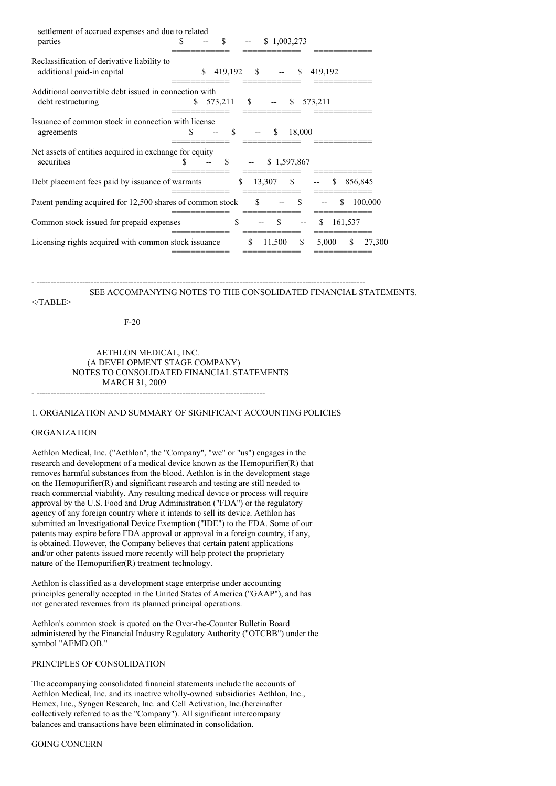| settlement of accrued expenses and due to related                    |     |    |               |               |              |               |                |               |         |         |         |
|----------------------------------------------------------------------|-----|----|---------------|---------------|--------------|---------------|----------------|---------------|---------|---------|---------|
| parties                                                              | £.  |    | \$.           |               |              |               | \$1,003,273    |               |         |         |         |
| Reclassification of derivative liability to                          |     |    |               |               |              |               |                |               |         |         |         |
| additional paid-in capital                                           |     | S. | 419,192       |               | $\mathbb{S}$ |               | $--$ \$        |               | 419,192 |         |         |
| Additional convertible debt issued in connection with                |     |    |               |               |              |               |                |               |         |         |         |
| debt restructuring                                                   | S   |    | 573,211       | $^{\circ}$    |              |               | $-$ \$ 573,211 |               |         |         |         |
| Issuance of common stock in connection with license<br>agreements    | \$. |    | <sup>\$</sup> |               |              | S.            | 18,000         |               |         |         |         |
|                                                                      |     |    |               |               |              |               |                |               |         |         |         |
| Net assets of entities acquired in exchange for equity<br>securities | S   |    | <sup>\$</sup> |               |              |               | \$1,597,867    |               |         |         |         |
| Debt placement fees paid by issuance of warrants                     |     |    | S.            |               | 13,307       |               | S.             |               | \$.     |         | 856,845 |
| Patent pending acquired for 12,500 shares of common stock            |     |    |               | <sup>\$</sup> |              |               | <sup>\$</sup>  |               |         | \$.     | 100,000 |
| Common stock issued for prepaid expenses                             |     |    | \$            |               |              | $\mathcal{S}$ |                | <sup>\$</sup> |         | 161,537 |         |
| Licensing rights acquired with common stock issuance                 |     |    |               | \$            |              | 11,500        | <sup>\$</sup>  |               | 5,000   | \$.     | 27,300  |
|                                                                      |     |    |               |               |              |               |                |               |         |         |         |

#### - ------------------------------------------------------------------------------------------------------------------- SEE ACCOMPANYING NOTES TO THE CONSOLIDATED FINANCIAL STATEMENTS.

 $<$ /TABLE>

F-20

# AETHLON MEDICAL, INC. (A DEVELOPMENT STAGE COMPANY) NOTES TO CONSOLIDATED FINANCIAL STATEMENTS MARCH 31, 2009 - --------------------------------------------------------------------------------

### 1. ORGANIZATION AND SUMMARY OF SIGNIFICANT ACCOUNTING POLICIES

# ORGANIZATION

Aethlon Medical, Inc. ("Aethlon", the "Company", "we" or "us") engages in the research and development of a medical device known as the Hemopurifier(R) that removes harmful substances from the blood. Aethlon is in the development stage on the Hemopurifier(R) and significant research and testing are still needed to reach commercial viability. Any resulting medical device or process will require approval by the U.S. Food and Drug Administration ("FDA") or the regulatory agency of any foreign country where it intends to sell its device. Aethlon has submitted an Investigational Device Exemption ("IDE") to the FDA. Some of our patents may expire before FDA approval or approval in a foreign country, if any, is obtained. However, the Company believes that certain patent applications and/or other patents issued more recently will help protect the proprietary nature of the Hemopurifier(R) treatment technology.

Aethlon is classified as a development stage enterprise under accounting principles generally accepted in the United States of America ("GAAP"), and has not generated revenues from its planned principal operations.

Aethlon's common stock is quoted on the Over-the-Counter Bulletin Board administered by the Financial Industry Regulatory Authority ("OTCBB") under the symbol "AEMD.OB."

### PRINCIPLES OF CONSOLIDATION

The accompanying consolidated financial statements include the accounts of Aethlon Medical, Inc. and its inactive wholly-owned subsidiaries Aethlon, Inc., Hemex, Inc., Syngen Research, Inc. and Cell Activation, Inc.(hereinafter collectively referred to as the "Company"). All significant intercompany balances and transactions have been eliminated in consolidation.

#### GOING CONCERN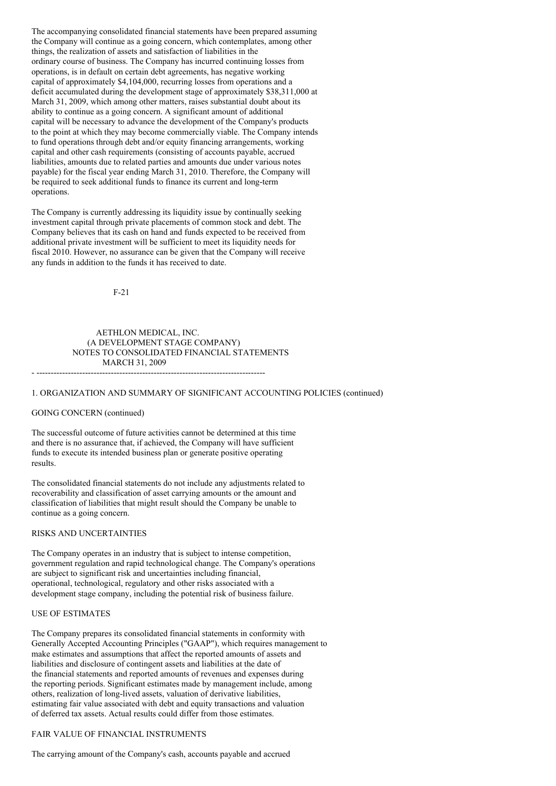The accompanying consolidated financial statements have been prepared assuming the Company will continue as a going concern, which contemplates, among other things, the realization of assets and satisfaction of liabilities in the ordinary course of business. The Company has incurred continuing losses from operations, is in default on certain debt agreements, has negative working capital of approximately \$4,104,000, recurring losses from operations and a deficit accumulated during the development stage of approximately \$38,311,000 at March 31, 2009, which among other matters, raises substantial doubt about its ability to continue as a going concern. A significant amount of additional capital will be necessary to advance the development of the Company's products to the point at which they may become commercially viable. The Company intends to fund operations through debt and/or equity financing arrangements, working capital and other cash requirements (consisting of accounts payable, accrued liabilities, amounts due to related parties and amounts due under various notes payable) for the fiscal year ending March 31, 2010. Therefore, the Company will be required to seek additional funds to finance its current and long-term operations.

The Company is currently addressing its liquidity issue by continually seeking investment capital through private placements of common stock and debt. The Company believes that its cash on hand and funds expected to be received from additional private investment will be sufficient to meet its liquidity needs for fiscal 2010. However, no assurance can be given that the Company will receive any funds in addition to the funds it has received to date.

F-21

# AETHLON MEDICAL, INC. (A DEVELOPMENT STAGE COMPANY) NOTES TO CONSOLIDATED FINANCIAL STATEMENTS MARCH 31, 2009 - --------------------------------------------------------------------------------

### 1. ORGANIZATION AND SUMMARY OF SIGNIFICANT ACCOUNTING POLICIES (continued)

### GOING CONCERN (continued)

The successful outcome of future activities cannot be determined at this time and there is no assurance that, if achieved, the Company will have sufficient funds to execute its intended business plan or generate positive operating results.

The consolidated financial statements do not include any adjustments related to recoverability and classification of asset carrying amounts or the amount and classification of liabilities that might result should the Company be unable to continue as a going concern.

#### RISKS AND UNCERTAINTIES

The Company operates in an industry that is subject to intense competition, government regulation and rapid technological change. The Company's operations are subject to significant risk and uncertainties including financial, operational, technological, regulatory and other risks associated with a development stage company, including the potential risk of business failure.

### USE OF ESTIMATES

The Company prepares its consolidated financial statements in conformity with Generally Accepted Accounting Principles ("GAAP"), which requires management to make estimates and assumptions that affect the reported amounts of assets and liabilities and disclosure of contingent assets and liabilities at the date of the financial statements and reported amounts of revenues and expenses during the reporting periods. Significant estimates made by management include, among others, realization of long-lived assets, valuation of derivative liabilities, estimating fair value associated with debt and equity transactions and valuation of deferred tax assets. Actual results could differ from those estimates.

#### FAIR VALUE OF FINANCIAL INSTRUMENTS

# The carrying amount of the Company's cash, accounts payable and accrued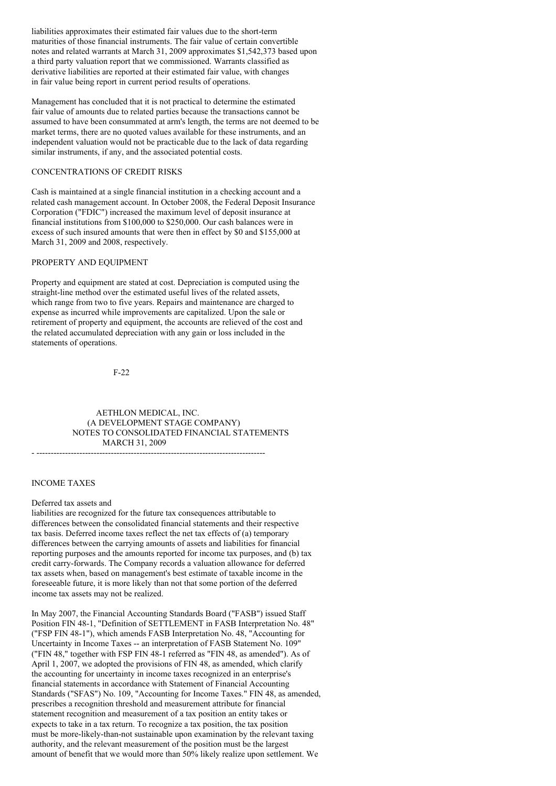liabilities approximates their estimated fair values due to the short-term maturities of those financial instruments. The fair value of certain convertible notes and related warrants at March 31, 2009 approximates \$1,542,373 based upon a third party valuation report that we commissioned. Warrants classified as derivative liabilities are reported at their estimated fair value, with changes in fair value being report in current period results of operations.

Management has concluded that it is not practical to determine the estimated fair value of amounts due to related parties because the transactions cannot be assumed to have been consummated at arm's length, the terms are not deemed to be market terms, there are no quoted values available for these instruments, and an independent valuation would not be practicable due to the lack of data regarding similar instruments, if any, and the associated potential costs.

### CONCENTRATIONS OF CREDIT RISKS

Cash is maintained at a single financial institution in a checking account and a related cash management account. In October 2008, the Federal Deposit Insurance Corporation ("FDIC") increased the maximum level of deposit insurance at financial institutions from \$100,000 to \$250,000. Our cash balances were in excess of such insured amounts that were then in effect by \$0 and \$155,000 at March 31, 2009 and 2008, respectively.

### PROPERTY AND EQUIPMENT

Property and equipment are stated at cost. Depreciation is computed using the straight-line method over the estimated useful lives of the related assets, which range from two to five years. Repairs and maintenance are charged to expense as incurred while improvements are capitalized. Upon the sale or retirement of property and equipment, the accounts are relieved of the cost and the related accumulated depreciation with any gain or loss included in the statements of operations.

F-22

AETHLON MEDICAL, INC. (A DEVELOPMENT STAGE COMPANY) NOTES TO CONSOLIDATED FINANCIAL STATEMENTS MARCH 31, 2009 - --------------------------------------------------------------------------------

### INCOME TAXES

#### Deferred tax assets and

liabilities are recognized for the future tax consequences attributable to differences between the consolidated financial statements and their respective tax basis. Deferred income taxes reflect the net tax effects of (a) temporary differences between the carrying amounts of assets and liabilities for financial reporting purposes and the amounts reported for income tax purposes, and (b) tax credit carry-forwards. The Company records a valuation allowance for deferred tax assets when, based on management's best estimate of taxable income in the foreseeable future, it is more likely than not that some portion of the deferred income tax assets may not be realized.

In May 2007, the Financial Accounting Standards Board ("FASB") issued Staff Position FIN 48-1, "Definition of SETTLEMENT in FASB Interpretation No. 48" ("FSP FIN 48-1"), which amends FASB Interpretation No. 48, "Accounting for Uncertainty in Income Taxes -- an interpretation of FASB Statement No. 109" ("FIN 48," together with FSP FIN 48-1 referred as "FIN 48, as amended"). As of April 1, 2007, we adopted the provisions of FIN 48, as amended, which clarify the accounting for uncertainty in income taxes recognized in an enterprise's financial statements in accordance with Statement of Financial Accounting Standards ("SFAS") No. 109, "Accounting for Income Taxes." FIN 48, as amended, prescribes a recognition threshold and measurement attribute for financial statement recognition and measurement of a tax position an entity takes or expects to take in a tax return. To recognize a tax position, the tax position must be more-likely-than-not sustainable upon examination by the relevant taxing authority, and the relevant measurement of the position must be the largest amount of benefit that we would more than 50% likely realize upon settlement. We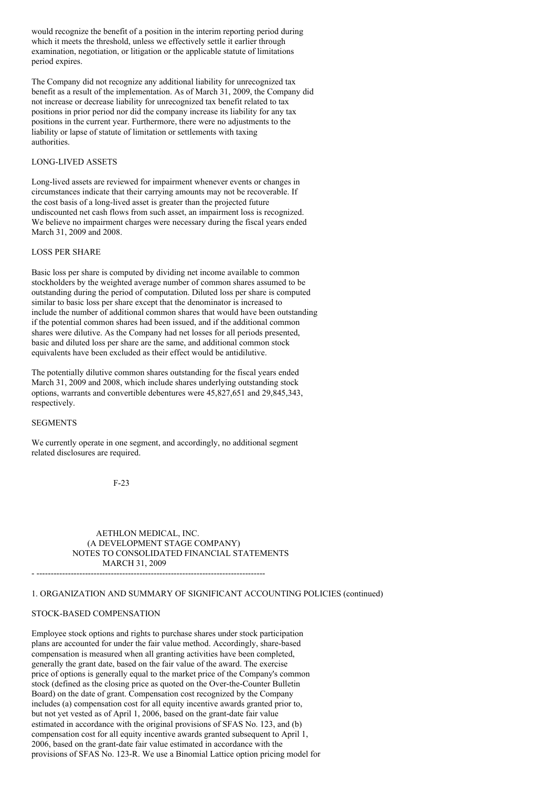would recognize the benefit of a position in the interim reporting period during which it meets the threshold, unless we effectively settle it earlier through examination, negotiation, or litigation or the applicable statute of limitations period expires.

The Company did not recognize any additional liability for unrecognized tax benefit as a result of the implementation. As of March 31, 2009, the Company did not increase or decrease liability for unrecognized tax benefit related to tax positions in prior period nor did the company increase its liability for any tax positions in the current year. Furthermore, there were no adjustments to the liability or lapse of statute of limitation or settlements with taxing authorities.

# LONG-LIVED ASSETS

Long-lived assets are reviewed for impairment whenever events or changes in circumstances indicate that their carrying amounts may not be recoverable. If the cost basis of a long-lived asset is greater than the projected future undiscounted net cash flows from such asset, an impairment loss is recognized. We believe no impairment charges were necessary during the fiscal years ended March 31, 2009 and 2008.

# LOSS PER SHARE

Basic loss per share is computed by dividing net income available to common stockholders by the weighted average number of common shares assumed to be outstanding during the period of computation. Diluted loss per share is computed similar to basic loss per share except that the denominator is increased to include the number of additional common shares that would have been outstanding if the potential common shares had been issued, and if the additional common shares were dilutive. As the Company had net losses for all periods presented, basic and diluted loss per share are the same, and additional common stock equivalents have been excluded as their effect would be antidilutive.

The potentially dilutive common shares outstanding for the fiscal years ended March 31, 2009 and 2008, which include shares underlying outstanding stock options, warrants and convertible debentures were 45,827,651 and 29,845,343, respectively.

# **SEGMENTS**

We currently operate in one segment, and accordingly, no additional segment related disclosures are required.

F-23

AETHLON MEDICAL, INC. (A DEVELOPMENT STAGE COMPANY) NOTES TO CONSOLIDATED FINANCIAL STATEMENTS MARCH 31, 2009

- --------------------------------------------------------------------------------

# 1. ORGANIZATION AND SUMMARY OF SIGNIFICANT ACCOUNTING POLICIES (continued)

#### STOCK-BASED COMPENSATION

Employee stock options and rights to purchase shares under stock participation plans are accounted for under the fair value method. Accordingly, share-based compensation is measured when all granting activities have been completed, generally the grant date, based on the fair value of the award. The exercise price of options is generally equal to the market price of the Company's common stock (defined as the closing price as quoted on the Over-the-Counter Bulletin Board) on the date of grant. Compensation cost recognized by the Company includes (a) compensation cost for all equity incentive awards granted prior to, but not yet vested as of April 1, 2006, based on the grant-date fair value estimated in accordance with the original provisions of SFAS No. 123, and (b) compensation cost for all equity incentive awards granted subsequent to April 1, 2006, based on the grant-date fair value estimated in accordance with the provisions of SFAS No. 123-R. We use a Binomial Lattice option pricing model for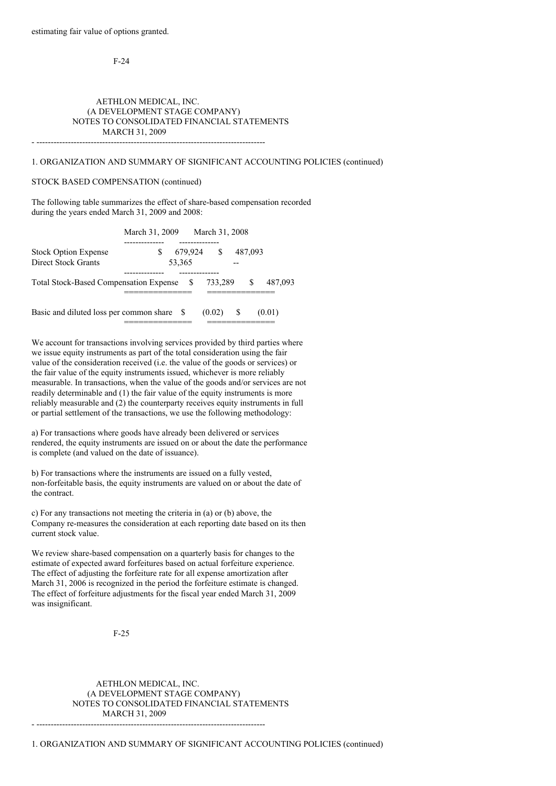F-24

# AETHLON MEDICAL, INC. (A DEVELOPMENT STAGE COMPANY) NOTES TO CONSOLIDATED FINANCIAL STATEMENTS MARCH 31, 2009

- --------------------------------------------------------------------------------

# 1. ORGANIZATION AND SUMMARY OF SIGNIFICANT ACCOUNTING POLICIES (continued)

## STOCK BASED COMPENSATION (continued)

The following table summarizes the effect of share-based compensation recorded during the years ended March 31, 2009 and 2008:

|                                                    | March 31, 2009 |                   | March 31, 2008 |         |         |
|----------------------------------------------------|----------------|-------------------|----------------|---------|---------|
| <b>Stock Option Expense</b><br>Direct Stock Grants | S              | 679,924<br>53,365 | $\mathbb{S}$   | 487,093 |         |
| <b>Total Stock-Based Compensation Expense</b>      |                |                   | 733,289        | S       | 487,093 |
| Basic and diluted loss per common share \$         |                |                   | (0.02)         | -S      | (0.01)  |

We account for transactions involving services provided by third parties where we issue equity instruments as part of the total consideration using the fair value of the consideration received (i.e. the value of the goods or services) or the fair value of the equity instruments issued, whichever is more reliably measurable. In transactions, when the value of the goods and/or services are not readily determinable and (1) the fair value of the equity instruments is more reliably measurable and (2) the counterparty receives equity instruments in full or partial settlement of the transactions, we use the following methodology:

a) For transactions where goods have already been delivered or services rendered, the equity instruments are issued on or about the date the performance is complete (and valued on the date of issuance).

b) For transactions where the instruments are issued on a fully vested, non-forfeitable basis, the equity instruments are valued on or about the date of the contract.

c) For any transactions not meeting the criteria in (a) or (b) above, the Company re-measures the consideration at each reporting date based on its then current stock value.

We review share-based compensation on a quarterly basis for changes to the estimate of expected award forfeitures based on actual forfeiture experience. The effect of adjusting the forfeiture rate for all expense amortization after March 31, 2006 is recognized in the period the forfeiture estimate is changed. The effect of forfeiture adjustments for the fiscal year ended March 31, 2009 was insignificant.

### F-25

AETHLON MEDICAL, INC. (A DEVELOPMENT STAGE COMPANY) NOTES TO CONSOLIDATED FINANCIAL STATEMENTS MARCH 31, 2009 - --------------------------------------------------------------------------------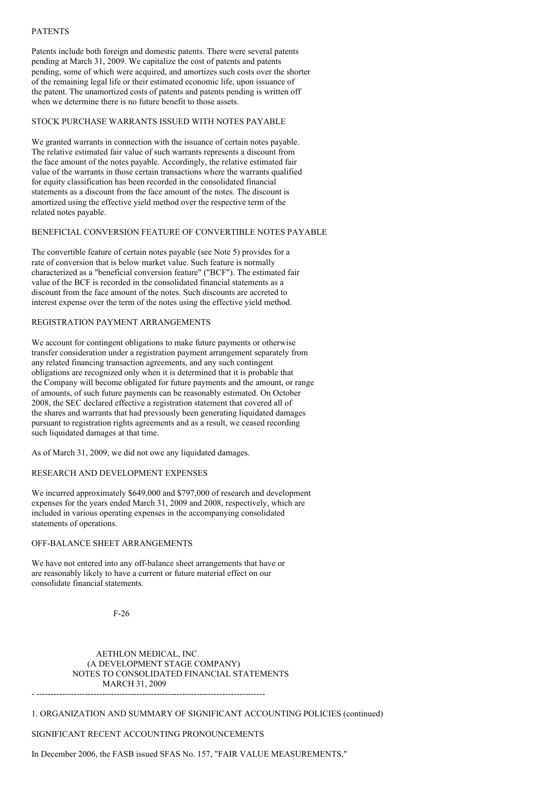### PATENTS

Patents include both foreign and domestic patents. There were several patents pending at March 31, 2009. We capitalize the cost of patents and patents pending, some of which were acquired, and amortizes such costs over the shorter of the remaining legal life or their estimated economic life, upon issuance of the patent. The unamortized costs of patents and patents pending is written off when we determine there is no future benefit to those assets.

# STOCK PURCHASE WARRANTS ISSUED WITH NOTES PAYABLE

We granted warrants in connection with the issuance of certain notes payable. The relative estimated fair value of such warrants represents a discount from the face amount of the notes payable. Accordingly, the relative estimated fair value of the warrants in those certain transactions where the warrants qualified for equity classification has been recorded in the consolidated financial statements as a discount from the face amount of the notes. The discount is amortized using the effective yield method over the respective term of the related notes payable.

# BENEFICIAL CONVERSION FEATURE OF CONVERTIBLE NOTES PAYABLE

The convertible feature of certain notes payable (see Note 5) provides for a rate of conversion that is below market value. Such feature is normally characterized as a "beneficial conversion feature" ("BCF"). The estimated fair value of the BCF is recorded in the consolidated financial statements as a discount from the face amount of the notes. Such discounts are accreted to interest expense over the term of the notes using the effective yield method.

# REGISTRATION PAYMENT ARRANGEMENTS

We account for contingent obligations to make future payments or otherwise transfer consideration under a registration payment arrangement separately from any related financing transaction agreements, and any such contingent obligations are recognized only when it is determined that it is probable that the Company will become obligated for future payments and the amount, or range of amounts, of such future payments can be reasonably estimated. On October 2008, the SEC declared effective a registration statement that covered all of the shares and warrants that had previously been generating liquidated damages pursuant to registration rights agreements and as a result, we ceased recording such liquidated damages at that time.

As of March 31, 2009, we did not owe any liquidated damages.

# RESEARCH AND DEVELOPMENT EXPENSES

We incurred approximately \$649,000 and \$797,000 of research and development expenses for the years ended March 31, 2009 and 2008, respectively, which are included in various operating expenses in the accompanying consolidated statements of operations.

### OFF-BALANCE SHEET ARRANGEMENTS

We have not entered into any off-balance sheet arrangements that have or are reasonably likely to have a current or future material effect on our consolidate financial statements.

F-26

# AETHLON MEDICAL, INC. (A DEVELOPMENT STAGE COMPANY) NOTES TO CONSOLIDATED FINANCIAL STATEMENTS MARCH 31, 2009 - --------------------------------------------------------------------------------

1. ORGANIZATION AND SUMMARY OF SIGNIFICANT ACCOUNTING POLICIES (continued)

#### SIGNIFICANT RECENT ACCOUNTING PRONOUNCEMENTS

# In December 2006, the FASB issued SFAS No. 157, "FAIR VALUE MEASUREMENTS,"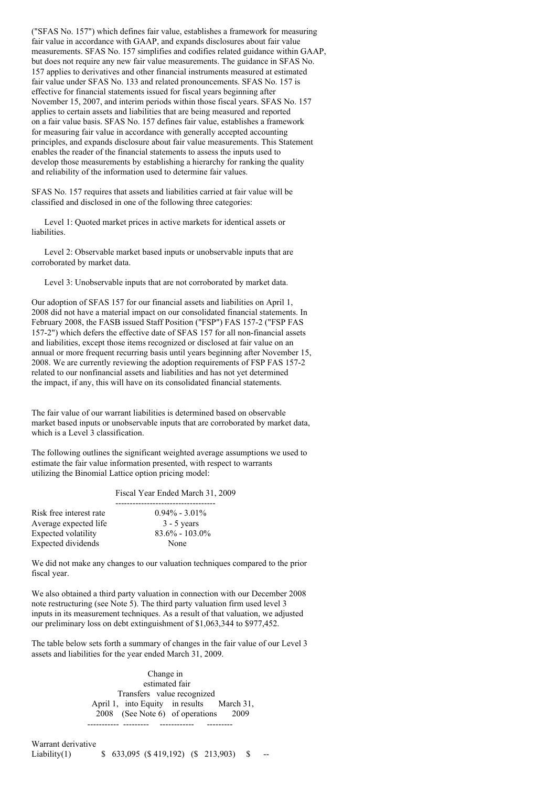("SFAS No. 157") which defines fair value, establishes a framework for measuring fair value in accordance with GAAP, and expands disclosures about fair value measurements. SFAS No. 157 simplifies and codifies related guidance within GAAP, but does not require any new fair value measurements. The guidance in SFAS No. 157 applies to derivatives and other financial instruments measured at estimated fair value under SFAS No. 133 and related pronouncements. SFAS No. 157 is effective for financial statements issued for fiscal years beginning after November 15, 2007, and interim periods within those fiscal years. SFAS No. 157 applies to certain assets and liabilities that are being measured and reported on a fair value basis. SFAS No. 157 defines fair value, establishes a framework for measuring fair value in accordance with generally accepted accounting principles, and expands disclosure about fair value measurements. This Statement enables the reader of the financial statements to assess the inputs used to develop those measurements by establishing a hierarchy for ranking the quality and reliability of the information used to determine fair values.

SFAS No. 157 requires that assets and liabilities carried at fair value will be classified and disclosed in one of the following three categories:

Level 1: Quoted market prices in active markets for identical assets or liabilities.

Level 2: Observable market based inputs or unobservable inputs that are corroborated by market data.

Level 3: Unobservable inputs that are not corroborated by market data.

Our adoption of SFAS 157 for our financial assets and liabilities on April 1, 2008 did not have a material impact on our consolidated financial statements. In February 2008, the FASB issued Staff Position ("FSP") FAS 157-2 ("FSP FAS 157-2") which defers the effective date of SFAS 157 for all non-financial assets and liabilities, except those items recognized or disclosed at fair value on an annual or more frequent recurring basis until years beginning after November 15, 2008. We are currently reviewing the adoption requirements of FSP FAS 157-2 related to our nonfinancial assets and liabilities and has not yet determined the impact, if any, this will have on its consolidated financial statements.

The fair value of our warrant liabilities is determined based on observable market based inputs or unobservable inputs that are corroborated by market data, which is a Level 3 classification.

The following outlines the significant weighted average assumptions we used to estimate the fair value information presented, with respect to warrants utilizing the Binomial Lattice option pricing model:

#### Fiscal Year Ended March 31, 2009

| $0.94\% - 3.01\%$  |
|--------------------|
| $3 - 5$ years      |
| $83.6\% - 103.0\%$ |
| None               |
|                    |

We did not make any changes to our valuation techniques compared to the prior fiscal year.

We also obtained a third party valuation in connection with our December 2008 note restructuring (see Note 5). The third party valuation firm used level 3 inputs in its measurement techniques. As a result of that valuation, we adjusted our preliminary loss on debt extinguishment of \$1,063,344 to \$977,452.

The table below sets forth a summary of changes in the fair value of our Level 3 assets and liabilities for the year ended March 31, 2009.

> Change in estimated fair Transfers value recognized April 1, into Equity in results March 31, 2008 (See Note 6) of operations 2009 ----------- --------- ------------

Warrant derivative Liability(1)  $\qquad$  \$ 633,095 (\$419,192) (\$213,903) \$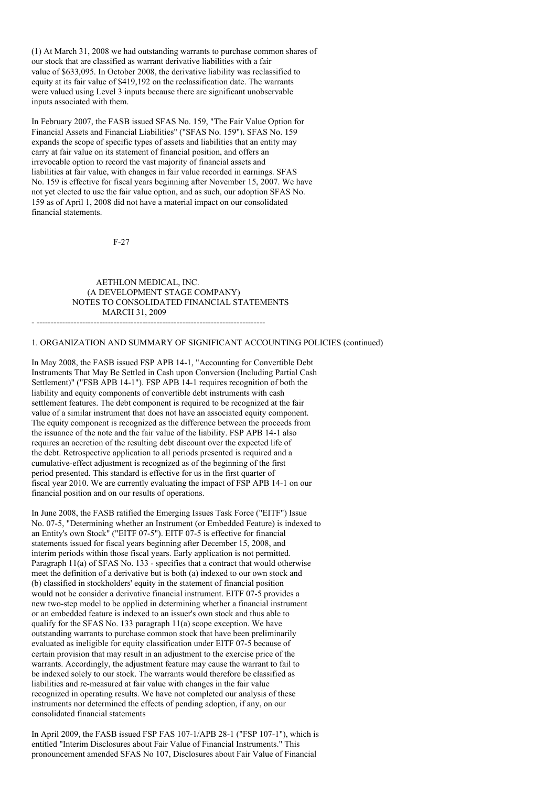(1) At March 31, 2008 we had outstanding warrants to purchase common shares of our stock that are classified as warrant derivative liabilities with a fair value of \$633,095. In October 2008, the derivative liability was reclassified to equity at its fair value of \$419,192 on the reclassification date. The warrants were valued using Level 3 inputs because there are significant unobservable inputs associated with them.

In February 2007, the FASB issued SFAS No. 159, "The Fair Value Option for Financial Assets and Financial Liabilities" ("SFAS No. 159"). SFAS No. 159 expands the scope of specific types of assets and liabilities that an entity may carry at fair value on its statement of financial position, and offers an irrevocable option to record the vast majority of financial assets and liabilities at fair value, with changes in fair value recorded in earnings. SFAS No. 159 is effective for fiscal years beginning after November 15, 2007. We have not yet elected to use the fair value option, and as such, our adoption SFAS No. 159 as of April 1, 2008 did not have a material impact on our consolidated financial statements.

F-27

AETHLON MEDICAL, INC. (A DEVELOPMENT STAGE COMPANY) NOTES TO CONSOLIDATED FINANCIAL STATEMENTS MARCH 31, 2009

#### - --------------------------------------------------------------------------------

### 1. ORGANIZATION AND SUMMARY OF SIGNIFICANT ACCOUNTING POLICIES (continued)

In May 2008, the FASB issued FSP APB 14-1, "Accounting for Convertible Debt Instruments That May Be Settled in Cash upon Conversion (Including Partial Cash Settlement)" ("FSB APB 14-1"). FSP APB 14-1 requires recognition of both the liability and equity components of convertible debt instruments with cash settlement features. The debt component is required to be recognized at the fair value of a similar instrument that does not have an associated equity component. The equity component is recognized as the difference between the proceeds from the issuance of the note and the fair value of the liability. FSP APB 14-1 also requires an accretion of the resulting debt discount over the expected life of the debt. Retrospective application to all periods presented is required and a cumulative-effect adjustment is recognized as of the beginning of the first period presented. This standard is effective for us in the first quarter of fiscal year 2010. We are currently evaluating the impact of FSP APB 14-1 on our financial position and on our results of operations.

In June 2008, the FASB ratified the Emerging Issues Task Force ("EITF") Issue No. 07-5, "Determining whether an Instrument (or Embedded Feature) is indexed to an Entity's own Stock" ("EITF 07-5"). EITF 07-5 is effective for financial statements issued for fiscal years beginning after December 15, 2008, and interim periods within those fiscal years. Early application is not permitted. Paragraph 11(a) of SFAS No. 133 - specifies that a contract that would otherwise meet the definition of a derivative but is both (a) indexed to our own stock and (b) classified in stockholders' equity in the statement of financial position would not be consider a derivative financial instrument. EITF 07-5 provides a new two-step model to be applied in determining whether a financial instrument or an embedded feature is indexed to an issuer's own stock and thus able to qualify for the SFAS No. 133 paragraph 11(a) scope exception. We have outstanding warrants to purchase common stock that have been preliminarily evaluated as ineligible for equity classification under EITF 07-5 because of certain provision that may result in an adjustment to the exercise price of the warrants. Accordingly, the adjustment feature may cause the warrant to fail to be indexed solely to our stock. The warrants would therefore be classified as liabilities and re-measured at fair value with changes in the fair value recognized in operating results. We have not completed our analysis of these instruments nor determined the effects of pending adoption, if any, on our consolidated financial statements

In April 2009, the FASB issued FSP FAS 107-1/APB 28-1 ("FSP 107-1"), which is entitled "Interim Disclosures about Fair Value of Financial Instruments." This pronouncement amended SFAS No 107, Disclosures about Fair Value of Financial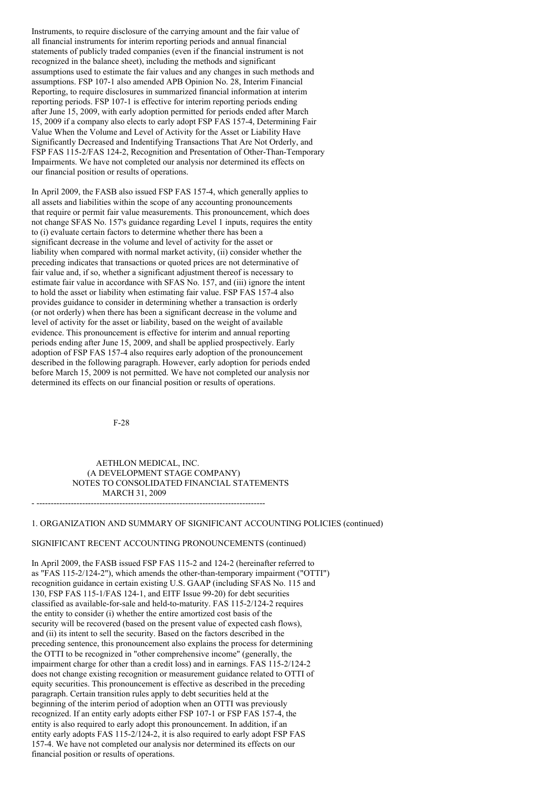Instruments, to require disclosure of the carrying amount and the fair value of all financial instruments for interim reporting periods and annual financial statements of publicly traded companies (even if the financial instrument is not recognized in the balance sheet), including the methods and significant assumptions used to estimate the fair values and any changes in such methods and assumptions. FSP 107-1 also amended APB Opinion No. 28, Interim Financial Reporting, to require disclosures in summarized financial information at interim reporting periods. FSP 107-1 is effective for interim reporting periods ending after June 15, 2009, with early adoption permitted for periods ended after March 15, 2009 if a company also elects to early adopt FSP FAS 157-4, Determining Fair Value When the Volume and Level of Activity for the Asset or Liability Have Significantly Decreased and Indentifying Transactions That Are Not Orderly, and FSP FAS 115-2/FAS 124-2, Recognition and Presentation of Other-Than-Temporary Impairments. We have not completed our analysis nor determined its effects on our financial position or results of operations.

In April 2009, the FASB also issued FSP FAS 157-4, which generally applies to all assets and liabilities within the scope of any accounting pronouncements that require or permit fair value measurements. This pronouncement, which does not change SFAS No. 157's guidance regarding Level 1 inputs, requires the entity to (i) evaluate certain factors to determine whether there has been a significant decrease in the volume and level of activity for the asset or liability when compared with normal market activity, (ii) consider whether the preceding indicates that transactions or quoted prices are not determinative of fair value and, if so, whether a significant adjustment thereof is necessary to estimate fair value in accordance with SFAS No. 157, and (iii) ignore the intent to hold the asset or liability when estimating fair value. FSP FAS 157-4 also provides guidance to consider in determining whether a transaction is orderly (or not orderly) when there has been a significant decrease in the volume and level of activity for the asset or liability, based on the weight of available evidence. This pronouncement is effective for interim and annual reporting periods ending after June 15, 2009, and shall be applied prospectively. Early adoption of FSP FAS 157-4 also requires early adoption of the pronouncement described in the following paragraph. However, early adoption for periods ended before March 15, 2009 is not permitted. We have not completed our analysis nor determined its effects on our financial position or results of operations.

F-28

AETHLON MEDICAL, INC. (A DEVELOPMENT STAGE COMPANY) NOTES TO CONSOLIDATED FINANCIAL STATEMENTS MARCH 31, 2009 - --------------------------------------------------------------------------------

1. ORGANIZATION AND SUMMARY OF SIGNIFICANT ACCOUNTING POLICIES (continued)

#### SIGNIFICANT RECENT ACCOUNTING PRONOUNCEMENTS (continued)

In April 2009, the FASB issued FSP FAS 115-2 and 124-2 (hereinafter referred to as "FAS 115-2/124-2"), which amends the other-than-temporary impairment ("OTTI") recognition guidance in certain existing U.S. GAAP (including SFAS No. 115 and 130, FSP FAS 115-1/FAS 124-1, and EITF Issue 99-20) for debt securities classified as available-for-sale and held-to-maturity. FAS 115-2/124-2 requires the entity to consider (i) whether the entire amortized cost basis of the security will be recovered (based on the present value of expected cash flows), and (ii) its intent to sell the security. Based on the factors described in the preceding sentence, this pronouncement also explains the process for determining the OTTI to be recognized in "other comprehensive income" (generally, the impairment charge for other than a credit loss) and in earnings. FAS 115-2/124-2 does not change existing recognition or measurement guidance related to OTTI of equity securities. This pronouncement is effective as described in the preceding paragraph. Certain transition rules apply to debt securities held at the beginning of the interim period of adoption when an OTTI was previously recognized. If an entity early adopts either FSP 107-1 or FSP FAS 157-4, the entity is also required to early adopt this pronouncement. In addition, if an entity early adopts FAS 115-2/124-2, it is also required to early adopt FSP FAS 157-4. We have not completed our analysis nor determined its effects on our financial position or results of operations.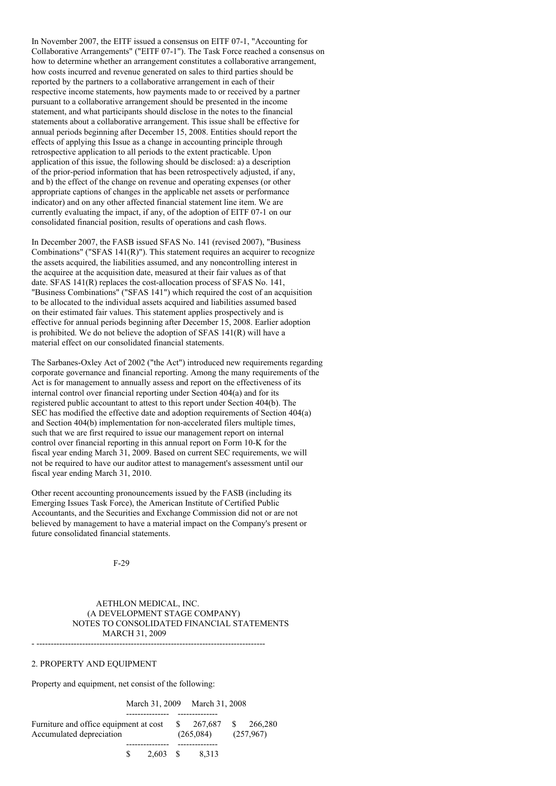In November 2007, the EITF issued a consensus on EITF 07-1, "Accounting for Collaborative Arrangements" ("EITF 07-1"). The Task Force reached a consensus on how to determine whether an arrangement constitutes a collaborative arrangement, how costs incurred and revenue generated on sales to third parties should be reported by the partners to a collaborative arrangement in each of their respective income statements, how payments made to or received by a partner pursuant to a collaborative arrangement should be presented in the income statement, and what participants should disclose in the notes to the financial statements about a collaborative arrangement. This issue shall be effective for annual periods beginning after December 15, 2008. Entities should report the effects of applying this Issue as a change in accounting principle through retrospective application to all periods to the extent practicable. Upon application of this issue, the following should be disclosed: a) a description of the prior-period information that has been retrospectively adjusted, if any, and b) the effect of the change on revenue and operating expenses (or other appropriate captions of changes in the applicable net assets or performance indicator) and on any other affected financial statement line item. We are currently evaluating the impact, if any, of the adoption of EITF 07-1 on our consolidated financial position, results of operations and cash flows.

In December 2007, the FASB issued SFAS No. 141 (revised 2007), "Business Combinations" ("SFAS  $141(R)$ "). This statement requires an acquirer to recognize the assets acquired, the liabilities assumed, and any noncontrolling interest in the acquiree at the acquisition date, measured at their fair values as of that date. SFAS 141(R) replaces the cost-allocation process of SFAS No. 141, "Business Combinations" ("SFAS 141") which required the cost of an acquisition to be allocated to the individual assets acquired and liabilities assumed based on their estimated fair values. This statement applies prospectively and is effective for annual periods beginning after December 15, 2008. Earlier adoption is prohibited. We do not believe the adoption of SFAS 141(R) will have a material effect on our consolidated financial statements.

The Sarbanes-Oxley Act of 2002 ("the Act") introduced new requirements regarding corporate governance and financial reporting. Among the many requirements of the Act is for management to annually assess and report on the effectiveness of its internal control over financial reporting under Section 404(a) and for its registered public accountant to attest to this report under Section 404(b). The SEC has modified the effective date and adoption requirements of Section 404(a) and Section 404(b) implementation for non-accelerated filers multiple times, such that we are first required to issue our management report on internal control over financial reporting in this annual report on Form 10-K for the fiscal year ending March 31, 2009. Based on current SEC requirements, we will not be required to have our auditor attest to management's assessment until our fiscal year ending March 31, 2010.

Other recent accounting pronouncements issued by the FASB (including its Emerging Issues Task Force), the American Institute of Certified Public Accountants, and the Securities and Exchange Commission did not or are not believed by management to have a material impact on the Company's present or future consolidated financial statements.

F-29

AETHLON MEDICAL, INC. (A DEVELOPMENT STAGE COMPANY) NOTES TO CONSOLIDATED FINANCIAL STATEMENTS MARCH 31, 2009 - --------------------------------------------------------------------------------

2. PROPERTY AND EQUIPMENT

Property and equipment, net consist of the following:

March 31, 2009 March 31, 2008

--------------- -------------- Furniture and office equipment at cost  $$ 267,687 $ 266,280$ Accumulated depreciation (265,084) (257,967) --------------- -------------- \$ 2,603 \$ 8,313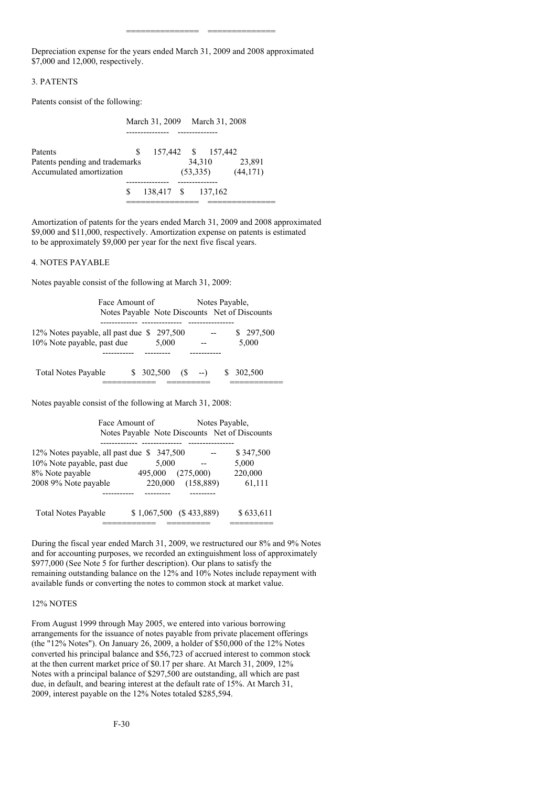Depreciation expense for the years ended March 31, 2009 and 2008 approximated \$7,000 and 12,000, respectively.

=============== ==============

# 3. PATENTS

Patents consist of the following:

|                                |   |            | March 31, 2009 March 31, 2008 |          |  |  |  |
|--------------------------------|---|------------|-------------------------------|----------|--|--|--|
| Patents                        | S |            | 157,442 \$ 157,442            |          |  |  |  |
| Patents pending and trademarks |   |            | 34.310                        | 23,891   |  |  |  |
| Accumulated amortization       |   |            | (53,335)                      | (44,171) |  |  |  |
|                                | S | 138,417 \$ | 137,162                       |          |  |  |  |
|                                |   |            |                               |          |  |  |  |

Amortization of patents for the years ended March 31, 2009 and 2008 approximated \$9,000 and \$11,000, respectively. Amortization expense on patents is estimated to be approximately \$9,000 per year for the next five fiscal years.

### 4. NOTES PAYABLE

Notes payable consist of the following at March 31, 2009:

| Face Amount of                     |  |                                               |  |                | Notes Payable, |         |
|------------------------------------|--|-----------------------------------------------|--|----------------|----------------|---------|
|                                    |  | Notes Payable Note Discounts Net of Discounts |  |                |                |         |
|                                    |  |                                               |  |                |                |         |
| 12% Notes payable, all past due \$ |  | 297,500                                       |  |                |                | 297,500 |
| 10% Note payable, past due         |  | 5.000                                         |  |                |                | 5,000   |
|                                    |  |                                               |  |                |                |         |
|                                    |  |                                               |  |                |                |         |
| <b>Total Notes Payable</b>         |  | \$ 302,500                                    |  | $(S \quad --)$ |                | 302,500 |
|                                    |  |                                               |  |                |                |         |

Notes payable consist of the following at March 31, 2008:

| Face Amount of                                                                                                     |                             |                         | Notes Payable.<br>Notes Payable Note Discounts Net of Discounts |  |
|--------------------------------------------------------------------------------------------------------------------|-----------------------------|-------------------------|-----------------------------------------------------------------|--|
| 12% Notes payable, all past due \$347,500<br>10% Note payable, past due<br>8% Note payable<br>2008 9% Note payable | 5,000<br>495,000<br>220,000 | (275,000)<br>(158, 889) | \$347,500<br>5,000<br>220,000<br>61,111                         |  |
| <b>Total Notes Payable</b>                                                                                         | $$1,067,500$ (\$433,889)    |                         | \$633,611                                                       |  |

During the fiscal year ended March 31, 2009, we restructured our 8% and 9% Notes and for accounting purposes, we recorded an extinguishment loss of approximately \$977,000 (See Note 5 for further description). Our plans to satisfy the remaining outstanding balance on the 12% and 10% Notes include repayment with available funds or converting the notes to common stock at market value.

#### 12% NOTES

From August 1999 through May 2005, we entered into various borrowing arrangements for the issuance of notes payable from private placement offerings (the "12% Notes"). On January 26, 2009, a holder of \$50,000 of the 12% Notes converted his principal balance and \$56,723 of accrued interest to common stock at the then current market price of \$0.17 per share. At March 31, 2009, 12% Notes with a principal balance of \$297,500 are outstanding, all which are past due, in default, and bearing interest at the default rate of 15%. At March 31, 2009, interest payable on the 12% Notes totaled \$285,594.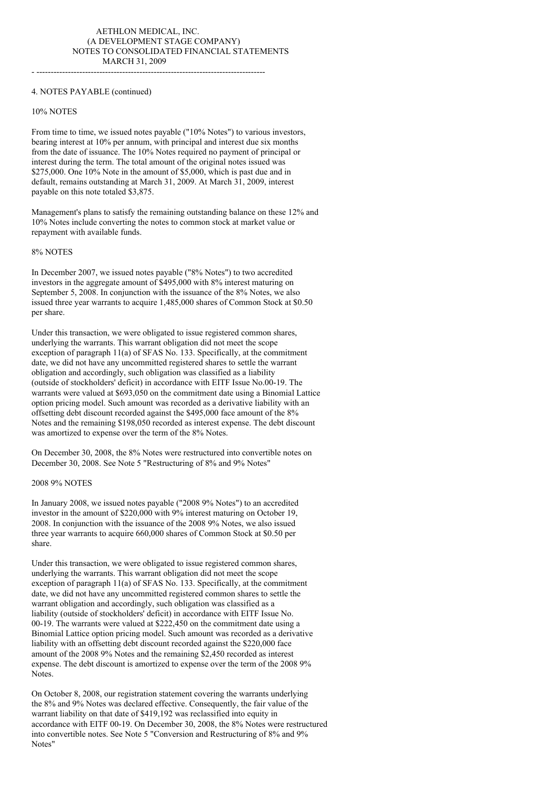- --------------------------------------------------------------------------------

# 4. NOTES PAYABLE (continued)

#### 10% NOTES

From time to time, we issued notes payable ("10% Notes") to various investors, bearing interest at 10% per annum, with principal and interest due six months from the date of issuance. The 10% Notes required no payment of principal or interest during the term. The total amount of the original notes issued was \$275,000. One 10% Note in the amount of \$5,000, which is past due and in default, remains outstanding at March 31, 2009. At March 31, 2009, interest payable on this note totaled \$3,875.

Management's plans to satisfy the remaining outstanding balance on these 12% and 10% Notes include converting the notes to common stock at market value or repayment with available funds.

# 8% NOTES

In December 2007, we issued notes payable ("8% Notes") to two accredited investors in the aggregate amount of \$495,000 with 8% interest maturing on September 5, 2008. In conjunction with the issuance of the 8% Notes, we also issued three year warrants to acquire 1,485,000 shares of Common Stock at \$0.50 per share.

Under this transaction, we were obligated to issue registered common shares, underlying the warrants. This warrant obligation did not meet the scope exception of paragraph 11(a) of SFAS No. 133. Specifically, at the commitment date, we did not have any uncommitted registered shares to settle the warrant obligation and accordingly, such obligation was classified as a liability (outside of stockholders' deficit) in accordance with EITF Issue No.00-19. The warrants were valued at \$693,050 on the commitment date using a Binomial Lattice option pricing model. Such amount was recorded as a derivative liability with an offsetting debt discount recorded against the \$495,000 face amount of the 8% Notes and the remaining \$198,050 recorded as interest expense. The debt discount was amortized to expense over the term of the 8% Notes.

On December 30, 2008, the 8% Notes were restructured into convertible notes on December 30, 2008. See Note 5 "Restructuring of 8% and 9% Notes"

#### 2008 9% NOTES

In January 2008, we issued notes payable ("2008 9% Notes") to an accredited investor in the amount of \$220,000 with 9% interest maturing on October 19, 2008. In conjunction with the issuance of the 2008 9% Notes, we also issued three year warrants to acquire 660,000 shares of Common Stock at \$0.50 per share.

Under this transaction, we were obligated to issue registered common shares, underlying the warrants. This warrant obligation did not meet the scope exception of paragraph 11(a) of SFAS No. 133. Specifically, at the commitment date, we did not have any uncommitted registered common shares to settle the warrant obligation and accordingly, such obligation was classified as a liability (outside of stockholders' deficit) in accordance with EITF Issue No. 00-19. The warrants were valued at \$222,450 on the commitment date using a Binomial Lattice option pricing model. Such amount was recorded as a derivative liability with an offsetting debt discount recorded against the \$220,000 face amount of the 2008 9% Notes and the remaining \$2,450 recorded as interest expense. The debt discount is amortized to expense over the term of the 2008 9% Notes.

On October 8, 2008, our registration statement covering the warrants underlying the 8% and 9% Notes was declared effective. Consequently, the fair value of the warrant liability on that date of \$419,192 was reclassified into equity in accordance with EITF 00-19. On December 30, 2008, the 8% Notes were restructured into convertible notes. See Note 5 "Conversion and Restructuring of 8% and 9% Notes"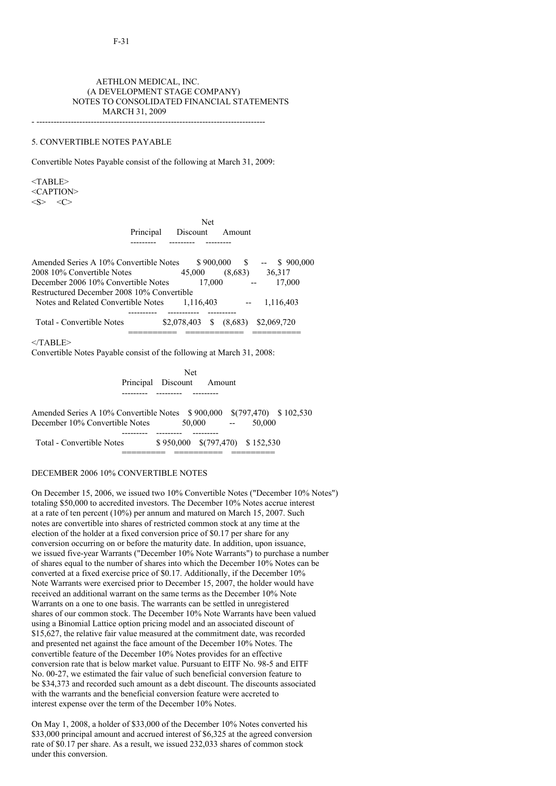# AETHLON MEDICAL, INC. (A DEVELOPMENT STAGE COMPANY) NOTES TO CONSOLIDATED FINANCIAL STATEMENTS MARCH 31, 2009

- --------------------------------------------------------------------------------

# 5. CONVERTIBLE NOTES PAYABLE

Convertible Notes Payable consist of the following at March 31, 2009:

 $<$ TABLE> <CAPTION>  $\langle S \rangle$   $\langle C \rangle$ 

> Net Principal Discount Amount --------- --------- ---------

Amended Series A 10% Convertible Notes \$ 900,000 \$ -- \$ 900,000 2008 10% Convertible Notes 45,000 (8,683) 36,317 December 2006 10% Convertible Notes 17,000 -- 17,000 Restructured December 2008 10% Convertible Notes and Related Convertible Notes 1,116,403 -- 1,116,403 ---------- ----------- ---------- Total - Convertible Notes \$2,078,403 \$ (8,683) \$2,069,720 ========== ============ ==========

 $<$ /TABLE>

Convertible Notes Payable consist of the following at March 31, 2008:

Net Principal Discount Amount --------- --------- ---------

Amended Series A 10% Convertible Notes \$ 900,000 \$(797,470) \$ 102,530 December 10% Convertible Notes 50,000 -- 50,000 --------- --------- --------- Total - Convertible Notes \$ 950,000 \$(797,470) \$ 152,530 ========= ========== =========

### DECEMBER 2006 10% CONVERTIBLE NOTES

On December 15, 2006, we issued two 10% Convertible Notes ("December 10% Notes") totaling \$50,000 to accredited investors. The December 10% Notes accrue interest at a rate of ten percent (10%) per annum and matured on March 15, 2007. Such notes are convertible into shares of restricted common stock at any time at the election of the holder at a fixed conversion price of \$0.17 per share for any conversion occurring on or before the maturity date. In addition, upon issuance, we issued five-year Warrants ("December 10% Note Warrants") to purchase a number of shares equal to the number of shares into which the December 10% Notes can be converted at a fixed exercise price of \$0.17. Additionally, if the December 10% Note Warrants were exercised prior to December 15, 2007, the holder would have received an additional warrant on the same terms as the December 10% Note Warrants on a one to one basis. The warrants can be settled in unregistered shares of our common stock. The December 10% Note Warrants have been valued using a Binomial Lattice option pricing model and an associated discount of \$15,627, the relative fair value measured at the commitment date, was recorded and presented net against the face amount of the December 10% Notes. The convertible feature of the December 10% Notes provides for an effective conversion rate that is below market value. Pursuant to EITF No. 98-5 and EITF No. 00-27, we estimated the fair value of such beneficial conversion feature to be \$34,373 and recorded such amount as a debt discount. The discounts associated with the warrants and the beneficial conversion feature were accreted to interest expense over the term of the December 10% Notes.

On May 1, 2008, a holder of \$33,000 of the December 10% Notes converted his \$33,000 principal amount and accrued interest of \$6,325 at the agreed conversion rate of \$0.17 per share. As a result, we issued 232,033 shares of common stock under this conversion.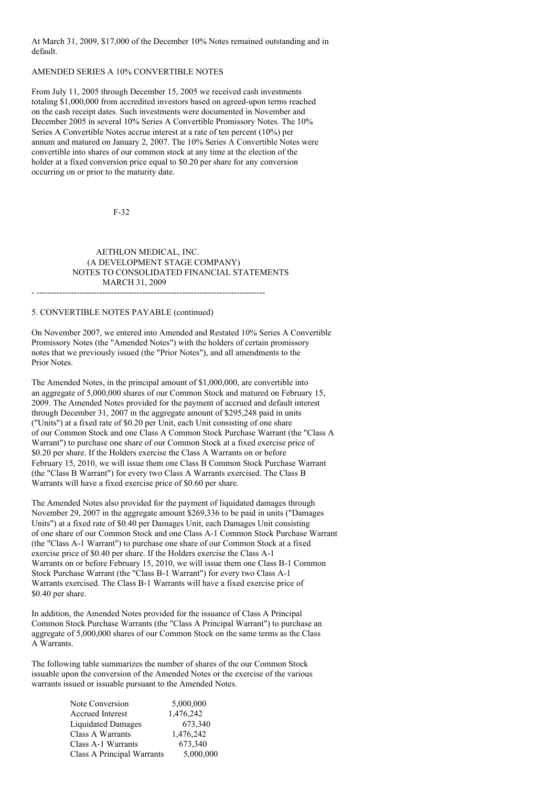At March 31, 2009, \$17,000 of the December 10% Notes remained outstanding and in default.

### AMENDED SERIES A 10% CONVERTIBLE NOTES

From July 11, 2005 through December 15, 2005 we received cash investments totaling \$1,000,000 from accredited investors based on agreed-upon terms reached on the cash receipt dates. Such investments were documented in November and December 2005 in several 10% Series A Convertible Promissory Notes. The 10% Series A Convertible Notes accrue interest at a rate of ten percent (10%) per annum and matured on January 2, 2007. The 10% Series A Convertible Notes were convertible into shares of our common stock at any time at the election of the holder at a fixed conversion price equal to \$0.20 per share for any conversion occurring on or prior to the maturity date.

F-32

### AETHLON MEDICAL, INC. (A DEVELOPMENT STAGE COMPANY) NOTES TO CONSOLIDATED FINANCIAL STATEMENTS MARCH 31, 2009 - --------------------------------------------------------------------------------

5. CONVERTIBLE NOTES PAYABLE (continued)

On November 2007, we entered into Amended and Restated 10% Series A Convertible Promissory Notes (the "Amended Notes") with the holders of certain promissory notes that we previously issued (the "Prior Notes"), and all amendments to the Prior Notes.

The Amended Notes, in the principal amount of \$1,000,000, are convertible into an aggregate of 5,000,000 shares of our Common Stock and matured on February 15, 2009. The Amended Notes provided for the payment of accrued and default interest through December 31, 2007 in the aggregate amount of \$295,248 paid in units ("Units") at a fixed rate of \$0.20 per Unit, each Unit consisting of one share of our Common Stock and one Class A Common Stock Purchase Warrant (the "Class A Warrant") to purchase one share of our Common Stock at a fixed exercise price of \$0.20 per share. If the Holders exercise the Class A Warrants on or before February 15, 2010, we will issue them one Class B Common Stock Purchase Warrant (the "Class B Warrant") for every two Class A Warrants exercised. The Class B Warrants will have a fixed exercise price of \$0.60 per share.

The Amended Notes also provided for the payment of liquidated damages through November 29, 2007 in the aggregate amount \$269,336 to be paid in units ("Damages Units") at a fixed rate of \$0.40 per Damages Unit, each Damages Unit consisting of one share of our Common Stock and one Class A-1 Common Stock Purchase Warrant (the "Class A-1 Warrant") to purchase one share of our Common Stock at a fixed exercise price of \$0.40 per share. If the Holders exercise the Class A-1 Warrants on or before February 15, 2010, we will issue them one Class B-1 Common Stock Purchase Warrant (the "Class B-1 Warrant") for every two Class A-1 Warrants exercised. The Class B-1 Warrants will have a fixed exercise price of \$0.40 per share.

In addition, the Amended Notes provided for the issuance of Class A Principal Common Stock Purchase Warrants (the "Class A Principal Warrant") to purchase an aggregate of 5,000,000 shares of our Common Stock on the same terms as the Class A Warrants.

The following table summarizes the number of shares of the our Common Stock issuable upon the conversion of the Amended Notes or the exercise of the various warrants issued or issuable pursuant to the Amended Notes.

| Note Conversion            | 5,000,000 |
|----------------------------|-----------|
| <b>Accrued Interest</b>    | 1,476,242 |
| <b>Liquidated Damages</b>  | 673,340   |
| Class A Warrants           | 1,476,242 |
| Class A-1 Warrants         | 673,340   |
| Class A Principal Warrants | 5,000,000 |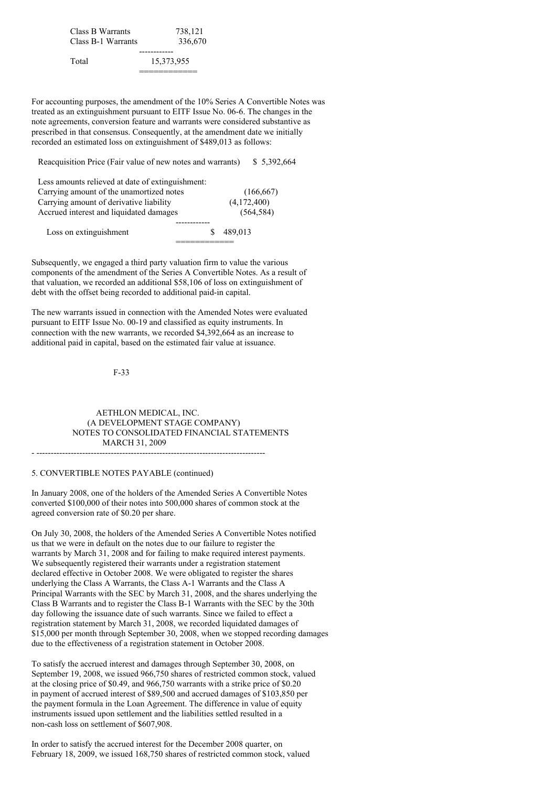Class B Warrants 738,121 Class B-1 Warrants 336,670 ------------ Total 15,373,955

For accounting purposes, the amendment of the 10% Series A Convertible Notes was treated as an extinguishment pursuant to EITF Issue No. 06-6. The changes in the note agreements, conversion feature and warrants were considered substantive as prescribed in that consensus. Consequently, at the amendment date we initially recorded an estimated loss on extinguishment of \$489,013 as follows:

============

Reacquisition Price (Fair value of new notes and warrants) \$ 5,392,664

| Less amounts relieved at date of extinguishment: |   |             |
|--------------------------------------------------|---|-------------|
| Carrying amount of the unamortized notes         |   | (166, 667)  |
| Carrying amount of derivative liability          |   | (4,172,400) |
| Accrued interest and liquidated damages          |   | (564, 584)  |
|                                                  |   |             |
| Loss on extinguishment                           | Я | 489.013     |
|                                                  |   |             |

Subsequently, we engaged a third party valuation firm to value the various components of the amendment of the Series A Convertible Notes. As a result of that valuation, we recorded an additional \$58,106 of loss on extinguishment of debt with the offset being recorded to additional paid-in capital.

The new warrants issued in connection with the Amended Notes were evaluated pursuant to EITF Issue No. 00-19 and classified as equity instruments. In connection with the new warrants, we recorded \$4,392,664 as an increase to additional paid in capital, based on the estimated fair value at issuance.

### F-33

AETHLON MEDICAL, INC. (A DEVELOPMENT STAGE COMPANY) NOTES TO CONSOLIDATED FINANCIAL STATEMENTS MARCH 31, 2009

- --------------------------------------------------------------------------------

#### 5. CONVERTIBLE NOTES PAYABLE (continued)

In January 2008, one of the holders of the Amended Series A Convertible Notes converted \$100,000 of their notes into 500,000 shares of common stock at the agreed conversion rate of \$0.20 per share.

On July 30, 2008, the holders of the Amended Series A Convertible Notes notified us that we were in default on the notes due to our failure to register the warrants by March 31, 2008 and for failing to make required interest payments. We subsequently registered their warrants under a registration statement declared effective in October 2008. We were obligated to register the shares underlying the Class A Warrants, the Class A-1 Warrants and the Class A Principal Warrants with the SEC by March 31, 2008, and the shares underlying the Class B Warrants and to register the Class B-1 Warrants with the SEC by the 30th day following the issuance date of such warrants. Since we failed to effect a registration statement by March 31, 2008, we recorded liquidated damages of \$15,000 per month through September 30, 2008, when we stopped recording damages due to the effectiveness of a registration statement in October 2008.

To satisfy the accrued interest and damages through September 30, 2008, on September 19, 2008, we issued 966,750 shares of restricted common stock, valued at the closing price of \$0.49, and 966,750 warrants with a strike price of \$0.20 in payment of accrued interest of \$89,500 and accrued damages of \$103,850 per the payment formula in the Loan Agreement. The difference in value of equity instruments issued upon settlement and the liabilities settled resulted in a non-cash loss on settlement of \$607,908.

In order to satisfy the accrued interest for the December 2008 quarter, on February 18, 2009, we issued 168,750 shares of restricted common stock, valued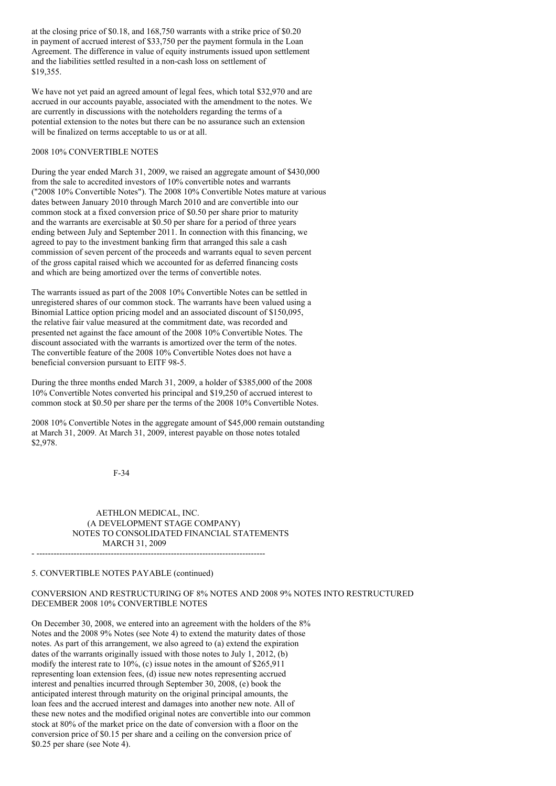at the closing price of \$0.18, and 168,750 warrants with a strike price of \$0.20 in payment of accrued interest of \$33,750 per the payment formula in the Loan Agreement. The difference in value of equity instruments issued upon settlement and the liabilities settled resulted in a non-cash loss on settlement of \$19,355.

We have not yet paid an agreed amount of legal fees, which total \$32,970 and are accrued in our accounts payable, associated with the amendment to the notes. We are currently in discussions with the noteholders regarding the terms of a potential extension to the notes but there can be no assurance such an extension will be finalized on terms acceptable to us or at all.

### 2008 10% CONVERTIBLE NOTES

During the year ended March 31, 2009, we raised an aggregate amount of \$430,000 from the sale to accredited investors of 10% convertible notes and warrants ("2008 10% Convertible Notes"). The 2008 10% Convertible Notes mature at various dates between January 2010 through March 2010 and are convertible into our common stock at a fixed conversion price of \$0.50 per share prior to maturity and the warrants are exercisable at \$0.50 per share for a period of three years ending between July and September 2011. In connection with this financing, we agreed to pay to the investment banking firm that arranged this sale a cash commission of seven percent of the proceeds and warrants equal to seven percent of the gross capital raised which we accounted for as deferred financing costs and which are being amortized over the terms of convertible notes.

The warrants issued as part of the 2008 10% Convertible Notes can be settled in unregistered shares of our common stock. The warrants have been valued using a Binomial Lattice option pricing model and an associated discount of \$150,095, the relative fair value measured at the commitment date, was recorded and presented net against the face amount of the 2008 10% Convertible Notes. The discount associated with the warrants is amortized over the term of the notes. The convertible feature of the 2008 10% Convertible Notes does not have a beneficial conversion pursuant to EITF 98-5.

During the three months ended March 31, 2009, a holder of \$385,000 of the 2008 10% Convertible Notes converted his principal and \$19,250 of accrued interest to common stock at \$0.50 per share per the terms of the 2008 10% Convertible Notes.

2008 10% Convertible Notes in the aggregate amount of \$45,000 remain outstanding at March 31, 2009. At March 31, 2009, interest payable on those notes totaled \$2,978.

#### F-34

# AETHLON MEDICAL, INC. (A DEVELOPMENT STAGE COMPANY) NOTES TO CONSOLIDATED FINANCIAL STATEMENTS MARCH 31, 2009

- --------------------------------------------------------------------------------

#### 5. CONVERTIBLE NOTES PAYABLE (continued)

# CONVERSION AND RESTRUCTURING OF 8% NOTES AND 2008 9% NOTES INTO RESTRUCTURED DECEMBER 2008 10% CONVERTIBLE NOTES

On December 30, 2008, we entered into an agreement with the holders of the 8% Notes and the 2008 9% Notes (see Note 4) to extend the maturity dates of those notes. As part of this arrangement, we also agreed to (a) extend the expiration dates of the warrants originally issued with those notes to July 1, 2012, (b) modify the interest rate to 10%, (c) issue notes in the amount of \$265,911 representing loan extension fees, (d) issue new notes representing accrued interest and penalties incurred through September 30, 2008, (e) book the anticipated interest through maturity on the original principal amounts, the loan fees and the accrued interest and damages into another new note. All of these new notes and the modified original notes are convertible into our common stock at 80% of the market price on the date of conversion with a floor on the conversion price of \$0.15 per share and a ceiling on the conversion price of \$0.25 per share (see Note 4).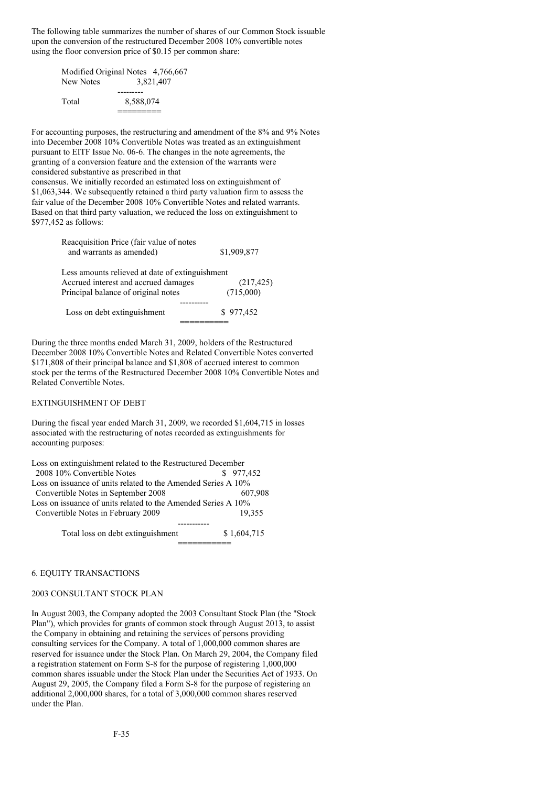The following table summarizes the number of shares of our Common Stock issuable upon the conversion of the restructured December 2008 10% convertible notes using the floor conversion price of \$0.15 per common share:

| Modified Original Notes 4,766,667 |           |           |
|-----------------------------------|-----------|-----------|
| New Notes                         |           | 3.821.407 |
|                                   |           |           |
| Total                             | 8.588.074 |           |
|                                   |           |           |

For accounting purposes, the restructuring and amendment of the 8% and 9% Notes into December 2008 10% Convertible Notes was treated as an extinguishment pursuant to EITF Issue No. 06-6. The changes in the note agreements, the granting of a conversion feature and the extension of the warrants were considered substantive as prescribed in that consensus. We initially recorded an estimated loss on extinguishment of \$1,063,344. We subsequently retained a third party valuation firm to assess the fair value of the December 2008 10% Convertible Notes and related warrants. Based on that third party valuation, we reduced the loss on extinguishment to \$977,452 as follows:

> Reacquisition Price (fair value of notes and warrants as amended) \$1,909,877 Less amounts relieved at date of extinguishment Accrued interest and accrued damages (217,425) Principal balance of original notes (715,000) ---------- Loss on debt extinguishment \$ 977,452

During the three months ended March 31, 2009, holders of the Restructured December 2008 10% Convertible Notes and Related Convertible Notes converted \$171,808 of their principal balance and \$1,808 of accrued interest to common stock per the terms of the Restructured December 2008 10% Convertible Notes and Related Convertible Notes.

==========

#### EXTINGUISHMENT OF DEBT

During the fiscal year ended March 31, 2009, we recorded \$1,604,715 in losses associated with the restructuring of notes recorded as extinguishments for accounting purposes:

| Loss on extinguishment related to the Restructured December   |           |
|---------------------------------------------------------------|-----------|
| 2008 10% Convertible Notes                                    | \$977.452 |
| Loss on issuance of units related to the Amended Series A 10% |           |
| Convertible Notes in September 2008                           | 607.908   |
| Loss on issuance of units related to the Amended Series A 10% |           |
| Convertible Notes in February 2009                            | 19.355    |
|                                                               |           |
|                                                               |           |

Total loss on debt extinguishment \$ 1,604,715 ===========

#### 6. EQUITY TRANSACTIONS

#### 2003 CONSULTANT STOCK PLAN

In August 2003, the Company adopted the 2003 Consultant Stock Plan (the "Stock Plan"), which provides for grants of common stock through August 2013, to assist the Company in obtaining and retaining the services of persons providing consulting services for the Company. A total of 1,000,000 common shares are reserved for issuance under the Stock Plan. On March 29, 2004, the Company filed a registration statement on Form S-8 for the purpose of registering 1,000,000 common shares issuable under the Stock Plan under the Securities Act of 1933. On August 29, 2005, the Company filed a Form S-8 for the purpose of registering an additional 2,000,000 shares, for a total of 3,000,000 common shares reserved under the Plan.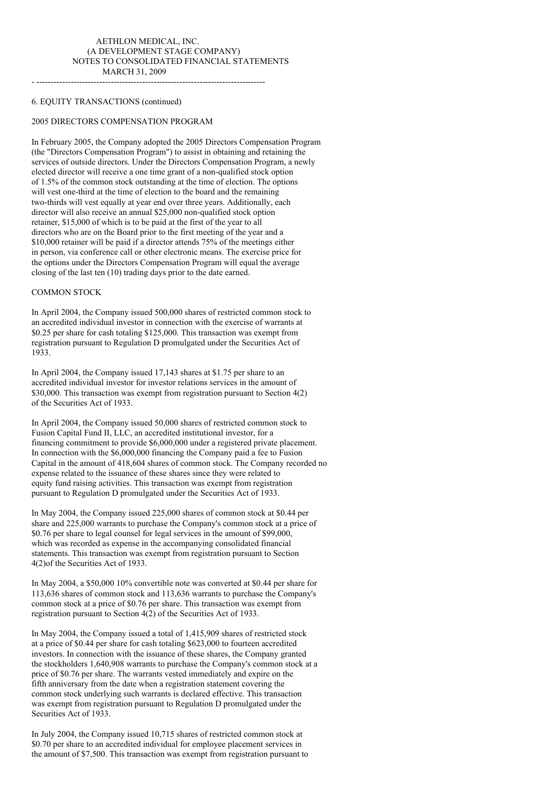## AETHLON MEDICAL, INC. (A DEVELOPMENT STAGE COMPANY) NOTES TO CONSOLIDATED FINANCIAL STATEMENTS MARCH 31, 2009

- --------------------------------------------------------------------------------

### 6. EQUITY TRANSACTIONS (continued)

### 2005 DIRECTORS COMPENSATION PROGRAM

In February 2005, the Company adopted the 2005 Directors Compensation Program (the "Directors Compensation Program") to assist in obtaining and retaining the services of outside directors. Under the Directors Compensation Program, a newly elected director will receive a one time grant of a non-qualified stock option of 1.5% of the common stock outstanding at the time of election. The options will vest one-third at the time of election to the board and the remaining two-thirds will vest equally at year end over three years. Additionally, each director will also receive an annual \$25,000 non-qualified stock option retainer, \$15,000 of which is to be paid at the first of the year to all directors who are on the Board prior to the first meeting of the year and a \$10,000 retainer will be paid if a director attends 75% of the meetings either in person, via conference call or other electronic means. The exercise price for the options under the Directors Compensation Program will equal the average closing of the last ten (10) trading days prior to the date earned.

# COMMON STOCK

In April 2004, the Company issued 500,000 shares of restricted common stock to an accredited individual investor in connection with the exercise of warrants at \$0.25 per share for cash totaling \$125,000. This transaction was exempt from registration pursuant to Regulation D promulgated under the Securities Act of 1933.

In April 2004, the Company issued 17,143 shares at \$1.75 per share to an accredited individual investor for investor relations services in the amount of \$30,000. This transaction was exempt from registration pursuant to Section 4(2) of the Securities Act of 1933.

In April 2004, the Company issued 50,000 shares of restricted common stock to Fusion Capital Fund II, LLC, an accredited institutional investor, for a financing commitment to provide \$6,000,000 under a registered private placement. In connection with the \$6,000,000 financing the Company paid a fee to Fusion Capital in the amount of 418,604 shares of common stock. The Company recorded no expense related to the issuance of these shares since they were related to equity fund raising activities. This transaction was exempt from registration pursuant to Regulation D promulgated under the Securities Act of 1933.

In May 2004, the Company issued 225,000 shares of common stock at \$0.44 per share and 225,000 warrants to purchase the Company's common stock at a price of \$0.76 per share to legal counsel for legal services in the amount of \$99,000, which was recorded as expense in the accompanying consolidated financial statements. This transaction was exempt from registration pursuant to Section 4(2)of the Securities Act of 1933.

In May 2004, a \$50,000 10% convertible note was converted at \$0.44 per share for 113,636 shares of common stock and 113,636 warrants to purchase the Company's common stock at a price of \$0.76 per share. This transaction was exempt from registration pursuant to Section 4(2) of the Securities Act of 1933.

In May 2004, the Company issued a total of 1,415,909 shares of restricted stock at a price of \$0.44 per share for cash totaling \$623,000 to fourteen accredited investors. In connection with the issuance of these shares, the Company granted the stockholders 1,640,908 warrants to purchase the Company's common stock at a price of \$0.76 per share. The warrants vested immediately and expire on the fifth anniversary from the date when a registration statement covering the common stock underlying such warrants is declared effective. This transaction was exempt from registration pursuant to Regulation D promulgated under the Securities Act of 1933.

In July 2004, the Company issued 10,715 shares of restricted common stock at \$0.70 per share to an accredited individual for employee placement services in the amount of \$7,500. This transaction was exempt from registration pursuant to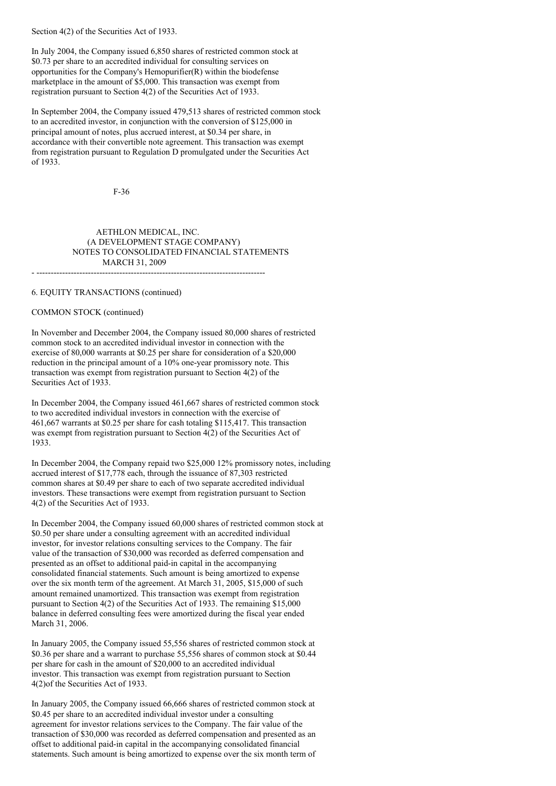Section 4(2) of the Securities Act of 1933.

In July 2004, the Company issued 6,850 shares of restricted common stock at \$0.73 per share to an accredited individual for consulting services on opportunities for the Company's Hemopurifier(R) within the biodefense marketplace in the amount of \$5,000. This transaction was exempt from registration pursuant to Section 4(2) of the Securities Act of 1933.

In September 2004, the Company issued 479,513 shares of restricted common stock to an accredited investor, in conjunction with the conversion of \$125,000 in principal amount of notes, plus accrued interest, at \$0.34 per share, in accordance with their convertible note agreement. This transaction was exempt from registration pursuant to Regulation D promulgated under the Securities Act of 1933.

F-36

# AETHLON MEDICAL, INC. (A DEVELOPMENT STAGE COMPANY) NOTES TO CONSOLIDATED FINANCIAL STATEMENTS MARCH 31, 2009

- --------------------------------------------------------------------------------

### 6. EQUITY TRANSACTIONS (continued)

# COMMON STOCK (continued)

In November and December 2004, the Company issued 80,000 shares of restricted common stock to an accredited individual investor in connection with the exercise of 80,000 warrants at \$0.25 per share for consideration of a \$20,000 reduction in the principal amount of a 10% one-year promissory note. This transaction was exempt from registration pursuant to Section 4(2) of the Securities Act of 1933.

In December 2004, the Company issued 461,667 shares of restricted common stock to two accredited individual investors in connection with the exercise of 461,667 warrants at \$0.25 per share for cash totaling \$115,417. This transaction was exempt from registration pursuant to Section 4(2) of the Securities Act of 1933.

In December 2004, the Company repaid two \$25,000 12% promissory notes, including accrued interest of \$17,778 each, through the issuance of 87,303 restricted common shares at \$0.49 per share to each of two separate accredited individual investors. These transactions were exempt from registration pursuant to Section 4(2) of the Securities Act of 1933.

In December 2004, the Company issued 60,000 shares of restricted common stock at \$0.50 per share under a consulting agreement with an accredited individual investor, for investor relations consulting services to the Company. The fair value of the transaction of \$30,000 was recorded as deferred compensation and presented as an offset to additional paid-in capital in the accompanying consolidated financial statements. Such amount is being amortized to expense over the six month term of the agreement. At March 31, 2005, \$15,000 of such amount remained unamortized. This transaction was exempt from registration pursuant to Section 4(2) of the Securities Act of 1933. The remaining \$15,000 balance in deferred consulting fees were amortized during the fiscal year ended March 31, 2006.

In January 2005, the Company issued 55,556 shares of restricted common stock at \$0.36 per share and a warrant to purchase 55,556 shares of common stock at \$0.44 per share for cash in the amount of \$20,000 to an accredited individual investor. This transaction was exempt from registration pursuant to Section 4(2)of the Securities Act of 1933.

In January 2005, the Company issued 66,666 shares of restricted common stock at \$0.45 per share to an accredited individual investor under a consulting agreement for investor relations services to the Company. The fair value of the transaction of \$30,000 was recorded as deferred compensation and presented as an offset to additional paid-in capital in the accompanying consolidated financial statements. Such amount is being amortized to expense over the six month term of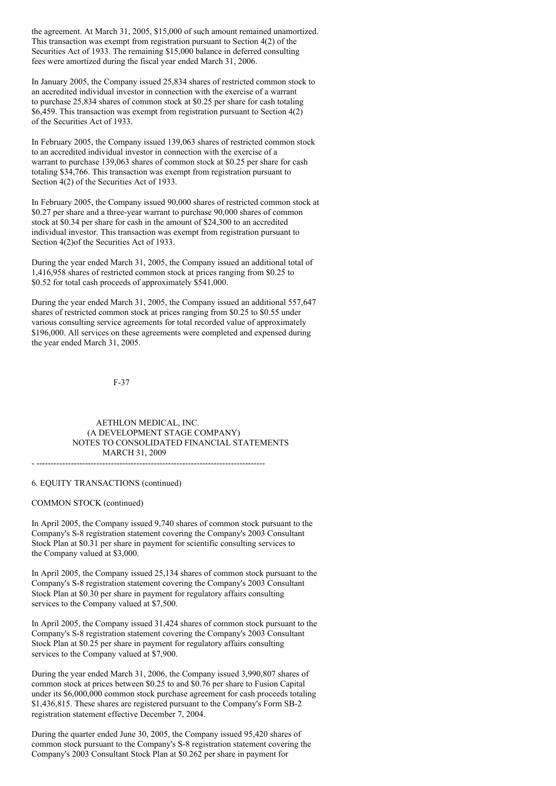the agreement. At March 31, 2005, \$15,000 of such amount remained unamortized. This transaction was exempt from registration pursuant to Section 4(2) of the Securities Act of 1933. The remaining \$15,000 balance in deferred consulting fees were amortized during the fiscal year ended March 31, 2006.

In January 2005, the Company issued 25,834 shares of restricted common stock to an accredited individual investor in connection with the exercise of a warrant to purchase 25,834 shares of common stock at \$0.25 per share for cash totaling \$6,459. This transaction was exempt from registration pursuant to Section 4(2) of the Securities Act of 1933.

In February 2005, the Company issued 139,063 shares of restricted common stock to an accredited individual investor in connection with the exercise of a warrant to purchase 139,063 shares of common stock at \$0.25 per share for cash totaling \$34,766. This transaction was exempt from registration pursuant to Section  $4(2)$  of the Securities Act of 1933.

In February 2005, the Company issued 90,000 shares of restricted common stock at \$0.27 per share and a three-year warrant to purchase 90,000 shares of common stock at \$0.34 per share for cash in the amount of \$24,300 to an accredited individual investor. This transaction was exempt from registration pursuant to Section  $4(2)$ of the Securities Act of 1933.

During the year ended March 31, 2005, the Company issued an additional total of 1,416,958 shares of restricted common stock at prices ranging from \$0.25 to \$0.52 for total cash proceeds of approximately \$541,000.

During the year ended March 31, 2005, the Company issued an additional 557,647 shares of restricted common stock at prices ranging from \$0.25 to \$0.55 under various consulting service agreements for total recorded value of approximately \$196,000. All services on these agreements were completed and expensed during the year ended March 31, 2005.

F-37

AETHLON MEDICAL, INC. (A DEVELOPMENT STAGE COMPANY) NOTES TO CONSOLIDATED FINANCIAL STATEMENTS MARCH 31, 2009

- --------------------------------------------------------------------------------

#### 6. EQUITY TRANSACTIONS (continued)

#### COMMON STOCK (continued)

In April 2005, the Company issued 9,740 shares of common stock pursuant to the Company's S-8 registration statement covering the Company's 2003 Consultant Stock Plan at \$0.31 per share in payment for scientific consulting services to the Company valued at \$3,000.

In April 2005, the Company issued 25,134 shares of common stock pursuant to the Company's S-8 registration statement covering the Company's 2003 Consultant Stock Plan at \$0.30 per share in payment for regulatory affairs consulting services to the Company valued at \$7,500.

In April 2005, the Company issued 31,424 shares of common stock pursuant to the Company's S-8 registration statement covering the Company's 2003 Consultant Stock Plan at \$0.25 per share in payment for regulatory affairs consulting services to the Company valued at \$7,900.

During the year ended March 31, 2006, the Company issued 3,990,807 shares of common stock at prices between \$0.25 to and \$0.76 per share to Fusion Capital under its \$6,000,000 common stock purchase agreement for cash proceeds totaling \$1,436,815. These shares are registered pursuant to the Company's Form SB-2 registration statement effective December 7, 2004.

During the quarter ended June 30, 2005, the Company issued 95,420 shares of common stock pursuant to the Company's S-8 registration statement covering the Company's 2003 Consultant Stock Plan at \$0.262 per share in payment for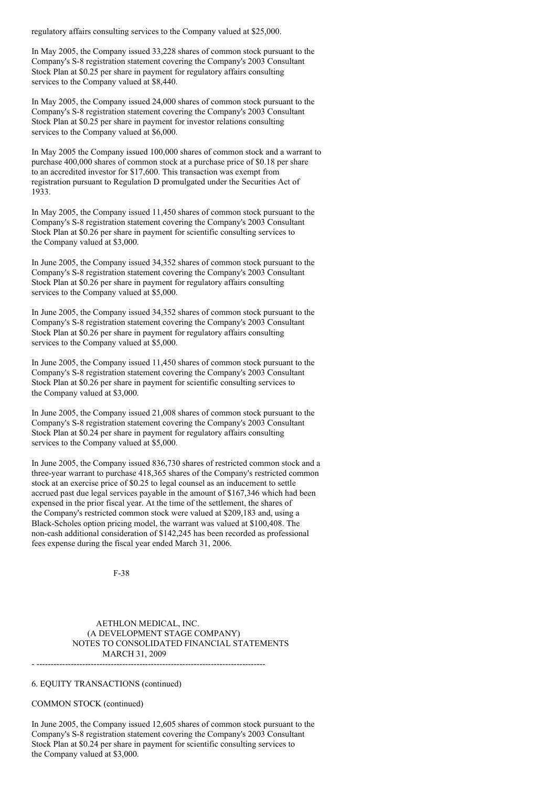regulatory affairs consulting services to the Company valued at \$25,000.

In May 2005, the Company issued 33,228 shares of common stock pursuant to the Company's S-8 registration statement covering the Company's 2003 Consultant Stock Plan at \$0.25 per share in payment for regulatory affairs consulting services to the Company valued at \$8,440.

In May 2005, the Company issued 24,000 shares of common stock pursuant to the Company's S-8 registration statement covering the Company's 2003 Consultant Stock Plan at \$0.25 per share in payment for investor relations consulting services to the Company valued at \$6,000.

In May 2005 the Company issued 100,000 shares of common stock and a warrant to purchase 400,000 shares of common stock at a purchase price of \$0.18 per share to an accredited investor for \$17,600. This transaction was exempt from registration pursuant to Regulation D promulgated under the Securities Act of 1933.

In May 2005, the Company issued 11,450 shares of common stock pursuant to the Company's S-8 registration statement covering the Company's 2003 Consultant Stock Plan at \$0.26 per share in payment for scientific consulting services to the Company valued at \$3,000.

In June 2005, the Company issued 34,352 shares of common stock pursuant to the Company's S-8 registration statement covering the Company's 2003 Consultant Stock Plan at \$0.26 per share in payment for regulatory affairs consulting services to the Company valued at \$5,000.

In June 2005, the Company issued 34,352 shares of common stock pursuant to the Company's S-8 registration statement covering the Company's 2003 Consultant Stock Plan at \$0.26 per share in payment for regulatory affairs consulting services to the Company valued at \$5,000.

In June 2005, the Company issued 11,450 shares of common stock pursuant to the Company's S-8 registration statement covering the Company's 2003 Consultant Stock Plan at \$0.26 per share in payment for scientific consulting services to the Company valued at \$3,000.

In June 2005, the Company issued 21,008 shares of common stock pursuant to the Company's S-8 registration statement covering the Company's 2003 Consultant Stock Plan at \$0.24 per share in payment for regulatory affairs consulting services to the Company valued at \$5,000.

In June 2005, the Company issued 836,730 shares of restricted common stock and a three-year warrant to purchase 418,365 shares of the Company's restricted common stock at an exercise price of \$0.25 to legal counsel as an inducement to settle accrued past due legal services payable in the amount of \$167,346 which had been expensed in the prior fiscal year. At the time of the settlement, the shares of the Company's restricted common stock were valued at \$209,183 and, using a Black-Scholes option pricing model, the warrant was valued at \$100,408. The non-cash additional consideration of \$142,245 has been recorded as professional fees expense during the fiscal year ended March 31, 2006.

F-38

AETHLON MEDICAL, INC. (A DEVELOPMENT STAGE COMPANY) NOTES TO CONSOLIDATED FINANCIAL STATEMENTS MARCH 31, 2009 - --------------------------------------------------------------------------------

# 6. EQUITY TRANSACTIONS (continued)

# COMMON STOCK (continued)

In June 2005, the Company issued 12,605 shares of common stock pursuant to the Company's S-8 registration statement covering the Company's 2003 Consultant Stock Plan at \$0.24 per share in payment for scientific consulting services to the Company valued at \$3,000.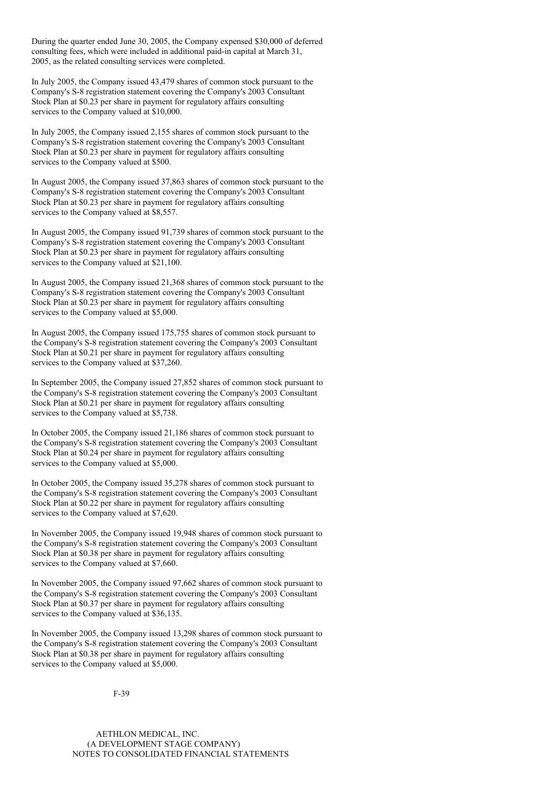During the quarter ended June 30, 2005, the Company expensed \$30,000 of deferred consulting fees, which were included in additional paid-in capital at March 31, 2005, as the related consulting services were completed.

In July 2005, the Company issued 43,479 shares of common stock pursuant to the Company's S-8 registration statement covering the Company's 2003 Consultant Stock Plan at \$0.23 per share in payment for regulatory affairs consulting services to the Company valued at \$10,000.

In July 2005, the Company issued 2,155 shares of common stock pursuant to the Company's S-8 registration statement covering the Company's 2003 Consultant Stock Plan at \$0.23 per share in payment for regulatory affairs consulting services to the Company valued at \$500.

In August 2005, the Company issued 37,863 shares of common stock pursuant to the Company's S-8 registration statement covering the Company's 2003 Consultant Stock Plan at \$0.23 per share in payment for regulatory affairs consulting services to the Company valued at \$8,557.

In August 2005, the Company issued 91,739 shares of common stock pursuant to the Company's S-8 registration statement covering the Company's 2003 Consultant Stock Plan at \$0.23 per share in payment for regulatory affairs consulting services to the Company valued at \$21,100.

In August 2005, the Company issued 21,368 shares of common stock pursuant to the Company's S-8 registration statement covering the Company's 2003 Consultant Stock Plan at \$0.23 per share in payment for regulatory affairs consulting services to the Company valued at \$5,000.

In August 2005, the Company issued 175,755 shares of common stock pursuant to the Company's S-8 registration statement covering the Company's 2003 Consultant Stock Plan at \$0.21 per share in payment for regulatory affairs consulting services to the Company valued at \$37,260.

In September 2005, the Company issued 27,852 shares of common stock pursuant to the Company's S-8 registration statement covering the Company's 2003 Consultant Stock Plan at \$0.21 per share in payment for regulatory affairs consulting services to the Company valued at \$5,738.

In October 2005, the Company issued 21,186 shares of common stock pursuant to the Company's S-8 registration statement covering the Company's 2003 Consultant Stock Plan at \$0.24 per share in payment for regulatory affairs consulting services to the Company valued at \$5,000.

In October 2005, the Company issued 35,278 shares of common stock pursuant to the Company's S-8 registration statement covering the Company's 2003 Consultant Stock Plan at \$0.22 per share in payment for regulatory affairs consulting services to the Company valued at \$7,620.

In November 2005, the Company issued 19,948 shares of common stock pursuant to the Company's S-8 registration statement covering the Company's 2003 Consultant Stock Plan at \$0.38 per share in payment for regulatory affairs consulting services to the Company valued at \$7,660.

In November 2005, the Company issued 97,662 shares of common stock pursuant to the Company's S-8 registration statement covering the Company's 2003 Consultant Stock Plan at \$0.37 per share in payment for regulatory affairs consulting services to the Company valued at \$36,135.

In November 2005, the Company issued 13,298 shares of common stock pursuant to the Company's S-8 registration statement covering the Company's 2003 Consultant Stock Plan at \$0.38 per share in payment for regulatory affairs consulting services to the Company valued at \$5,000.

F-39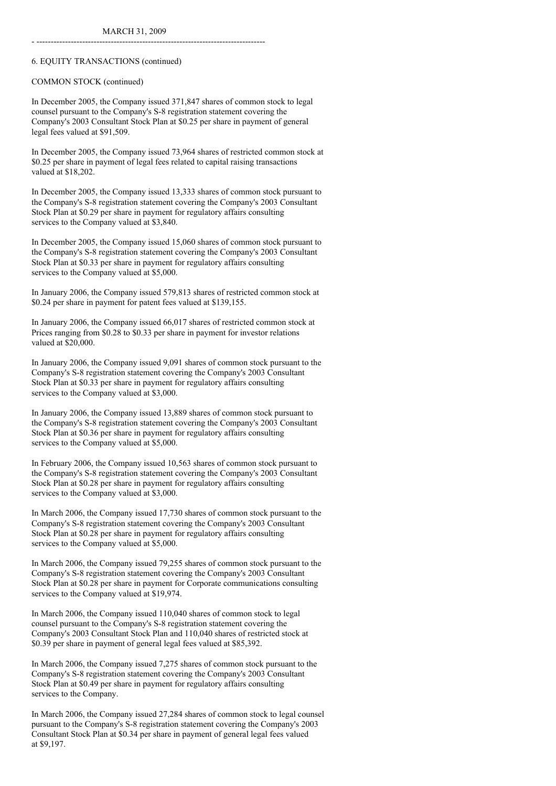- --------------------------------------------------------------------------------

# 6. EQUITY TRANSACTIONS (continued)

COMMON STOCK (continued)

In December 2005, the Company issued 371,847 shares of common stock to legal counsel pursuant to the Company's S-8 registration statement covering the Company's 2003 Consultant Stock Plan at \$0.25 per share in payment of general legal fees valued at \$91,509.

In December 2005, the Company issued 73,964 shares of restricted common stock at \$0.25 per share in payment of legal fees related to capital raising transactions valued at \$18,202.

In December 2005, the Company issued 13,333 shares of common stock pursuant to the Company's S-8 registration statement covering the Company's 2003 Consultant Stock Plan at \$0.29 per share in payment for regulatory affairs consulting services to the Company valued at \$3,840.

In December 2005, the Company issued 15,060 shares of common stock pursuant to the Company's S-8 registration statement covering the Company's 2003 Consultant Stock Plan at \$0.33 per share in payment for regulatory affairs consulting services to the Company valued at \$5,000.

In January 2006, the Company issued 579,813 shares of restricted common stock at \$0.24 per share in payment for patent fees valued at \$139,155.

In January 2006, the Company issued 66,017 shares of restricted common stock at Prices ranging from \$0.28 to \$0.33 per share in payment for investor relations valued at \$20,000.

In January 2006, the Company issued 9,091 shares of common stock pursuant to the Company's S-8 registration statement covering the Company's 2003 Consultant Stock Plan at \$0.33 per share in payment for regulatory affairs consulting services to the Company valued at \$3,000.

In January 2006, the Company issued 13,889 shares of common stock pursuant to the Company's S-8 registration statement covering the Company's 2003 Consultant Stock Plan at \$0.36 per share in payment for regulatory affairs consulting services to the Company valued at \$5,000.

In February 2006, the Company issued 10,563 shares of common stock pursuant to the Company's S-8 registration statement covering the Company's 2003 Consultant Stock Plan at \$0.28 per share in payment for regulatory affairs consulting services to the Company valued at \$3,000.

In March 2006, the Company issued 17,730 shares of common stock pursuant to the Company's S-8 registration statement covering the Company's 2003 Consultant Stock Plan at \$0.28 per share in payment for regulatory affairs consulting services to the Company valued at \$5,000.

In March 2006, the Company issued 79,255 shares of common stock pursuant to the Company's S-8 registration statement covering the Company's 2003 Consultant Stock Plan at \$0.28 per share in payment for Corporate communications consulting services to the Company valued at \$19,974.

In March 2006, the Company issued 110,040 shares of common stock to legal counsel pursuant to the Company's S-8 registration statement covering the Company's 2003 Consultant Stock Plan and 110,040 shares of restricted stock at \$0.39 per share in payment of general legal fees valued at \$85,392.

In March 2006, the Company issued 7,275 shares of common stock pursuant to the Company's S-8 registration statement covering the Company's 2003 Consultant Stock Plan at \$0.49 per share in payment for regulatory affairs consulting services to the Company.

In March 2006, the Company issued 27,284 shares of common stock to legal counsel pursuant to the Company's S-8 registration statement covering the Company's 2003 Consultant Stock Plan at \$0.34 per share in payment of general legal fees valued at \$9,197.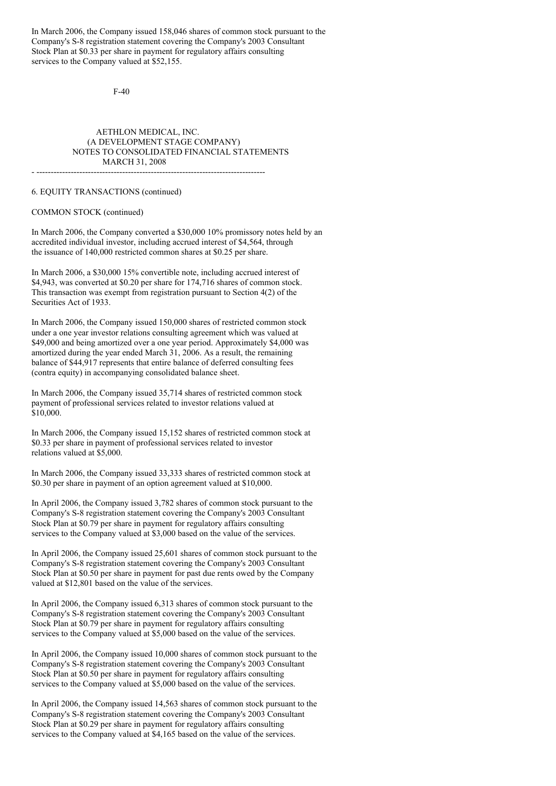In March 2006, the Company issued 158,046 shares of common stock pursuant to the Company's S-8 registration statement covering the Company's 2003 Consultant Stock Plan at \$0.33 per share in payment for regulatory affairs consulting services to the Company valued at \$52,155.

F-40

# AETHLON MEDICAL, INC. (A DEVELOPMENT STAGE COMPANY) NOTES TO CONSOLIDATED FINANCIAL STATEMENTS MARCH 31, 2008

 $-$ 

### 6. EQUITY TRANSACTIONS (continued)

#### COMMON STOCK (continued)

In March 2006, the Company converted a \$30,000 10% promissory notes held by an accredited individual investor, including accrued interest of \$4,564, through the issuance of 140,000 restricted common shares at \$0.25 per share.

In March 2006, a \$30,000 15% convertible note, including accrued interest of \$4,943, was converted at \$0.20 per share for 174,716 shares of common stock. This transaction was exempt from registration pursuant to Section 4(2) of the Securities Act of 1933.

In March 2006, the Company issued 150,000 shares of restricted common stock under a one year investor relations consulting agreement which was valued at \$49,000 and being amortized over a one year period. Approximately \$4,000 was amortized during the year ended March 31, 2006. As a result, the remaining balance of \$44,917 represents that entire balance of deferred consulting fees (contra equity) in accompanying consolidated balance sheet.

In March 2006, the Company issued 35,714 shares of restricted common stock payment of professional services related to investor relations valued at \$10,000.

In March 2006, the Company issued 15,152 shares of restricted common stock at \$0.33 per share in payment of professional services related to investor relations valued at \$5,000.

In March 2006, the Company issued 33,333 shares of restricted common stock at \$0.30 per share in payment of an option agreement valued at \$10,000.

In April 2006, the Company issued 3,782 shares of common stock pursuant to the Company's S-8 registration statement covering the Company's 2003 Consultant Stock Plan at \$0.79 per share in payment for regulatory affairs consulting services to the Company valued at \$3,000 based on the value of the services.

In April 2006, the Company issued 25,601 shares of common stock pursuant to the Company's S-8 registration statement covering the Company's 2003 Consultant Stock Plan at \$0.50 per share in payment for past due rents owed by the Company valued at \$12,801 based on the value of the services.

In April 2006, the Company issued 6,313 shares of common stock pursuant to the Company's S-8 registration statement covering the Company's 2003 Consultant Stock Plan at \$0.79 per share in payment for regulatory affairs consulting services to the Company valued at \$5,000 based on the value of the services.

In April 2006, the Company issued 10,000 shares of common stock pursuant to the Company's S-8 registration statement covering the Company's 2003 Consultant Stock Plan at \$0.50 per share in payment for regulatory affairs consulting services to the Company valued at \$5,000 based on the value of the services.

In April 2006, the Company issued 14,563 shares of common stock pursuant to the Company's S-8 registration statement covering the Company's 2003 Consultant Stock Plan at \$0.29 per share in payment for regulatory affairs consulting services to the Company valued at \$4,165 based on the value of the services.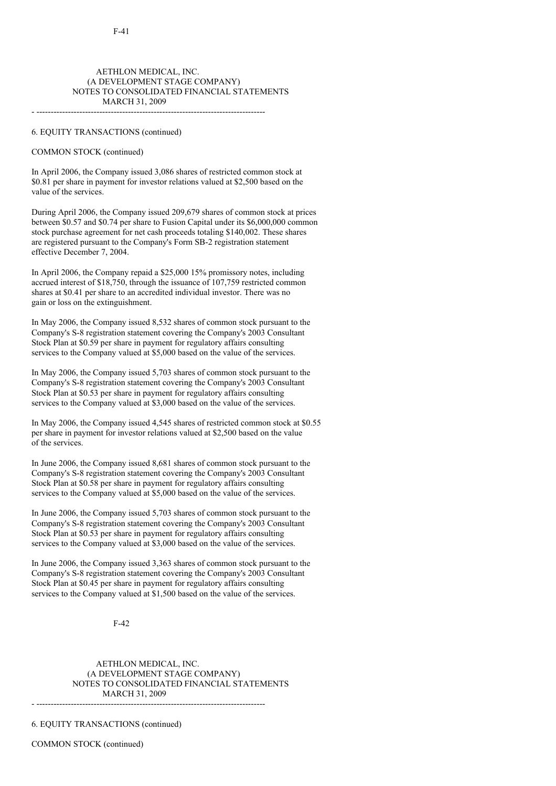# AETHLON MEDICAL, INC. (A DEVELOPMENT STAGE COMPANY) NOTES TO CONSOLIDATED FINANCIAL STATEMENTS MARCH 31, 2009

#### 6. EQUITY TRANSACTIONS (continued)

### COMMON STOCK (continued)

In April 2006, the Company issued 3,086 shares of restricted common stock at \$0.81 per share in payment for investor relations valued at \$2,500 based on the value of the services.

- --------------------------------------------------------------------------------

During April 2006, the Company issued 209,679 shares of common stock at prices between \$0.57 and \$0.74 per share to Fusion Capital under its \$6,000,000 common stock purchase agreement for net cash proceeds totaling \$140,002. These shares are registered pursuant to the Company's Form SB-2 registration statement effective December 7, 2004.

In April 2006, the Company repaid a \$25,000 15% promissory notes, including accrued interest of \$18,750, through the issuance of 107,759 restricted common shares at \$0.41 per share to an accredited individual investor. There was no gain or loss on the extinguishment.

In May 2006, the Company issued 8,532 shares of common stock pursuant to the Company's S-8 registration statement covering the Company's 2003 Consultant Stock Plan at \$0.59 per share in payment for regulatory affairs consulting services to the Company valued at \$5,000 based on the value of the services.

In May 2006, the Company issued 5,703 shares of common stock pursuant to the Company's S-8 registration statement covering the Company's 2003 Consultant Stock Plan at \$0.53 per share in payment for regulatory affairs consulting services to the Company valued at \$3,000 based on the value of the services.

In May 2006, the Company issued 4,545 shares of restricted common stock at \$0.55 per share in payment for investor relations valued at \$2,500 based on the value of the services.

In June 2006, the Company issued 8,681 shares of common stock pursuant to the Company's S-8 registration statement covering the Company's 2003 Consultant Stock Plan at \$0.58 per share in payment for regulatory affairs consulting services to the Company valued at \$5,000 based on the value of the services.

In June 2006, the Company issued 5,703 shares of common stock pursuant to the Company's S-8 registration statement covering the Company's 2003 Consultant Stock Plan at \$0.53 per share in payment for regulatory affairs consulting services to the Company valued at \$3,000 based on the value of the services.

In June 2006, the Company issued 3,363 shares of common stock pursuant to the Company's S-8 registration statement covering the Company's 2003 Consultant Stock Plan at \$0.45 per share in payment for regulatory affairs consulting services to the Company valued at \$1,500 based on the value of the services.

F-42

AETHLON MEDICAL, INC. (A DEVELOPMENT STAGE COMPANY) NOTES TO CONSOLIDATED FINANCIAL STATEMENTS MARCH 31, 2009

- --------------------------------------------------------------------------------

6. EQUITY TRANSACTIONS (continued)

COMMON STOCK (continued)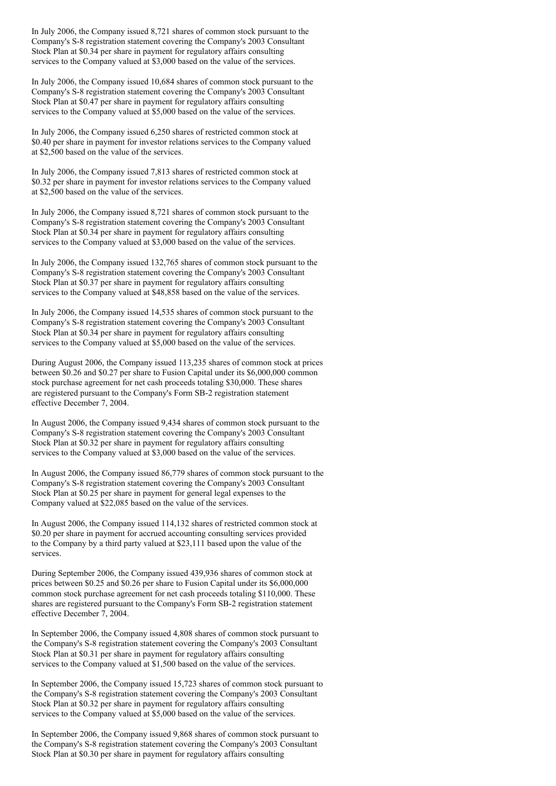In July 2006, the Company issued 8,721 shares of common stock pursuant to the Company's S-8 registration statement covering the Company's 2003 Consultant Stock Plan at \$0.34 per share in payment for regulatory affairs consulting services to the Company valued at \$3,000 based on the value of the services.

In July 2006, the Company issued 10,684 shares of common stock pursuant to the Company's S-8 registration statement covering the Company's 2003 Consultant Stock Plan at \$0.47 per share in payment for regulatory affairs consulting services to the Company valued at \$5,000 based on the value of the services.

In July 2006, the Company issued 6,250 shares of restricted common stock at \$0.40 per share in payment for investor relations services to the Company valued at \$2,500 based on the value of the services.

In July 2006, the Company issued 7,813 shares of restricted common stock at \$0.32 per share in payment for investor relations services to the Company valued at \$2,500 based on the value of the services.

In July 2006, the Company issued 8,721 shares of common stock pursuant to the Company's S-8 registration statement covering the Company's 2003 Consultant Stock Plan at \$0.34 per share in payment for regulatory affairs consulting services to the Company valued at \$3,000 based on the value of the services.

In July 2006, the Company issued 132,765 shares of common stock pursuant to the Company's S-8 registration statement covering the Company's 2003 Consultant Stock Plan at \$0.37 per share in payment for regulatory affairs consulting services to the Company valued at \$48,858 based on the value of the services.

In July 2006, the Company issued 14,535 shares of common stock pursuant to the Company's S-8 registration statement covering the Company's 2003 Consultant Stock Plan at \$0.34 per share in payment for regulatory affairs consulting services to the Company valued at \$5,000 based on the value of the services.

During August 2006, the Company issued 113,235 shares of common stock at prices between \$0.26 and \$0.27 per share to Fusion Capital under its \$6,000,000 common stock purchase agreement for net cash proceeds totaling \$30,000. These shares are registered pursuant to the Company's Form SB-2 registration statement effective December 7, 2004.

In August 2006, the Company issued 9,434 shares of common stock pursuant to the Company's S-8 registration statement covering the Company's 2003 Consultant Stock Plan at \$0.32 per share in payment for regulatory affairs consulting services to the Company valued at \$3,000 based on the value of the services.

In August 2006, the Company issued 86,779 shares of common stock pursuant to the Company's S-8 registration statement covering the Company's 2003 Consultant Stock Plan at \$0.25 per share in payment for general legal expenses to the Company valued at \$22,085 based on the value of the services.

In August 2006, the Company issued 114,132 shares of restricted common stock at \$0.20 per share in payment for accrued accounting consulting services provided to the Company by a third party valued at \$23,111 based upon the value of the services.

During September 2006, the Company issued 439,936 shares of common stock at prices between \$0.25 and \$0.26 per share to Fusion Capital under its \$6,000,000 common stock purchase agreement for net cash proceeds totaling \$110,000. These shares are registered pursuant to the Company's Form SB-2 registration statement effective December 7, 2004.

In September 2006, the Company issued 4,808 shares of common stock pursuant to the Company's S-8 registration statement covering the Company's 2003 Consultant Stock Plan at \$0.31 per share in payment for regulatory affairs consulting services to the Company valued at \$1,500 based on the value of the services.

In September 2006, the Company issued 15,723 shares of common stock pursuant to the Company's S-8 registration statement covering the Company's 2003 Consultant Stock Plan at \$0.32 per share in payment for regulatory affairs consulting services to the Company valued at \$5,000 based on the value of the services.

In September 2006, the Company issued 9,868 shares of common stock pursuant to the Company's S-8 registration statement covering the Company's 2003 Consultant Stock Plan at \$0.30 per share in payment for regulatory affairs consulting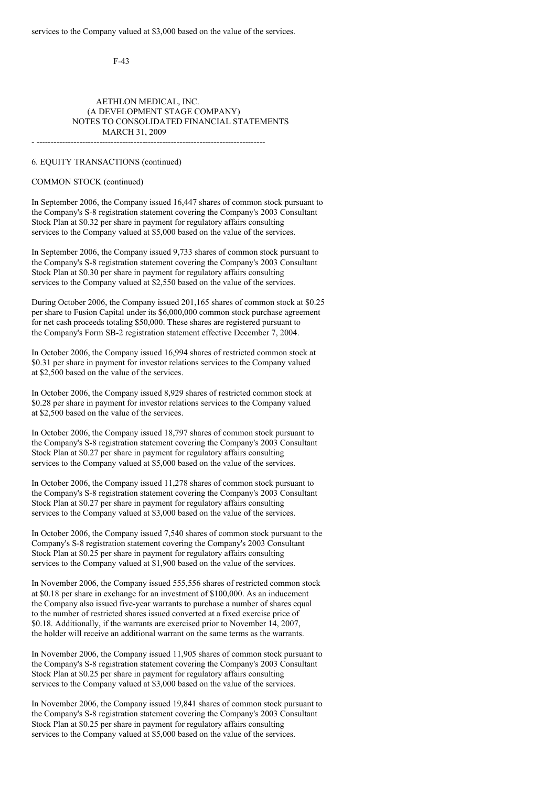- --------------------------------------------------------------------------------

F-43

# AETHLON MEDICAL, INC. (A DEVELOPMENT STAGE COMPANY) NOTES TO CONSOLIDATED FINANCIAL STATEMENTS MARCH 31, 2009

6. EQUITY TRANSACTIONS (continued)

COMMON STOCK (continued)

In September 2006, the Company issued 16,447 shares of common stock pursuant to the Company's S-8 registration statement covering the Company's 2003 Consultant Stock Plan at \$0.32 per share in payment for regulatory affairs consulting services to the Company valued at \$5,000 based on the value of the services.

In September 2006, the Company issued 9,733 shares of common stock pursuant to the Company's S-8 registration statement covering the Company's 2003 Consultant Stock Plan at \$0.30 per share in payment for regulatory affairs consulting services to the Company valued at \$2,550 based on the value of the services.

During October 2006, the Company issued 201,165 shares of common stock at \$0.25 per share to Fusion Capital under its \$6,000,000 common stock purchase agreement for net cash proceeds totaling \$50,000. These shares are registered pursuant to the Company's Form SB-2 registration statement effective December 7, 2004.

In October 2006, the Company issued 16,994 shares of restricted common stock at \$0.31 per share in payment for investor relations services to the Company valued at \$2,500 based on the value of the services.

In October 2006, the Company issued 8,929 shares of restricted common stock at \$0.28 per share in payment for investor relations services to the Company valued at \$2,500 based on the value of the services.

In October 2006, the Company issued 18,797 shares of common stock pursuant to the Company's S-8 registration statement covering the Company's 2003 Consultant Stock Plan at \$0.27 per share in payment for regulatory affairs consulting services to the Company valued at \$5,000 based on the value of the services.

In October 2006, the Company issued 11,278 shares of common stock pursuant to the Company's S-8 registration statement covering the Company's 2003 Consultant Stock Plan at \$0.27 per share in payment for regulatory affairs consulting services to the Company valued at \$3,000 based on the value of the services.

In October 2006, the Company issued 7,540 shares of common stock pursuant to the Company's S-8 registration statement covering the Company's 2003 Consultant Stock Plan at \$0.25 per share in payment for regulatory affairs consulting services to the Company valued at \$1,900 based on the value of the services.

In November 2006, the Company issued 555,556 shares of restricted common stock at \$0.18 per share in exchange for an investment of \$100,000. As an inducement the Company also issued five-year warrants to purchase a number of shares equal to the number of restricted shares issued converted at a fixed exercise price of \$0.18. Additionally, if the warrants are exercised prior to November 14, 2007, the holder will receive an additional warrant on the same terms as the warrants.

In November 2006, the Company issued 11,905 shares of common stock pursuant to the Company's S-8 registration statement covering the Company's 2003 Consultant Stock Plan at \$0.25 per share in payment for regulatory affairs consulting services to the Company valued at \$3,000 based on the value of the services.

In November 2006, the Company issued 19,841 shares of common stock pursuant to the Company's S-8 registration statement covering the Company's 2003 Consultant Stock Plan at \$0.25 per share in payment for regulatory affairs consulting services to the Company valued at \$5,000 based on the value of the services.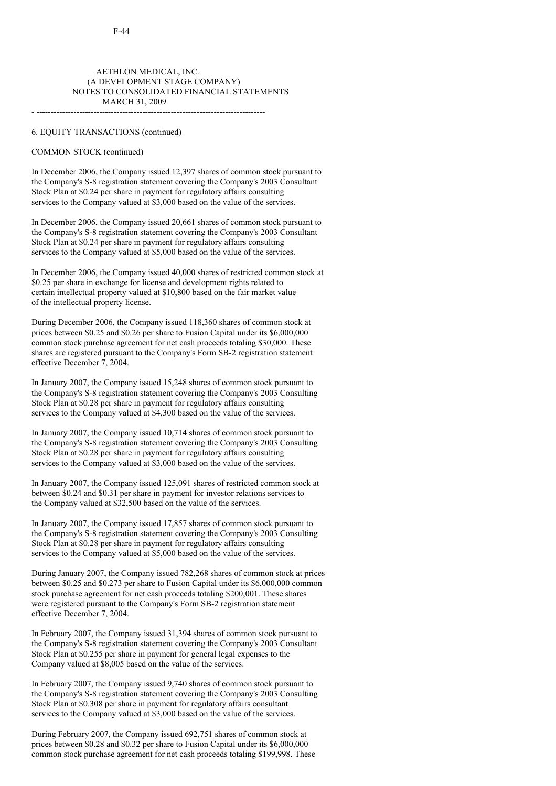# AETHLON MEDICAL, INC. (A DEVELOPMENT STAGE COMPANY) NOTES TO CONSOLIDATED FINANCIAL STATEMENTS MARCH 31, 2009

- --------------------------------------------------------------------------------

#### 6. EQUITY TRANSACTIONS (continued)

### COMMON STOCK (continued)

In December 2006, the Company issued 12,397 shares of common stock pursuant to the Company's S-8 registration statement covering the Company's 2003 Consultant Stock Plan at \$0.24 per share in payment for regulatory affairs consulting services to the Company valued at \$3,000 based on the value of the services.

In December 2006, the Company issued 20,661 shares of common stock pursuant to the Company's S-8 registration statement covering the Company's 2003 Consultant Stock Plan at \$0.24 per share in payment for regulatory affairs consulting services to the Company valued at \$5,000 based on the value of the services.

In December 2006, the Company issued 40,000 shares of restricted common stock at \$0.25 per share in exchange for license and development rights related to certain intellectual property valued at \$10,800 based on the fair market value of the intellectual property license.

During December 2006, the Company issued 118,360 shares of common stock at prices between \$0.25 and \$0.26 per share to Fusion Capital under its \$6,000,000 common stock purchase agreement for net cash proceeds totaling \$30,000. These shares are registered pursuant to the Company's Form SB-2 registration statement effective December 7, 2004.

In January 2007, the Company issued 15,248 shares of common stock pursuant to the Company's S-8 registration statement covering the Company's 2003 Consulting Stock Plan at \$0.28 per share in payment for regulatory affairs consulting services to the Company valued at \$4,300 based on the value of the services.

In January 2007, the Company issued 10,714 shares of common stock pursuant to the Company's S-8 registration statement covering the Company's 2003 Consulting Stock Plan at \$0.28 per share in payment for regulatory affairs consulting services to the Company valued at \$3,000 based on the value of the services.

In January 2007, the Company issued 125,091 shares of restricted common stock at between \$0.24 and \$0.31 per share in payment for investor relations services to the Company valued at \$32,500 based on the value of the services.

In January 2007, the Company issued 17,857 shares of common stock pursuant to the Company's S-8 registration statement covering the Company's 2003 Consulting Stock Plan at \$0.28 per share in payment for regulatory affairs consulting services to the Company valued at \$5,000 based on the value of the services.

During January 2007, the Company issued 782,268 shares of common stock at prices between \$0.25 and \$0.273 per share to Fusion Capital under its \$6,000,000 common stock purchase agreement for net cash proceeds totaling \$200,001. These shares were registered pursuant to the Company's Form SB-2 registration statement effective December 7, 2004.

In February 2007, the Company issued 31,394 shares of common stock pursuant to the Company's S-8 registration statement covering the Company's 2003 Consultant Stock Plan at \$0.255 per share in payment for general legal expenses to the Company valued at \$8,005 based on the value of the services.

In February 2007, the Company issued 9,740 shares of common stock pursuant to the Company's S-8 registration statement covering the Company's 2003 Consulting Stock Plan at \$0.308 per share in payment for regulatory affairs consultant services to the Company valued at \$3,000 based on the value of the services.

During February 2007, the Company issued 692,751 shares of common stock at prices between \$0.28 and \$0.32 per share to Fusion Capital under its \$6,000,000 common stock purchase agreement for net cash proceeds totaling \$199,998. These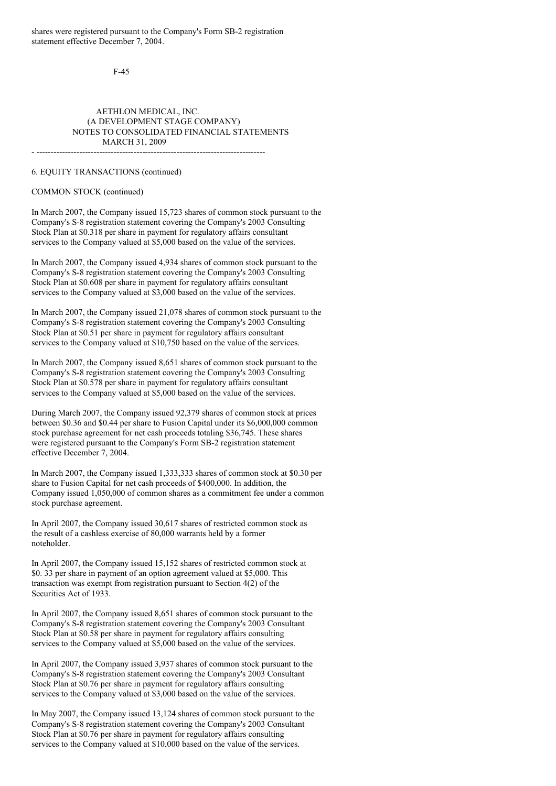shares were registered pursuant to the Company's Form SB-2 registration statement effective December 7, 2004.

F-45

### AETHLON MEDICAL, INC. (A DEVELOPMENT STAGE COMPANY) NOTES TO CONSOLIDATED FINANCIAL STATEMENTS MARCH 31, 2009 - --------------------------------------------------------------------------------

6. EQUITY TRANSACTIONS (continued)

### COMMON STOCK (continued)

In March 2007, the Company issued 15,723 shares of common stock pursuant to the Company's S-8 registration statement covering the Company's 2003 Consulting Stock Plan at \$0.318 per share in payment for regulatory affairs consultant services to the Company valued at \$5,000 based on the value of the services.

In March 2007, the Company issued 4,934 shares of common stock pursuant to the Company's S-8 registration statement covering the Company's 2003 Consulting Stock Plan at \$0.608 per share in payment for regulatory affairs consultant services to the Company valued at \$3,000 based on the value of the services.

In March 2007, the Company issued 21,078 shares of common stock pursuant to the Company's S-8 registration statement covering the Company's 2003 Consulting Stock Plan at \$0.51 per share in payment for regulatory affairs consultant services to the Company valued at \$10,750 based on the value of the services.

In March 2007, the Company issued 8,651 shares of common stock pursuant to the Company's S-8 registration statement covering the Company's 2003 Consulting Stock Plan at \$0.578 per share in payment for regulatory affairs consultant services to the Company valued at \$5,000 based on the value of the services.

During March 2007, the Company issued 92,379 shares of common stock at prices between \$0.36 and \$0.44 per share to Fusion Capital under its \$6,000,000 common stock purchase agreement for net cash proceeds totaling \$36,745. These shares were registered pursuant to the Company's Form SB-2 registration statement effective December 7, 2004.

In March 2007, the Company issued 1,333,333 shares of common stock at \$0.30 per share to Fusion Capital for net cash proceeds of \$400,000. In addition, the Company issued 1,050,000 of common shares as a commitment fee under a common stock purchase agreement.

In April 2007, the Company issued 30,617 shares of restricted common stock as the result of a cashless exercise of 80,000 warrants held by a former noteholder.

In April 2007, the Company issued 15,152 shares of restricted common stock at \$0. 33 per share in payment of an option agreement valued at \$5,000. This transaction was exempt from registration pursuant to Section 4(2) of the Securities Act of 1933.

In April 2007, the Company issued 8,651 shares of common stock pursuant to the Company's S-8 registration statement covering the Company's 2003 Consultant Stock Plan at \$0.58 per share in payment for regulatory affairs consulting services to the Company valued at \$5,000 based on the value of the services.

In April 2007, the Company issued 3,937 shares of common stock pursuant to the Company's S-8 registration statement covering the Company's 2003 Consultant Stock Plan at \$0.76 per share in payment for regulatory affairs consulting services to the Company valued at \$3,000 based on the value of the services.

In May 2007, the Company issued 13,124 shares of common stock pursuant to the Company's S-8 registration statement covering the Company's 2003 Consultant Stock Plan at \$0.76 per share in payment for regulatory affairs consulting services to the Company valued at \$10,000 based on the value of the services.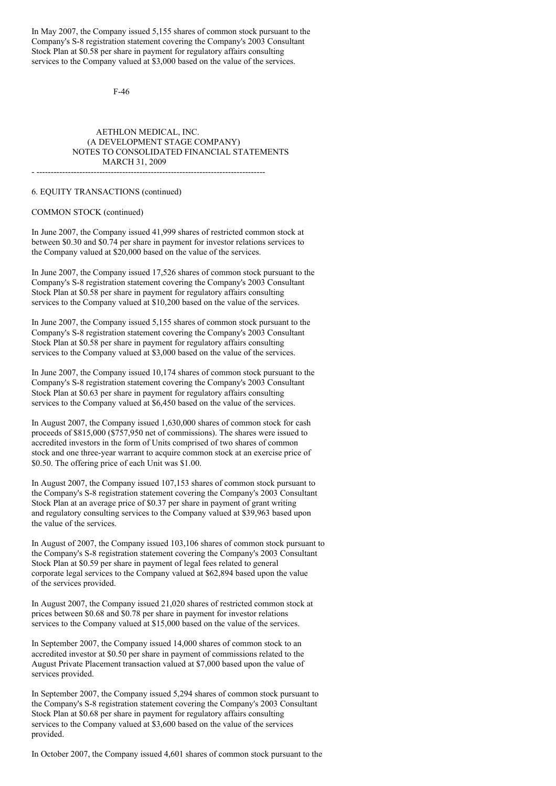In May 2007, the Company issued 5,155 shares of common stock pursuant to the Company's S-8 registration statement covering the Company's 2003 Consultant Stock Plan at \$0.58 per share in payment for regulatory affairs consulting services to the Company valued at \$3,000 based on the value of the services.

F-46

# AETHLON MEDICAL, INC. (A DEVELOPMENT STAGE COMPANY) NOTES TO CONSOLIDATED FINANCIAL STATEMENTS MARCH 31, 2009

- --------------------------------------------------------------------------------

#### 6. EQUITY TRANSACTIONS (continued)

#### COMMON STOCK (continued)

In June 2007, the Company issued 41,999 shares of restricted common stock at between \$0.30 and \$0.74 per share in payment for investor relations services to the Company valued at \$20,000 based on the value of the services.

In June 2007, the Company issued 17,526 shares of common stock pursuant to the Company's S-8 registration statement covering the Company's 2003 Consultant Stock Plan at \$0.58 per share in payment for regulatory affairs consulting services to the Company valued at \$10,200 based on the value of the services.

In June 2007, the Company issued 5,155 shares of common stock pursuant to the Company's S-8 registration statement covering the Company's 2003 Consultant Stock Plan at \$0.58 per share in payment for regulatory affairs consulting services to the Company valued at \$3,000 based on the value of the services.

In June 2007, the Company issued 10,174 shares of common stock pursuant to the Company's S-8 registration statement covering the Company's 2003 Consultant Stock Plan at \$0.63 per share in payment for regulatory affairs consulting services to the Company valued at \$6,450 based on the value of the services.

In August 2007, the Company issued 1,630,000 shares of common stock for cash proceeds of \$815,000 (\$757,950 net of commissions). The shares were issued to accredited investors in the form of Units comprised of two shares of common stock and one three-year warrant to acquire common stock at an exercise price of \$0.50. The offering price of each Unit was \$1.00.

In August 2007, the Company issued 107,153 shares of common stock pursuant to the Company's S-8 registration statement covering the Company's 2003 Consultant Stock Plan at an average price of \$0.37 per share in payment of grant writing and regulatory consulting services to the Company valued at \$39,963 based upon the value of the services.

In August of 2007, the Company issued 103,106 shares of common stock pursuant to the Company's S-8 registration statement covering the Company's 2003 Consultant Stock Plan at \$0.59 per share in payment of legal fees related to general corporate legal services to the Company valued at \$62,894 based upon the value of the services provided.

In August 2007, the Company issued 21,020 shares of restricted common stock at prices between \$0.68 and \$0.78 per share in payment for investor relations services to the Company valued at \$15,000 based on the value of the services.

In September 2007, the Company issued 14,000 shares of common stock to an accredited investor at \$0.50 per share in payment of commissions related to the August Private Placement transaction valued at \$7,000 based upon the value of services provided.

In September 2007, the Company issued 5,294 shares of common stock pursuant to the Company's S-8 registration statement covering the Company's 2003 Consultant Stock Plan at \$0.68 per share in payment for regulatory affairs consulting services to the Company valued at \$3,600 based on the value of the services provided.

In October 2007, the Company issued 4,601 shares of common stock pursuant to the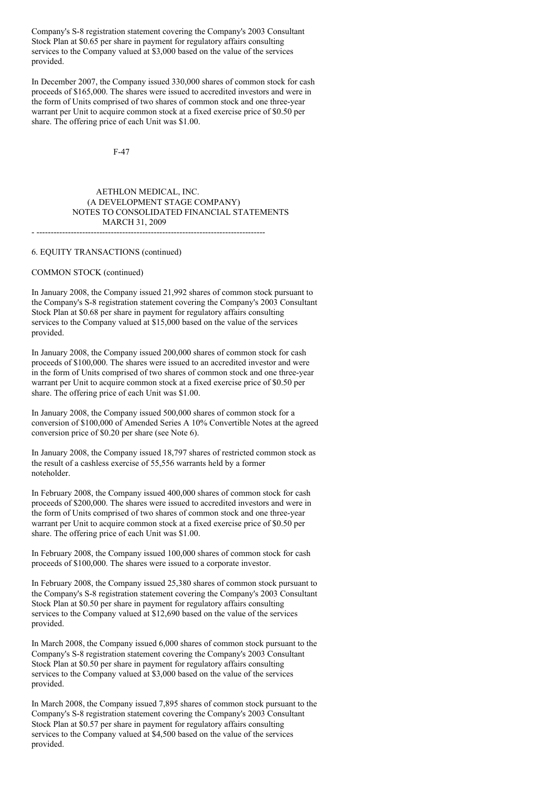Company's S-8 registration statement covering the Company's 2003 Consultant Stock Plan at \$0.65 per share in payment for regulatory affairs consulting services to the Company valued at \$3,000 based on the value of the services provided.

In December 2007, the Company issued 330,000 shares of common stock for cash proceeds of \$165,000. The shares were issued to accredited investors and were in the form of Units comprised of two shares of common stock and one three-year warrant per Unit to acquire common stock at a fixed exercise price of \$0.50 per share. The offering price of each Unit was \$1.00.

F-47

#### AETHLON MEDICAL, INC. (A DEVELOPMENT STAGE COMPANY) NOTES TO CONSOLIDATED FINANCIAL STATEMENTS MARCH 31, 2009 - --------------------------------------------------------------------------------

#### 6. EQUITY TRANSACTIONS (continued)

#### COMMON STOCK (continued)

In January 2008, the Company issued 21,992 shares of common stock pursuant to the Company's S-8 registration statement covering the Company's 2003 Consultant Stock Plan at \$0.68 per share in payment for regulatory affairs consulting services to the Company valued at \$15,000 based on the value of the services provided.

In January 2008, the Company issued 200,000 shares of common stock for cash proceeds of \$100,000. The shares were issued to an accredited investor and were in the form of Units comprised of two shares of common stock and one three-year warrant per Unit to acquire common stock at a fixed exercise price of \$0.50 per share. The offering price of each Unit was \$1.00.

In January 2008, the Company issued 500,000 shares of common stock for a conversion of \$100,000 of Amended Series A 10% Convertible Notes at the agreed conversion price of \$0.20 per share (see Note 6).

In January 2008, the Company issued 18,797 shares of restricted common stock as the result of a cashless exercise of 55,556 warrants held by a former noteholder.

In February 2008, the Company issued 400,000 shares of common stock for cash proceeds of \$200,000. The shares were issued to accredited investors and were in the form of Units comprised of two shares of common stock and one three-year warrant per Unit to acquire common stock at a fixed exercise price of \$0.50 per share. The offering price of each Unit was \$1.00.

In February 2008, the Company issued 100,000 shares of common stock for cash proceeds of \$100,000. The shares were issued to a corporate investor.

In February 2008, the Company issued 25,380 shares of common stock pursuant to the Company's S-8 registration statement covering the Company's 2003 Consultant Stock Plan at \$0.50 per share in payment for regulatory affairs consulting services to the Company valued at \$12,690 based on the value of the services provided.

In March 2008, the Company issued 6,000 shares of common stock pursuant to the Company's S-8 registration statement covering the Company's 2003 Consultant Stock Plan at \$0.50 per share in payment for regulatory affairs consulting services to the Company valued at \$3,000 based on the value of the services provided.

In March 2008, the Company issued 7,895 shares of common stock pursuant to the Company's S-8 registration statement covering the Company's 2003 Consultant Stock Plan at \$0.57 per share in payment for regulatory affairs consulting services to the Company valued at \$4,500 based on the value of the services provided.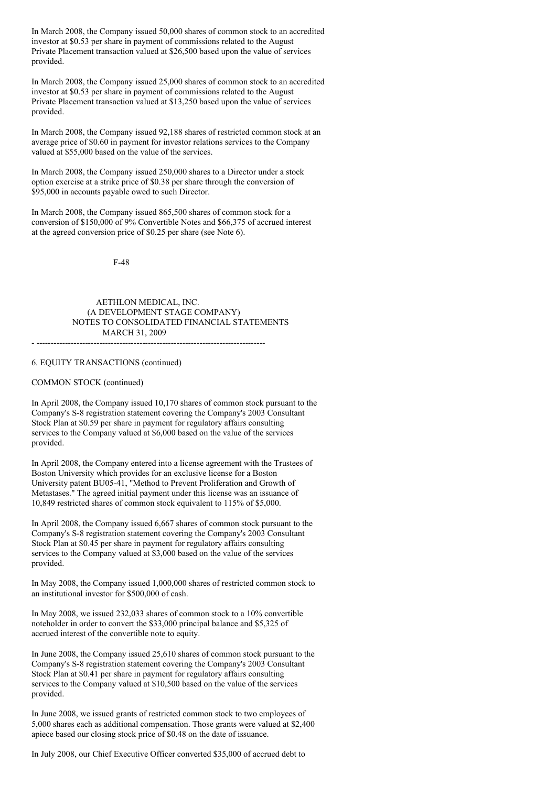In March 2008, the Company issued 50,000 shares of common stock to an accredited investor at \$0.53 per share in payment of commissions related to the August Private Placement transaction valued at \$26,500 based upon the value of services provided.

In March 2008, the Company issued 25,000 shares of common stock to an accredited investor at \$0.53 per share in payment of commissions related to the August Private Placement transaction valued at \$13,250 based upon the value of services provided.

In March 2008, the Company issued 92,188 shares of restricted common stock at an average price of \$0.60 in payment for investor relations services to the Company valued at \$55,000 based on the value of the services.

In March 2008, the Company issued 250,000 shares to a Director under a stock option exercise at a strike price of \$0.38 per share through the conversion of \$95,000 in accounts payable owed to such Director.

In March 2008, the Company issued 865,500 shares of common stock for a conversion of \$150,000 of 9% Convertible Notes and \$66,375 of accrued interest at the agreed conversion price of \$0.25 per share (see Note 6).

F-48

### AETHLON MEDICAL, INC. (A DEVELOPMENT STAGE COMPANY) NOTES TO CONSOLIDATED FINANCIAL STATEMENTS MARCH 31, 2009

- --------------------------------------------------------------------------------

# 6. EQUITY TRANSACTIONS (continued)

### COMMON STOCK (continued)

In April 2008, the Company issued 10,170 shares of common stock pursuant to the Company's S-8 registration statement covering the Company's 2003 Consultant Stock Plan at \$0.59 per share in payment for regulatory affairs consulting services to the Company valued at \$6,000 based on the value of the services provided.

In April 2008, the Company entered into a license agreement with the Trustees of Boston University which provides for an exclusive license for a Boston University patent BU05-41, "Method to Prevent Proliferation and Growth of Metastases." The agreed initial payment under this license was an issuance of 10,849 restricted shares of common stock equivalent to 115% of \$5,000.

In April 2008, the Company issued 6,667 shares of common stock pursuant to the Company's S-8 registration statement covering the Company's 2003 Consultant Stock Plan at \$0.45 per share in payment for regulatory affairs consulting services to the Company valued at \$3,000 based on the value of the services provided.

In May 2008, the Company issued 1,000,000 shares of restricted common stock to an institutional investor for \$500,000 of cash.

In May 2008, we issued 232,033 shares of common stock to a 10% convertible noteholder in order to convert the \$33,000 principal balance and \$5,325 of accrued interest of the convertible note to equity.

In June 2008, the Company issued 25,610 shares of common stock pursuant to the Company's S-8 registration statement covering the Company's 2003 Consultant Stock Plan at \$0.41 per share in payment for regulatory affairs consulting services to the Company valued at \$10,500 based on the value of the services provided.

In June 2008, we issued grants of restricted common stock to two employees of 5,000 shares each as additional compensation. Those grants were valued at \$2,400 apiece based our closing stock price of \$0.48 on the date of issuance.

In July 2008, our Chief Executive Officer converted \$35,000 of accrued debt to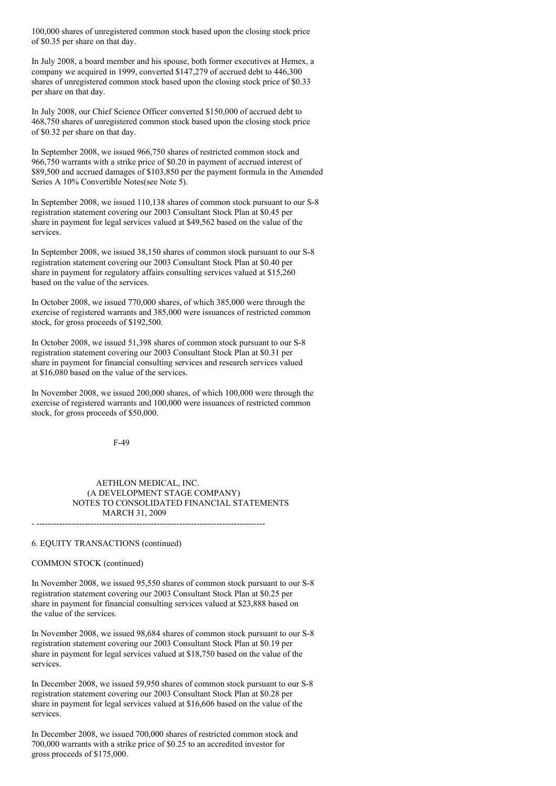100,000 shares of unregistered common stock based upon the closing stock price of \$0.35 per share on that day.

In July 2008, a board member and his spouse, both former executives at Hemex, a company we acquired in 1999, converted \$147,279 of accrued debt to 446,300 shares of unregistered common stock based upon the closing stock price of \$0.33 per share on that day.

In July 2008, our Chief Science Officer converted \$150,000 of accrued debt to 468,750 shares of unregistered common stock based upon the closing stock price of \$0.32 per share on that day.

In September 2008, we issued 966,750 shares of restricted common stock and 966,750 warrants with a strike price of \$0.20 in payment of accrued interest of \$89,500 and accrued damages of \$103,850 per the payment formula in the Amended Series A 10% Convertible Notes(see Note 5).

In September 2008, we issued 110,138 shares of common stock pursuant to our S-8 registration statement covering our 2003 Consultant Stock Plan at \$0.45 per share in payment for legal services valued at \$49,562 based on the value of the services.

In September 2008, we issued 38,150 shares of common stock pursuant to our S-8 registration statement covering our 2003 Consultant Stock Plan at \$0.40 per share in payment for regulatory affairs consulting services valued at \$15,260 based on the value of the services.

In October 2008, we issued 770,000 shares, of which 385,000 were through the exercise of registered warrants and 385,000 were issuances of restricted common stock, for gross proceeds of \$192,500.

In October 2008, we issued 51,398 shares of common stock pursuant to our S-8 registration statement covering our 2003 Consultant Stock Plan at \$0.31 per share in payment for financial consulting services and research services valued at \$16,080 based on the value of the services.

In November 2008, we issued 200,000 shares, of which 100,000 were through the exercise of registered warrants and 100,000 were issuances of restricted common stock, for gross proceeds of \$50,000.

F-49

### AETHLON MEDICAL, INC. (A DEVELOPMENT STAGE COMPANY) NOTES TO CONSOLIDATED FINANCIAL STATEMENTS MARCH 31, 2009

- --------------------------------------------------------------------------------

### 6. EQUITY TRANSACTIONS (continued)

### COMMON STOCK (continued)

In November 2008, we issued 95,550 shares of common stock pursuant to our S-8 registration statement covering our 2003 Consultant Stock Plan at \$0.25 per share in payment for financial consulting services valued at \$23,888 based on the value of the services.

In November 2008, we issued 98,684 shares of common stock pursuant to our S-8 registration statement covering our 2003 Consultant Stock Plan at \$0.19 per share in payment for legal services valued at \$18,750 based on the value of the services.

In December 2008, we issued 59,950 shares of common stock pursuant to our S-8 registration statement covering our 2003 Consultant Stock Plan at \$0.28 per share in payment for legal services valued at \$16,606 based on the value of the services.

In December 2008, we issued 700,000 shares of restricted common stock and 700,000 warrants with a strike price of \$0.25 to an accredited investor for gross proceeds of \$175,000.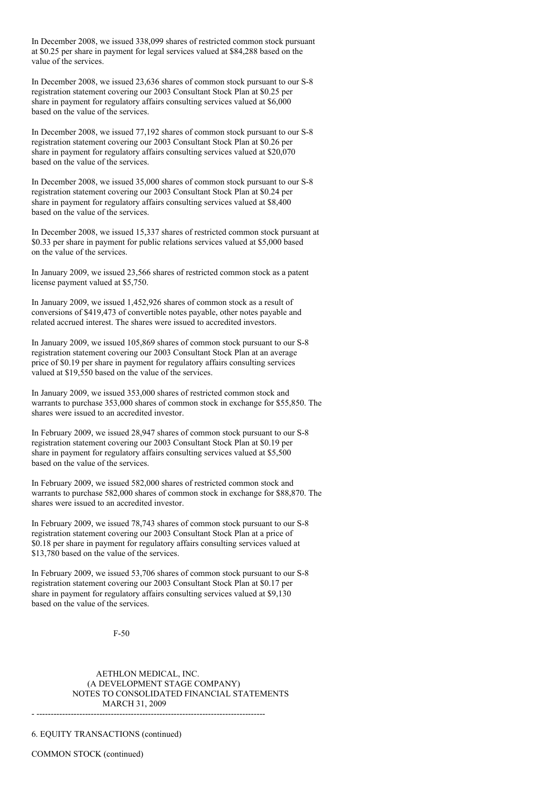In December 2008, we issued 338,099 shares of restricted common stock pursuant at \$0.25 per share in payment for legal services valued at \$84,288 based on the value of the services.

In December 2008, we issued 23,636 shares of common stock pursuant to our S-8 registration statement covering our 2003 Consultant Stock Plan at \$0.25 per share in payment for regulatory affairs consulting services valued at \$6,000 based on the value of the services.

In December 2008, we issued 77,192 shares of common stock pursuant to our S-8 registration statement covering our 2003 Consultant Stock Plan at \$0.26 per share in payment for regulatory affairs consulting services valued at \$20,070 based on the value of the services.

In December 2008, we issued 35,000 shares of common stock pursuant to our S-8 registration statement covering our 2003 Consultant Stock Plan at \$0.24 per share in payment for regulatory affairs consulting services valued at \$8,400 based on the value of the services.

In December 2008, we issued 15,337 shares of restricted common stock pursuant at \$0.33 per share in payment for public relations services valued at \$5,000 based on the value of the services.

In January 2009, we issued 23,566 shares of restricted common stock as a patent license payment valued at \$5,750.

In January 2009, we issued 1,452,926 shares of common stock as a result of conversions of \$419,473 of convertible notes payable, other notes payable and related accrued interest. The shares were issued to accredited investors.

In January 2009, we issued 105,869 shares of common stock pursuant to our S-8 registration statement covering our 2003 Consultant Stock Plan at an average price of \$0.19 per share in payment for regulatory affairs consulting services valued at \$19,550 based on the value of the services.

In January 2009, we issued 353,000 shares of restricted common stock and warrants to purchase 353,000 shares of common stock in exchange for \$55,850. The shares were issued to an accredited investor.

In February 2009, we issued 28,947 shares of common stock pursuant to our S-8 registration statement covering our 2003 Consultant Stock Plan at \$0.19 per share in payment for regulatory affairs consulting services valued at \$5,500 based on the value of the services.

In February 2009, we issued 582,000 shares of restricted common stock and warrants to purchase 582,000 shares of common stock in exchange for \$88,870. The shares were issued to an accredited investor.

In February 2009, we issued 78,743 shares of common stock pursuant to our S-8 registration statement covering our 2003 Consultant Stock Plan at a price of \$0.18 per share in payment for regulatory affairs consulting services valued at \$13,780 based on the value of the services.

In February 2009, we issued 53,706 shares of common stock pursuant to our S-8 registration statement covering our 2003 Consultant Stock Plan at \$0.17 per share in payment for regulatory affairs consulting services valued at \$9,130 based on the value of the services.

F-50

AETHLON MEDICAL, INC. (A DEVELOPMENT STAGE COMPANY) NOTES TO CONSOLIDATED FINANCIAL STATEMENTS MARCH 31, 2009  $-$ 

6. EQUITY TRANSACTIONS (continued)

COMMON STOCK (continued)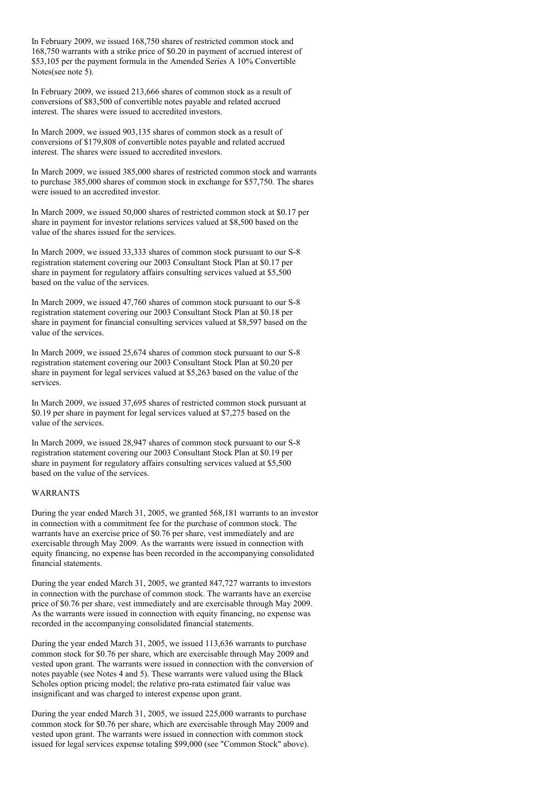In February 2009, we issued 168,750 shares of restricted common stock and 168,750 warrants with a strike price of \$0.20 in payment of accrued interest of \$53,105 per the payment formula in the Amended Series A 10% Convertible Notes(see note 5).

In February 2009, we issued 213,666 shares of common stock as a result of conversions of \$83,500 of convertible notes payable and related accrued interest. The shares were issued to accredited investors.

In March 2009, we issued 903,135 shares of common stock as a result of conversions of \$179,808 of convertible notes payable and related accrued interest. The shares were issued to accredited investors.

In March 2009, we issued 385,000 shares of restricted common stock and warrants to purchase 385,000 shares of common stock in exchange for \$57,750. The shares were issued to an accredited investor.

In March 2009, we issued 50,000 shares of restricted common stock at \$0.17 per share in payment for investor relations services valued at \$8,500 based on the value of the shares issued for the services.

In March 2009, we issued 33,333 shares of common stock pursuant to our S-8 registration statement covering our 2003 Consultant Stock Plan at \$0.17 per share in payment for regulatory affairs consulting services valued at \$5,500 based on the value of the services.

In March 2009, we issued 47,760 shares of common stock pursuant to our S-8 registration statement covering our 2003 Consultant Stock Plan at \$0.18 per share in payment for financial consulting services valued at \$8,597 based on the value of the services.

In March 2009, we issued 25,674 shares of common stock pursuant to our S-8 registration statement covering our 2003 Consultant Stock Plan at \$0.20 per share in payment for legal services valued at \$5,263 based on the value of the services.

In March 2009, we issued 37,695 shares of restricted common stock pursuant at \$0.19 per share in payment for legal services valued at \$7,275 based on the value of the services.

In March 2009, we issued 28,947 shares of common stock pursuant to our S-8 registration statement covering our 2003 Consultant Stock Plan at \$0.19 per share in payment for regulatory affairs consulting services valued at \$5,500 based on the value of the services.

### WARRANTS

During the year ended March 31, 2005, we granted 568,181 warrants to an investor in connection with a commitment fee for the purchase of common stock. The warrants have an exercise price of \$0.76 per share, vest immediately and are exercisable through May 2009. As the warrants were issued in connection with equity financing, no expense has been recorded in the accompanying consolidated financial statements.

During the year ended March 31, 2005, we granted 847,727 warrants to investors in connection with the purchase of common stock. The warrants have an exercise price of \$0.76 per share, vest immediately and are exercisable through May 2009. As the warrants were issued in connection with equity financing, no expense was recorded in the accompanying consolidated financial statements.

During the year ended March 31, 2005, we issued 113,636 warrants to purchase common stock for \$0.76 per share, which are exercisable through May 2009 and vested upon grant. The warrants were issued in connection with the conversion of notes payable (see Notes 4 and 5). These warrants were valued using the Black Scholes option pricing model; the relative pro-rata estimated fair value was insignificant and was charged to interest expense upon grant.

During the year ended March 31, 2005, we issued 225,000 warrants to purchase common stock for \$0.76 per share, which are exercisable through May 2009 and vested upon grant. The warrants were issued in connection with common stock issued for legal services expense totaling \$99,000 (see "Common Stock" above).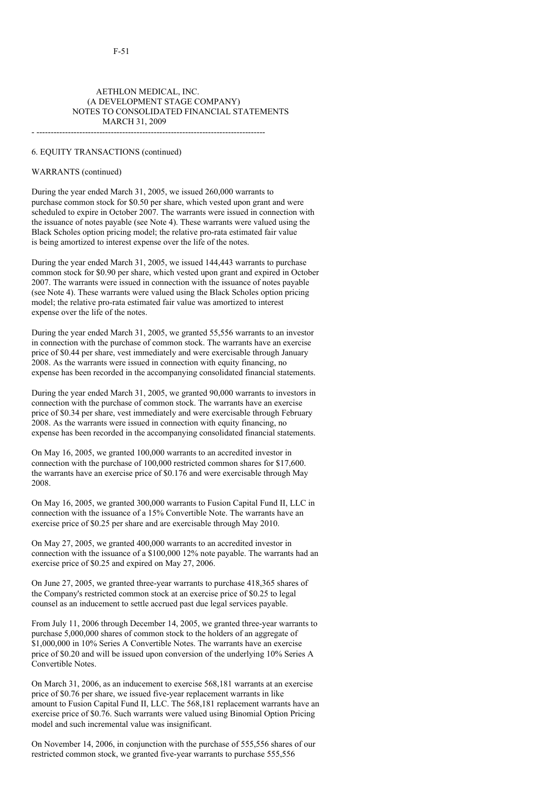### AETHLON MEDICAL, INC. (A DEVELOPMENT STAGE COMPANY) NOTES TO CONSOLIDATED FINANCIAL STATEMENTS MARCH 31, 2009 - --------------------------------------------------------------------------------

#### 6. EQUITY TRANSACTIONS (continued)

#### WARRANTS (continued)

During the year ended March 31, 2005, we issued 260,000 warrants to purchase common stock for \$0.50 per share, which vested upon grant and were scheduled to expire in October 2007. The warrants were issued in connection with the issuance of notes payable (see Note 4). These warrants were valued using the Black Scholes option pricing model; the relative pro-rata estimated fair value is being amortized to interest expense over the life of the notes.

During the year ended March 31, 2005, we issued 144,443 warrants to purchase common stock for \$0.90 per share, which vested upon grant and expired in October 2007. The warrants were issued in connection with the issuance of notes payable (see Note 4). These warrants were valued using the Black Scholes option pricing model; the relative pro-rata estimated fair value was amortized to interest expense over the life of the notes.

During the year ended March 31, 2005, we granted 55,556 warrants to an investor in connection with the purchase of common stock. The warrants have an exercise price of \$0.44 per share, vest immediately and were exercisable through January 2008. As the warrants were issued in connection with equity financing, no expense has been recorded in the accompanying consolidated financial statements.

During the year ended March 31, 2005, we granted 90,000 warrants to investors in connection with the purchase of common stock. The warrants have an exercise price of \$0.34 per share, vest immediately and were exercisable through February 2008. As the warrants were issued in connection with equity financing, no expense has been recorded in the accompanying consolidated financial statements.

On May 16, 2005, we granted 100,000 warrants to an accredited investor in connection with the purchase of 100,000 restricted common shares for \$17,600. the warrants have an exercise price of \$0.176 and were exercisable through May 2008.

On May 16, 2005, we granted 300,000 warrants to Fusion Capital Fund II, LLC in connection with the issuance of a 15% Convertible Note. The warrants have an exercise price of \$0.25 per share and are exercisable through May 2010.

On May 27, 2005, we granted 400,000 warrants to an accredited investor in connection with the issuance of a \$100,000 12% note payable. The warrants had an exercise price of \$0.25 and expired on May 27, 2006.

On June 27, 2005, we granted three-year warrants to purchase 418,365 shares of the Company's restricted common stock at an exercise price of \$0.25 to legal counsel as an inducement to settle accrued past due legal services payable.

From July 11, 2006 through December 14, 2005, we granted three-year warrants to purchase 5,000,000 shares of common stock to the holders of an aggregate of \$1,000,000 in 10% Series A Convertible Notes. The warrants have an exercise price of \$0.20 and will be issued upon conversion of the underlying 10% Series A Convertible Notes.

On March 31, 2006, as an inducement to exercise 568,181 warrants at an exercise price of \$0.76 per share, we issued five-year replacement warrants in like amount to Fusion Capital Fund II, LLC. The 568,181 replacement warrants have an exercise price of \$0.76. Such warrants were valued using Binomial Option Pricing model and such incremental value was insignificant.

On November 14, 2006, in conjunction with the purchase of 555,556 shares of our restricted common stock, we granted five-year warrants to purchase 555,556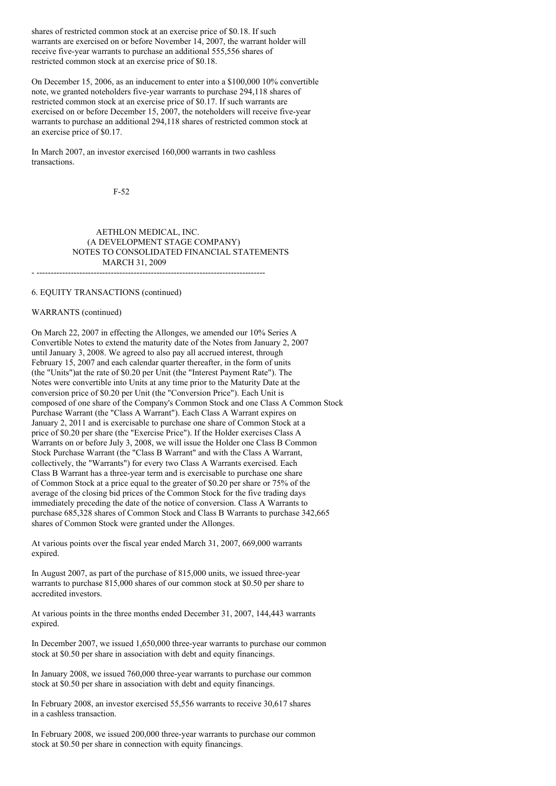shares of restricted common stock at an exercise price of \$0.18. If such warrants are exercised on or before November 14, 2007, the warrant holder will receive five-year warrants to purchase an additional 555,556 shares of restricted common stock at an exercise price of \$0.18.

On December 15, 2006, as an inducement to enter into a \$100,000 10% convertible note, we granted noteholders five-year warrants to purchase 294,118 shares of restricted common stock at an exercise price of \$0.17. If such warrants are exercised on or before December 15, 2007, the noteholders will receive five-year warrants to purchase an additional 294,118 shares of restricted common stock at an exercise price of \$0.17.

In March 2007, an investor exercised 160,000 warrants in two cashless transactions.

F-52

AETHLON MEDICAL, INC. (A DEVELOPMENT STAGE COMPANY) NOTES TO CONSOLIDATED FINANCIAL STATEMENTS MARCH 31, 2009

- --------------------------------------------------------------------------------

6. EQUITY TRANSACTIONS (continued)

#### WARRANTS (continued)

On March 22, 2007 in effecting the Allonges, we amended our 10% Series A Convertible Notes to extend the maturity date of the Notes from January 2, 2007 until January 3, 2008. We agreed to also pay all accrued interest, through February 15, 2007 and each calendar quarter thereafter, in the form of units (the "Units")at the rate of \$0.20 per Unit (the "Interest Payment Rate"). The Notes were convertible into Units at any time prior to the Maturity Date at the conversion price of \$0.20 per Unit (the "Conversion Price"). Each Unit is composed of one share of the Company's Common Stock and one Class A Common Stock Purchase Warrant (the "Class A Warrant"). Each Class A Warrant expires on January 2, 2011 and is exercisable to purchase one share of Common Stock at a price of \$0.20 per share (the "Exercise Price"). If the Holder exercises Class A Warrants on or before July 3, 2008, we will issue the Holder one Class B Common Stock Purchase Warrant (the "Class B Warrant" and with the Class A Warrant, collectively, the "Warrants") for every two Class A Warrants exercised. Each Class B Warrant has a three-year term and is exercisable to purchase one share of Common Stock at a price equal to the greater of \$0.20 per share or 75% of the average of the closing bid prices of the Common Stock for the five trading days immediately preceding the date of the notice of conversion. Class A Warrants to purchase 685,328 shares of Common Stock and Class B Warrants to purchase 342,665 shares of Common Stock were granted under the Allonges.

At various points over the fiscal year ended March 31, 2007, 669,000 warrants expired.

In August 2007, as part of the purchase of 815,000 units, we issued three-year warrants to purchase 815,000 shares of our common stock at \$0.50 per share to accredited investors.

At various points in the three months ended December 31, 2007, 144,443 warrants expired.

In December 2007, we issued 1,650,000 three-year warrants to purchase our common stock at \$0.50 per share in association with debt and equity financings.

In January 2008, we issued 760,000 three-year warrants to purchase our common stock at \$0.50 per share in association with debt and equity financings.

In February 2008, an investor exercised 55,556 warrants to receive 30,617 shares in a cashless transaction.

In February 2008, we issued 200,000 three-year warrants to purchase our common stock at \$0.50 per share in connection with equity financings.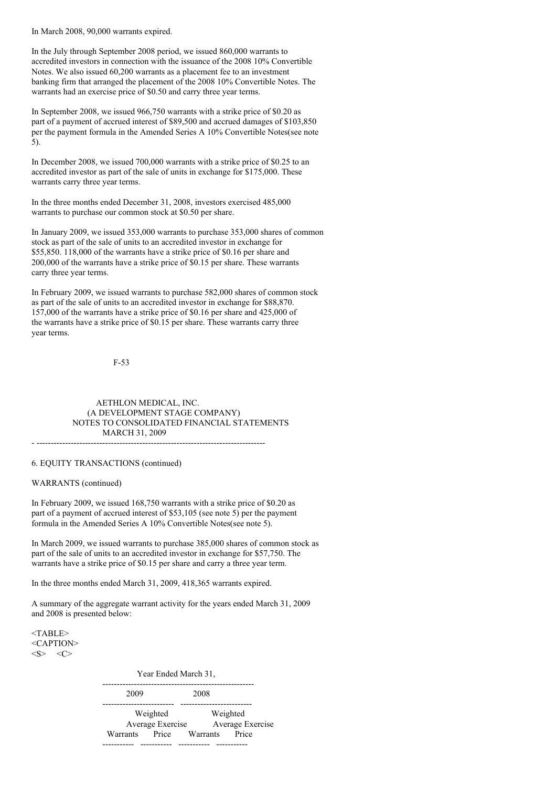In March 2008, 90,000 warrants expired.

In the July through September 2008 period, we issued 860,000 warrants to accredited investors in connection with the issuance of the 2008 10% Convertible Notes. We also issued 60,200 warrants as a placement fee to an investment banking firm that arranged the placement of the 2008 10% Convertible Notes. The warrants had an exercise price of \$0.50 and carry three year terms.

In September 2008, we issued 966,750 warrants with a strike price of \$0.20 as part of a payment of accrued interest of \$89,500 and accrued damages of \$103,850 per the payment formula in the Amended Series A 10% Convertible Notes(see note 5).

In December 2008, we issued 700,000 warrants with a strike price of \$0.25 to an accredited investor as part of the sale of units in exchange for \$175,000. These warrants carry three year terms.

In the three months ended December 31, 2008, investors exercised 485,000 warrants to purchase our common stock at \$0.50 per share.

In January 2009, we issued 353,000 warrants to purchase 353,000 shares of common stock as part of the sale of units to an accredited investor in exchange for \$55,850. 118,000 of the warrants have a strike price of \$0.16 per share and 200,000 of the warrants have a strike price of \$0.15 per share. These warrants carry three year terms.

In February 2009, we issued warrants to purchase 582,000 shares of common stock as part of the sale of units to an accredited investor in exchange for \$88,870. 157,000 of the warrants have a strike price of \$0.16 per share and 425,000 of the warrants have a strike price of \$0.15 per share. These warrants carry three year terms.

F-53

AETHLON MEDICAL, INC. (A DEVELOPMENT STAGE COMPANY) NOTES TO CONSOLIDATED FINANCIAL STATEMENTS MARCH 31, 2009 - --------------------------------------------------------------------------------

6. EQUITY TRANSACTIONS (continued)

WARRANTS (continued)

In February 2009, we issued 168,750 warrants with a strike price of \$0.20 as part of a payment of accrued interest of \$53,105 (see note 5) per the payment formula in the Amended Series A 10% Convertible Notes(see note 5).

In March 2009, we issued warrants to purchase 385,000 shares of common stock as part of the sale of units to an accredited investor in exchange for \$57,750. The warrants have a strike price of \$0.15 per share and carry a three year term.

In the three months ended March 31, 2009, 418,365 warrants expired.

A summary of the aggregate warrant activity for the years ended March 31, 2009 and 2008 is presented below:

<TABLE> <CAPTION>  $<\!\!S\!\!>$   $<\!\!C\!\!>$ 

> Year Ended March 31, ----------------------------------------------------- 2009 2008 ------------------------- ------------------------- Weighted Weighted Average Exercise Average Exercise Warrants Price Warrants Price ----------- ----------- ----------- -----------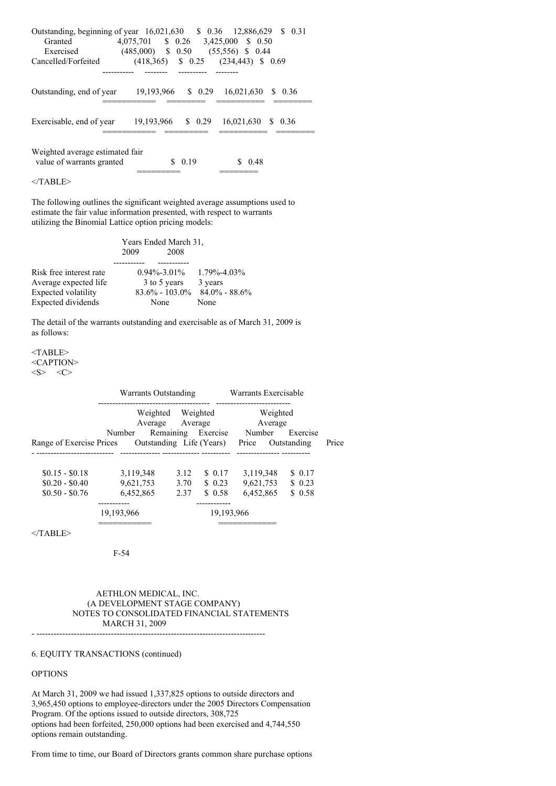| Outstanding, beginning of year 16,021,630 \$ 0.36 12,886,629 \$ 0.31<br>Granted<br>Exercised | 4,075,701 \$ 0.26 3,425,000 \$ 0.50<br>$(485,000)$ \$ 0.50 | $(55,556)$ \$ 0.44                   |
|----------------------------------------------------------------------------------------------|------------------------------------------------------------|--------------------------------------|
| Cancelled/Forfeited                                                                          | (418,365)                                                  | $\frac{1}{2}$ 0.25 (234,443) \$ 0.69 |
|                                                                                              |                                                            |                                      |
| Outstanding, end of year                                                                     | 19,193,966 \$ 0.29 16,021,630                              | \$ 0.36                              |
| Exercisable, end of year                                                                     | 19,193,966 \$ 0.29                                         | 16,021,630 \$ 0.36                   |
| Weighted average estimated fair<br>value of warrants granted                                 | 0.19<br>S                                                  | 0.48                                 |

 $<$ /TABLE>

The following outlines the significant weighted average assumptions used to estimate the fair value information presented, with respect to warrants utilizing the Binomial Lattice option pricing models:

|                         | Years Ended March 31, |                     |  |  |  |
|-------------------------|-----------------------|---------------------|--|--|--|
|                         | 2009<br>2008          |                     |  |  |  |
|                         |                       |                     |  |  |  |
| Risk free interest rate | $0.94\% - 3.01\%$     | $1.79\% - 4.03\%$   |  |  |  |
| Average expected life   | 3 to 5 years          | 3 years             |  |  |  |
| Expected volatility     | $83.6\% - 103.0\%$    | $84.0\%$ - $88.6\%$ |  |  |  |
| Expected dividends      | None                  | None                |  |  |  |

The detail of the warrants outstanding and exercisable as of March 31, 2009 is as follows:

<TABLE> <CAPTION>  $<\!\!S\!\!>$   $<\!\!C\!\!>$ 

|                          | Warrants Outstanding     |           |            | Warrants Exercisable |             |       |
|--------------------------|--------------------------|-----------|------------|----------------------|-------------|-------|
|                          | Weighted<br>Average      | Average   | Weighted   | Weighted<br>Average  |             |       |
|                          | Number                   | Remaining | Exercise   | Number               | Exercise    |       |
| Range of Exercise Prices | Outstanding Life (Years) |           |            | Price                | Outstanding | Price |
|                          |                          |           |            |                      |             |       |
| $$0.15 - $0.18$          | 3.119.348                | 3.12      | \$ 0.17    | 3.119.348            | \$ 0.17     |       |
| $$0.20 - $0.40$          | 9.621.753                | 3.70      | \$0.23     | 9,621,753            | \$0.23      |       |
| $$0.50 - $0.76$          | 6.452.865                | 2.37      | \$0.58     | 6.452.865            | \$0.58      |       |
|                          |                          |           |            |                      |             |       |
|                          | 19.193.966               |           | 19.193.966 |                      |             |       |
|                          |                          |           |            |                      |             |       |

</TABLE>

F-54

AETHLON MEDICAL, INC. (A DEVELOPMENT STAGE COMPANY) NOTES TO CONSOLIDATED FINANCIAL STATEMENTS MARCH 31, 2009 - --------------------------------------------------------------------------------

6. EQUITY TRANSACTIONS (continued)

#### **OPTIONS**

At March 31, 2009 we had issued 1,337,825 options to outside directors and 3,965,450 options to employee-directors under the 2005 Directors Compensation Program. Of the options issued to outside directors, 308,725 options had been forfeited, 250,000 options had been exercised and 4,744,550 options remain outstanding.

From time to time, our Board of Directors grants common share purchase options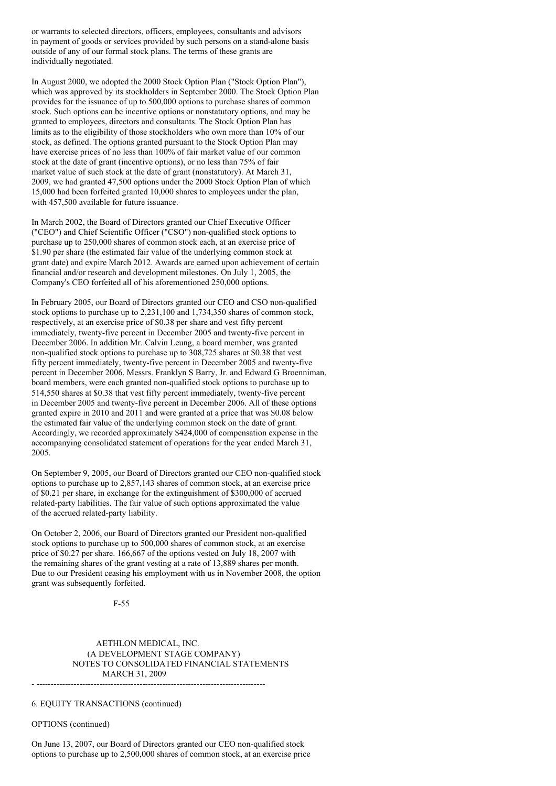or warrants to selected directors, officers, employees, consultants and advisors in payment of goods or services provided by such persons on a stand-alone basis outside of any of our formal stock plans. The terms of these grants are individually negotiated.

In August 2000, we adopted the 2000 Stock Option Plan ("Stock Option Plan"), which was approved by its stockholders in September 2000. The Stock Option Plan provides for the issuance of up to 500,000 options to purchase shares of common stock. Such options can be incentive options or nonstatutory options, and may be granted to employees, directors and consultants. The Stock Option Plan has limits as to the eligibility of those stockholders who own more than 10% of our stock, as defined. The options granted pursuant to the Stock Option Plan may have exercise prices of no less than 100% of fair market value of our common stock at the date of grant (incentive options), or no less than 75% of fair market value of such stock at the date of grant (nonstatutory). At March 31, 2009, we had granted 47,500 options under the 2000 Stock Option Plan of which 15,000 had been forfeited granted 10,000 shares to employees under the plan, with 457,500 available for future issuance.

In March 2002, the Board of Directors granted our Chief Executive Officer ("CEO") and Chief Scientific Officer ("CSO") non-qualified stock options to purchase up to 250,000 shares of common stock each, at an exercise price of \$1.90 per share (the estimated fair value of the underlying common stock at grant date) and expire March 2012. Awards are earned upon achievement of certain financial and/or research and development milestones. On July 1, 2005, the Company's CEO forfeited all of his aforementioned 250,000 options.

In February 2005, our Board of Directors granted our CEO and CSO non-qualified stock options to purchase up to 2,231,100 and 1,734,350 shares of common stock, respectively, at an exercise price of \$0.38 per share and vest fifty percent immediately, twenty-five percent in December 2005 and twenty-five percent in December 2006. In addition Mr. Calvin Leung, a board member, was granted non-qualified stock options to purchase up to 308,725 shares at \$0.38 that vest fifty percent immediately, twenty-five percent in December 2005 and twenty-five percent in December 2006. Messrs. Franklyn S Barry, Jr. and Edward G Broenniman, board members, were each granted non-qualified stock options to purchase up to 514,550 shares at \$0.38 that vest fifty percent immediately, twenty-five percent in December 2005 and twenty-five percent in December 2006. All of these options granted expire in 2010 and 2011 and were granted at a price that was \$0.08 below the estimated fair value of the underlying common stock on the date of grant. Accordingly, we recorded approximately \$424,000 of compensation expense in the accompanying consolidated statement of operations for the year ended March 31, 2005.

On September 9, 2005, our Board of Directors granted our CEO non-qualified stock options to purchase up to 2,857,143 shares of common stock, at an exercise price of \$0.21 per share, in exchange for the extinguishment of \$300,000 of accrued related-party liabilities. The fair value of such options approximated the value of the accrued related-party liability.

On October 2, 2006, our Board of Directors granted our President non-qualified stock options to purchase up to 500,000 shares of common stock, at an exercise price of \$0.27 per share. 166,667 of the options vested on July 18, 2007 with the remaining shares of the grant vesting at a rate of 13,889 shares per month. Due to our President ceasing his employment with us in November 2008, the option grant was subsequently forfeited.

F-55

AETHLON MEDICAL, INC. (A DEVELOPMENT STAGE COMPANY) NOTES TO CONSOLIDATED FINANCIAL STATEMENTS MARCH 31, 2009 - --------------------------------------------------------------------------------

6. EQUITY TRANSACTIONS (continued)

OPTIONS (continued)

On June 13, 2007, our Board of Directors granted our CEO non-qualified stock options to purchase up to 2,500,000 shares of common stock, at an exercise price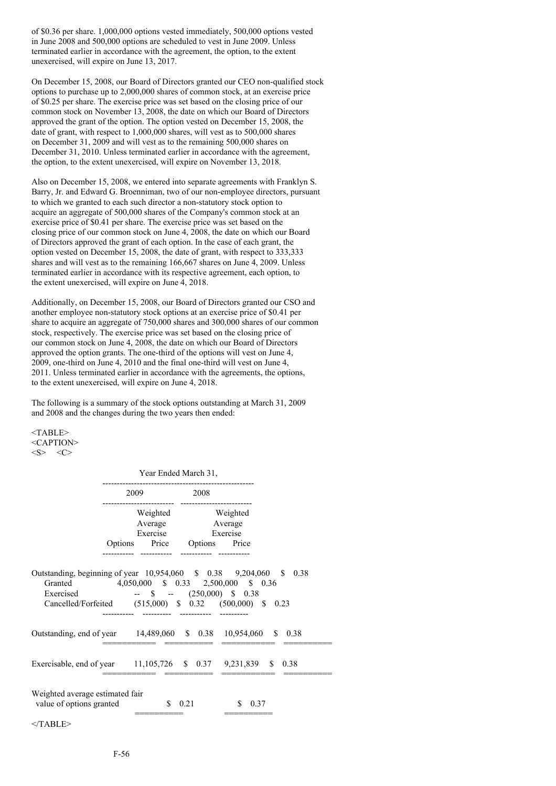of \$0.36 per share. 1,000,000 options vested immediately, 500,000 options vested in June 2008 and 500,000 options are scheduled to vest in June 2009. Unless terminated earlier in accordance with the agreement, the option, to the extent unexercised, will expire on June 13, 2017.

On December 15, 2008, our Board of Directors granted our CEO non-qualified stock options to purchase up to 2,000,000 shares of common stock, at an exercise price of \$0.25 per share. The exercise price was set based on the closing price of our common stock on November 13, 2008, the date on which our Board of Directors approved the grant of the option. The option vested on December 15, 2008, the date of grant, with respect to 1,000,000 shares, will vest as to 500,000 shares on December 31, 2009 and will vest as to the remaining 500,000 shares on December 31, 2010. Unless terminated earlier in accordance with the agreement, the option, to the extent unexercised, will expire on November 13, 2018.

Also on December 15, 2008, we entered into separate agreements with Franklyn S. Barry, Jr. and Edward G. Broenniman, two of our non-employee directors, pursuant to which we granted to each such director a non-statutory stock option to acquire an aggregate of 500,000 shares of the Company's common stock at an exercise price of \$0.41 per share. The exercise price was set based on the closing price of our common stock on June 4, 2008, the date on which our Board of Directors approved the grant of each option. In the case of each grant, the option vested on December 15, 2008, the date of grant, with respect to 333,333 shares and will vest as to the remaining 166,667 shares on June 4, 2009. Unless terminated earlier in accordance with its respective agreement, each option, to the extent unexercised, will expire on June 4, 2018.

Additionally, on December 15, 2008, our Board of Directors granted our CSO and another employee non-statutory stock options at an exercise price of \$0.41 per share to acquire an aggregate of 750,000 shares and 300,000 shares of our common stock, respectively. The exercise price was set based on the closing price of our common stock on June 4, 2008, the date on which our Board of Directors approved the option grants. The one-third of the options will vest on June 4, 2009, one-third on June 4, 2010 and the final one-third will vest on June 4, 2011. Unless terminated earlier in accordance with the agreements, the options, to the extent unexercised, will expire on June 4, 2018.

The following is a summary of the stock options outstanding at March 31, 2009 and 2008 and the changes during the two years then ended:

<TABLE> <CAPTION>  $$   $<$ C>

Year Ended March 31,

|                                                                                                                                              | 2009                        | 2008               |             |
|----------------------------------------------------------------------------------------------------------------------------------------------|-----------------------------|--------------------|-------------|
|                                                                                                                                              | Weighted Weighted           |                    |             |
|                                                                                                                                              | Average Average             |                    |             |
|                                                                                                                                              | Exercise Exercise           |                    |             |
|                                                                                                                                              | Options Price Options Price |                    |             |
|                                                                                                                                              |                             |                    |             |
| Granted 4,050,000 \$ 0.33 2,500,000 \$ 0.36<br>Exercised - \$ - (250,000) \$ 0.38<br>Cancelled/Forfeited (515,000) \$ 0.32 (500,000) \$ 0.23 |                             |                    |             |
| Outstanding, end of year 14,489,060 \$ 0.38 10,954,060 \$ 0.38                                                                               |                             |                    |             |
| Exercisable, end of year 11,105,726 \$ 0.37 9,231,839 \$ 0.38                                                                                |                             |                    |             |
| Weighted average estimated fair<br>value of options granted                                                                                  |                             | $\frac{1}{2}$ 0.21 | \$.<br>0.37 |
| $<$ TABLE>                                                                                                                                   |                             |                    |             |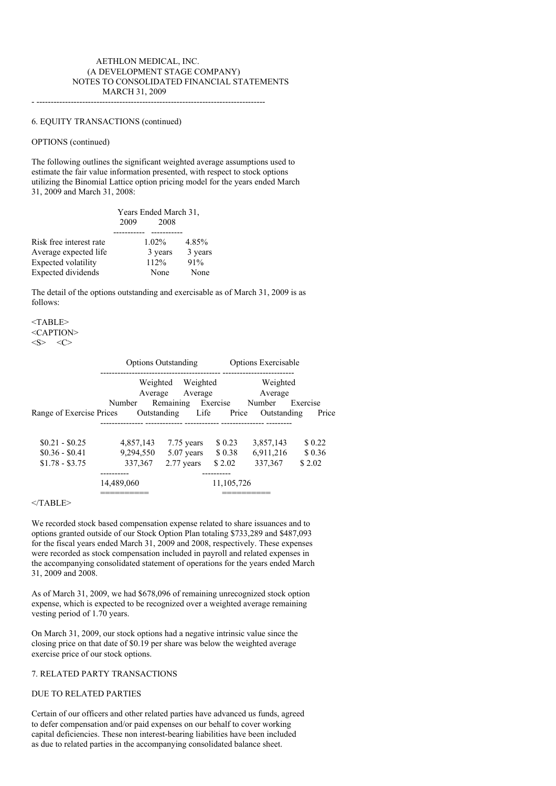### AETHLON MEDICAL, INC. (A DEVELOPMENT STAGE COMPANY) NOTES TO CONSOLIDATED FINANCIAL STATEMENTS MARCH 31, 2009

- --------------------------------------------------------------------------------

# 6. EQUITY TRANSACTIONS (continued)

# OPTIONS (continued)

The following outlines the significant weighted average assumptions used to estimate the fair value information presented, with respect to stock options utilizing the Binomial Lattice option pricing model for the years ended March 31, 2009 and March 31, 2008:

|                         | Years Ended March 31,<br>2009 |          |         |
|-------------------------|-------------------------------|----------|---------|
|                         |                               |          |         |
| Risk free interest rate |                               | $1.02\%$ | 4.85%   |
| Average expected life   |                               | 3 years  | 3 years |
| Expected volatility     |                               | 112%     | 91%     |
| Expected dividends      |                               | None     | None    |
|                         |                               |          |         |

The detail of the options outstanding and exercisable as of March 31, 2009 is as follows:

<TABLE> <CAPTION>  $<\!\!S\!\!>$   $<\!\!C\!\!>$ 

|                          |                     | <b>Options Outstanding</b> |            | <b>Options Exercisable</b> |          |
|--------------------------|---------------------|----------------------------|------------|----------------------------|----------|
|                          | Weighted<br>Average | Weighted<br>Average        |            | Weighted<br>Average        |          |
|                          | Number              | Remaining                  | Exercise   | Number                     | Exercise |
| Range of Exercise Prices | Outstanding         | Life                       | Price      | Outstanding                | Price    |
| $$0.21 - $0.25$          | 4,857,143           | 7.75 years                 | \$0.23     | 3,857,143                  | \$0.22   |
| $$0.36 - $0.41$          | 9.294.550           | $5.07$ years               | \$ 0.38    | 6,911,216                  | \$0.36   |
| $$1.78 - $3.75$          | 337, 367            | 2.77 years                 | \$2.02     | 337, 367                   | \$2.02   |
|                          |                     |                            |            |                            |          |
|                          | 14.489.060          |                            | 11,105,726 |                            |          |
|                          |                     |                            |            |                            |          |

 $<$ /TABLE>

We recorded stock based compensation expense related to share issuances and to options granted outside of our Stock Option Plan totaling \$733,289 and \$487,093 for the fiscal years ended March 31, 2009 and 2008, respectively. These expenses were recorded as stock compensation included in payroll and related expenses in the accompanying consolidated statement of operations for the years ended March 31, 2009 and 2008.

As of March 31, 2009, we had \$678,096 of remaining unrecognized stock option expense, which is expected to be recognized over a weighted average remaining vesting period of 1.70 years.

On March 31, 2009, our stock options had a negative intrinsic value since the closing price on that date of \$0.19 per share was below the weighted average exercise price of our stock options.

#### 7. RELATED PARTY TRANSACTIONS

#### DUE TO RELATED PARTIES

Certain of our officers and other related parties have advanced us funds, agreed to defer compensation and/or paid expenses on our behalf to cover working capital deficiencies. These non interest-bearing liabilities have been included as due to related parties in the accompanying consolidated balance sheet.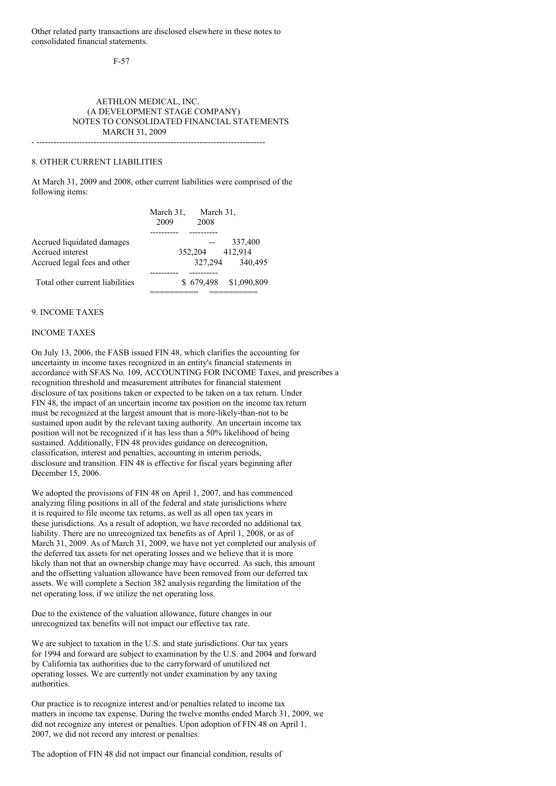Other related party transactions are disclosed elsewhere in these notes to consolidated financial statements.

F-57

### AETHLON MEDICAL, INC. (A DEVELOPMENT STAGE COMPANY) NOTES TO CONSOLIDATED FINANCIAL STATEMENTS MARCH 31, 2009

- --------------------------------------------------------------------------------

### 8. OTHER CURRENT LIABILITIES

At March 31, 2009 and 2008, other current liabilities were comprised of the following items:

|                                 | March 31, | March 31, |             |
|---------------------------------|-----------|-----------|-------------|
|                                 | 2009      | 2008      |             |
|                                 |           |           |             |
| Accrued liquidated damages      |           |           | 337,400     |
| Accrued interest                |           | 352,204   | 412,914     |
| Accrued legal fees and other    |           | 327.294   | 340,495     |
|                                 |           |           |             |
| Total other current liabilities | S.        | 679.498   | \$1,090,809 |
|                                 |           |           |             |

### 9. INCOME TAXES

#### INCOME TAXES

On July 13, 2006, the FASB issued FIN 48, which clarifies the accounting for uncertainty in income taxes recognized in an entity's financial statements in accordance with SFAS No. 109, ACCOUNTING FOR INCOME Taxes, and prescribes a recognition threshold and measurement attributes for financial statement disclosure of tax positions taken or expected to be taken on a tax return. Under FIN 48, the impact of an uncertain income tax position on the income tax return must be recognized at the largest amount that is more-likely-than-not to be sustained upon audit by the relevant taxing authority. An uncertain income tax position will not be recognized if it has less than a 50% likelihood of being sustained. Additionally, FIN 48 provides guidance on derecognition, classification, interest and penalties, accounting in interim periods, disclosure and transition. FIN 48 is effective for fiscal years beginning after December 15, 2006.

We adopted the provisions of FIN 48 on April 1, 2007, and has commenced analyzing filing positions in all of the federal and state jurisdictions where it is required to file income tax returns, as well as all open tax years in these jurisdictions. As a result of adoption, we have recorded no additional tax liability. There are no unrecognized tax benefits as of April 1, 2008, or as of March 31, 2009. As of March 31, 2009, we have not yet completed our analysis of the deferred tax assets for net operating losses and we believe that it is more likely than not that an ownership change may have occurred. As such, this amount and the offsetting valuation allowance have been removed from our deferred tax assets. We will complete a Section 382 analysis regarding the limitation of the net operating loss, if we utilize the net operating loss.

Due to the existence of the valuation allowance, future changes in our unrecognized tax benefits will not impact our effective tax rate.

We are subject to taxation in the U.S. and state jurisdictions. Our tax years for 1994 and forward are subject to examination by the U.S. and 2004 and forward by California tax authorities due to the carryforward of unutilized net operating losses. We are currently not under examination by any taxing authorities.

Our practice is to recognize interest and/or penalties related to income tax matters in income tax expense. During the twelve months ended March 31, 2009, we did not recognize any interest or penalties. Upon adoption of FIN 48 on April 1, 2007, we did not record any interest or penalties.

The adoption of FIN 48 did not impact our financial condition, results of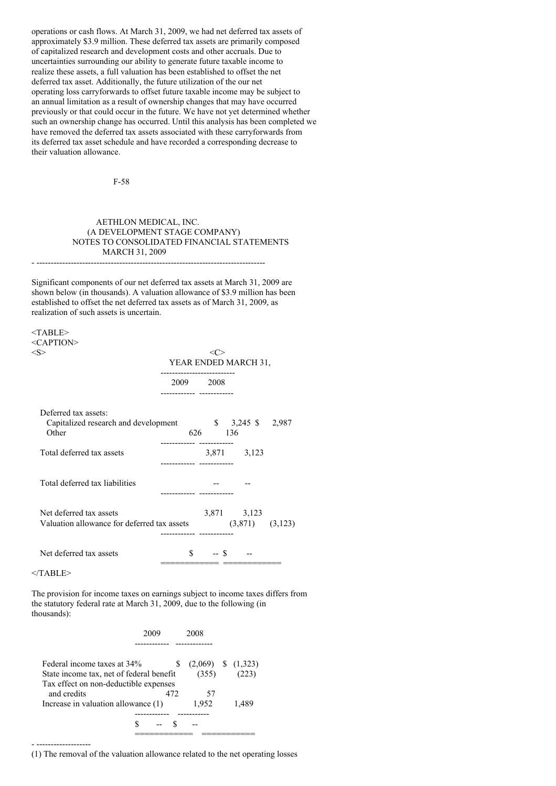operations or cash flows. At March 31, 2009, we had net deferred tax assets of approximately \$3.9 million. These deferred tax assets are primarily composed of capitalized research and development costs and other accruals. Due to uncertainties surrounding our ability to generate future taxable income to realize these assets, a full valuation has been established to offset the net deferred tax asset. Additionally, the future utilization of the our net operating loss carryforwards to offset future taxable income may be subject to an annual limitation as a result of ownership changes that may have occurred previously or that could occur in the future. We have not yet determined whether such an ownership change has occurred. Until this analysis has been completed we have removed the deferred tax assets associated with these carryforwards from its deferred tax asset schedule and have recorded a corresponding decrease to their valuation allowance.

F-58

### AETHLON MEDICAL, INC. (A DEVELOPMENT STAGE COMPANY) NOTES TO CONSOLIDATED FINANCIAL STATEMENTS MARCH 31, 2009 - --------------------------------------------------------------------------------

Significant components of our net deferred tax assets at March 31, 2009 are shown below (in thousands). A valuation allowance of \$3.9 million has been established to offset the net deferred tax assets as of March 31, 2009, as realization of such assets is uncertain.

<TABLE> <CAPTION>

|                                                                        |                         |         | YEAR ENDED MARCH 31,               |  |
|------------------------------------------------------------------------|-------------------------|---------|------------------------------------|--|
|                                                                        | ----------<br>2009 2008 |         |                                    |  |
| Deferred tax assets:<br>Capitalized research and development<br>Other  |                         | 626 136 | $\frac{1}{2}$ \$ 3,245 \$ 2,987    |  |
| Total deferred tax assets                                              |                         |         | 3,871 3,123                        |  |
| Total deferred tax liabilities                                         |                         |         |                                    |  |
| Net deferred tax assets<br>Valuation allowance for deferred tax assets |                         |         | 3,871 3,123<br>$(3,871)$ $(3,123)$ |  |
| Net deferred tax assets                                                | \$.                     | $-$ \$  |                                    |  |

 $<$ /TABLE>

- -------------------

The provision for income taxes on earnings subject to income taxes differs from the statutory federal rate at March 31, 2009, due to the following (in thousands):

| Federal income taxes at 34%              | S   |       | $(2,069)$ \$ $(1,323)$ |
|------------------------------------------|-----|-------|------------------------|
| State income tax, net of federal benefit |     | (355) |                        |
| Tax effect on non-deductible expenses    |     |       |                        |
| and credits                              | 472 | 57    |                        |
| Increase in valuation allowance (1)      |     | 1,952 | 1.489                  |
|                                          |     |       |                        |
|                                          |     |       |                        |
|                                          |     |       |                        |

(1) The removal of the valuation allowance related to the net operating losses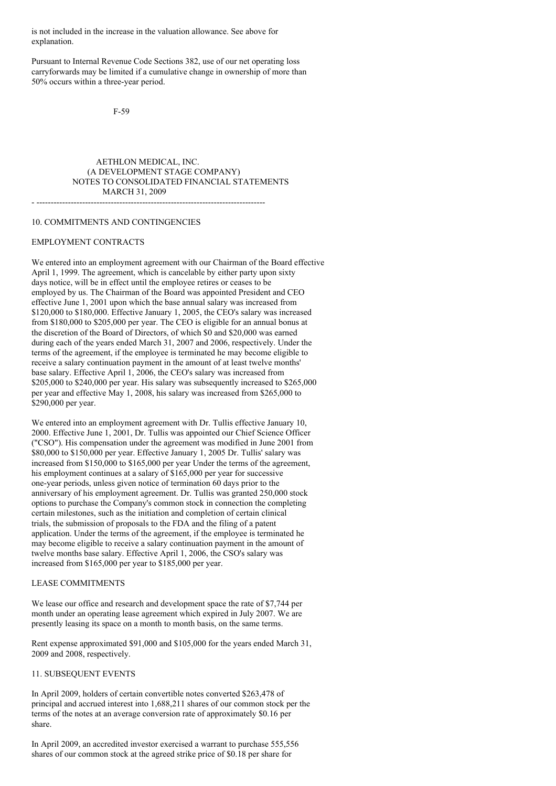is not included in the increase in the valuation allowance. See above for explanation.

Pursuant to Internal Revenue Code Sections 382, use of our net operating loss carryforwards may be limited if a cumulative change in ownership of more than 50% occurs within a three-year period.

F-59

AETHLON MEDICAL, INC. (A DEVELOPMENT STAGE COMPANY) NOTES TO CONSOLIDATED FINANCIAL STATEMENTS MARCH 31, 2009 - --------------------------------------------------------------------------------

#### 10. COMMITMENTS AND CONTINGENCIES

### EMPLOYMENT CONTRACTS

We entered into an employment agreement with our Chairman of the Board effective April 1, 1999. The agreement, which is cancelable by either party upon sixty days notice, will be in effect until the employee retires or ceases to be employed by us. The Chairman of the Board was appointed President and CEO effective June 1, 2001 upon which the base annual salary was increased from \$120,000 to \$180,000. Effective January 1, 2005, the CEO's salary was increased from \$180,000 to \$205,000 per year. The CEO is eligible for an annual bonus at the discretion of the Board of Directors, of which \$0 and \$20,000 was earned during each of the years ended March 31, 2007 and 2006, respectively. Under the terms of the agreement, if the employee is terminated he may become eligible to receive a salary continuation payment in the amount of at least twelve months' base salary. Effective April 1, 2006, the CEO's salary was increased from \$205,000 to \$240,000 per year. His salary was subsequently increased to \$265,000 per year and effective May 1, 2008, his salary was increased from \$265,000 to \$290,000 per year.

We entered into an employment agreement with Dr. Tullis effective January 10, 2000. Effective June 1, 2001, Dr. Tullis was appointed our Chief Science Officer ("CSO"). His compensation under the agreement was modified in June 2001 from \$80,000 to \$150,000 per year. Effective January 1, 2005 Dr. Tullis' salary was increased from \$150,000 to \$165,000 per year Under the terms of the agreement, his employment continues at a salary of \$165,000 per year for successive one-year periods, unless given notice of termination 60 days prior to the anniversary of his employment agreement. Dr. Tullis was granted 250,000 stock options to purchase the Company's common stock in connection the completing certain milestones, such as the initiation and completion of certain clinical trials, the submission of proposals to the FDA and the filing of a patent application. Under the terms of the agreement, if the employee is terminated he may become eligible to receive a salary continuation payment in the amount of twelve months base salary. Effective April 1, 2006, the CSO's salary was increased from \$165,000 per year to \$185,000 per year.

#### LEASE COMMITMENTS

We lease our office and research and development space the rate of \$7,744 per month under an operating lease agreement which expired in July 2007. We are presently leasing its space on a month to month basis, on the same terms.

Rent expense approximated \$91,000 and \$105,000 for the years ended March 31, 2009 and 2008, respectively.

# 11. SUBSEQUENT EVENTS

In April 2009, holders of certain convertible notes converted \$263,478 of principal and accrued interest into 1,688,211 shares of our common stock per the terms of the notes at an average conversion rate of approximately \$0.16 per share.

In April 2009, an accredited investor exercised a warrant to purchase 555,556 shares of our common stock at the agreed strike price of \$0.18 per share for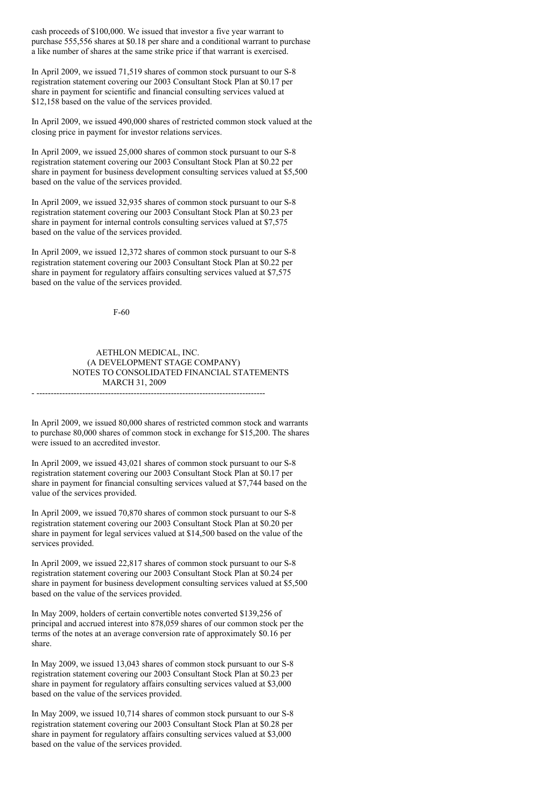cash proceeds of \$100,000. We issued that investor a five year warrant to purchase 555,556 shares at \$0.18 per share and a conditional warrant to purchase a like number of shares at the same strike price if that warrant is exercised.

In April 2009, we issued 71,519 shares of common stock pursuant to our S-8 registration statement covering our 2003 Consultant Stock Plan at \$0.17 per share in payment for scientific and financial consulting services valued at \$12,158 based on the value of the services provided.

In April 2009, we issued 490,000 shares of restricted common stock valued at the closing price in payment for investor relations services.

In April 2009, we issued 25,000 shares of common stock pursuant to our S-8 registration statement covering our 2003 Consultant Stock Plan at \$0.22 per share in payment for business development consulting services valued at \$5,500 based on the value of the services provided.

In April 2009, we issued 32,935 shares of common stock pursuant to our S-8 registration statement covering our 2003 Consultant Stock Plan at \$0.23 per share in payment for internal controls consulting services valued at \$7,575 based on the value of the services provided.

In April 2009, we issued 12,372 shares of common stock pursuant to our S-8 registration statement covering our 2003 Consultant Stock Plan at \$0.22 per share in payment for regulatory affairs consulting services valued at \$7,575 based on the value of the services provided.

F-60

### AETHLON MEDICAL, INC. (A DEVELOPMENT STAGE COMPANY) NOTES TO CONSOLIDATED FINANCIAL STATEMENTS MARCH 31, 2009 - --------------------------------------------------------------------------------

In April 2009, we issued 80,000 shares of restricted common stock and warrants to purchase 80,000 shares of common stock in exchange for \$15,200. The shares were issued to an accredited investor.

In April 2009, we issued 43,021 shares of common stock pursuant to our S-8 registration statement covering our 2003 Consultant Stock Plan at \$0.17 per share in payment for financial consulting services valued at \$7,744 based on the value of the services provided.

In April 2009, we issued 70,870 shares of common stock pursuant to our S-8 registration statement covering our 2003 Consultant Stock Plan at \$0.20 per share in payment for legal services valued at \$14,500 based on the value of the services provided.

In April 2009, we issued 22,817 shares of common stock pursuant to our S-8 registration statement covering our 2003 Consultant Stock Plan at \$0.24 per share in payment for business development consulting services valued at \$5,500 based on the value of the services provided.

In May 2009, holders of certain convertible notes converted \$139,256 of principal and accrued interest into 878,059 shares of our common stock per the terms of the notes at an average conversion rate of approximately \$0.16 per share.

In May 2009, we issued 13,043 shares of common stock pursuant to our S-8 registration statement covering our 2003 Consultant Stock Plan at \$0.23 per share in payment for regulatory affairs consulting services valued at \$3,000 based on the value of the services provided.

In May 2009, we issued 10,714 shares of common stock pursuant to our S-8 registration statement covering our 2003 Consultant Stock Plan at \$0.28 per share in payment for regulatory affairs consulting services valued at \$3,000 based on the value of the services provided.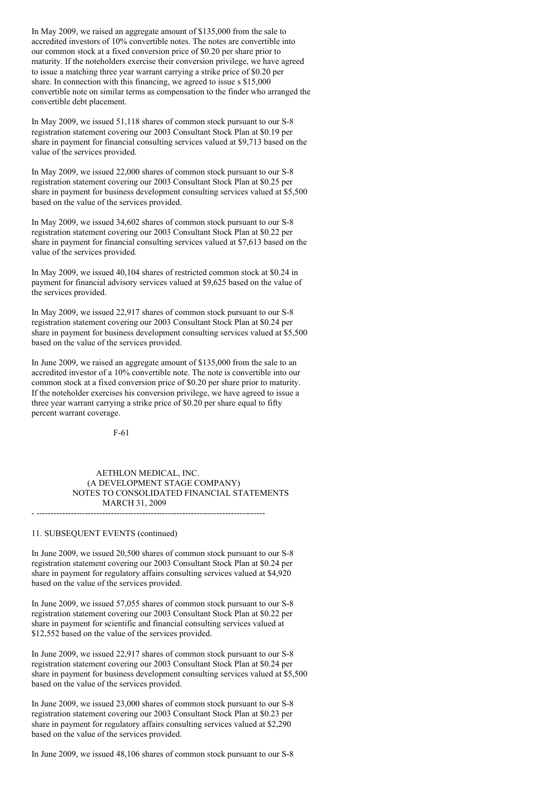In May 2009, we raised an aggregate amount of \$135,000 from the sale to accredited investors of 10% convertible notes. The notes are convertible into our common stock at a fixed conversion price of \$0.20 per share prior to maturity. If the noteholders exercise their conversion privilege, we have agreed to issue a matching three year warrant carrying a strike price of \$0.20 per share. In connection with this financing, we agreed to issue s \$15,000 convertible note on similar terms as compensation to the finder who arranged the convertible debt placement.

In May 2009, we issued 51,118 shares of common stock pursuant to our S-8 registration statement covering our 2003 Consultant Stock Plan at \$0.19 per share in payment for financial consulting services valued at \$9,713 based on the value of the services provided.

In May 2009, we issued 22,000 shares of common stock pursuant to our S-8 registration statement covering our 2003 Consultant Stock Plan at \$0.25 per share in payment for business development consulting services valued at \$5,500 based on the value of the services provided.

In May 2009, we issued 34,602 shares of common stock pursuant to our S-8 registration statement covering our 2003 Consultant Stock Plan at \$0.22 per share in payment for financial consulting services valued at \$7,613 based on the value of the services provided.

In May 2009, we issued 40,104 shares of restricted common stock at \$0.24 in payment for financial advisory services valued at \$9,625 based on the value of the services provided.

In May 2009, we issued 22,917 shares of common stock pursuant to our S-8 registration statement covering our 2003 Consultant Stock Plan at \$0.24 per share in payment for business development consulting services valued at \$5,500 based on the value of the services provided.

In June 2009, we raised an aggregate amount of \$135,000 from the sale to an accredited investor of a 10% convertible note. The note is convertible into our common stock at a fixed conversion price of \$0.20 per share prior to maturity. If the noteholder exercises his conversion privilege, we have agreed to issue a three year warrant carrying a strike price of \$0.20 per share equal to fifty percent warrant coverage.

F-61

### AETHLON MEDICAL, INC. (A DEVELOPMENT STAGE COMPANY) NOTES TO CONSOLIDATED FINANCIAL STATEMENTS MARCH 31, 2009 - --------------------------------------------------------------------------------

11. SUBSEQUENT EVENTS (continued)

In June 2009, we issued 20,500 shares of common stock pursuant to our S-8 registration statement covering our 2003 Consultant Stock Plan at \$0.24 per share in payment for regulatory affairs consulting services valued at \$4,920 based on the value of the services provided.

In June 2009, we issued 57,055 shares of common stock pursuant to our S-8 registration statement covering our 2003 Consultant Stock Plan at \$0.22 per share in payment for scientific and financial consulting services valued at \$12,552 based on the value of the services provided.

In June 2009, we issued 22,917 shares of common stock pursuant to our S-8 registration statement covering our 2003 Consultant Stock Plan at \$0.24 per share in payment for business development consulting services valued at \$5,500 based on the value of the services provided.

In June 2009, we issued 23,000 shares of common stock pursuant to our S-8 registration statement covering our 2003 Consultant Stock Plan at \$0.23 per share in payment for regulatory affairs consulting services valued at \$2,290 based on the value of the services provided.

In June 2009, we issued 48,106 shares of common stock pursuant to our S-8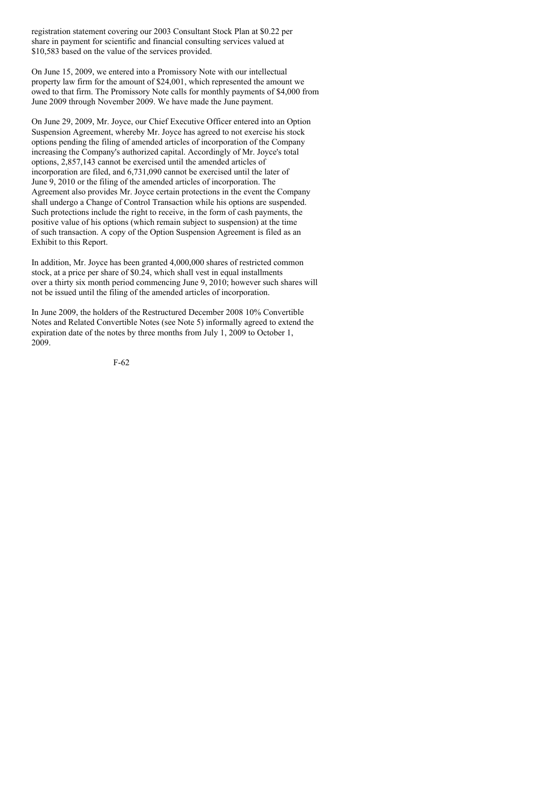registration statement covering our 2003 Consultant Stock Plan at \$0.22 per share in payment for scientific and financial consulting services valued at \$10,583 based on the value of the services provided.

On June 15, 2009, we entered into a Promissory Note with our intellectual property law firm for the amount of \$24,001, which represented the amount we owed to that firm. The Promissory Note calls for monthly payments of \$4,000 from June 2009 through November 2009. We have made the June payment.

On June 29, 2009, Mr. Joyce, our Chief Executive Officer entered into an Option Suspension Agreement, whereby Mr. Joyce has agreed to not exercise his stock options pending the filing of amended articles of incorporation of the Company increasing the Company's authorized capital. Accordingly of Mr. Joyce's total options, 2,857,143 cannot be exercised until the amended articles of incorporation are filed, and 6,731,090 cannot be exercised until the later of June 9, 2010 or the filing of the amended articles of incorporation. The Agreement also provides Mr. Joyce certain protections in the event the Company shall undergo a Change of Control Transaction while his options are suspended. Such protections include the right to receive, in the form of cash payments, the positive value of his options (which remain subject to suspension) at the time of such transaction. A copy of the Option Suspension Agreement is filed as an Exhibit to this Report.

In addition, Mr. Joyce has been granted 4,000,000 shares of restricted common stock, at a price per share of \$0.24, which shall vest in equal installments over a thirty six month period commencing June 9, 2010; however such shares will not be issued until the filing of the amended articles of incorporation.

In June 2009, the holders of the Restructured December 2008 10% Convertible Notes and Related Convertible Notes (see Note 5) informally agreed to extend the expiration date of the notes by three months from July 1, 2009 to October 1, 2009.

F-62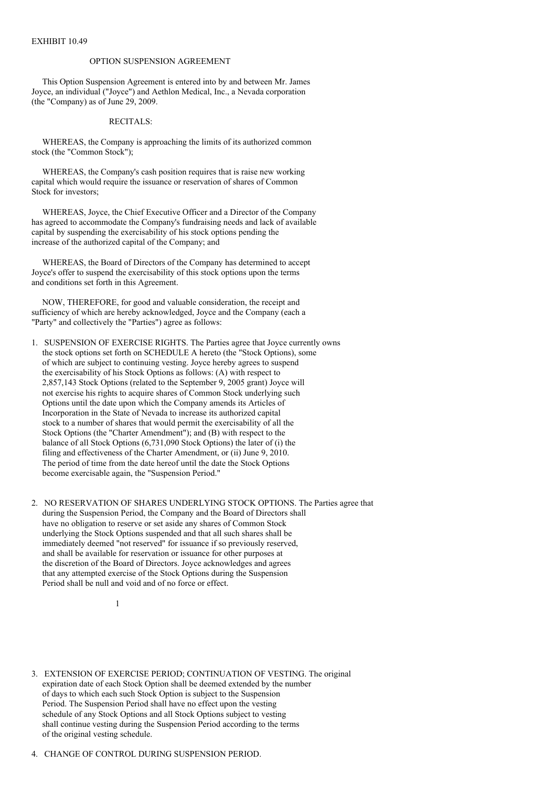### OPTION SUSPENSION AGREEMENT

This Option Suspension Agreement is entered into by and between Mr. James Joyce, an individual ("Joyce") and Aethlon Medical, Inc., a Nevada corporation (the "Company) as of June 29, 2009.

# RECITALS:

WHEREAS, the Company is approaching the limits of its authorized common stock (the "Common Stock");

WHEREAS, the Company's cash position requires that is raise new working capital which would require the issuance or reservation of shares of Common Stock for investors;

WHEREAS, Joyce, the Chief Executive Officer and a Director of the Company has agreed to accommodate the Company's fundraising needs and lack of available capital by suspending the exercisability of his stock options pending the increase of the authorized capital of the Company; and

WHEREAS, the Board of Directors of the Company has determined to accept Joyce's offer to suspend the exercisability of this stock options upon the terms and conditions set forth in this Agreement.

NOW, THEREFORE, for good and valuable consideration, the receipt and sufficiency of which are hereby acknowledged, Joyce and the Company (each a "Party" and collectively the "Parties") agree as follows:

1. SUSPENSION OF EXERCISE RIGHTS. The Parties agree that Joyce currently owns the stock options set forth on SCHEDULE A hereto (the "Stock Options), some of which are subject to continuing vesting. Joyce hereby agrees to suspend the exercisability of his Stock Options as follows: (A) with respect to 2,857,143 Stock Options (related to the September 9, 2005 grant) Joyce will not exercise his rights to acquire shares of Common Stock underlying such Options until the date upon which the Company amends its Articles of Incorporation in the State of Nevada to increase its authorized capital stock to a number of shares that would permit the exercisability of all the Stock Options (the "Charter Amendment"); and (B) with respect to the balance of all Stock Options (6,731,090 Stock Options) the later of (i) the filing and effectiveness of the Charter Amendment, or (ii) June 9, 2010. The period of time from the date hereof until the date the Stock Options become exercisable again, the "Suspension Period."

2. NO RESERVATION OF SHARES UNDERLYING STOCK OPTIONS. The Parties agree that during the Suspension Period, the Company and the Board of Directors shall have no obligation to reserve or set aside any shares of Common Stock underlying the Stock Options suspended and that all such shares shall be immediately deemed "not reserved" for issuance if so previously reserved, and shall be available for reservation or issuance for other purposes at the discretion of the Board of Directors. Joyce acknowledges and agrees that any attempted exercise of the Stock Options during the Suspension Period shall be null and void and of no force or effect.

3. EXTENSION OF EXERCISE PERIOD; CONTINUATION OF VESTING. The original expiration date of each Stock Option shall be deemed extended by the number of days to which each such Stock Option is subject to the Suspension Period. The Suspension Period shall have no effect upon the vesting schedule of any Stock Options and all Stock Options subject to vesting shall continue vesting during the Suspension Period according to the terms of the original vesting schedule.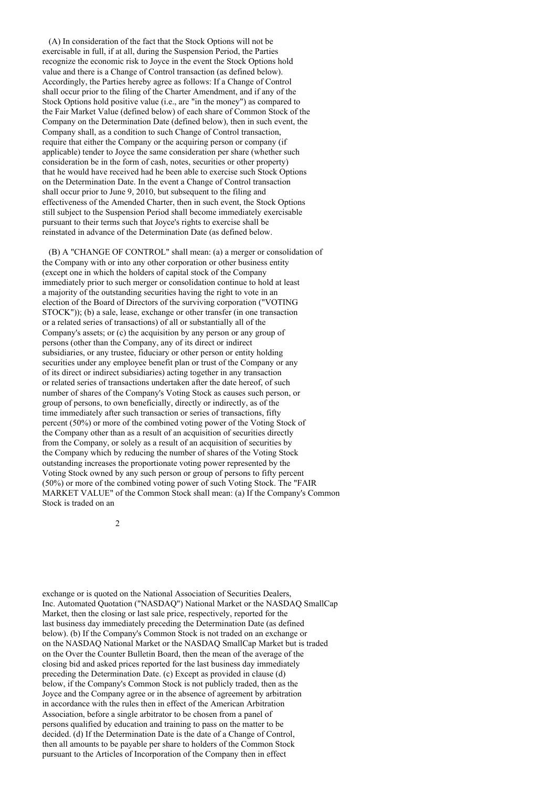(A) In consideration of the fact that the Stock Options will not be exercisable in full, if at all, during the Suspension Period, the Parties recognize the economic risk to Joyce in the event the Stock Options hold value and there is a Change of Control transaction (as defined below). Accordingly, the Parties hereby agree as follows: If a Change of Control shall occur prior to the filing of the Charter Amendment, and if any of the Stock Options hold positive value (i.e., are "in the money") as compared to the Fair Market Value (defined below) of each share of Common Stock of the Company on the Determination Date (defined below), then in such event, the Company shall, as a condition to such Change of Control transaction, require that either the Company or the acquiring person or company (if applicable) tender to Joyce the same consideration per share (whether such consideration be in the form of cash, notes, securities or other property) that he would have received had he been able to exercise such Stock Options on the Determination Date. In the event a Change of Control transaction shall occur prior to June 9, 2010, but subsequent to the filing and effectiveness of the Amended Charter, then in such event, the Stock Options still subject to the Suspension Period shall become immediately exercisable pursuant to their terms such that Joyce's rights to exercise shall be reinstated in advance of the Determination Date (as defined below.

(B) A "CHANGE OF CONTROL" shall mean: (a) a merger or consolidation of the Company with or into any other corporation or other business entity (except one in which the holders of capital stock of the Company immediately prior to such merger or consolidation continue to hold at least a majority of the outstanding securities having the right to vote in an election of the Board of Directors of the surviving corporation ("VOTING STOCK")); (b) a sale, lease, exchange or other transfer (in one transaction or a related series of transactions) of all or substantially all of the Company's assets; or (c) the acquisition by any person or any group of persons (other than the Company, any of its direct or indirect subsidiaries, or any trustee, fiduciary or other person or entity holding securities under any employee benefit plan or trust of the Company or any of its direct or indirect subsidiaries) acting together in any transaction or related series of transactions undertaken after the date hereof, of such number of shares of the Company's Voting Stock as causes such person, or group of persons, to own beneficially, directly or indirectly, as of the time immediately after such transaction or series of transactions, fifty percent (50%) or more of the combined voting power of the Voting Stock of the Company other than as a result of an acquisition of securities directly from the Company, or solely as a result of an acquisition of securities by the Company which by reducing the number of shares of the Voting Stock outstanding increases the proportionate voting power represented by the Voting Stock owned by any such person or group of persons to fifty percent (50%) or more of the combined voting power of such Voting Stock. The "FAIR MARKET VALUE" of the Common Stock shall mean: (a) If the Company's Common Stock is traded on an

2

exchange or is quoted on the National Association of Securities Dealers, Inc. Automated Quotation ("NASDAQ") National Market or the NASDAQ SmallCap Market, then the closing or last sale price, respectively, reported for the last business day immediately preceding the Determination Date (as defined below). (b) If the Company's Common Stock is not traded on an exchange or on the NASDAQ National Market or the NASDAQ SmallCap Market but is traded on the Over the Counter Bulletin Board, then the mean of the average of the closing bid and asked prices reported for the last business day immediately preceding the Determination Date. (c) Except as provided in clause (d) below, if the Company's Common Stock is not publicly traded, then as the Joyce and the Company agree or in the absence of agreement by arbitration in accordance with the rules then in effect of the American Arbitration Association, before a single arbitrator to be chosen from a panel of persons qualified by education and training to pass on the matter to be decided. (d) If the Determination Date is the date of a Change of Control, then all amounts to be payable per share to holders of the Common Stock pursuant to the Articles of Incorporation of the Company then in effect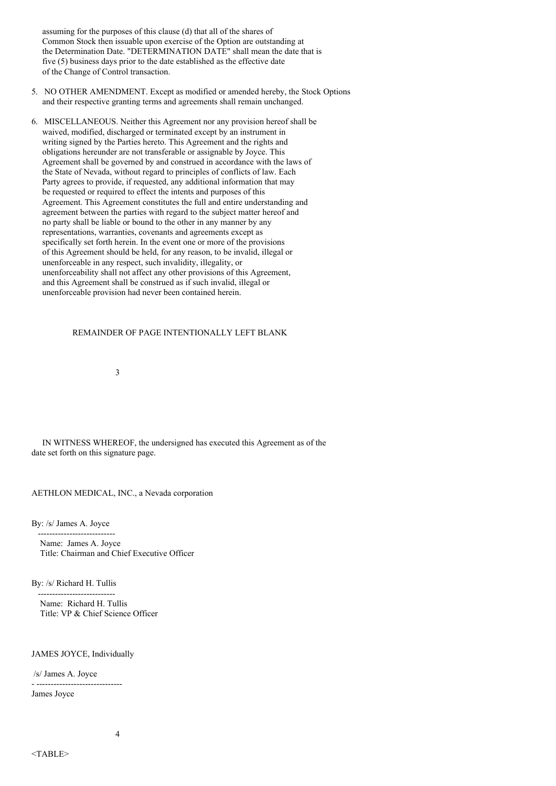assuming for the purposes of this clause (d) that all of the shares of Common Stock then issuable upon exercise of the Option are outstanding at the Determination Date. "DETERMINATION DATE" shall mean the date that is five (5) business days prior to the date established as the effective date of the Change of Control transaction.

- 5. NO OTHER AMENDMENT. Except as modified or amended hereby, the Stock Options and their respective granting terms and agreements shall remain unchanged.
- 6. MISCELLANEOUS. Neither this Agreement nor any provision hereof shall be waived, modified, discharged or terminated except by an instrument in writing signed by the Parties hereto. This Agreement and the rights and obligations hereunder are not transferable or assignable by Joyce. This Agreement shall be governed by and construed in accordance with the laws of the State of Nevada, without regard to principles of conflicts of law. Each Party agrees to provide, if requested, any additional information that may be requested or required to effect the intents and purposes of this Agreement. This Agreement constitutes the full and entire understanding and agreement between the parties with regard to the subject matter hereof and no party shall be liable or bound to the other in any manner by any representations, warranties, covenants and agreements except as specifically set forth herein. In the event one or more of the provisions of this Agreement should be held, for any reason, to be invalid, illegal or unenforceable in any respect, such invalidity, illegality, or unenforceability shall not affect any other provisions of this Agreement, and this Agreement shall be construed as if such invalid, illegal or unenforceable provision had never been contained herein.

### REMAINDER OF PAGE INTENTIONALLY LEFT BLANK

3

IN WITNESS WHEREOF, the undersigned has executed this Agreement as of the date set forth on this signature page.

AETHLON MEDICAL, INC., a Nevada corporation

By: /s/ James A. Joyce

--------------------------- Name: James A. Joyce Title: Chairman and Chief Executive Officer

By: /s/ Richard H. Tullis ---------------------------

Name: Richard H. Tullis Title: VP & Chief Science Officer

#### JAMES JOYCE, Individually

/s/ James A. Joyce

- ------------------------------ James Joyce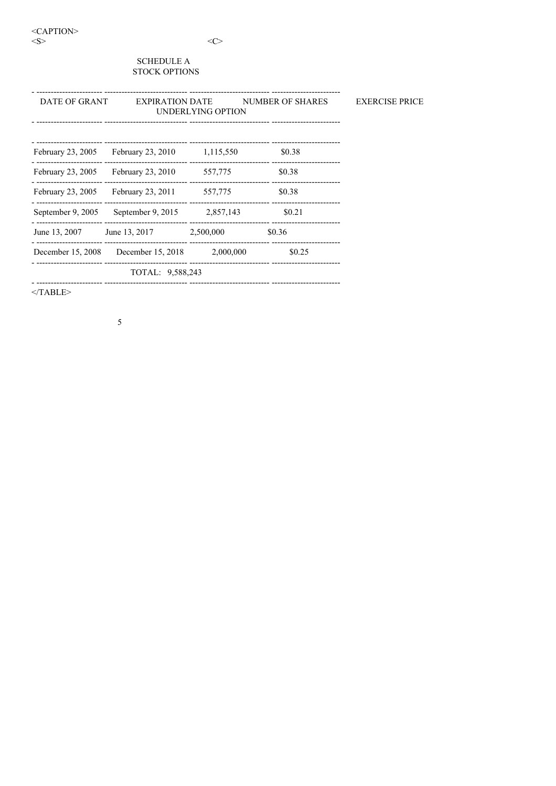<CAPTION>  $<\!\!S\!\!>$ 

# $\langle C \rangle$

**EXERCISE PRICE** 

# **SCHEDULE A** STOCK OPTIONS

| DATE OF GRANT     | <b>EXPIRATION DATE</b> | UNDERLYING OPTION | NUMBER OF SHARES |
|-------------------|------------------------|-------------------|------------------|
| February 23, 2005 | February 23, 2010      | 1,115,550         | \$0.38           |
| February 23, 2005 | February 23, 2010      | 557,775           | \$0.38           |
| February 23, 2005 | February 23, 2011      | 557,775           | \$0.38           |
| September 9, 2005 | September 9, 2015      | 2,857,143         | \$0.21           |
| June 13, 2007     | June 13, 2017          | 2,500,000         | \$0.36           |
| December 15, 2008 | December 15, 2018      | 2,000,000         | \$0.25           |
|                   | TOTAL: 9,588,243       |                   |                  |
|                   |                        |                   |                  |

 $<$ /TABLE>

 $\overline{5}$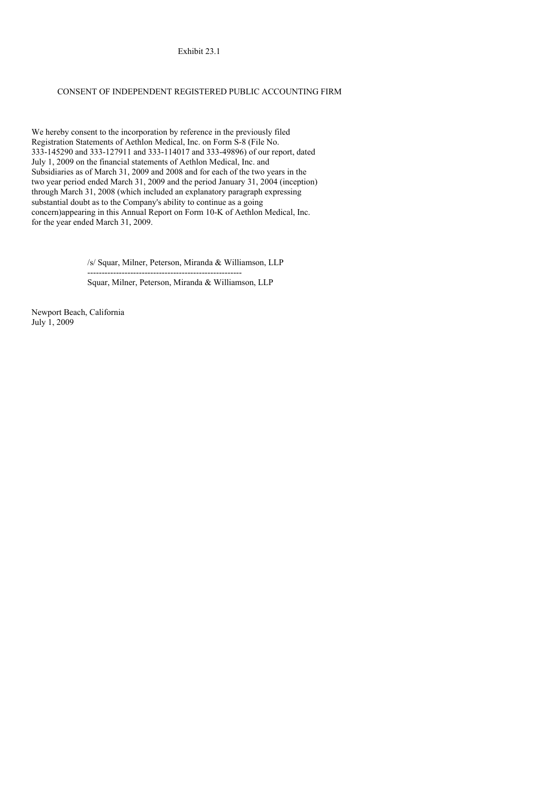Exhibit 23.1

### CONSENT OF INDEPENDENT REGISTERED PUBLIC ACCOUNTING FIRM

We hereby consent to the incorporation by reference in the previously filed Registration Statements of Aethlon Medical, Inc. on Form S-8 (File No. 333-145290 and 333-127911 and 333-114017 and 333-49896) of our report, dated July 1, 2009 on the financial statements of Aethlon Medical, Inc. and Subsidiaries as of March 31, 2009 and 2008 and for each of the two years in the two year period ended March 31, 2009 and the period January 31, 2004 (inception) through March 31, 2008 (which included an explanatory paragraph expressing substantial doubt as to the Company's ability to continue as a going concern)appearing in this Annual Report on Form 10-K of Aethlon Medical, Inc. for the year ended March 31, 2009.

> /s/ Squar, Milner, Peterson, Miranda & Williamson, LLP ------------------------------------------------------

Squar, Milner, Peterson, Miranda & Williamson, LLP

Newport Beach, California July 1, 2009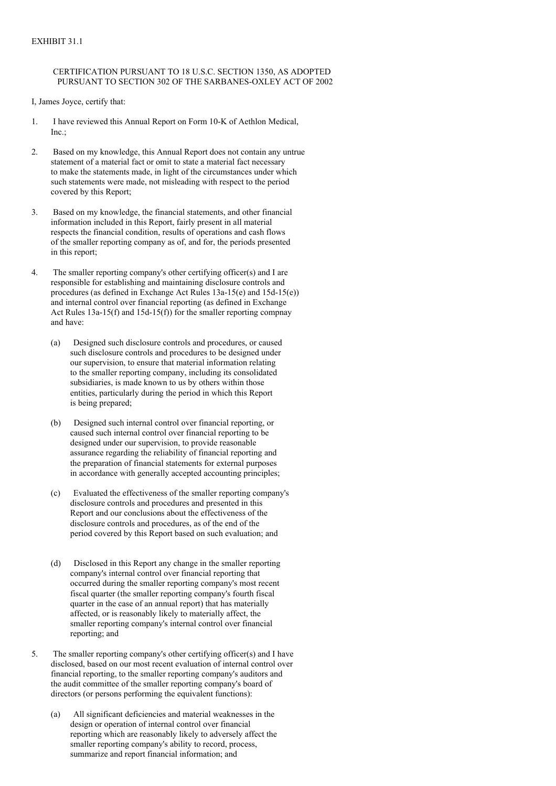# CERTIFICATION PURSUANT TO 18 U.S.C. SECTION 1350, AS ADOPTED PURSUANT TO SECTION 302 OF THE SARBANES-OXLEY ACT OF 2002

I, James Joyce, certify that:

- 1. I have reviewed this Annual Report on Form 10-K of Aethlon Medical,  $Inc.$
- 2. Based on my knowledge, this Annual Report does not contain any untrue statement of a material fact or omit to state a material fact necessary to make the statements made, in light of the circumstances under which such statements were made, not misleading with respect to the period covered by this Report;
- 3. Based on my knowledge, the financial statements, and other financial information included in this Report, fairly present in all material respects the financial condition, results of operations and cash flows of the smaller reporting company as of, and for, the periods presented in this report;
- 4. The smaller reporting company's other certifying officer(s) and I are responsible for establishing and maintaining disclosure controls and procedures (as defined in Exchange Act Rules 13a-15(e) and 15d-15(e)) and internal control over financial reporting (as defined in Exchange Act Rules 13a-15(f) and 15d-15(f)) for the smaller reporting compnay and have:
	- (a) Designed such disclosure controls and procedures, or caused such disclosure controls and procedures to be designed under our supervision, to ensure that material information relating to the smaller reporting company, including its consolidated subsidiaries, is made known to us by others within those entities, particularly during the period in which this Report is being prepared;
	- (b) Designed such internal control over financial reporting, or caused such internal control over financial reporting to be designed under our supervision, to provide reasonable assurance regarding the reliability of financial reporting and the preparation of financial statements for external purposes in accordance with generally accepted accounting principles;
	- (c) Evaluated the effectiveness of the smaller reporting company's disclosure controls and procedures and presented in this Report and our conclusions about the effectiveness of the disclosure controls and procedures, as of the end of the period covered by this Report based on such evaluation; and
	- (d) Disclosed in this Report any change in the smaller reporting company's internal control over financial reporting that occurred during the smaller reporting company's most recent fiscal quarter (the smaller reporting company's fourth fiscal quarter in the case of an annual report) that has materially affected, or is reasonably likely to materially affect, the smaller reporting company's internal control over financial reporting; and
- 5. The smaller reporting company's other certifying officer(s) and I have disclosed, based on our most recent evaluation of internal control over financial reporting, to the smaller reporting company's auditors and the audit committee of the smaller reporting company's board of directors (or persons performing the equivalent functions):
	- (a) All significant deficiencies and material weaknesses in the design or operation of internal control over financial reporting which are reasonably likely to adversely affect the smaller reporting company's ability to record, process, summarize and report financial information; and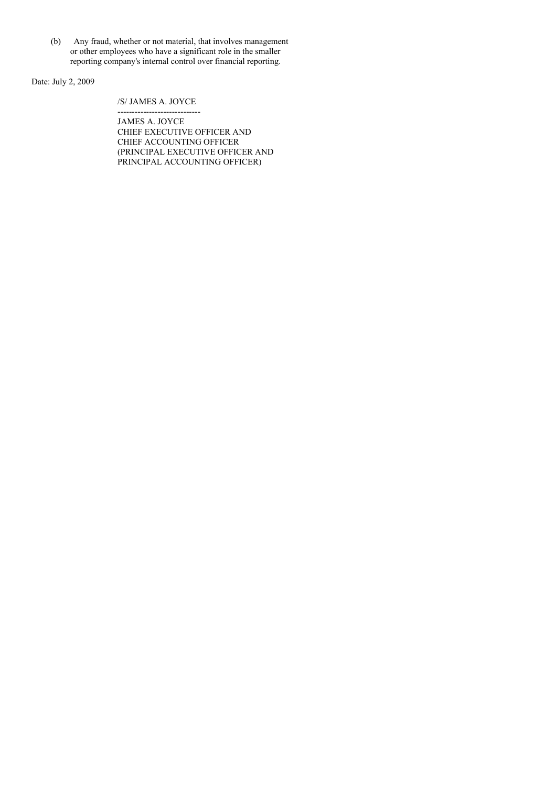(b) Any fraud, whether or not material, that involves management or other employees who have a significant role in the smaller reporting company's internal control over financial reporting.

Date: July 2, 2009

/S/ JAMES A. JOYCE

----------------------------- JAMES A. JOYCE CHIEF EXECUTIVE OFFICER AND CHIEF ACCOUNTING OFFICER (PRINCIPAL EXECUTIVE OFFICER AND PRINCIPAL ACCOUNTING OFFICER)